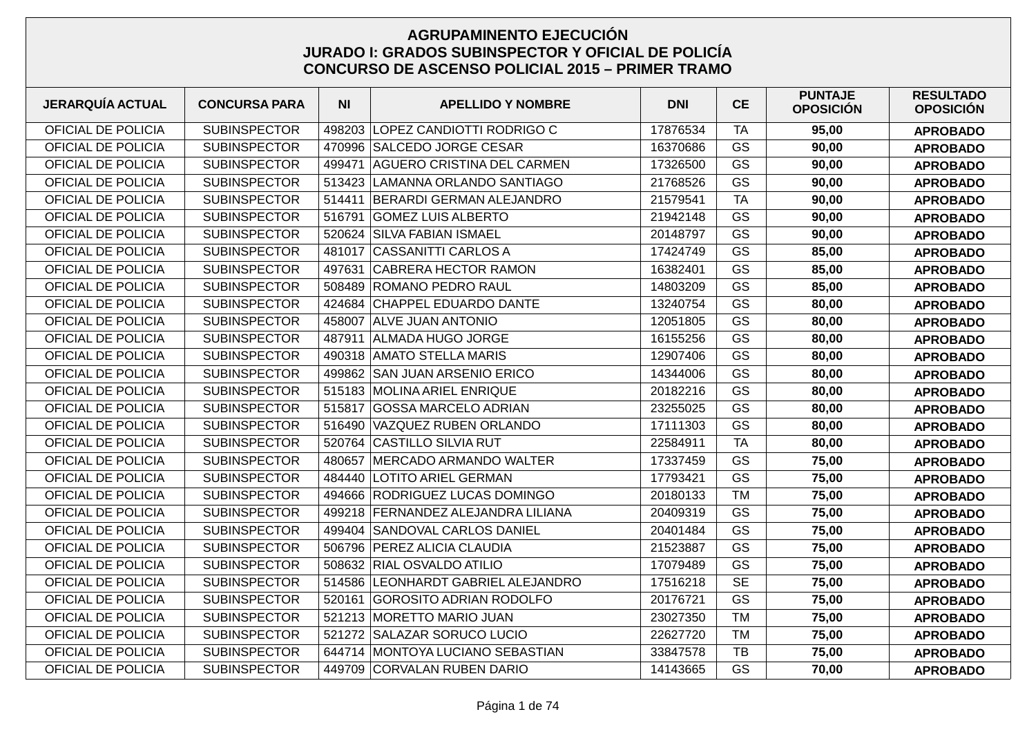| <b>JERARQUÍA ACTUAL</b> | <b>CONCURSA PARA</b> | <b>NI</b> | <b>APELLIDO Y NOMBRE</b>           | <b>DNI</b> | <b>CE</b> | <b>PUNTAJE</b><br><b>OPOSICIÓN</b> | <b>RESULTADO</b><br><b>OPOSICIÓN</b> |
|-------------------------|----------------------|-----------|------------------------------------|------------|-----------|------------------------------------|--------------------------------------|
| OFICIAL DE POLICIA      | <b>SUBINSPECTOR</b>  | 498203    | LOPEZ CANDIOTTI RODRIGO C          | 17876534   | <b>TA</b> | 95,00                              | <b>APROBADO</b>                      |
| OFICIAL DE POLICIA      | <b>SUBINSPECTOR</b>  |           | 470996 SALCEDO JORGE CESAR         | 16370686   | GS        | 90,00                              | <b>APROBADO</b>                      |
| OFICIAL DE POLICIA      | <b>SUBINSPECTOR</b>  |           | 499471 AGUERO CRISTINA DEL CARMEN  | 17326500   | GS        | 90,00                              | <b>APROBADO</b>                      |
| OFICIAL DE POLICIA      | <b>SUBINSPECTOR</b>  |           | 513423 LAMANNA ORLANDO SANTIAGO    | 21768526   | GS        | 90,00                              | <b>APROBADO</b>                      |
| OFICIAL DE POLICIA      | <b>SUBINSPECTOR</b>  |           | 514411 BERARDI GERMAN ALEJANDRO    | 21579541   | <b>TA</b> | 90,00                              | <b>APROBADO</b>                      |
| OFICIAL DE POLICIA      | <b>SUBINSPECTOR</b>  |           | 516791 GOMEZ LUIS ALBERTO          | 21942148   | GS        | 90,00                              | <b>APROBADO</b>                      |
| OFICIAL DE POLICIA      | <b>SUBINSPECTOR</b>  |           | 520624 SILVA FABIAN ISMAEL         | 20148797   | GS        | 90,00                              | <b>APROBADO</b>                      |
| OFICIAL DE POLICIA      | <b>SUBINSPECTOR</b>  |           | 481017 CASSANITTI CARLOS A         | 17424749   | GS        | 85,00                              | <b>APROBADO</b>                      |
| OFICIAL DE POLICIA      | <b>SUBINSPECTOR</b>  |           | 497631 CABRERA HECTOR RAMON        | 16382401   | GS        | 85,00                              | <b>APROBADO</b>                      |
| OFICIAL DE POLICIA      | <b>SUBINSPECTOR</b>  |           | 508489 ROMANO PEDRO RAUL           | 14803209   | GS        | 85,00                              | <b>APROBADO</b>                      |
| OFICIAL DE POLICIA      | <b>SUBINSPECTOR</b>  |           | 424684 CHAPPEL EDUARDO DANTE       | 13240754   | GS        | 80,00                              | <b>APROBADO</b>                      |
| OFICIAL DE POLICIA      | <b>SUBINSPECTOR</b>  |           | 458007 ALVE JUAN ANTONIO           | 12051805   | GS        | 80,00                              | <b>APROBADO</b>                      |
| OFICIAL DE POLICIA      | <b>SUBINSPECTOR</b>  |           | 487911 ALMADA HUGO JORGE           | 16155256   | GS        | 80,00                              | <b>APROBADO</b>                      |
| OFICIAL DE POLICIA      | <b>SUBINSPECTOR</b>  |           | 490318 AMATO STELLA MARIS          | 12907406   | GS        | 80,00                              | <b>APROBADO</b>                      |
| OFICIAL DE POLICIA      | <b>SUBINSPECTOR</b>  |           | 499862 SAN JUAN ARSENIO ERICO      | 14344006   | GS        | 80,00                              | <b>APROBADO</b>                      |
| OFICIAL DE POLICIA      | <b>SUBINSPECTOR</b>  |           | 515183 MOLINA ARIEL ENRIQUE        | 20182216   | GS        | 80,00                              | <b>APROBADO</b>                      |
| OFICIAL DE POLICIA      | <b>SUBINSPECTOR</b>  |           | 515817 GOSSA MARCELO ADRIAN        | 23255025   | GS        | 80,00                              | <b>APROBADO</b>                      |
| OFICIAL DE POLICIA      | <b>SUBINSPECTOR</b>  |           | 516490 VAZQUEZ RUBEN ORLANDO       | 17111303   | GS        | 80,00                              | <b>APROBADO</b>                      |
| OFICIAL DE POLICIA      | <b>SUBINSPECTOR</b>  |           | 520764 CASTILLO SILVIA RUT         | 22584911   | <b>TA</b> | 80,00                              | <b>APROBADO</b>                      |
| OFICIAL DE POLICIA      | <b>SUBINSPECTOR</b>  | 480657    | MERCADO ARMANDO WALTER             | 17337459   | GS        | 75,00                              | <b>APROBADO</b>                      |
| OFICIAL DE POLICIA      | <b>SUBINSPECTOR</b>  |           | 484440 LOTITO ARIEL GERMAN         | 17793421   | GS        | 75,00                              | <b>APROBADO</b>                      |
| OFICIAL DE POLICIA      | <b>SUBINSPECTOR</b>  |           | 494666 RODRIGUEZ LUCAS DOMINGO     | 20180133   | <b>TM</b> | 75,00                              | <b>APROBADO</b>                      |
| OFICIAL DE POLICIA      | <b>SUBINSPECTOR</b>  |           | 499218 FERNANDEZ ALEJANDRA LILIANA | 20409319   | GS        | 75,00                              | <b>APROBADO</b>                      |
| OFICIAL DE POLICIA      | <b>SUBINSPECTOR</b>  |           | 499404 SANDOVAL CARLOS DANIEL      | 20401484   | GS        | 75,00                              | <b>APROBADO</b>                      |
| OFICIAL DE POLICIA      | <b>SUBINSPECTOR</b>  |           | 506796 PEREZ ALICIA CLAUDIA        | 21523887   | GS        | 75,00                              | <b>APROBADO</b>                      |
| OFICIAL DE POLICIA      | <b>SUBINSPECTOR</b>  |           | 508632 RIAL OSVALDO ATILIO         | 17079489   | GS        | 75,00                              | <b>APROBADO</b>                      |
| OFICIAL DE POLICIA      | <b>SUBINSPECTOR</b>  | 514586    | LEONHARDT GABRIEL ALEJANDRO        | 17516218   | <b>SE</b> | 75,00                              | <b>APROBADO</b>                      |
| OFICIAL DE POLICIA      | <b>SUBINSPECTOR</b>  |           | 520161 GOROSITO ADRIAN RODOLFO     | 20176721   | GS        | 75,00                              | <b>APROBADO</b>                      |
| OFICIAL DE POLICIA      | <b>SUBINSPECTOR</b>  |           | 521213 MORETTO MARIO JUAN          | 23027350   | <b>TM</b> | 75,00                              | <b>APROBADO</b>                      |
| OFICIAL DE POLICIA      | <b>SUBINSPECTOR</b>  | 521272    | <b>SALAZAR SORUCO LUCIO</b>        | 22627720   | <b>TM</b> | 75,00                              | <b>APROBADO</b>                      |
| OFICIAL DE POLICIA      | <b>SUBINSPECTOR</b>  |           | 644714 MONTOYA LUCIANO SEBASTIAN   | 33847578   | TB        | 75,00                              | <b>APROBADO</b>                      |
| OFICIAL DE POLICIA      | <b>SUBINSPECTOR</b>  |           | 449709 CORVALAN RUBEN DARIO        | 14143665   | GS        | 70,00                              | <b>APROBADO</b>                      |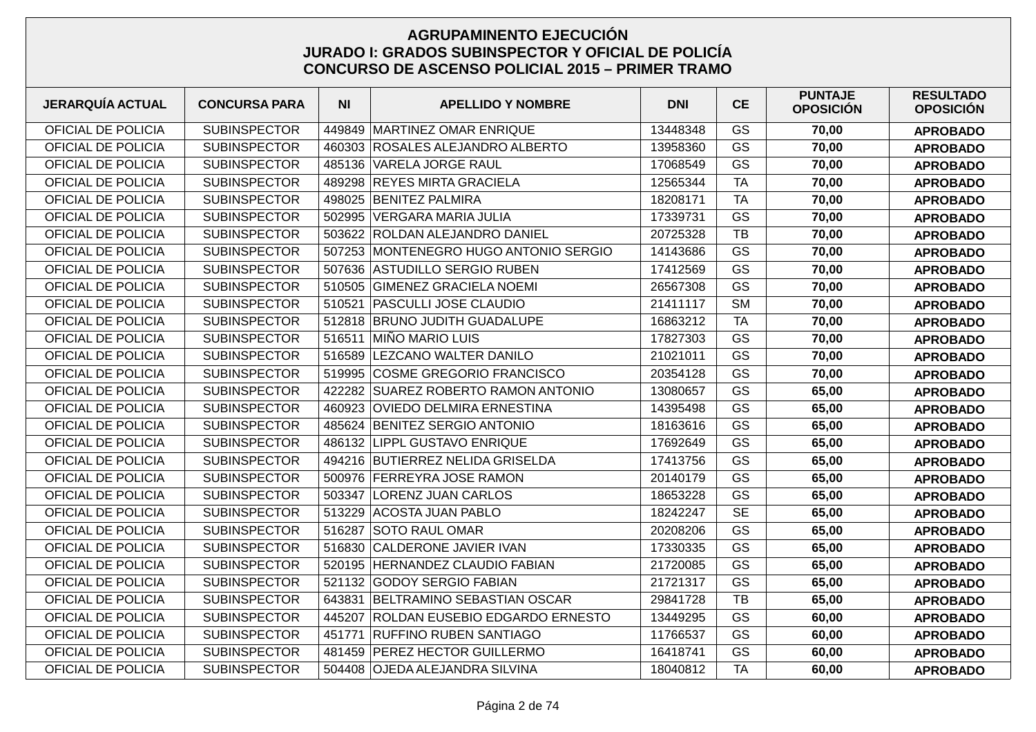| <b>JERARQUÍA ACTUAL</b> | <b>CONCURSA PARA</b> | <b>NI</b> | <b>APELLIDO Y NOMBRE</b>              | <b>DNI</b> | <b>CE</b> | <b>PUNTAJE</b><br><b>OPOSICIÓN</b> | <b>RESULTADO</b><br><b>OPOSICIÓN</b> |
|-------------------------|----------------------|-----------|---------------------------------------|------------|-----------|------------------------------------|--------------------------------------|
| OFICIAL DE POLICIA      | <b>SUBINSPECTOR</b>  | 449849    | <b>MARTINEZ OMAR ENRIQUE</b>          | 13448348   | GS        | 70,00                              | <b>APROBADO</b>                      |
| OFICIAL DE POLICIA      | <b>SUBINSPECTOR</b>  |           | 460303 ROSALES ALEJANDRO ALBERTO      | 13958360   | GS        | 70,00                              | <b>APROBADO</b>                      |
| OFICIAL DE POLICIA      | <b>SUBINSPECTOR</b>  | 485136    | <b>VARELA JORGE RAUL</b>              | 17068549   | GS        | 70,00                              | <b>APROBADO</b>                      |
| OFICIAL DE POLICIA      | <b>SUBINSPECTOR</b>  | 489298    | <b>REYES MIRTA GRACIELA</b>           | 12565344   | <b>TA</b> | 70,00                              | <b>APROBADO</b>                      |
| OFICIAL DE POLICIA      | <b>SUBINSPECTOR</b>  | 498025    | <b>BENITEZ PALMIRA</b>                | 18208171   | <b>TA</b> | 70,00                              | <b>APROBADO</b>                      |
| OFICIAL DE POLICIA      | <b>SUBINSPECTOR</b>  | 502995    | <b>VERGARA MARIA JULIA</b>            | 17339731   | GS        | 70,00                              | <b>APROBADO</b>                      |
| OFICIAL DE POLICIA      | <b>SUBINSPECTOR</b>  | 503622    | ROLDAN ALEJANDRO DANIEL               | 20725328   | TB        | 70,00                              | <b>APROBADO</b>                      |
| OFICIAL DE POLICIA      | <b>SUBINSPECTOR</b>  |           | 507253 MONTENEGRO HUGO ANTONIO SERGIO | 14143686   | GS        | 70,00                              | <b>APROBADO</b>                      |
| OFICIAL DE POLICIA      | <b>SUBINSPECTOR</b>  | 507636    | <b>ASTUDILLO SERGIO RUBEN</b>         | 17412569   | GS        | 70,00                              | <b>APROBADO</b>                      |
| OFICIAL DE POLICIA      | <b>SUBINSPECTOR</b>  | 510505    | <b>GIMENEZ GRACIELA NOEMI</b>         | 26567308   | GS        | 70,00                              | <b>APROBADO</b>                      |
| OFICIAL DE POLICIA      | <b>SUBINSPECTOR</b>  |           | 510521 PASCULLI JOSE CLAUDIO          | 21411117   | <b>SM</b> | 70,00                              | <b>APROBADO</b>                      |
| OFICIAL DE POLICIA      | <b>SUBINSPECTOR</b>  |           | 512818 BRUNO JUDITH GUADALUPE         | 16863212   | <b>TA</b> | 70,00                              | <b>APROBADO</b>                      |
| OFICIAL DE POLICIA      | <b>SUBINSPECTOR</b>  |           | 516511 MIÑO MARIO LUIS                | 17827303   | GS        | 70,00                              | <b>APROBADO</b>                      |
| OFICIAL DE POLICIA      | <b>SUBINSPECTOR</b>  | 516589    | <b>LEZCANO WALTER DANILO</b>          | 21021011   | GS        | 70,00                              | <b>APROBADO</b>                      |
| OFICIAL DE POLICIA      | <b>SUBINSPECTOR</b>  | 519995    | COSME GREGORIO FRANCISCO              | 20354128   | GS        | 70,00                              | <b>APROBADO</b>                      |
| OFICIAL DE POLICIA      | <b>SUBINSPECTOR</b>  | 422282    | <b>SUAREZ ROBERTO RAMON ANTONIO</b>   | 13080657   | GS        | 65,00                              | <b>APROBADO</b>                      |
| OFICIAL DE POLICIA      | <b>SUBINSPECTOR</b>  | 460923    | <b>OVIEDO DELMIRA ERNESTINA</b>       | 14395498   | GS        | 65,00                              | <b>APROBADO</b>                      |
| OFICIAL DE POLICIA      | <b>SUBINSPECTOR</b>  |           | 485624 BENITEZ SERGIO ANTONIO         | 18163616   | GS        | 65,00                              | <b>APROBADO</b>                      |
| OFICIAL DE POLICIA      | <b>SUBINSPECTOR</b>  | 486132    | <b>LIPPL GUSTAVO ENRIQUE</b>          | 17692649   | GS        | 65,00                              | <b>APROBADO</b>                      |
| OFICIAL DE POLICIA      | <b>SUBINSPECTOR</b>  |           | 494216 BUTIERREZ NELIDA GRISELDA      | 17413756   | GS        | 65,00                              | <b>APROBADO</b>                      |
| OFICIAL DE POLICIA      | <b>SUBINSPECTOR</b>  |           | 500976 FERREYRA JOSE RAMON            | 20140179   | GS        | 65,00                              | <b>APROBADO</b>                      |
| OFICIAL DE POLICIA      | <b>SUBINSPECTOR</b>  | 503347    | <b>LORENZ JUAN CARLOS</b>             | 18653228   | GS        | 65,00                              | <b>APROBADO</b>                      |
| OFICIAL DE POLICIA      | <b>SUBINSPECTOR</b>  | 513229    | <b>ACOSTA JUAN PABLO</b>              | 18242247   | <b>SE</b> | 65,00                              | <b>APROBADO</b>                      |
| OFICIAL DE POLICIA      | <b>SUBINSPECTOR</b>  |           | 516287 SOTO RAUL OMAR                 | 20208206   | GS        | 65,00                              | <b>APROBADO</b>                      |
| OFICIAL DE POLICIA      | <b>SUBINSPECTOR</b>  | 516830    | CALDERONE JAVIER IVAN                 | 17330335   | GS        | 65,00                              | <b>APROBADO</b>                      |
| OFICIAL DE POLICIA      | <b>SUBINSPECTOR</b>  | 520195    | <b>HERNANDEZ CLAUDIO FABIAN</b>       | 21720085   | GS        | 65,00                              | <b>APROBADO</b>                      |
| OFICIAL DE POLICIA      | <b>SUBINSPECTOR</b>  | 521132    | <b>GODOY SERGIO FABIAN</b>            | 21721317   | GS        | 65,00                              | <b>APROBADO</b>                      |
| OFICIAL DE POLICIA      | <b>SUBINSPECTOR</b>  |           | 643831 BELTRAMINO SEBASTIAN OSCAR     | 29841728   | TB        | 65,00                              | <b>APROBADO</b>                      |
| OFICIAL DE POLICIA      | <b>SUBINSPECTOR</b>  |           | 445207 ROLDAN EUSEBIO EDGARDO ERNESTO | 13449295   | GS        | 60,00                              | <b>APROBADO</b>                      |
| OFICIAL DE POLICIA      | <b>SUBINSPECTOR</b>  |           | 451771 RUFFINO RUBEN SANTIAGO         | 11766537   | GS        | 60,00                              | <b>APROBADO</b>                      |
| OFICIAL DE POLICIA      | <b>SUBINSPECTOR</b>  | 481459    | <b>PEREZ HECTOR GUILLERMO</b>         | 16418741   | GS        | 60,00                              | <b>APROBADO</b>                      |
| OFICIAL DE POLICIA      | <b>SUBINSPECTOR</b>  |           | 504408 OJEDA ALEJANDRA SILVINA        | 18040812   | <b>TA</b> | 60,00                              | <b>APROBADO</b>                      |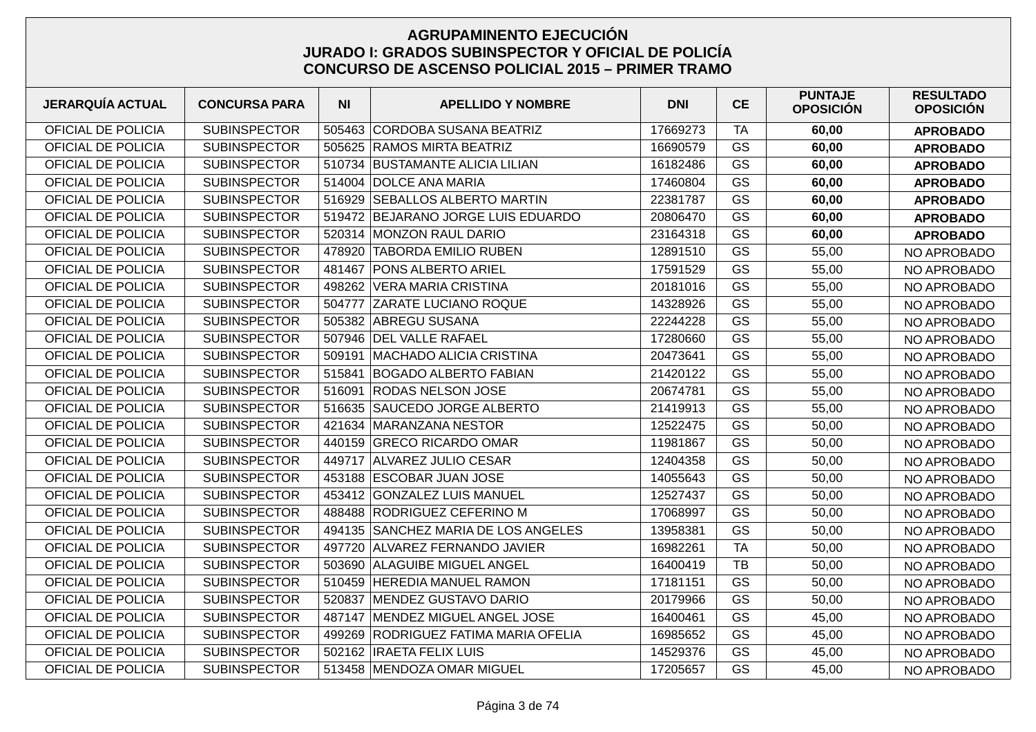| <b>JERARQUÍA ACTUAL</b> | <b>CONCURSA PARA</b> | <b>NI</b> | <b>APELLIDO Y NOMBRE</b>            | <b>DNI</b> | <b>CE</b> | <b>PUNTAJE</b><br><b>OPOSICIÓN</b> | <b>RESULTADO</b><br><b>OPOSICIÓN</b> |
|-------------------------|----------------------|-----------|-------------------------------------|------------|-----------|------------------------------------|--------------------------------------|
| OFICIAL DE POLICIA      | <b>SUBINSPECTOR</b>  | 505463    | CORDOBA SUSANA BEATRIZ              | 17669273   | <b>TA</b> | 60,00                              | <b>APROBADO</b>                      |
| OFICIAL DE POLICIA      | <b>SUBINSPECTOR</b>  | 505625    | <b>RAMOS MIRTA BEATRIZ</b>          | 16690579   | GS        | 60,00                              | <b>APROBADO</b>                      |
| OFICIAL DE POLICIA      | <b>SUBINSPECTOR</b>  |           | 510734 BUSTAMANTE ALICIA LILIAN     | 16182486   | GS        | 60,00                              | <b>APROBADO</b>                      |
| OFICIAL DE POLICIA      | <b>SUBINSPECTOR</b>  |           | 514004 DOLCE ANA MARIA              | 17460804   | GS        | 60,00                              | <b>APROBADO</b>                      |
| OFICIAL DE POLICIA      | <b>SUBINSPECTOR</b>  | 516929    | <b>SEBALLOS ALBERTO MARTIN</b>      | 22381787   | GS        | 60,00                              | <b>APROBADO</b>                      |
| OFICIAL DE POLICIA      | <b>SUBINSPECTOR</b>  | 519472    | BEJARANO JORGE LUIS EDUARDO         | 20806470   | GS        | 60,00                              | <b>APROBADO</b>                      |
| OFICIAL DE POLICIA      | <b>SUBINSPECTOR</b>  | 520314    | MONZON RAUL DARIO                   | 23164318   | GS        | 60,00                              | <b>APROBADO</b>                      |
| OFICIAL DE POLICIA      | <b>SUBINSPECTOR</b>  | 478920    | <b>TABORDA EMILIO RUBEN</b>         | 12891510   | GS        | 55,00                              | NO APROBADO                          |
| OFICIAL DE POLICIA      | <b>SUBINSPECTOR</b>  | 481467    | <b>PONS ALBERTO ARIEL</b>           | 17591529   | GS        | 55,00                              | NO APROBADO                          |
| OFICIAL DE POLICIA      | <b>SUBINSPECTOR</b>  | 498262    | <b>VERA MARIA CRISTINA</b>          | 20181016   | GS        | 55,00                              | NO APROBADO                          |
| OFICIAL DE POLICIA      | <b>SUBINSPECTOR</b>  | 504777    | ZARATE LUCIANO ROQUE                | 14328926   | GS        | 55,00                              | NO APROBADO                          |
| OFICIAL DE POLICIA      | <b>SUBINSPECTOR</b>  | 505382    | <b>ABREGU SUSANA</b>                | 22244228   | GS        | 55,00                              | NO APROBADO                          |
| OFICIAL DE POLICIA      | <b>SUBINSPECTOR</b>  |           | 507946 DEL VALLE RAFAEL             | 17280660   | GS        | 55,00                              | NO APROBADO                          |
| OFICIAL DE POLICIA      | <b>SUBINSPECTOR</b>  |           | 509191   MACHADO ALICIA CRISTINA    | 20473641   | GS        | 55,00                              | NO APROBADO                          |
| OFICIAL DE POLICIA      | <b>SUBINSPECTOR</b>  | 515841    | <b>BOGADO ALBERTO FABIAN</b>        | 21420122   | GS        | 55,00                              | NO APROBADO                          |
| OFICIAL DE POLICIA      | <b>SUBINSPECTOR</b>  | 516091    | <b>RODAS NELSON JOSE</b>            | 20674781   | GS        | 55,00                              | NO APROBADO                          |
| OFICIAL DE POLICIA      | <b>SUBINSPECTOR</b>  | 516635    | SAUCEDO JORGE ALBERTO               | 21419913   | GS        | 55,00                              | NO APROBADO                          |
| OFICIAL DE POLICIA      | <b>SUBINSPECTOR</b>  |           | 421634 MARANZANA NESTOR             | 12522475   | GS        | 50,00                              | NO APROBADO                          |
| OFICIAL DE POLICIA      | <b>SUBINSPECTOR</b>  | 440159    | <b>GRECO RICARDO OMAR</b>           | 11981867   | GS        | 50,00                              | NO APROBADO                          |
| OFICIAL DE POLICIA      | <b>SUBINSPECTOR</b>  | 449717    | ALVAREZ JULIO CESAR                 | 12404358   | GS        | 50,00                              | NO APROBADO                          |
| OFICIAL DE POLICIA      | <b>SUBINSPECTOR</b>  | 453188    | <b>ESCOBAR JUAN JOSE</b>            | 14055643   | GS        | 50,00                              | NO APROBADO                          |
| OFICIAL DE POLICIA      | <b>SUBINSPECTOR</b>  | 453412    | <b>GONZALEZ LUIS MANUEL</b>         | 12527437   | GS        | 50,00                              | NO APROBADO                          |
| OFICIAL DE POLICIA      | <b>SUBINSPECTOR</b>  |           | 488488 RODRIGUEZ CEFERINO M         | 17068997   | GS        | 50,00                              | NO APROBADO                          |
| OFICIAL DE POLICIA      | <b>SUBINSPECTOR</b>  |           | 494135 SANCHEZ MARIA DE LOS ANGELES | 13958381   | GS        | 50,00                              | NO APROBADO                          |
| OFICIAL DE POLICIA      | <b>SUBINSPECTOR</b>  | 497720    | ALVAREZ FERNANDO JAVIER             | 16982261   | <b>TA</b> | 50,00                              | NO APROBADO                          |
| OFICIAL DE POLICIA      | <b>SUBINSPECTOR</b>  |           | 503690 ALAGUIBE MIGUEL ANGEL        | 16400419   | TB        | 50,00                              | NO APROBADO                          |
| OFICIAL DE POLICIA      | <b>SUBINSPECTOR</b>  | 510459    | <b>HEREDIA MANUEL RAMON</b>         | 17181151   | GS        | 50,00                              | NO APROBADO                          |
| OFICIAL DE POLICIA      | <b>SUBINSPECTOR</b>  | 520837    | MENDEZ GUSTAVO DARIO                | 20179966   | GS        | 50,00                              | NO APROBADO                          |
| OFICIAL DE POLICIA      | <b>SUBINSPECTOR</b>  | 487147    | MENDEZ MIGUEL ANGEL JOSE            | 16400461   | GS        | 45,00                              | NO APROBADO                          |
| OFICIAL DE POLICIA      | <b>SUBINSPECTOR</b>  | 499269    | RODRIGUEZ FATIMA MARIA OFELIA       | 16985652   | GS        | 45,00                              | NO APROBADO                          |
| OFICIAL DE POLICIA      | <b>SUBINSPECTOR</b>  | 502162    | <b>IRAETA FELIX LUIS</b>            | 14529376   | GS        | 45,00                              | NO APROBADO                          |
| OFICIAL DE POLICIA      | <b>SUBINSPECTOR</b>  |           | 513458 MENDOZA OMAR MIGUEL          | 17205657   | GS        | 45,00                              | NO APROBADO                          |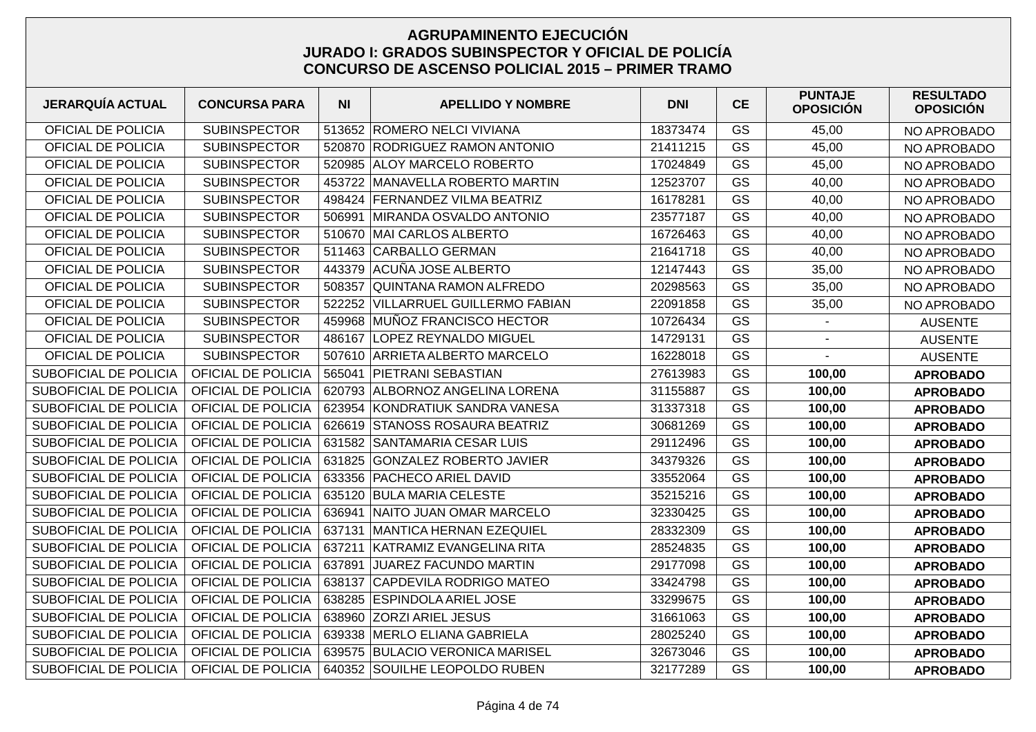| <b>JERARQUÍA ACTUAL</b> | <b>CONCURSA PARA</b> | <b>NI</b> | <b>APELLIDO Y NOMBRE</b>           | <b>DNI</b> | <b>CE</b> | <b>PUNTAJE</b><br><b>OPOSICIÓN</b> | <b>RESULTADO</b><br><b>OPOSICIÓN</b> |
|-------------------------|----------------------|-----------|------------------------------------|------------|-----------|------------------------------------|--------------------------------------|
| OFICIAL DE POLICIA      | <b>SUBINSPECTOR</b>  |           | 513652 ROMERO NELCI VIVIANA        | 18373474   | GS        | 45,00                              | NO APROBADO                          |
| OFICIAL DE POLICIA      | <b>SUBINSPECTOR</b>  |           | 520870 RODRIGUEZ RAMON ANTONIO     | 21411215   | <b>GS</b> | 45,00                              | NO APROBADO                          |
| OFICIAL DE POLICIA      | <b>SUBINSPECTOR</b>  |           | 520985 ALOY MARCELO ROBERTO        | 17024849   | GS        | 45,00                              | NO APROBADO                          |
| OFICIAL DE POLICIA      | <b>SUBINSPECTOR</b>  |           | 453722 MANAVELLA ROBERTO MARTIN    | 12523707   | GS        | 40,00                              | NO APROBADO                          |
| OFICIAL DE POLICIA      | <b>SUBINSPECTOR</b>  |           | 498424 FERNANDEZ VILMA BEATRIZ     | 16178281   | GS        | 40,00                              | NO APROBADO                          |
| OFICIAL DE POLICIA      | <b>SUBINSPECTOR</b>  |           | 506991 MIRANDA OSVALDO ANTONIO     | 23577187   | GS        | 40,00                              | NO APROBADO                          |
| OFICIAL DE POLICIA      | <b>SUBINSPECTOR</b>  |           | 510670 MAI CARLOS ALBERTO          | 16726463   | GS        | 40,00                              | NO APROBADO                          |
| OFICIAL DE POLICIA      | <b>SUBINSPECTOR</b>  |           | 511463 CARBALLO GERMAN             | 21641718   | GS        | 40,00                              | NO APROBADO                          |
| OFICIAL DE POLICIA      | <b>SUBINSPECTOR</b>  |           | 443379 ACUÑA JOSE ALBERTO          | 12147443   | GS        | 35,00                              | NO APROBADO                          |
| OFICIAL DE POLICIA      | <b>SUBINSPECTOR</b>  |           | 508357 QUINTANA RAMON ALFREDO      | 20298563   | GS        | 35,00                              | NO APROBADO                          |
| OFICIAL DE POLICIA      | <b>SUBINSPECTOR</b>  |           | 522252 VILLARRUEL GUILLERMO FABIAN | 22091858   | GS        | 35,00                              | NO APROBADO                          |
| OFICIAL DE POLICIA      | <b>SUBINSPECTOR</b>  |           | 459968 MUÑOZ FRANCISCO HECTOR      | 10726434   | GS        |                                    | <b>AUSENTE</b>                       |
| OFICIAL DE POLICIA      | <b>SUBINSPECTOR</b>  |           | 486167 LOPEZ REYNALDO MIGUEL       | 14729131   | GS        |                                    | <b>AUSENTE</b>                       |
| OFICIAL DE POLICIA      | <b>SUBINSPECTOR</b>  |           | 507610 ARRIETA ALBERTO MARCELO     | 16228018   | GS        |                                    | <b>AUSENTE</b>                       |
| SUBOFICIAL DE POLICIA   | OFICIAL DE POLICIA   |           | 565041 PIETRANI SEBASTIAN          | 27613983   | <b>GS</b> | 100,00                             | <b>APROBADO</b>                      |
| SUBOFICIAL DE POLICIA   | OFICIAL DE POLICIA   |           | 620793 ALBORNOZ ANGELINA LORENA    | 31155887   | GS        | 100,00                             | <b>APROBADO</b>                      |
| SUBOFICIAL DE POLICIA   | OFICIAL DE POLICIA   |           | 623954 KONDRATIUK SANDRA VANESA    | 31337318   | GS        | 100,00                             | <b>APROBADO</b>                      |
| SUBOFICIAL DE POLICIA   | OFICIAL DE POLICIA   |           | 626619 STANOSS ROSAURA BEATRIZ     | 30681269   | GS        | 100,00                             | <b>APROBADO</b>                      |
| SUBOFICIAL DE POLICIA   | OFICIAL DE POLICIA   |           | 631582 SANTAMARIA CESAR LUIS       | 29112496   | GS        | 100,00                             | <b>APROBADO</b>                      |
| SUBOFICIAL DE POLICIA   | OFICIAL DE POLICIA   |           | 631825 GONZALEZ ROBERTO JAVIER     | 34379326   | <b>GS</b> | 100,00                             | <b>APROBADO</b>                      |
| SUBOFICIAL DE POLICIA   | OFICIAL DE POLICIA   |           | 633356 PACHECO ARIEL DAVID         | 33552064   | GS        | 100,00                             | <b>APROBADO</b>                      |
| SUBOFICIAL DE POLICIA   | OFICIAL DE POLICIA   |           | 635120 BULA MARIA CELESTE          | 35215216   | GS        | 100,00                             | <b>APROBADO</b>                      |
| SUBOFICIAL DE POLICIA   | OFICIAL DE POLICIA   |           | 636941 NAITO JUAN OMAR MARCELO     | 32330425   | GS        | 100,00                             | <b>APROBADO</b>                      |
| SUBOFICIAL DE POLICIA   | OFICIAL DE POLICIA   |           | 637131 MANTICA HERNAN EZEQUIEL     | 28332309   | GS        | 100,00                             | <b>APROBADO</b>                      |
| SUBOFICIAL DE POLICIA   | OFICIAL DE POLICIA   |           | 637211 KATRAMIZ EVANGELINA RITA    | 28524835   | <b>GS</b> | 100,00                             | <b>APROBADO</b>                      |
| SUBOFICIAL DE POLICIA   | OFICIAL DE POLICIA   |           | 637891 JUAREZ FACUNDO MARTIN       | 29177098   | GS        | 100,00                             | <b>APROBADO</b>                      |
| SUBOFICIAL DE POLICIA   | OFICIAL DE POLICIA   |           | 638137 CAPDEVILA RODRIGO MATEO     | 33424798   | GS        | 100,00                             | <b>APROBADO</b>                      |
| SUBOFICIAL DE POLICIA   | OFICIAL DE POLICIA   |           | 638285 ESPINDOLA ARIEL JOSE        | 33299675   | GS        | 100,00                             | <b>APROBADO</b>                      |
| SUBOFICIAL DE POLICIA   | OFICIAL DE POLICIA   |           | 638960 ZORZI ARIEL JESUS           | 31661063   | GS        | 100,00                             | <b>APROBADO</b>                      |
| SUBOFICIAL DE POLICIA   | OFICIAL DE POLICIA   |           | 639338 MERLO ELIANA GABRIELA       | 28025240   | GS        | 100,00                             | <b>APROBADO</b>                      |
| SUBOFICIAL DE POLICIA   | OFICIAL DE POLICIA   |           | 639575 BULACIO VERONICA MARISEL    | 32673046   | GS        | 100,00                             | <b>APROBADO</b>                      |
| SUBOFICIAL DE POLICIA   | OFICIAL DE POLICIA   |           | 640352 SOUILHE LEOPOLDO RUBEN      | 32177289   | GS        | 100,00                             | <b>APROBADO</b>                      |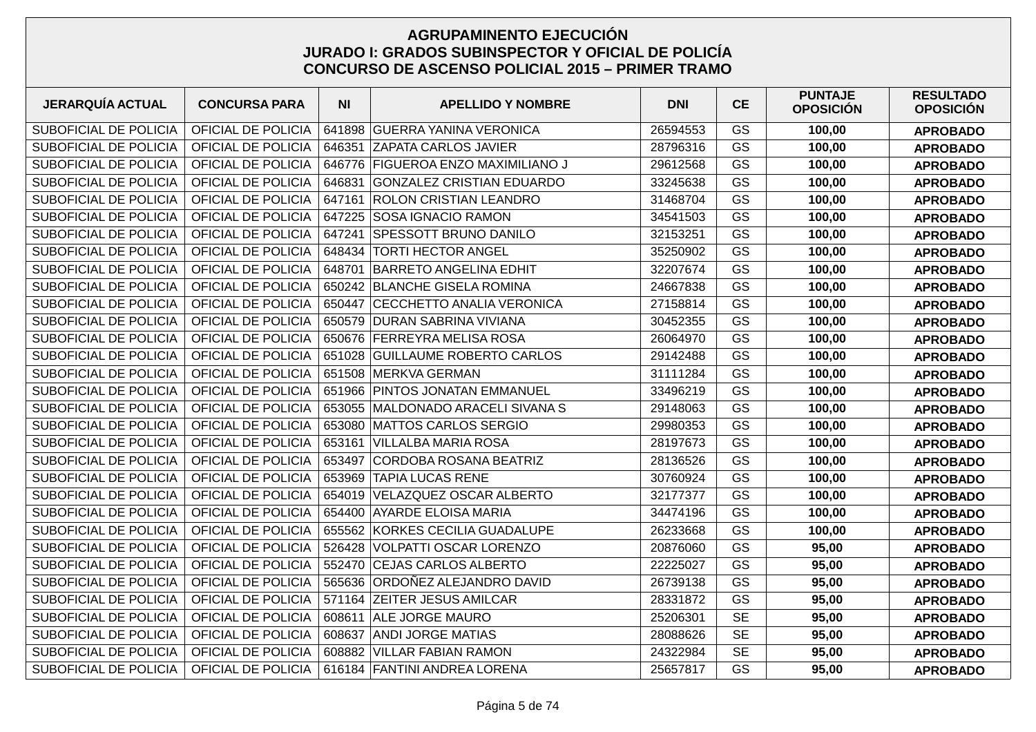| <b>JERARQUÍA ACTUAL</b> | <b>CONCURSA PARA</b> | <b>NI</b> | <b>APELLIDO Y NOMBRE</b>           | <b>DNI</b> | <b>CE</b> | <b>PUNTAJE</b><br><b>OPOSICIÓN</b> | <b>RESULTADO</b><br><b>OPOSICIÓN</b> |
|-------------------------|----------------------|-----------|------------------------------------|------------|-----------|------------------------------------|--------------------------------------|
| SUBOFICIAL DE POLICIA   | OFICIAL DE POLICIA   | 641898    | GUERRA YANINA VERONICA             | 26594553   | GS        | 100,00                             | <b>APROBADO</b>                      |
| SUBOFICIAL DE POLICIA   | OFICIAL DE POLICIA   | 646351    | <b>ZAPATA CARLOS JAVIER</b>        | 28796316   | GS        | 100,00                             | <b>APROBADO</b>                      |
| SUBOFICIAL DE POLICIA   | OFICIAL DE POLICIA   | 646776    | <b>FIGUEROA ENZO MAXIMILIANO J</b> | 29612568   | GS        | 100,00                             | <b>APROBADO</b>                      |
| SUBOFICIAL DE POLICIA   | OFICIAL DE POLICIA   | 646831    | <b>GONZALEZ CRISTIAN EDUARDO</b>   | 33245638   | GS        | 100,00                             | <b>APROBADO</b>                      |
| SUBOFICIAL DE POLICIA   | OFICIAL DE POLICIA   | 647161    | <b>ROLON CRISTIAN LEANDRO</b>      | 31468704   | GS        | 100,00                             | <b>APROBADO</b>                      |
| SUBOFICIAL DE POLICIA   | OFICIAL DE POLICIA   | 647225    | SOSA IGNACIO RAMON                 | 34541503   | GS        | 100,00                             | <b>APROBADO</b>                      |
| SUBOFICIAL DE POLICIA   | OFICIAL DE POLICIA   | 647241    | <b>SPESSOTT BRUNO DANILO</b>       | 32153251   | GS        | 100,00                             | <b>APROBADO</b>                      |
| SUBOFICIAL DE POLICIA   | OFICIAL DE POLICIA   | 648434    | <b>TORTI HECTOR ANGEL</b>          | 35250902   | GS        | 100,00                             | <b>APROBADO</b>                      |
| SUBOFICIAL DE POLICIA   | OFICIAL DE POLICIA   |           | 648701 BARRETO ANGELINA EDHIT      | 32207674   | GS        | 100,00                             | <b>APROBADO</b>                      |
| SUBOFICIAL DE POLICIA   | OFICIAL DE POLICIA   | 650242    | <b>BLANCHE GISELA ROMINA</b>       | 24667838   | GS        | 100,00                             | <b>APROBADO</b>                      |
| SUBOFICIAL DE POLICIA   | OFICIAL DE POLICIA   | 650447    | CECCHETTO ANALIA VERONICA          | 27158814   | GS        | 100,00                             | <b>APROBADO</b>                      |
| SUBOFICIAL DE POLICIA   | OFICIAL DE POLICIA   | 650579    | <b>DURAN SABRINA VIVIANA</b>       | 30452355   | GS        | 100,00                             | <b>APROBADO</b>                      |
| SUBOFICIAL DE POLICIA   | OFICIAL DE POLICIA   |           | 650676 FERREYRA MELISA ROSA        | 26064970   | GS        | 100,00                             | <b>APROBADO</b>                      |
| SUBOFICIAL DE POLICIA   | OFICIAL DE POLICIA   | 651028    | <b>GUILLAUME ROBERTO CARLOS</b>    | 29142488   | GS        | 100,00                             | <b>APROBADO</b>                      |
| SUBOFICIAL DE POLICIA   | OFICIAL DE POLICIA   | 651508    | <b>MERKVA GERMAN</b>               | 31111284   | GS        | 100,00                             | <b>APROBADO</b>                      |
| SUBOFICIAL DE POLICIA   | OFICIAL DE POLICIA   | 651966    | PINTOS JONATAN EMMANUEL            | 33496219   | GS        | 100,00                             | <b>APROBADO</b>                      |
| SUBOFICIAL DE POLICIA   | OFICIAL DE POLICIA   | 653055    | MALDONADO ARACELI SIVANA S         | 29148063   | GS        | 100,00                             | <b>APROBADO</b>                      |
| SUBOFICIAL DE POLICIA   | OFICIAL DE POLICIA   | 653080    | MATTOS CARLOS SERGIO               | 29980353   | GS        | 100,00                             | <b>APROBADO</b>                      |
| SUBOFICIAL DE POLICIA   | OFICIAL DE POLICIA   | 653161    | <b>VILLALBA MARIA ROSA</b>         | 28197673   | GS        | 100,00                             | <b>APROBADO</b>                      |
| SUBOFICIAL DE POLICIA   | OFICIAL DE POLICIA   | 653497    | CORDOBA ROSANA BEATRIZ             | 28136526   | GS        | 100,00                             | <b>APROBADO</b>                      |
| SUBOFICIAL DE POLICIA   | OFICIAL DE POLICIA   | 653969    | <b>TAPIA LUCAS RENE</b>            | 30760924   | GS        | 100,00                             | <b>APROBADO</b>                      |
| SUBOFICIAL DE POLICIA   | OFICIAL DE POLICIA   | 654019    | VELAZQUEZ OSCAR ALBERTO            | 32177377   | GS        | 100,00                             | <b>APROBADO</b>                      |
| SUBOFICIAL DE POLICIA   | OFICIAL DE POLICIA   | 654400    | <b>AYARDE ELOISA MARIA</b>         | 34474196   | GS        | 100,00                             | <b>APROBADO</b>                      |
| SUBOFICIAL DE POLICIA   | OFICIAL DE POLICIA   | 655562    | KORKES CECILIA GUADALUPE           | 26233668   | GS        | 100,00                             | <b>APROBADO</b>                      |
| SUBOFICIAL DE POLICIA   | OFICIAL DE POLICIA   | 526428    | <b>VOLPATTI OSCAR LORENZO</b>      | 20876060   | GS        | 95,00                              | <b>APROBADO</b>                      |
| SUBOFICIAL DE POLICIA   | OFICIAL DE POLICIA   | 552470    | <b>CEJAS CARLOS ALBERTO</b>        | 22225027   | GS        | 95,00                              | <b>APROBADO</b>                      |
| SUBOFICIAL DE POLICIA   | OFICIAL DE POLICIA   | 565636    | ORDOÑEZ ALEJANDRO DAVID            | 26739138   | GS        | 95,00                              | <b>APROBADO</b>                      |
| SUBOFICIAL DE POLICIA   | OFICIAL DE POLICIA   | 571164    | <b>ZEITER JESUS AMILCAR</b>        | 28331872   | GS        | 95,00                              | <b>APROBADO</b>                      |
| SUBOFICIAL DE POLICIA   | OFICIAL DE POLICIA   |           | 608611 ALE JORGE MAURO             | 25206301   | <b>SE</b> | 95,00                              | <b>APROBADO</b>                      |
| SUBOFICIAL DE POLICIA   | OFICIAL DE POLICIA   | 608637    | <b>ANDI JORGE MATIAS</b>           | 28088626   | <b>SE</b> | 95,00                              | <b>APROBADO</b>                      |
| SUBOFICIAL DE POLICIA   | OFICIAL DE POLICIA   | 608882    | <b>VILLAR FABIAN RAMON</b>         | 24322984   | <b>SE</b> | 95,00                              | <b>APROBADO</b>                      |
| SUBOFICIAL DE POLICIA   | OFICIAL DE POLICIA   |           | 616184 FANTINI ANDREA LORENA       | 25657817   | GS        | 95,00                              | <b>APROBADO</b>                      |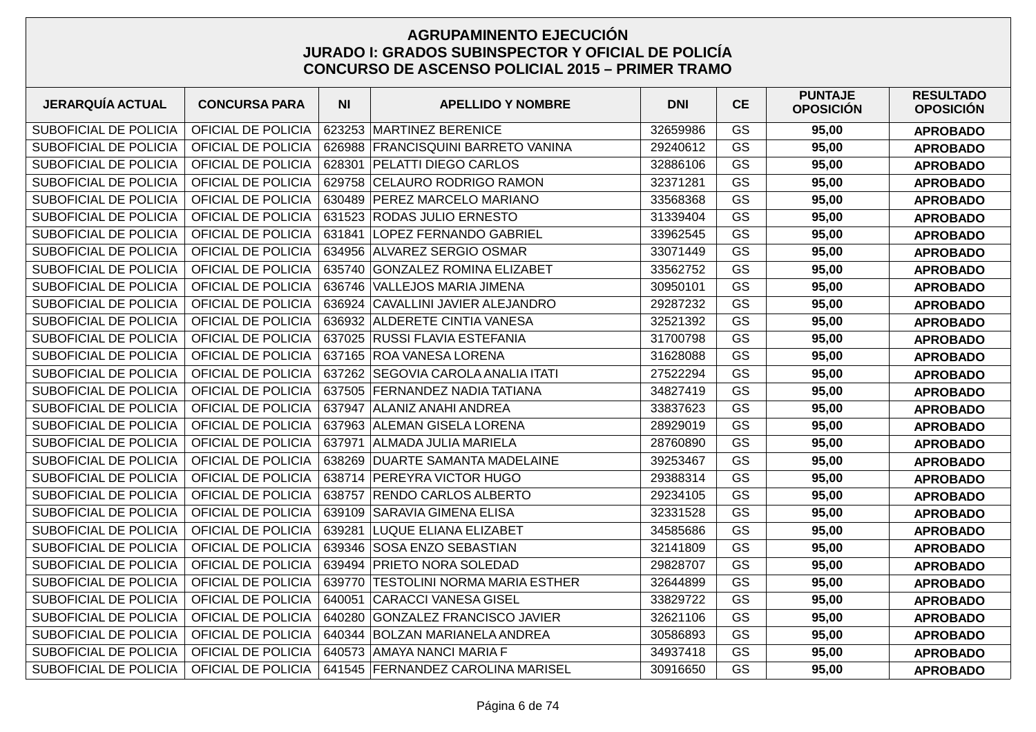| <b>JERARQUÍA ACTUAL</b> | <b>CONCURSA PARA</b> | <b>NI</b> | <b>APELLIDO Y NOMBRE</b>            | <b>DNI</b> | <b>CE</b> | <b>PUNTAJE</b><br><b>OPOSICIÓN</b> | <b>RESULTADO</b><br><b>OPOSICIÓN</b> |
|-------------------------|----------------------|-----------|-------------------------------------|------------|-----------|------------------------------------|--------------------------------------|
| SUBOFICIAL DE POLICIA   | OFICIAL DE POLICIA   | 623253    | <b>MARTINEZ BERENICE</b>            | 32659986   | <b>GS</b> | 95,00                              | <b>APROBADO</b>                      |
| SUBOFICIAL DE POLICIA   | OFICIAL DE POLICIA   |           | 626988 FRANCISQUINI BARRETO VANINA  | 29240612   | <b>GS</b> | 95,00                              | <b>APROBADO</b>                      |
| SUBOFICIAL DE POLICIA   | OFICIAL DE POLICIA   |           | 628301 PELATTI DIEGO CARLOS         | 32886106   | GS        | 95,00                              | <b>APROBADO</b>                      |
| SUBOFICIAL DE POLICIA   | OFICIAL DE POLICIA   |           | 629758 CELAURO RODRIGO RAMON        | 32371281   | GS        | 95,00                              | <b>APROBADO</b>                      |
| SUBOFICIAL DE POLICIA   | OFICIAL DE POLICIA   | 630489    | <b>PEREZ MARCELO MARIANO</b>        | 33568368   | <b>GS</b> | 95,00                              | <b>APROBADO</b>                      |
| SUBOFICIAL DE POLICIA   | OFICIAL DE POLICIA   |           | 631523 RODAS JULIO ERNESTO          | 31339404   | GS        | 95,00                              | <b>APROBADO</b>                      |
| SUBOFICIAL DE POLICIA   | OFICIAL DE POLICIA   | 631841    | LOPEZ FERNANDO GABRIEL              | 33962545   | GS        | 95,00                              | <b>APROBADO</b>                      |
| SUBOFICIAL DE POLICIA   | OFICIAL DE POLICIA   |           | 634956 ALVAREZ SERGIO OSMAR         | 33071449   | GS        | 95,00                              | <b>APROBADO</b>                      |
| SUBOFICIAL DE POLICIA   | OFICIAL DE POLICIA   |           | 635740 GONZALEZ ROMINA ELIZABET     | 33562752   | GS        | 95,00                              | <b>APROBADO</b>                      |
| SUBOFICIAL DE POLICIA   | OFICIAL DE POLICIA   | 636746    | <b>VALLEJOS MARIA JIMENA</b>        | 30950101   | <b>GS</b> | 95,00                              | <b>APROBADO</b>                      |
| SUBOFICIAL DE POLICIA   | OFICIAL DE POLICIA   |           | 636924 CAVALLINI JAVIER ALEJANDRO   | 29287232   | GS        | 95,00                              | <b>APROBADO</b>                      |
| SUBOFICIAL DE POLICIA   | OFICIAL DE POLICIA   |           | 636932 ALDERETE CINTIA VANESA       | 32521392   | GS        | 95,00                              | <b>APROBADO</b>                      |
| SUBOFICIAL DE POLICIA   | OFICIAL DE POLICIA   |           | 637025 RUSSI FLAVIA ESTEFANIA       | 31700798   | GS        | 95,00                              | <b>APROBADO</b>                      |
| SUBOFICIAL DE POLICIA   | OFICIAL DE POLICIA   |           | 637165 ROA VANESA LORENA            | 31628088   | GS        | 95,00                              | <b>APROBADO</b>                      |
| SUBOFICIAL DE POLICIA   | OFICIAL DE POLICIA   |           | 637262 SEGOVIA CAROLA ANALIA ITATI  | 27522294   | <b>GS</b> | 95,00                              | <b>APROBADO</b>                      |
| SUBOFICIAL DE POLICIA   | OFICIAL DE POLICIA   |           | 637505 FERNANDEZ NADIA TATIANA      | 34827419   | GS        | 95,00                              | <b>APROBADO</b>                      |
| SUBOFICIAL DE POLICIA   | OFICIAL DE POLICIA   |           | 637947 ALANIZ ANAHI ANDREA          | 33837623   | GS        | 95,00                              | <b>APROBADO</b>                      |
| SUBOFICIAL DE POLICIA   | OFICIAL DE POLICIA   |           | 637963 ALEMAN GISELA LORENA         | 28929019   | GS        | 95,00                              | <b>APROBADO</b>                      |
| SUBOFICIAL DE POLICIA   | OFICIAL DE POLICIA   |           | 637971 ALMADA JULIA MARIELA         | 28760890   | GS        | 95,00                              | <b>APROBADO</b>                      |
| SUBOFICIAL DE POLICIA   | OFICIAL DE POLICIA   | 638269    | <b>DUARTE SAMANTA MADELAINE</b>     | 39253467   | <b>GS</b> | 95,00                              | <b>APROBADO</b>                      |
| SUBOFICIAL DE POLICIA   | OFICIAL DE POLICIA   |           | 638714 PEREYRA VICTOR HUGO          | 29388314   | GS        | 95,00                              | <b>APROBADO</b>                      |
| SUBOFICIAL DE POLICIA   | OFICIAL DE POLICIA   |           | 638757 RENDO CARLOS ALBERTO         | 29234105   | GS        | 95,00                              | <b>APROBADO</b>                      |
| SUBOFICIAL DE POLICIA   | OFICIAL DE POLICIA   | 639109    | <b>SARAVIA GIMENA ELISA</b>         | 32331528   | GS        | 95,00                              | <b>APROBADO</b>                      |
| SUBOFICIAL DE POLICIA   | OFICIAL DE POLICIA   |           | 639281 LUQUE ELIANA ELIZABET        | 34585686   | GS        | 95,00                              | <b>APROBADO</b>                      |
| SUBOFICIAL DE POLICIA   | OFICIAL DE POLICIA   | 639346    | <b>SOSA ENZO SEBASTIAN</b>          | 32141809   | <b>GS</b> | 95,00                              | <b>APROBADO</b>                      |
| SUBOFICIAL DE POLICIA   | OFICIAL DE POLICIA   |           | 639494 PRIETO NORA SOLEDAD          | 29828707   | GS        | 95,00                              | <b>APROBADO</b>                      |
| SUBOFICIAL DE POLICIA   | OFICIAL DE POLICIA   | 639770    | <b>TESTOLINI NORMA MARIA ESTHER</b> | 32644899   | GS        | 95,00                              | <b>APROBADO</b>                      |
| SUBOFICIAL DE POLICIA   | OFICIAL DE POLICIA   |           | 640051 CARACCI VANESA GISEL         | 33829722   | GS        | 95,00                              | <b>APROBADO</b>                      |
| SUBOFICIAL DE POLICIA   | OFICIAL DE POLICIA   |           | 640280 GONZALEZ FRANCISCO JAVIER    | 32621106   | GS        | 95,00                              | <b>APROBADO</b>                      |
| SUBOFICIAL DE POLICIA   | OFICIAL DE POLICIA   |           | 640344 BOLZAN MARIANELA ANDREA      | 30586893   | GS        | 95,00                              | <b>APROBADO</b>                      |
| SUBOFICIAL DE POLICIA   | OFICIAL DE POLICIA   |           | 640573 AMAYA NANCI MARIA F          | 34937418   | GS        | 95,00                              | <b>APROBADO</b>                      |
| SUBOFICIAL DE POLICIA   | OFICIAL DE POLICIA   |           | 641545 FERNANDEZ CAROLINA MARISEL   | 30916650   | GS        | 95,00                              | <b>APROBADO</b>                      |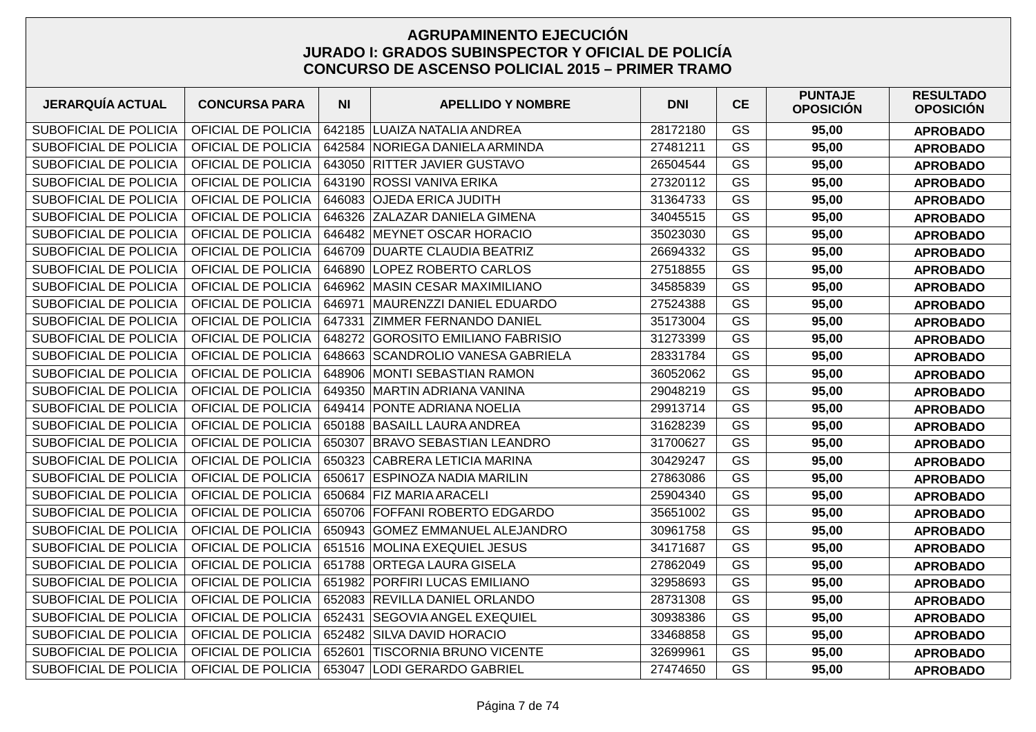| <b>JERARQUÍA ACTUAL</b> | <b>CONCURSA PARA</b> | <b>NI</b> | <b>APELLIDO Y NOMBRE</b>          | <b>DNI</b> | <b>CE</b> | <b>PUNTAJE</b><br><b>OPOSICIÓN</b> | <b>RESULTADO</b><br><b>OPOSICIÓN</b> |
|-------------------------|----------------------|-----------|-----------------------------------|------------|-----------|------------------------------------|--------------------------------------|
| SUBOFICIAL DE POLICIA   | OFICIAL DE POLICIA   | 642185    | LUAIZA NATALIA ANDREA             | 28172180   | GS        | 95,00                              | <b>APROBADO</b>                      |
| SUBOFICIAL DE POLICIA   | OFICIAL DE POLICIA   |           | 642584 NORIEGA DANIELA ARMINDA    | 27481211   | GS        | 95,00                              | <b>APROBADO</b>                      |
| SUBOFICIAL DE POLICIA   | OFICIAL DE POLICIA   |           | 643050 RITTER JAVIER GUSTAVO      | 26504544   | GS        | 95,00                              | <b>APROBADO</b>                      |
| SUBOFICIAL DE POLICIA   | OFICIAL DE POLICIA   | 643190    | <b>ROSSI VANIVA ERIKA</b>         | 27320112   | GS        | 95,00                              | <b>APROBADO</b>                      |
| SUBOFICIAL DE POLICIA   | OFICIAL DE POLICIA   | 646083    | <b>OJEDA ERICA JUDITH</b>         | 31364733   | GS        | 95,00                              | <b>APROBADO</b>                      |
| SUBOFICIAL DE POLICIA   | OFICIAL DE POLICIA   | 646326    | <b>ZALAZAR DANIELA GIMENA</b>     | 34045515   | GS        | 95,00                              | <b>APROBADO</b>                      |
| SUBOFICIAL DE POLICIA   | OFICIAL DE POLICIA   | 646482    | MEYNET OSCAR HORACIO              | 35023030   | GS        | 95,00                              | <b>APROBADO</b>                      |
| SUBOFICIAL DE POLICIA   | OFICIAL DE POLICIA   |           | 646709 DUARTE CLAUDIA BEATRIZ     | 26694332   | GS        | 95,00                              | <b>APROBADO</b>                      |
| SUBOFICIAL DE POLICIA   | OFICIAL DE POLICIA   | 646890    | LOPEZ ROBERTO CARLOS              | 27518855   | GS        | 95,00                              | <b>APROBADO</b>                      |
| SUBOFICIAL DE POLICIA   | OFICIAL DE POLICIA   | 646962    | MASIN CESAR MAXIMILIANO           | 34585839   | GS        | 95,00                              | <b>APROBADO</b>                      |
| SUBOFICIAL DE POLICIA   | OFICIAL DE POLICIA   | 646971    | MAURENZZI DANIEL EDUARDO          | 27524388   | GS        | 95,00                              | <b>APROBADO</b>                      |
| SUBOFICIAL DE POLICIA   | OFICIAL DE POLICIA   | 647331    | <b>ZIMMER FERNANDO DANIEL</b>     | 35173004   | GS        | 95,00                              | <b>APROBADO</b>                      |
| SUBOFICIAL DE POLICIA   | OFICIAL DE POLICIA   | 648272    | <b>GOROSITO EMILIANO FABRISIO</b> | 31273399   | GS        | 95,00                              | <b>APROBADO</b>                      |
| SUBOFICIAL DE POLICIA   | OFICIAL DE POLICIA   | 648663    | SCANDROLIO VANESA GABRIELA        | 28331784   | GS        | 95,00                              | <b>APROBADO</b>                      |
| SUBOFICIAL DE POLICIA   | OFICIAL DE POLICIA   | 648906    | MONTI SEBASTIAN RAMON             | 36052062   | GS        | 95,00                              | <b>APROBADO</b>                      |
| SUBOFICIAL DE POLICIA   | OFICIAL DE POLICIA   | 649350    | MARTIN ADRIANA VANINA             | 29048219   | GS        | 95,00                              | <b>APROBADO</b>                      |
| SUBOFICIAL DE POLICIA   | OFICIAL DE POLICIA   | 649414    | <b>PONTE ADRIANA NOELIA</b>       | 29913714   | GS        | 95,00                              | <b>APROBADO</b>                      |
| SUBOFICIAL DE POLICIA   | OFICIAL DE POLICIA   |           | 650188 BASAILL LAURA ANDREA       | 31628239   | GS        | 95,00                              | <b>APROBADO</b>                      |
| SUBOFICIAL DE POLICIA   | OFICIAL DE POLICIA   |           | 650307 BRAVO SEBASTIAN LEANDRO    | 31700627   | GS        | 95,00                              | <b>APROBADO</b>                      |
| SUBOFICIAL DE POLICIA   | OFICIAL DE POLICIA   | 650323    | CABRERA LETICIA MARINA            | 30429247   | GS        | 95,00                              | <b>APROBADO</b>                      |
| SUBOFICIAL DE POLICIA   | OFICIAL DE POLICIA   | 650617    | <b>ESPINOZA NADIA MARILIN</b>     | 27863086   | GS        | 95,00                              | <b>APROBADO</b>                      |
| SUBOFICIAL DE POLICIA   | OFICIAL DE POLICIA   |           | 650684 FIZ MARIA ARACELI          | 25904340   | GS        | 95,00                              | <b>APROBADO</b>                      |
| SUBOFICIAL DE POLICIA   | OFICIAL DE POLICIA   |           | 650706 FOFFANI ROBERTO EDGARDO    | 35651002   | GS        | 95,00                              | <b>APROBADO</b>                      |
| SUBOFICIAL DE POLICIA   | OFICIAL DE POLICIA   | 650943    | <b>GOMEZ EMMANUEL ALEJANDRO</b>   | 30961758   | GS        | 95,00                              | <b>APROBADO</b>                      |
| SUBOFICIAL DE POLICIA   | OFICIAL DE POLICIA   | 651516    | MOLINA EXEQUIEL JESUS             | 34171687   | GS        | 95,00                              | <b>APROBADO</b>                      |
| SUBOFICIAL DE POLICIA   | OFICIAL DE POLICIA   | 651788    | <b>ORTEGA LAURA GISELA</b>        | 27862049   | GS        | 95,00                              | <b>APROBADO</b>                      |
| SUBOFICIAL DE POLICIA   | OFICIAL DE POLICIA   | 651982    | <b>PORFIRI LUCAS EMILIANO</b>     | 32958693   | GS        | 95,00                              | <b>APROBADO</b>                      |
| SUBOFICIAL DE POLICIA   | OFICIAL DE POLICIA   |           | 652083 REVILLA DANIEL ORLANDO     | 28731308   | GS        | 95,00                              | <b>APROBADO</b>                      |
| SUBOFICIAL DE POLICIA   | OFICIAL DE POLICIA   |           | 652431 SEGOVIA ANGEL EXEQUIEL     | 30938386   | GS        | 95,00                              | <b>APROBADO</b>                      |
| SUBOFICIAL DE POLICIA   | OFICIAL DE POLICIA   | 652482    | SILVA DAVID HORACIO               | 33468858   | GS        | 95,00                              | <b>APROBADO</b>                      |
| SUBOFICIAL DE POLICIA   | OFICIAL DE POLICIA   | 652601    | <b>TISCORNIA BRUNO VICENTE</b>    | 32699961   | GS        | 95,00                              | <b>APROBADO</b>                      |
| SUBOFICIAL DE POLICIA   | OFICIAL DE POLICIA   | 653047    | <b>LODI GERARDO GABRIEL</b>       | 27474650   | GS        | 95,00                              | <b>APROBADO</b>                      |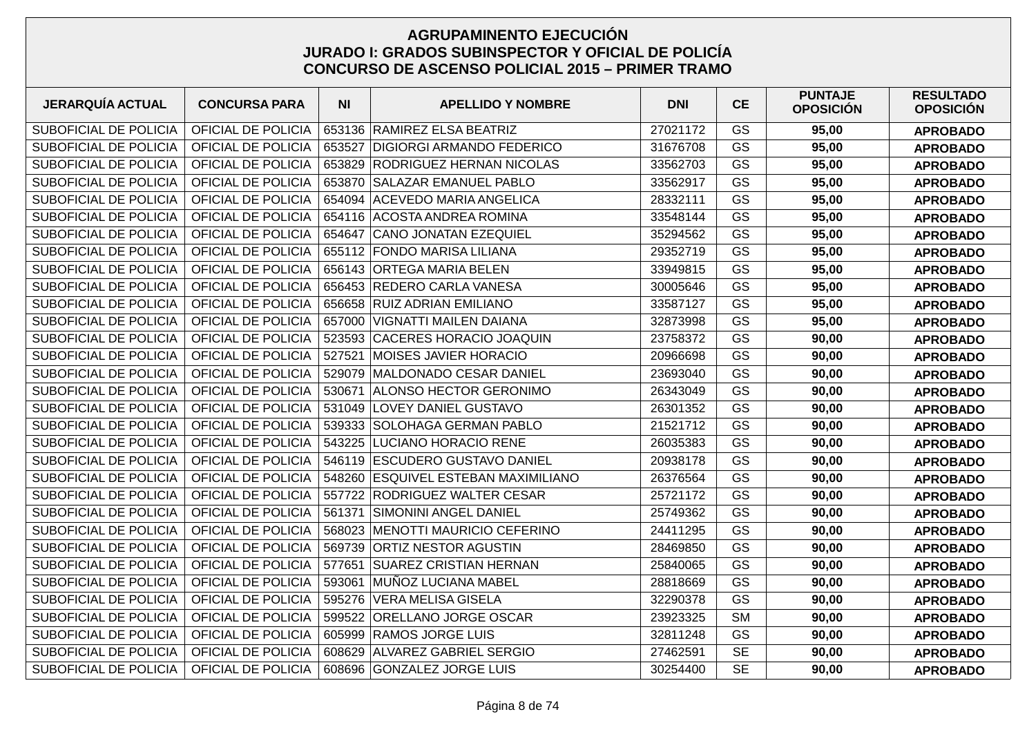| <b>JERARQUÍA ACTUAL</b> | <b>CONCURSA PARA</b> | <b>NI</b> | <b>APELLIDO Y NOMBRE</b>            | <b>DNI</b> | <b>CE</b> | <b>PUNTAJE</b><br><b>OPOSICIÓN</b> | <b>RESULTADO</b><br><b>OPOSICIÓN</b> |
|-------------------------|----------------------|-----------|-------------------------------------|------------|-----------|------------------------------------|--------------------------------------|
| SUBOFICIAL DE POLICIA   | OFICIAL DE POLICIA   |           | 653136 RAMIREZ ELSA BEATRIZ         | 27021172   | <b>GS</b> | 95,00                              | <b>APROBADO</b>                      |
| SUBOFICIAL DE POLICIA   | OFICIAL DE POLICIA   | 653527    | <b>DIGIORGI ARMANDO FEDERICO</b>    | 31676708   | <b>GS</b> | 95,00                              | <b>APROBADO</b>                      |
| SUBOFICIAL DE POLICIA   | OFICIAL DE POLICIA   |           | 653829 RODRIGUEZ HERNAN NICOLAS     | 33562703   | GS        | 95,00                              | <b>APROBADO</b>                      |
| SUBOFICIAL DE POLICIA   | OFICIAL DE POLICIA   | 653870    | SALAZAR EMANUEL PABLO               | 33562917   | GS        | 95,00                              | <b>APROBADO</b>                      |
| SUBOFICIAL DE POLICIA   | OFICIAL DE POLICIA   | 654094    | <b>ACEVEDO MARIA ANGELICA</b>       | 28332111   | <b>GS</b> | 95,00                              | <b>APROBADO</b>                      |
| SUBOFICIAL DE POLICIA   | OFICIAL DE POLICIA   |           | 654116 ACOSTA ANDREA ROMINA         | 33548144   | GS        | 95,00                              | <b>APROBADO</b>                      |
| SUBOFICIAL DE POLICIA   | OFICIAL DE POLICIA   |           | 654647 CANO JONATAN EZEQUIEL        | 35294562   | GS        | 95,00                              | <b>APROBADO</b>                      |
| SUBOFICIAL DE POLICIA   | OFICIAL DE POLICIA   |           | 655112 FONDO MARISA LILIANA         | 29352719   | GS        | 95,00                              | <b>APROBADO</b>                      |
| SUBOFICIAL DE POLICIA   | OFICIAL DE POLICIA   |           | 656143 ORTEGA MARIA BELEN           | 33949815   | GS        | 95,00                              | <b>APROBADO</b>                      |
| SUBOFICIAL DE POLICIA   | OFICIAL DE POLICIA   |           | 656453 REDERO CARLA VANESA          | 30005646   | <b>GS</b> | 95,00                              | <b>APROBADO</b>                      |
| SUBOFICIAL DE POLICIA   | OFICIAL DE POLICIA   |           | 656658 RUIZ ADRIAN EMILIANO         | 33587127   | GS        | 95,00                              | <b>APROBADO</b>                      |
| SUBOFICIAL DE POLICIA   | OFICIAL DE POLICIA   | 657000    | <b>VIGNATTI MAILEN DAIANA</b>       | 32873998   | GS        | 95,00                              | <b>APROBADO</b>                      |
| SUBOFICIAL DE POLICIA   | OFICIAL DE POLICIA   |           | 523593 CACERES HORACIO JOAQUIN      | 23758372   | GS        | 90,00                              | <b>APROBADO</b>                      |
| SUBOFICIAL DE POLICIA   | OFICIAL DE POLICIA   |           | 527521 MOISES JAVIER HORACIO        | 20966698   | GS        | 90,00                              | <b>APROBADO</b>                      |
| SUBOFICIAL DE POLICIA   | OFICIAL DE POLICIA   |           | 529079 MALDONADO CESAR DANIEL       | 23693040   | <b>GS</b> | 90,00                              | <b>APROBADO</b>                      |
| SUBOFICIAL DE POLICIA   | OFICIAL DE POLICIA   |           | 530671 ALONSO HECTOR GERONIMO       | 26343049   | GS        | 90,00                              | <b>APROBADO</b>                      |
| SUBOFICIAL DE POLICIA   | OFICIAL DE POLICIA   | 531049    | <b>LOVEY DANIEL GUSTAVO</b>         | 26301352   | GS        | 90,00                              | <b>APROBADO</b>                      |
| SUBOFICIAL DE POLICIA   | OFICIAL DE POLICIA   | 539333    | <b>SOLOHAGA GERMAN PABLO</b>        | 21521712   | GS        | 90,00                              | <b>APROBADO</b>                      |
| SUBOFICIAL DE POLICIA   | OFICIAL DE POLICIA   |           | 543225 LUCIANO HORACIO RENE         | 26035383   | GS        | 90,00                              | <b>APROBADO</b>                      |
| SUBOFICIAL DE POLICIA   | OFICIAL DE POLICIA   |           | 546119 ESCUDERO GUSTAVO DANIEL      | 20938178   | <b>GS</b> | 90,00                              | <b>APROBADO</b>                      |
| SUBOFICIAL DE POLICIA   | OFICIAL DE POLICIA   |           | 548260 ESQUIVEL ESTEBAN MAXIMILIANO | 26376564   | GS        | 90,00                              | <b>APROBADO</b>                      |
| SUBOFICIAL DE POLICIA   | OFICIAL DE POLICIA   |           | 557722 RODRIGUEZ WALTER CESAR       | 25721172   | GS        | 90,00                              | <b>APROBADO</b>                      |
| SUBOFICIAL DE POLICIA   | OFICIAL DE POLICIA   |           | 561371 SIMONINI ANGEL DANIEL        | 25749362   | GS        | 90,00                              | <b>APROBADO</b>                      |
| SUBOFICIAL DE POLICIA   | OFICIAL DE POLICIA   |           | 568023 MENOTTI MAURICIO CEFERINO    | 24411295   | GS        | 90,00                              | <b>APROBADO</b>                      |
| SUBOFICIAL DE POLICIA   | OFICIAL DE POLICIA   | 569739    | ORTIZ NESTOR AGUSTIN                | 28469850   | <b>GS</b> | 90,00                              | <b>APROBADO</b>                      |
| SUBOFICIAL DE POLICIA   | OFICIAL DE POLICIA   |           | 577651 SUAREZ CRISTIAN HERNAN       | 25840065   | GS        | 90,00                              | <b>APROBADO</b>                      |
| SUBOFICIAL DE POLICIA   | OFICIAL DE POLICIA   |           | 593061 MUÑOZ LUCIANA MABEL          | 28818669   | GS        | 90,00                              | <b>APROBADO</b>                      |
| SUBOFICIAL DE POLICIA   | OFICIAL DE POLICIA   |           | 595276 VERA MELISA GISELA           | 32290378   | GS        | 90,00                              | <b>APROBADO</b>                      |
| SUBOFICIAL DE POLICIA   | OFICIAL DE POLICIA   |           | 599522 ORELLANO JORGE OSCAR         | 23923325   | <b>SM</b> | 90,00                              | <b>APROBADO</b>                      |
| SUBOFICIAL DE POLICIA   | OFICIAL DE POLICIA   | 605999    | <b>RAMOS JORGE LUIS</b>             | 32811248   | GS        | 90,00                              | <b>APROBADO</b>                      |
| SUBOFICIAL DE POLICIA   | OFICIAL DE POLICIA   |           | 608629 ALVAREZ GABRIEL SERGIO       | 27462591   | <b>SE</b> | 90,00                              | <b>APROBADO</b>                      |
| SUBOFICIAL DE POLICIA   | OFICIAL DE POLICIA   |           | 608696 GONZALEZ JORGE LUIS          | 30254400   | <b>SE</b> | 90,00                              | <b>APROBADO</b>                      |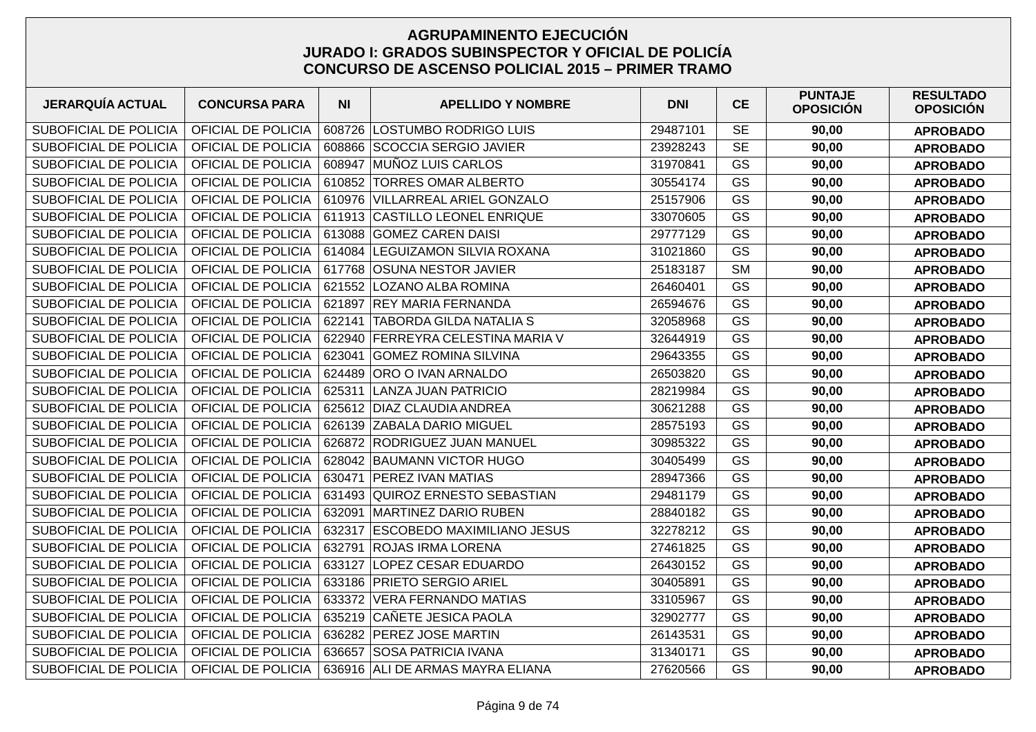| <b>JERARQUÍA ACTUAL</b> | <b>CONCURSA PARA</b> | <b>NI</b> | <b>APELLIDO Y NOMBRE</b>          | <b>DNI</b> | <b>CE</b> | <b>PUNTAJE</b><br><b>OPOSICIÓN</b> | <b>RESULTADO</b><br><b>OPOSICIÓN</b> |
|-------------------------|----------------------|-----------|-----------------------------------|------------|-----------|------------------------------------|--------------------------------------|
| SUBOFICIAL DE POLICIA   | OFICIAL DE POLICIA   | 608726    | <b>LOSTUMBO RODRIGO LUIS</b>      | 29487101   | <b>SE</b> | 90,00                              | <b>APROBADO</b>                      |
| SUBOFICIAL DE POLICIA   | OFICIAL DE POLICIA   | 608866    | SCOCCIA SERGIO JAVIER             | 23928243   | <b>SE</b> | 90,00                              | <b>APROBADO</b>                      |
| SUBOFICIAL DE POLICIA   | OFICIAL DE POLICIA   | 608947    | MUÑOZ LUIS CARLOS                 | 31970841   | GS        | 90,00                              | <b>APROBADO</b>                      |
| SUBOFICIAL DE POLICIA   | OFICIAL DE POLICIA   | 610852    | <b>TORRES OMAR ALBERTO</b>        | 30554174   | GS        | 90,00                              | <b>APROBADO</b>                      |
| SUBOFICIAL DE POLICIA   | OFICIAL DE POLICIA   | 610976    | VILLARREAL ARIEL GONZALO          | 25157906   | GS        | 90,00                              | <b>APROBADO</b>                      |
| SUBOFICIAL DE POLICIA   | OFICIAL DE POLICIA   | 611913    | CASTILLO LEONEL ENRIQUE           | 33070605   | GS        | 90,00                              | <b>APROBADO</b>                      |
| SUBOFICIAL DE POLICIA   | OFICIAL DE POLICIA   | 613088    | <b>GOMEZ CAREN DAISI</b>          | 29777129   | GS        | 90,00                              | <b>APROBADO</b>                      |
| SUBOFICIAL DE POLICIA   | OFICIAL DE POLICIA   | 614084    | <b>LEGUIZAMON SILVIA ROXANA</b>   | 31021860   | GS        | 90,00                              | <b>APROBADO</b>                      |
| SUBOFICIAL DE POLICIA   | OFICIAL DE POLICIA   | 617768    | <b>OSUNA NESTOR JAVIER</b>        | 25183187   | <b>SM</b> | 90,00                              | <b>APROBADO</b>                      |
| SUBOFICIAL DE POLICIA   | OFICIAL DE POLICIA   | 621552    | LOZANO ALBA ROMINA                | 26460401   | GS        | 90,00                              | <b>APROBADO</b>                      |
| SUBOFICIAL DE POLICIA   | OFICIAL DE POLICIA   | 621897    | <b>REY MARIA FERNANDA</b>         | 26594676   | GS        | 90,00                              | <b>APROBADO</b>                      |
| SUBOFICIAL DE POLICIA   | OFICIAL DE POLICIA   | 622141    | TABORDA GILDA NATALIA S           | 32058968   | GS        | 90,00                              | <b>APROBADO</b>                      |
| SUBOFICIAL DE POLICIA   | OFICIAL DE POLICIA   | 622940    | <b>FERREYRA CELESTINA MARIA V</b> | 32644919   | GS        | 90,00                              | <b>APROBADO</b>                      |
| SUBOFICIAL DE POLICIA   | OFICIAL DE POLICIA   | 623041    | <b>GOMEZ ROMINA SILVINA</b>       | 29643355   | GS        | 90,00                              | <b>APROBADO</b>                      |
| SUBOFICIAL DE POLICIA   | OFICIAL DE POLICIA   | 624489    | ORO O IVAN ARNALDO                | 26503820   | GS        | 90,00                              | <b>APROBADO</b>                      |
| SUBOFICIAL DE POLICIA   | OFICIAL DE POLICIA   | 625311    | <b>LANZA JUAN PATRICIO</b>        | 28219984   | GS        | 90,00                              | <b>APROBADO</b>                      |
| SUBOFICIAL DE POLICIA   | OFICIAL DE POLICIA   | 625612    | <b>DIAZ CLAUDIA ANDREA</b>        | 30621288   | GS        | 90,00                              | <b>APROBADO</b>                      |
| SUBOFICIAL DE POLICIA   | OFICIAL DE POLICIA   |           | 626139 ZABALA DARIO MIGUEL        | 28575193   | GS        | 90,00                              | <b>APROBADO</b>                      |
| SUBOFICIAL DE POLICIA   | OFICIAL DE POLICIA   |           | 626872 RODRIGUEZ JUAN MANUEL      | 30985322   | GS        | 90,00                              | <b>APROBADO</b>                      |
| SUBOFICIAL DE POLICIA   | OFICIAL DE POLICIA   | 628042    | <b>BAUMANN VICTOR HUGO</b>        | 30405499   | GS        | 90,00                              | <b>APROBADO</b>                      |
| SUBOFICIAL DE POLICIA   | OFICIAL DE POLICIA   |           | 630471 PEREZ IVAN MATIAS          | 28947366   | GS        | 90,00                              | <b>APROBADO</b>                      |
| SUBOFICIAL DE POLICIA   | OFICIAL DE POLICIA   | 631493    | QUIROZ ERNESTO SEBASTIAN          | 29481179   | GS        | 90,00                              | <b>APROBADO</b>                      |
| SUBOFICIAL DE POLICIA   | OFICIAL DE POLICIA   | 632091    | MARTINEZ DARIO RUBEN              | 28840182   | GS        | 90,00                              | <b>APROBADO</b>                      |
| SUBOFICIAL DE POLICIA   | OFICIAL DE POLICIA   |           | 632317 ESCOBEDO MAXIMILIANO JESUS | 32278212   | GS        | 90,00                              | <b>APROBADO</b>                      |
| SUBOFICIAL DE POLICIA   | OFICIAL DE POLICIA   | 632791    | <b>ROJAS IRMA LORENA</b>          | 27461825   | GS        | 90,00                              | <b>APROBADO</b>                      |
| SUBOFICIAL DE POLICIA   | OFICIAL DE POLICIA   | 633127    | LOPEZ CESAR EDUARDO               | 26430152   | GS        | 90,00                              | <b>APROBADO</b>                      |
| SUBOFICIAL DE POLICIA   | OFICIAL DE POLICIA   | 633186    | <b>PRIETO SERGIO ARIEL</b>        | 30405891   | GS        | 90,00                              | <b>APROBADO</b>                      |
| SUBOFICIAL DE POLICIA   | OFICIAL DE POLICIA   | 633372    | <b>VERA FERNANDO MATIAS</b>       | 33105967   | GS        | 90,00                              | <b>APROBADO</b>                      |
| SUBOFICIAL DE POLICIA   | OFICIAL DE POLICIA   | 635219    | CAÑETE JESICA PAOLA               | 32902777   | GS        | 90,00                              | <b>APROBADO</b>                      |
| SUBOFICIAL DE POLICIA   | OFICIAL DE POLICIA   | 636282    | <b>PEREZ JOSE MARTIN</b>          | 26143531   | GS        | 90,00                              | <b>APROBADO</b>                      |
| SUBOFICIAL DE POLICIA   | OFICIAL DE POLICIA   | 636657    | <b>SOSA PATRICIA IVANA</b>        | 31340171   | GS        | 90,00                              | <b>APROBADO</b>                      |
| SUBOFICIAL DE POLICIA   | OFICIAL DE POLICIA   |           | 636916 ALI DE ARMAS MAYRA ELIANA  | 27620566   | GS        | 90,00                              | <b>APROBADO</b>                      |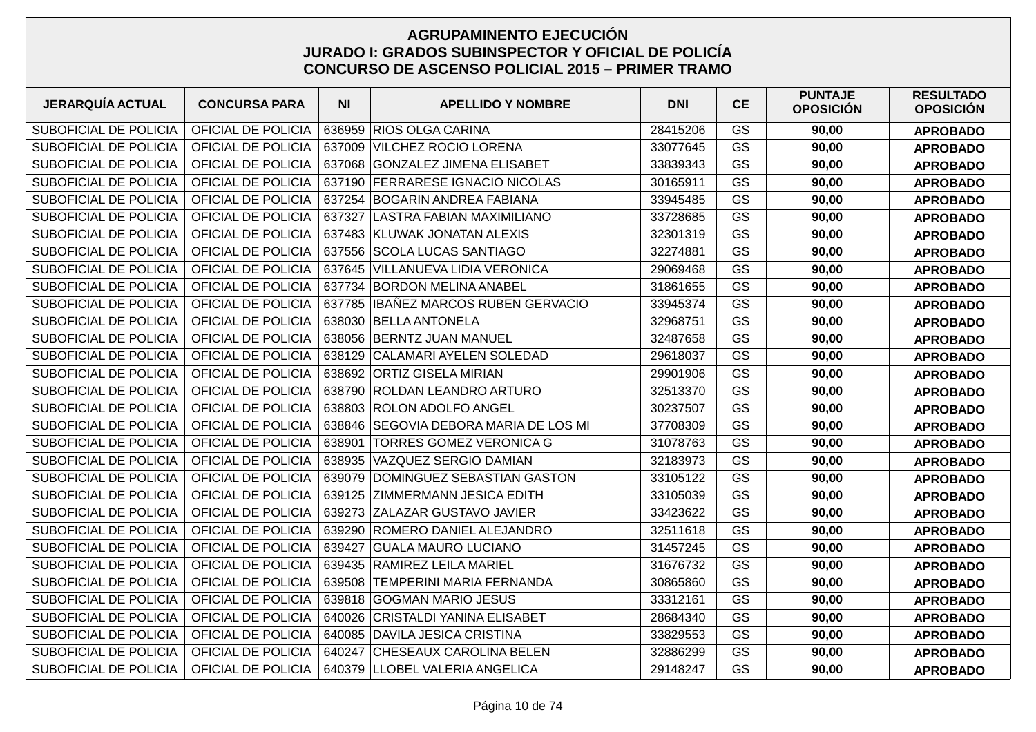| <b>JERARQUÍA ACTUAL</b> | <b>CONCURSA PARA</b> | <b>NI</b> | <b>APELLIDO Y NOMBRE</b>            | <b>DNI</b> | <b>CE</b> | <b>PUNTAJE</b><br><b>OPOSICIÓN</b> | <b>RESULTADO</b><br><b>OPOSICIÓN</b> |
|-------------------------|----------------------|-----------|-------------------------------------|------------|-----------|------------------------------------|--------------------------------------|
| SUBOFICIAL DE POLICIA   | OFICIAL DE POLICIA   | 636959    | <b>RIOS OLGA CARINA</b>             | 28415206   | GS        | 90,00                              | <b>APROBADO</b>                      |
| SUBOFICIAL DE POLICIA   | OFICIAL DE POLICIA   | 637009    | <b>VILCHEZ ROCIO LORENA</b>         | 33077645   | GS        | 90,00                              | <b>APROBADO</b>                      |
| SUBOFICIAL DE POLICIA   | OFICIAL DE POLICIA   | 637068    | <b>GONZALEZ JIMENA ELISABET</b>     | 33839343   | GS        | 90,00                              | <b>APROBADO</b>                      |
| SUBOFICIAL DE POLICIA   | OFICIAL DE POLICIA   | 637190    | <b>FERRARESE IGNACIO NICOLAS</b>    | 30165911   | GS        | 90,00                              | <b>APROBADO</b>                      |
| SUBOFICIAL DE POLICIA   | OFICIAL DE POLICIA   | 637254    | <b>BOGARIN ANDREA FABIANA</b>       | 33945485   | GS        | 90,00                              | <b>APROBADO</b>                      |
| SUBOFICIAL DE POLICIA   | OFICIAL DE POLICIA   | 637327    | LASTRA FABIAN MAXIMILIANO           | 33728685   | GS        | 90,00                              | <b>APROBADO</b>                      |
| SUBOFICIAL DE POLICIA   | OFICIAL DE POLICIA   | 637483    | <b>KLUWAK JONATAN ALEXIS</b>        | 32301319   | GS        | 90,00                              | <b>APROBADO</b>                      |
| SUBOFICIAL DE POLICIA   | OFICIAL DE POLICIA   | 637556    | SCOLA LUCAS SANTIAGO                | 32274881   | GS        | 90,00                              | <b>APROBADO</b>                      |
| SUBOFICIAL DE POLICIA   | OFICIAL DE POLICIA   | 637645    | VILLANUEVA LIDIA VERONICA           | 29069468   | GS        | 90,00                              | <b>APROBADO</b>                      |
| SUBOFICIAL DE POLICIA   | OFICIAL DE POLICIA   | 637734    | <b>BORDON MELINA ANABEL</b>         | 31861655   | GS        | 90,00                              | <b>APROBADO</b>                      |
| SUBOFICIAL DE POLICIA   | OFICIAL DE POLICIA   | 637785    | <b>IBAÑEZ MARCOS RUBEN GERVACIO</b> | 33945374   | GS        | 90,00                              | <b>APROBADO</b>                      |
| SUBOFICIAL DE POLICIA   | OFICIAL DE POLICIA   | 638030    | <b>BELLA ANTONELA</b>               | 32968751   | GS        | 90,00                              | <b>APROBADO</b>                      |
| SUBOFICIAL DE POLICIA   | OFICIAL DE POLICIA   | 638056    | <b>BERNTZ JUAN MANUEL</b>           | 32487658   | GS        | 90,00                              | <b>APROBADO</b>                      |
| SUBOFICIAL DE POLICIA   | OFICIAL DE POLICIA   | 638129    | CALAMARI AYELEN SOLEDAD             | 29618037   | GS        | 90,00                              | <b>APROBADO</b>                      |
| SUBOFICIAL DE POLICIA   | OFICIAL DE POLICIA   | 638692    | <b>ORTIZ GISELA MIRIAN</b>          | 29901906   | GS        | 90,00                              | <b>APROBADO</b>                      |
| SUBOFICIAL DE POLICIA   | OFICIAL DE POLICIA   | 638790    | <b>ROLDAN LEANDRO ARTURO</b>        | 32513370   | GS        | 90,00                              | <b>APROBADO</b>                      |
| SUBOFICIAL DE POLICIA   | OFICIAL DE POLICIA   | 638803    | <b>ROLON ADOLFO ANGEL</b>           | 30237507   | GS        | 90,00                              | <b>APROBADO</b>                      |
| SUBOFICIAL DE POLICIA   | OFICIAL DE POLICIA   | 638846    | SEGOVIA DEBORA MARIA DE LOS MI      | 37708309   | GS        | 90,00                              | <b>APROBADO</b>                      |
| SUBOFICIAL DE POLICIA   | OFICIAL DE POLICIA   | 638901    | <b>TORRES GOMEZ VERONICA G</b>      | 31078763   | GS        | 90,00                              | <b>APROBADO</b>                      |
| SUBOFICIAL DE POLICIA   | OFICIAL DE POLICIA   | 638935    | VAZQUEZ SERGIO DAMIAN               | 32183973   | GS        | 90,00                              | <b>APROBADO</b>                      |
| SUBOFICIAL DE POLICIA   | OFICIAL DE POLICIA   | 639079    | DOMINGUEZ SEBASTIAN GASTON          | 33105122   | GS        | 90,00                              | <b>APROBADO</b>                      |
| SUBOFICIAL DE POLICIA   | OFICIAL DE POLICIA   | 639125    | <b>ZIMMERMANN JESICA EDITH</b>      | 33105039   | GS        | 90,00                              | <b>APROBADO</b>                      |
| SUBOFICIAL DE POLICIA   | OFICIAL DE POLICIA   | 639273    | <b>ZALAZAR GUSTAVO JAVIER</b>       | 33423622   | GS        | 90,00                              | <b>APROBADO</b>                      |
| SUBOFICIAL DE POLICIA   | OFICIAL DE POLICIA   | 639290    | ROMERO DANIEL ALEJANDRO             | 32511618   | GS        | 90,00                              | <b>APROBADO</b>                      |
| SUBOFICIAL DE POLICIA   | OFICIAL DE POLICIA   | 639427    | <b>GUALA MAURO LUCIANO</b>          | 31457245   | GS        | 90,00                              | <b>APROBADO</b>                      |
| SUBOFICIAL DE POLICIA   | OFICIAL DE POLICIA   | 639435    | <b>RAMIREZ LEILA MARIEL</b>         | 31676732   | GS        | 90,00                              | <b>APROBADO</b>                      |
| SUBOFICIAL DE POLICIA   | OFICIAL DE POLICIA   | 639508    | <b>TEMPERINI MARIA FERNANDA</b>     | 30865860   | GS        | 90,00                              | <b>APROBADO</b>                      |
| SUBOFICIAL DE POLICIA   | OFICIAL DE POLICIA   | 639818    | <b>GOGMAN MARIO JESUS</b>           | 33312161   | GS        | 90,00                              | <b>APROBADO</b>                      |
| SUBOFICIAL DE POLICIA   | OFICIAL DE POLICIA   | 640026    | <b>CRISTALDI YANINA ELISABET</b>    | 28684340   | GS        | 90,00                              | <b>APROBADO</b>                      |
| SUBOFICIAL DE POLICIA   | OFICIAL DE POLICIA   | 640085    | <b>DAVILA JESICA CRISTINA</b>       | 33829553   | GS        | 90,00                              | <b>APROBADO</b>                      |
| SUBOFICIAL DE POLICIA   | OFICIAL DE POLICIA   | 640247    | <b>CHESEAUX CAROLINA BELEN</b>      | 32886299   | GS        | 90,00                              | <b>APROBADO</b>                      |
| SUBOFICIAL DE POLICIA   | OFICIAL DE POLICIA   | 640379    | LLOBEL VALERIA ANGELICA             | 29148247   | GS        | 90,00                              | <b>APROBADO</b>                      |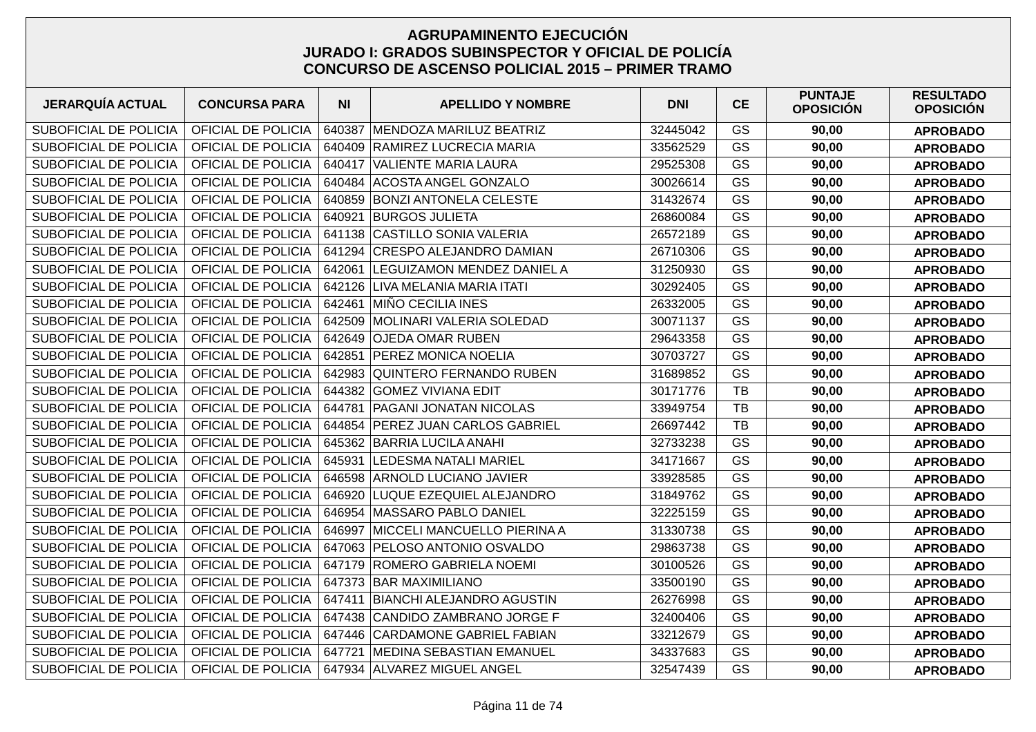| <b>JERARQUÍA ACTUAL</b>      | <b>CONCURSA PARA</b> | <b>NI</b> | <b>APELLIDO Y NOMBRE</b>         | <b>DNI</b> | <b>CE</b> | <b>PUNTAJE</b><br><b>OPOSICIÓN</b> | <b>RESULTADO</b><br><b>OPOSICIÓN</b> |
|------------------------------|----------------------|-----------|----------------------------------|------------|-----------|------------------------------------|--------------------------------------|
| SUBOFICIAL DE POLICIA        | OFICIAL DE POLICIA   | 640387    | MENDOZA MARILUZ BEATRIZ          | 32445042   | <b>GS</b> | 90,00                              | <b>APROBADO</b>                      |
| SUBOFICIAL DE POLICIA        | OFICIAL DE POLICIA   | 640409    | RAMIREZ LUCRECIA MARIA           | 33562529   | GS        | 90,00                              | <b>APROBADO</b>                      |
| SUBOFICIAL DE POLICIA        | OFICIAL DE POLICIA   | 640417    | <b>VALIENTE MARIA LAURA</b>      | 29525308   | GS        | 90,00                              | <b>APROBADO</b>                      |
| SUBOFICIAL DE POLICIA        | OFICIAL DE POLICIA   | 640484    | ACOSTA ANGEL GONZALO             | 30026614   | GS        | 90,00                              | <b>APROBADO</b>                      |
| SUBOFICIAL DE POLICIA        | OFICIAL DE POLICIA   | 640859    | <b>BONZI ANTONELA CELESTE</b>    | 31432674   | GS        | 90,00                              | <b>APROBADO</b>                      |
| <b>SUBOFICIAL DE POLICIA</b> | OFICIAL DE POLICIA   | 640921    | <b>BURGOS JULIETA</b>            | 26860084   | <b>GS</b> | 90,00                              | <b>APROBADO</b>                      |
| SUBOFICIAL DE POLICIA        | OFICIAL DE POLICIA   | 641138    | CASTILLO SONIA VALERIA           | 26572189   | GS        | 90,00                              | <b>APROBADO</b>                      |
| SUBOFICIAL DE POLICIA        | OFICIAL DE POLICIA   | 641294    | CRESPO ALEJANDRO DAMIAN          | 26710306   | GS        | 90,00                              | <b>APROBADO</b>                      |
| SUBOFICIAL DE POLICIA        | OFICIAL DE POLICIA   | 642061    | LEGUIZAMON MENDEZ DANIEL A       | 31250930   | GS        | 90,00                              | <b>APROBADO</b>                      |
| SUBOFICIAL DE POLICIA        | OFICIAL DE POLICIA   | 642126    | LIVA MELANIA MARIA ITATI         | 30292405   | GS        | 90,00                              | <b>APROBADO</b>                      |
| SUBOFICIAL DE POLICIA        | OFICIAL DE POLICIA   | 642461    | MIÑO CECILIA INES                | 26332005   | GS        | 90,00                              | <b>APROBADO</b>                      |
| SUBOFICIAL DE POLICIA        | OFICIAL DE POLICIA   | 642509    | MOLINARI VALERIA SOLEDAD         | 30071137   | GS        | 90,00                              | <b>APROBADO</b>                      |
| SUBOFICIAL DE POLICIA        | OFICIAL DE POLICIA   | 642649    | <b>OJEDA OMAR RUBEN</b>          | 29643358   | GS        | 90,00                              | <b>APROBADO</b>                      |
| SUBOFICIAL DE POLICIA        | OFICIAL DE POLICIA   |           | 642851 PEREZ MONICA NOELIA       | 30703727   | GS        | 90,00                              | <b>APROBADO</b>                      |
| SUBOFICIAL DE POLICIA        | OFICIAL DE POLICIA   | 642983    | <b>QUINTERO FERNANDO RUBEN</b>   | 31689852   | GS        | 90,00                              | <b>APROBADO</b>                      |
| SUBOFICIAL DE POLICIA        | OFICIAL DE POLICIA   | 644382    | <b>GOMEZ VIVIANA EDIT</b>        | 30171776   | TB        | 90,00                              | <b>APROBADO</b>                      |
| SUBOFICIAL DE POLICIA        | OFICIAL DE POLICIA   | 644781    | <b>PAGANI JONATAN NICOLAS</b>    | 33949754   | TB        | 90,00                              | <b>APROBADO</b>                      |
| SUBOFICIAL DE POLICIA        | OFICIAL DE POLICIA   |           | 644854 PEREZ JUAN CARLOS GABRIEL | 26697442   | <b>TB</b> | 90,00                              | <b>APROBADO</b>                      |
| SUBOFICIAL DE POLICIA        | OFICIAL DE POLICIA   |           | 645362 BARRIA LUCILA ANAHI       | 32733238   | GS        | 90,00                              | <b>APROBADO</b>                      |
| SUBOFICIAL DE POLICIA        | OFICIAL DE POLICIA   | 645931    | <b>LEDESMA NATALI MARIEL</b>     | 34171667   | GS        | 90,00                              | <b>APROBADO</b>                      |
| SUBOFICIAL DE POLICIA        | OFICIAL DE POLICIA   | 646598    | <b>ARNOLD LUCIANO JAVIER</b>     | 33928585   | GS        | 90,00                              | <b>APROBADO</b>                      |
| SUBOFICIAL DE POLICIA        | OFICIAL DE POLICIA   | 646920    | LUQUE EZEQUIEL ALEJANDRO         | 31849762   | GS        | 90,00                              | <b>APROBADO</b>                      |
| SUBOFICIAL DE POLICIA        | OFICIAL DE POLICIA   |           | 646954 MASSARO PABLO DANIEL      | 32225159   | GS        | 90,00                              | <b>APROBADO</b>                      |
| SUBOFICIAL DE POLICIA        | OFICIAL DE POLICIA   | 646997    | MICCELI MANCUELLO PIERINA A      | 31330738   | GS        | 90,00                              | <b>APROBADO</b>                      |
| SUBOFICIAL DE POLICIA        | OFICIAL DE POLICIA   | 647063    | PELOSO ANTONIO OSVALDO           | 29863738   | GS        | 90,00                              | <b>APROBADO</b>                      |
| SUBOFICIAL DE POLICIA        | OFICIAL DE POLICIA   | 647179    | <b>ROMERO GABRIELA NOEMI</b>     | 30100526   | GS        | 90,00                              | <b>APROBADO</b>                      |
| SUBOFICIAL DE POLICIA        | OFICIAL DE POLICIA   | 647373    | <b>BAR MAXIMILIANO</b>           | 33500190   | GS        | 90,00                              | <b>APROBADO</b>                      |
| SUBOFICIAL DE POLICIA        | OFICIAL DE POLICIA   | 647411    | <b>BIANCHI ALEJANDRO AGUSTIN</b> | 26276998   | GS        | 90,00                              | <b>APROBADO</b>                      |
| SUBOFICIAL DE POLICIA        | OFICIAL DE POLICIA   | 647438    | CANDIDO ZAMBRANO JORGE F         | 32400406   | GS        | 90,00                              | <b>APROBADO</b>                      |
| SUBOFICIAL DE POLICIA        | OFICIAL DE POLICIA   | 647446    | CARDAMONE GABRIEL FABIAN         | 33212679   | GS        | 90,00                              | <b>APROBADO</b>                      |
| SUBOFICIAL DE POLICIA        | OFICIAL DE POLICIA   | 647721    | MEDINA SEBASTIAN EMANUEL         | 34337683   | GS        | 90,00                              | <b>APROBADO</b>                      |
| SUBOFICIAL DE POLICIA        | OFICIAL DE POLICIA   |           | 647934 ALVAREZ MIGUEL ANGEL      | 32547439   | GS        | 90,00                              | <b>APROBADO</b>                      |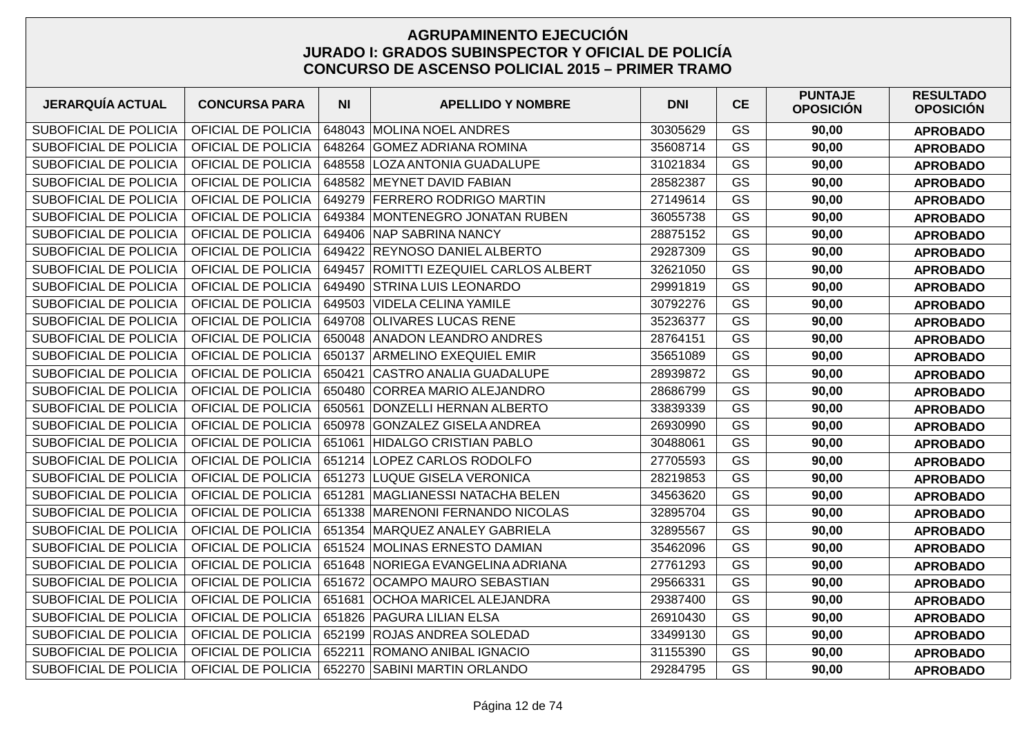| <b>JERARQUÍA ACTUAL</b> | <b>CONCURSA PARA</b> | <b>NI</b> | <b>APELLIDO Y NOMBRE</b>              | <b>DNI</b> | <b>CE</b> | <b>PUNTAJE</b><br><b>OPOSICIÓN</b> | <b>RESULTADO</b><br><b>OPOSICIÓN</b> |
|-------------------------|----------------------|-----------|---------------------------------------|------------|-----------|------------------------------------|--------------------------------------|
| SUBOFICIAL DE POLICIA   | OFICIAL DE POLICIA   | 648043    | <b>MOLINA NOEL ANDRES</b>             | 30305629   | GS        | 90,00                              | <b>APROBADO</b>                      |
| SUBOFICIAL DE POLICIA   | OFICIAL DE POLICIA   | 648264    | <b>GOMEZ ADRIANA ROMINA</b>           | 35608714   | GS        | 90,00                              | <b>APROBADO</b>                      |
| SUBOFICIAL DE POLICIA   | OFICIAL DE POLICIA   | 648558    | <b>LOZA ANTONIA GUADALUPE</b>         | 31021834   | GS        | 90,00                              | <b>APROBADO</b>                      |
| SUBOFICIAL DE POLICIA   | OFICIAL DE POLICIA   | 648582    | <b>MEYNET DAVID FABIAN</b>            | 28582387   | GS        | 90,00                              | <b>APROBADO</b>                      |
| SUBOFICIAL DE POLICIA   | OFICIAL DE POLICIA   | 649279    | <b>FERRERO RODRIGO MARTIN</b>         | 27149614   | GS        | 90,00                              | <b>APROBADO</b>                      |
| SUBOFICIAL DE POLICIA   | OFICIAL DE POLICIA   | 649384    | MONTENEGRO JONATAN RUBEN              | 36055738   | GS        | 90,00                              | <b>APROBADO</b>                      |
| SUBOFICIAL DE POLICIA   | OFICIAL DE POLICIA   | 649406    | <b>NAP SABRINA NANCY</b>              | 28875152   | GS        | 90,00                              | <b>APROBADO</b>                      |
| SUBOFICIAL DE POLICIA   | OFICIAL DE POLICIA   | 649422    | <b>REYNOSO DANIEL ALBERTO</b>         | 29287309   | GS        | 90,00                              | <b>APROBADO</b>                      |
| SUBOFICIAL DE POLICIA   | OFICIAL DE POLICIA   |           | 649457 ROMITTI EZEQUIEL CARLOS ALBERT | 32621050   | GS        | 90,00                              | <b>APROBADO</b>                      |
| SUBOFICIAL DE POLICIA   | OFICIAL DE POLICIA   | 649490    | <b>STRINA LUIS LEONARDO</b>           | 29991819   | GS        | 90,00                              | <b>APROBADO</b>                      |
| SUBOFICIAL DE POLICIA   | OFICIAL DE POLICIA   | 649503    | VIDELA CELINA YAMILE                  | 30792276   | GS        | 90,00                              | <b>APROBADO</b>                      |
| SUBOFICIAL DE POLICIA   | OFICIAL DE POLICIA   | 649708    | <b>OLIVARES LUCAS RENE</b>            | 35236377   | GS        | 90,00                              | <b>APROBADO</b>                      |
| SUBOFICIAL DE POLICIA   | OFICIAL DE POLICIA   | 650048    | <b>ANADON LEANDRO ANDRES</b>          | 28764151   | GS        | 90,00                              | <b>APROBADO</b>                      |
| SUBOFICIAL DE POLICIA   | OFICIAL DE POLICIA   | 650137    | <b>ARMELINO EXEQUIEL EMIR</b>         | 35651089   | GS        | 90,00                              | <b>APROBADO</b>                      |
| SUBOFICIAL DE POLICIA   | OFICIAL DE POLICIA   | 650421    | CASTRO ANALIA GUADALUPE               | 28939872   | GS        | 90,00                              | <b>APROBADO</b>                      |
| SUBOFICIAL DE POLICIA   | OFICIAL DE POLICIA   | 650480    | CORREA MARIO ALEJANDRO                | 28686799   | GS        | 90,00                              | <b>APROBADO</b>                      |
| SUBOFICIAL DE POLICIA   | OFICIAL DE POLICIA   | 650561    | DONZELLI HERNAN ALBERTO               | 33839339   | GS        | 90,00                              | <b>APROBADO</b>                      |
| SUBOFICIAL DE POLICIA   | OFICIAL DE POLICIA   |           | 650978 GONZALEZ GISELA ANDREA         | 26930990   | GS        | 90,00                              | <b>APROBADO</b>                      |
| SUBOFICIAL DE POLICIA   | OFICIAL DE POLICIA   |           | 651061 HIDALGO CRISTIAN PABLO         | 30488061   | GS        | 90,00                              | <b>APROBADO</b>                      |
| SUBOFICIAL DE POLICIA   | OFICIAL DE POLICIA   | 651214    | LOPEZ CARLOS RODOLFO                  | 27705593   | GS        | 90,00                              | <b>APROBADO</b>                      |
| SUBOFICIAL DE POLICIA   | OFICIAL DE POLICIA   | 651273    | LUQUE GISELA VERONICA                 | 28219853   | GS        | 90,00                              | <b>APROBADO</b>                      |
| SUBOFICIAL DE POLICIA   | OFICIAL DE POLICIA   | 651281    | MAGLIANESSI NATACHA BELEN             | 34563620   | GS        | 90,00                              | <b>APROBADO</b>                      |
| SUBOFICIAL DE POLICIA   | OFICIAL DE POLICIA   | 651338    | MARENONI FERNANDO NICOLAS             | 32895704   | GS        | 90,00                              | <b>APROBADO</b>                      |
| SUBOFICIAL DE POLICIA   | OFICIAL DE POLICIA   |           | 651354 MARQUEZ ANALEY GABRIELA        | 32895567   | GS        | 90,00                              | <b>APROBADO</b>                      |
| SUBOFICIAL DE POLICIA   | OFICIAL DE POLICIA   | 651524    | <b>MOLINAS ERNESTO DAMIAN</b>         | 35462096   | GS        | 90,00                              | <b>APROBADO</b>                      |
| SUBOFICIAL DE POLICIA   | OFICIAL DE POLICIA   | 651648    | <b>NORIEGA EVANGELINA ADRIANA</b>     | 27761293   | GS        | 90,00                              | <b>APROBADO</b>                      |
| SUBOFICIAL DE POLICIA   | OFICIAL DE POLICIA   | 651672    | <b>OCAMPO MAURO SEBASTIAN</b>         | 29566331   | GS        | 90,00                              | <b>APROBADO</b>                      |
| SUBOFICIAL DE POLICIA   | OFICIAL DE POLICIA   |           | 651681 OCHOA MARICEL ALEJANDRA        | 29387400   | GS        | 90,00                              | <b>APROBADO</b>                      |
| SUBOFICIAL DE POLICIA   | OFICIAL DE POLICIA   | 651826    | <b>PAGURA LILIAN ELSA</b>             | 26910430   | GS        | 90,00                              | <b>APROBADO</b>                      |
| SUBOFICIAL DE POLICIA   | OFICIAL DE POLICIA   | 652199    | <b>ROJAS ANDREA SOLEDAD</b>           | 33499130   | GS        | 90,00                              | <b>APROBADO</b>                      |
| SUBOFICIAL DE POLICIA   | OFICIAL DE POLICIA   |           | 652211 ROMANO ANIBAL IGNACIO          | 31155390   | GS        | 90,00                              | <b>APROBADO</b>                      |
| SUBOFICIAL DE POLICIA   | OFICIAL DE POLICIA   |           | 652270 SABINI MARTIN ORLANDO          | 29284795   | GS        | 90,00                              | <b>APROBADO</b>                      |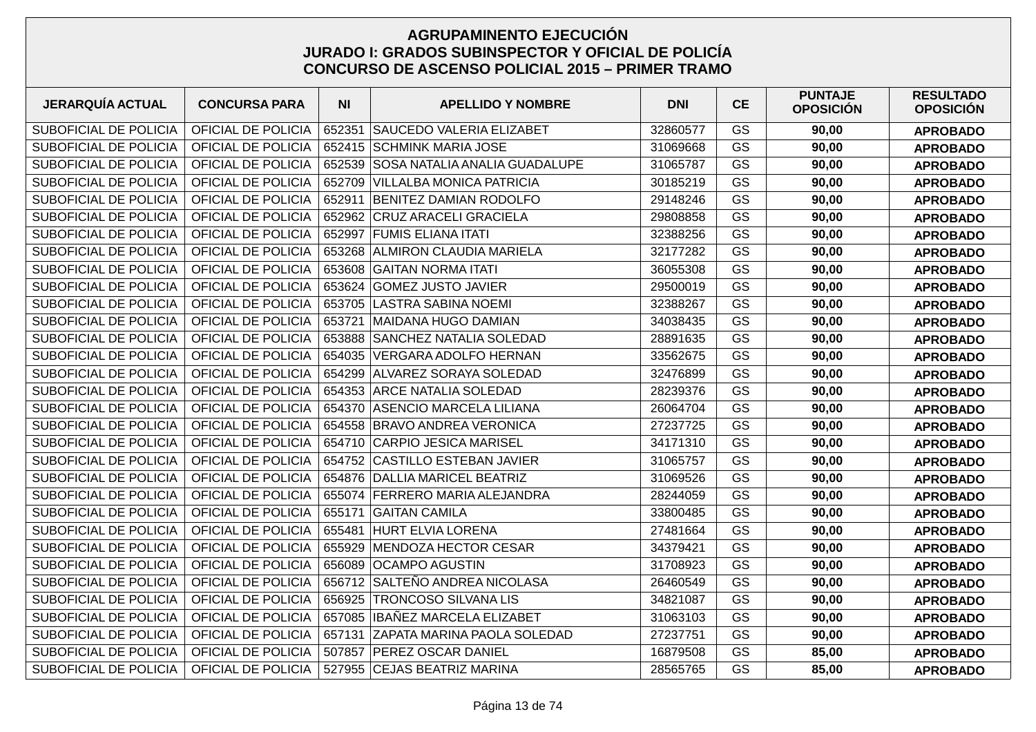| <b>JERARQUÍA ACTUAL</b> | <b>CONCURSA PARA</b> | <b>NI</b> | <b>APELLIDO Y NOMBRE</b>             | <b>DNI</b> | <b>CE</b> | <b>PUNTAJE</b><br><b>OPOSICIÓN</b> | <b>RESULTADO</b><br><b>OPOSICIÓN</b> |
|-------------------------|----------------------|-----------|--------------------------------------|------------|-----------|------------------------------------|--------------------------------------|
| SUBOFICIAL DE POLICIA   | OFICIAL DE POLICIA   | 652351    | SAUCEDO VALERIA ELIZABET             | 32860577   | <b>GS</b> | 90,00                              | <b>APROBADO</b>                      |
| SUBOFICIAL DE POLICIA   | OFICIAL DE POLICIA   |           | 652415 SCHMINK MARIA JOSE            | 31069668   | <b>GS</b> | 90,00                              | <b>APROBADO</b>                      |
| SUBOFICIAL DE POLICIA   | OFICIAL DE POLICIA   |           | 652539 SOSA NATALIA ANALIA GUADALUPE | 31065787   | GS        | 90,00                              | <b>APROBADO</b>                      |
| SUBOFICIAL DE POLICIA   | OFICIAL DE POLICIA   | 652709    | <b>VILLALBA MONICA PATRICIA</b>      | 30185219   | GS        | 90,00                              | <b>APROBADO</b>                      |
| SUBOFICIAL DE POLICIA   | OFICIAL DE POLICIA   | 652911    | <b>BENITEZ DAMIAN RODOLFO</b>        | 29148246   | <b>GS</b> | 90,00                              | <b>APROBADO</b>                      |
| SUBOFICIAL DE POLICIA   | OFICIAL DE POLICIA   |           | 652962 CRUZ ARACELI GRACIELA         | 29808858   | <b>GS</b> | 90,00                              | <b>APROBADO</b>                      |
| SUBOFICIAL DE POLICIA   | OFICIAL DE POLICIA   |           | 652997 FUMIS ELIANA ITATI            | 32388256   | GS        | 90,00                              | <b>APROBADO</b>                      |
| SUBOFICIAL DE POLICIA   | OFICIAL DE POLICIA   |           | 653268 ALMIRON CLAUDIA MARIELA       | 32177282   | GS        | 90,00                              | <b>APROBADO</b>                      |
| SUBOFICIAL DE POLICIA   | OFICIAL DE POLICIA   | 653608    | <b>GAITAN NORMA ITATI</b>            | 36055308   | GS        | 90,00                              | <b>APROBADO</b>                      |
| SUBOFICIAL DE POLICIA   | OFICIAL DE POLICIA   | 653624    | <b>GOMEZ JUSTO JAVIER</b>            | 29500019   | <b>GS</b> | 90,00                              | <b>APROBADO</b>                      |
| SUBOFICIAL DE POLICIA   | OFICIAL DE POLICIA   |           | 653705 LASTRA SABINA NOEMI           | 32388267   | GS        | 90,00                              | <b>APROBADO</b>                      |
| SUBOFICIAL DE POLICIA   | OFICIAL DE POLICIA   | 653721    | MAIDANA HUGO DAMIAN                  | 34038435   | <b>GS</b> | 90,00                              | <b>APROBADO</b>                      |
| SUBOFICIAL DE POLICIA   | OFICIAL DE POLICIA   | 653888    | <b>SANCHEZ NATALIA SOLEDAD</b>       | 28891635   | GS        | 90,00                              | <b>APROBADO</b>                      |
| SUBOFICIAL DE POLICIA   | OFICIAL DE POLICIA   | 654035    | VERGARA ADOLFO HERNAN                | 33562675   | GS        | 90,00                              | <b>APROBADO</b>                      |
| SUBOFICIAL DE POLICIA   | OFICIAL DE POLICIA   |           | 654299 ALVAREZ SORAYA SOLEDAD        | 32476899   | <b>GS</b> | 90,00                              | <b>APROBADO</b>                      |
| SUBOFICIAL DE POLICIA   | OFICIAL DE POLICIA   |           | 654353 ARCE NATALIA SOLEDAD          | 28239376   | GS        | 90,00                              | <b>APROBADO</b>                      |
| SUBOFICIAL DE POLICIA   | OFICIAL DE POLICIA   | 654370    | ASENCIO MARCELA LILIANA              | 26064704   | GS        | 90,00                              | <b>APROBADO</b>                      |
| SUBOFICIAL DE POLICIA   | OFICIAL DE POLICIA   |           | 654558 BRAVO ANDREA VERONICA         | 27237725   | GS        | 90,00                              | <b>APROBADO</b>                      |
| SUBOFICIAL DE POLICIA   | OFICIAL DE POLICIA   |           | 654710 CARPIO JESICA MARISEL         | 34171310   | GS        | 90,00                              | <b>APROBADO</b>                      |
| SUBOFICIAL DE POLICIA   | OFICIAL DE POLICIA   | 654752    | <b>CASTILLO ESTEBAN JAVIER</b>       | 31065757   | <b>GS</b> | 90,00                              | <b>APROBADO</b>                      |
| SUBOFICIAL DE POLICIA   | OFICIAL DE POLICIA   |           | 654876 DALLIA MARICEL BEATRIZ        | 31069526   | GS        | 90,00                              | <b>APROBADO</b>                      |
| SUBOFICIAL DE POLICIA   | OFICIAL DE POLICIA   |           | 655074 FERRERO MARIA ALEJANDRA       | 28244059   | GS        | 90,00                              | <b>APROBADO</b>                      |
| SUBOFICIAL DE POLICIA   | OFICIAL DE POLICIA   |           | 655171 GAITAN CAMILA                 | 33800485   | GS        | 90,00                              | <b>APROBADO</b>                      |
| SUBOFICIAL DE POLICIA   | OFICIAL DE POLICIA   |           | 655481 HURT ELVIA LORENA             | 27481664   | GS        | 90,00                              | <b>APROBADO</b>                      |
| SUBOFICIAL DE POLICIA   | OFICIAL DE POLICIA   | 655929    | MENDOZA HECTOR CESAR                 | 34379421   | <b>GS</b> | 90,00                              | <b>APROBADO</b>                      |
| SUBOFICIAL DE POLICIA   | OFICIAL DE POLICIA   | 656089    | <b>OCAMPO AGUSTIN</b>                | 31708923   | GS        | 90,00                              | <b>APROBADO</b>                      |
| SUBOFICIAL DE POLICIA   | OFICIAL DE POLICIA   | 656712    | SALTEÑO ANDREA NICOLASA              | 26460549   | GS        | 90,00                              | <b>APROBADO</b>                      |
| SUBOFICIAL DE POLICIA   | OFICIAL DE POLICIA   | 656925    | <b>TRONCOSO SILVANA LIS</b>          | 34821087   | GS        | 90,00                              | <b>APROBADO</b>                      |
| SUBOFICIAL DE POLICIA   | OFICIAL DE POLICIA   |           | 657085   IBAÑEZ MARCELA ELIZABET     | 31063103   | GS        | 90,00                              | <b>APROBADO</b>                      |
| SUBOFICIAL DE POLICIA   | OFICIAL DE POLICIA   |           | 657131 ZAPATA MARINA PAOLA SOLEDAD   | 27237751   | GS        | 90,00                              | <b>APROBADO</b>                      |
| SUBOFICIAL DE POLICIA   | OFICIAL DE POLICIA   | 507857    | PEREZ OSCAR DANIEL                   | 16879508   | GS        | 85,00                              | <b>APROBADO</b>                      |
| SUBOFICIAL DE POLICIA   | OFICIAL DE POLICIA   |           | 527955 CEJAS BEATRIZ MARINA          | 28565765   | GS        | 85,00                              | <b>APROBADO</b>                      |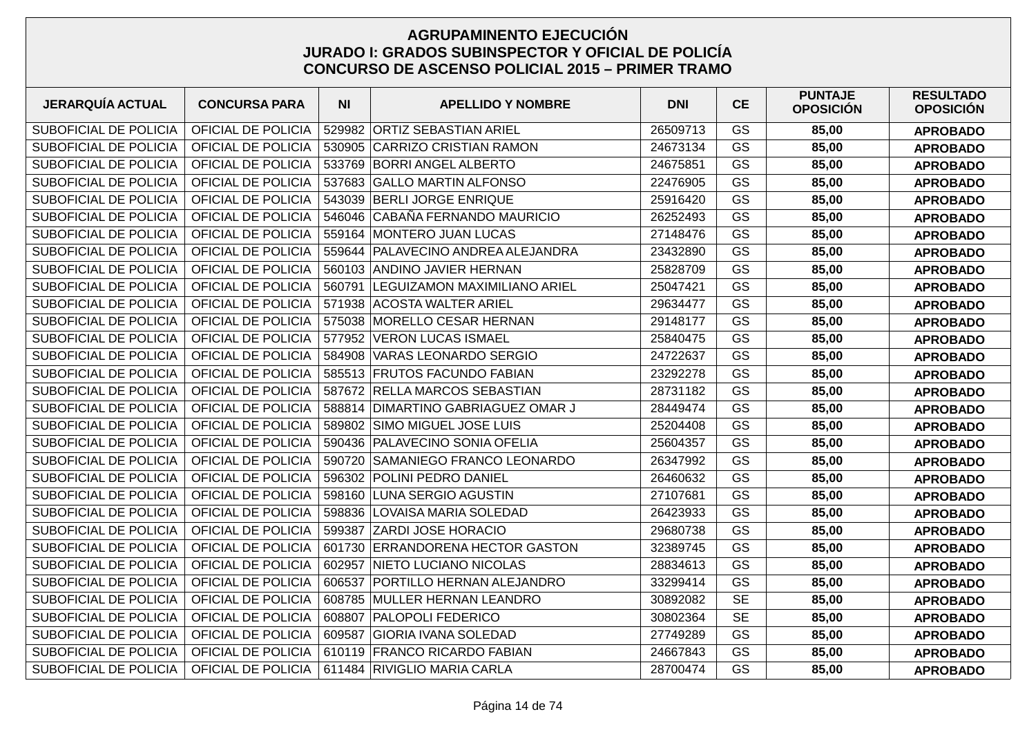| <b>JERARQUÍA ACTUAL</b> | <b>CONCURSA PARA</b> | <b>NI</b> | <b>APELLIDO Y NOMBRE</b>            | <b>DNI</b> | <b>CE</b> | <b>PUNTAJE</b><br><b>OPOSICIÓN</b> | <b>RESULTADO</b><br><b>OPOSICIÓN</b> |
|-------------------------|----------------------|-----------|-------------------------------------|------------|-----------|------------------------------------|--------------------------------------|
| SUBOFICIAL DE POLICIA   | OFICIAL DE POLICIA   | 529982    | <b>ORTIZ SEBASTIAN ARIEL</b>        | 26509713   | GS        | 85,00                              | <b>APROBADO</b>                      |
| SUBOFICIAL DE POLICIA   | OFICIAL DE POLICIA   | 530905    | CARRIZO CRISTIAN RAMON              | 24673134   | GS        | 85,00                              | <b>APROBADO</b>                      |
| SUBOFICIAL DE POLICIA   | OFICIAL DE POLICIA   |           | 533769 BORRI ANGEL ALBERTO          | 24675851   | GS        | 85,00                              | <b>APROBADO</b>                      |
| SUBOFICIAL DE POLICIA   | OFICIAL DE POLICIA   | 537683    | <b>GALLO MARTIN ALFONSO</b>         | 22476905   | GS        | 85,00                              | <b>APROBADO</b>                      |
| SUBOFICIAL DE POLICIA   | OFICIAL DE POLICIA   | 543039    | <b>BERLI JORGE ENRIQUE</b>          | 25916420   | GS        | 85,00                              | <b>APROBADO</b>                      |
| SUBOFICIAL DE POLICIA   | OFICIAL DE POLICIA   | 546046    | CABAÑA FERNANDO MAURICIO            | 26252493   | GS        | 85,00                              | <b>APROBADO</b>                      |
| SUBOFICIAL DE POLICIA   | OFICIAL DE POLICIA   | 559164    | MONTERO JUAN LUCAS                  | 27148476   | GS        | 85,00                              | <b>APROBADO</b>                      |
| SUBOFICIAL DE POLICIA   | OFICIAL DE POLICIA   | 559644    | <b>PALAVECINO ANDREA ALEJANDRA</b>  | 23432890   | GS        | 85,00                              | <b>APROBADO</b>                      |
| SUBOFICIAL DE POLICIA   | OFICIAL DE POLICIA   | 560103    | <b>ANDINO JAVIER HERNAN</b>         | 25828709   | GS        | 85,00                              | <b>APROBADO</b>                      |
| SUBOFICIAL DE POLICIA   | OFICIAL DE POLICIA   | 560791    | <b>LEGUIZAMON MAXIMILIANO ARIEL</b> | 25047421   | GS        | 85,00                              | <b>APROBADO</b>                      |
| SUBOFICIAL DE POLICIA   | OFICIAL DE POLICIA   | 571938    | <b>ACOSTA WALTER ARIEL</b>          | 29634477   | GS        | 85,00                              | <b>APROBADO</b>                      |
| SUBOFICIAL DE POLICIA   | OFICIAL DE POLICIA   | 575038    | MORELLO CESAR HERNAN                | 29148177   | GS        | 85,00                              | <b>APROBADO</b>                      |
| SUBOFICIAL DE POLICIA   | OFICIAL DE POLICIA   | 577952    | VERON LUCAS ISMAEL                  | 25840475   | GS        | 85,00                              | <b>APROBADO</b>                      |
| SUBOFICIAL DE POLICIA   | OFICIAL DE POLICIA   | 584908    | VARAS LEONARDO SERGIO               | 24722637   | GS        | 85,00                              | <b>APROBADO</b>                      |
| SUBOFICIAL DE POLICIA   | OFICIAL DE POLICIA   | 585513    | <b>FRUTOS FACUNDO FABIAN</b>        | 23292278   | GS        | 85,00                              | <b>APROBADO</b>                      |
| SUBOFICIAL DE POLICIA   | OFICIAL DE POLICIA   | 587672    | <b>RELLA MARCOS SEBASTIAN</b>       | 28731182   | GS        | 85,00                              | <b>APROBADO</b>                      |
| SUBOFICIAL DE POLICIA   | OFICIAL DE POLICIA   | 588814    | DIMARTINO GABRIAGUEZ OMAR J         | 28449474   | GS        | 85,00                              | <b>APROBADO</b>                      |
| SUBOFICIAL DE POLICIA   | OFICIAL DE POLICIA   | 589802    | SIMO MIGUEL JOSE LUIS               | 25204408   | GS        | 85,00                              | <b>APROBADO</b>                      |
| SUBOFICIAL DE POLICIA   | OFICIAL DE POLICIA   | 590436    | <b>PALAVECINO SONIA OFELIA</b>      | 25604357   | GS        | 85,00                              | <b>APROBADO</b>                      |
| SUBOFICIAL DE POLICIA   | OFICIAL DE POLICIA   | 590720    | SAMANIEGO FRANCO LEONARDO           | 26347992   | GS        | 85,00                              | <b>APROBADO</b>                      |
| SUBOFICIAL DE POLICIA   | OFICIAL DE POLICIA   | 596302    | POLINI PEDRO DANIEL                 | 26460632   | GS        | 85,00                              | <b>APROBADO</b>                      |
| SUBOFICIAL DE POLICIA   | OFICIAL DE POLICIA   | 598160    | <b>LUNA SERGIO AGUSTIN</b>          | 27107681   | GS        | 85,00                              | <b>APROBADO</b>                      |
| SUBOFICIAL DE POLICIA   | OFICIAL DE POLICIA   | 598836    | LOVAISA MARIA SOLEDAD               | 26423933   | GS        | 85,00                              | <b>APROBADO</b>                      |
| SUBOFICIAL DE POLICIA   | OFICIAL DE POLICIA   | 599387    | <b>ZARDI JOSE HORACIO</b>           | 29680738   | GS        | 85,00                              | <b>APROBADO</b>                      |
| SUBOFICIAL DE POLICIA   | OFICIAL DE POLICIA   | 601730    | <b>ERRANDORENA HECTOR GASTON</b>    | 32389745   | GS        | 85,00                              | <b>APROBADO</b>                      |
| SUBOFICIAL DE POLICIA   | OFICIAL DE POLICIA   | 602957    | NIETO LUCIANO NICOLAS               | 28834613   | GS        | 85,00                              | <b>APROBADO</b>                      |
| SUBOFICIAL DE POLICIA   | OFICIAL DE POLICIA   | 606537    | PORTILLO HERNAN ALEJANDRO           | 33299414   | GS        | 85,00                              | <b>APROBADO</b>                      |
| SUBOFICIAL DE POLICIA   | OFICIAL DE POLICIA   | 608785    | MULLER HERNAN LEANDRO               | 30892082   | <b>SE</b> | 85,00                              | <b>APROBADO</b>                      |
| SUBOFICIAL DE POLICIA   | OFICIAL DE POLICIA   |           | 608807 PALOPOLI FEDERICO            | 30802364   | <b>SE</b> | 85,00                              | <b>APROBADO</b>                      |
| SUBOFICIAL DE POLICIA   | OFICIAL DE POLICIA   | 609587    | <b>GIORIA IVANA SOLEDAD</b>         | 27749289   | GS        | 85,00                              | <b>APROBADO</b>                      |
| SUBOFICIAL DE POLICIA   | OFICIAL DE POLICIA   | 610119    | <b>FRANCO RICARDO FABIAN</b>        | 24667843   | GS        | 85,00                              | <b>APROBADO</b>                      |
| SUBOFICIAL DE POLICIA   | OFICIAL DE POLICIA   |           | 611484 RIVIGLIO MARIA CARLA         | 28700474   | GS        | 85,00                              | <b>APROBADO</b>                      |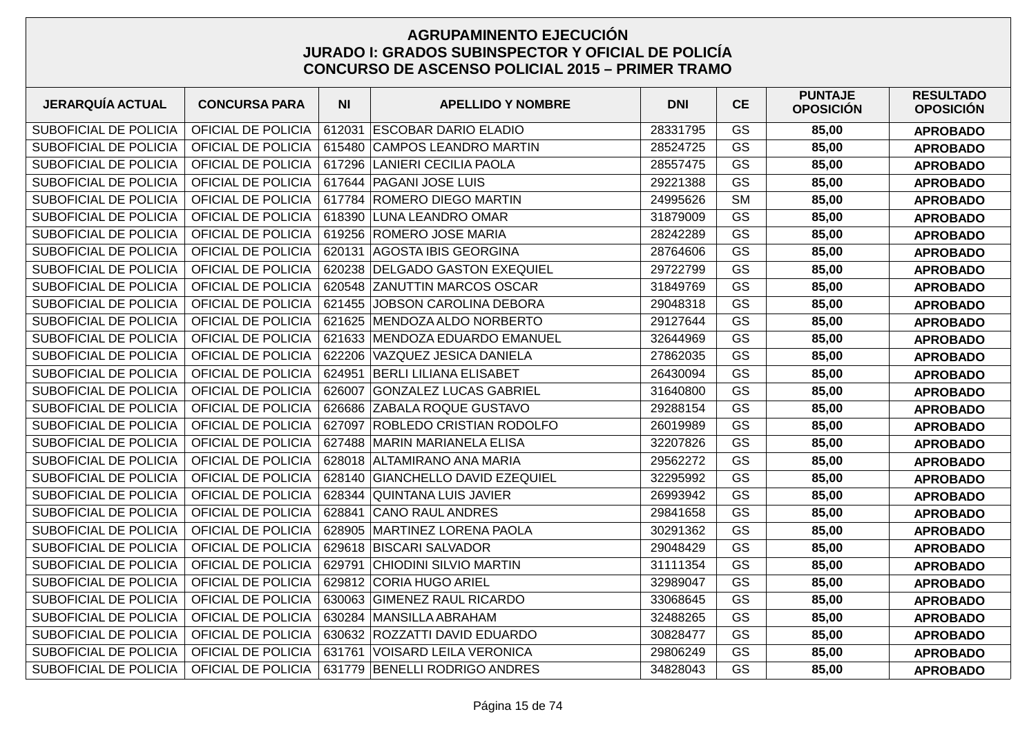| <b>JERARQUÍA ACTUAL</b> | <b>CONCURSA PARA</b> | <b>NI</b> | <b>APELLIDO Y NOMBRE</b>        | <b>DNI</b> | <b>CE</b> | <b>PUNTAJE</b><br><b>OPOSICIÓN</b> | <b>RESULTADO</b><br><b>OPOSICIÓN</b> |
|-------------------------|----------------------|-----------|---------------------------------|------------|-----------|------------------------------------|--------------------------------------|
| SUBOFICIAL DE POLICIA   | OFICIAL DE POLICIA   |           | 612031 ESCOBAR DARIO ELADIO     | 28331795   | GS        | 85,00                              | <b>APROBADO</b>                      |
| SUBOFICIAL DE POLICIA   | OFICIAL DE POLICIA   | 615480    | CAMPOS LEANDRO MARTIN           | 28524725   | GS        | 85,00                              | <b>APROBADO</b>                      |
| SUBOFICIAL DE POLICIA   | OFICIAL DE POLICIA   | 617296    | <b>LANIERI CECILIA PAOLA</b>    | 28557475   | GS        | 85,00                              | <b>APROBADO</b>                      |
| SUBOFICIAL DE POLICIA   | OFICIAL DE POLICIA   |           | 617644 PAGANI JOSE LUIS         | 29221388   | GS        | 85,00                              | <b>APROBADO</b>                      |
| SUBOFICIAL DE POLICIA   | OFICIAL DE POLICIA   | 617784    | <b>ROMERO DIEGO MARTIN</b>      | 24995626   | <b>SM</b> | 85,00                              | <b>APROBADO</b>                      |
| SUBOFICIAL DE POLICIA   | OFICIAL DE POLICIA   | 618390    | LUNA LEANDRO OMAR               | 31879009   | GS        | 85,00                              | <b>APROBADO</b>                      |
| SUBOFICIAL DE POLICIA   | OFICIAL DE POLICIA   | 619256    | <b>ROMERO JOSE MARIA</b>        | 28242289   | GS        | 85,00                              | <b>APROBADO</b>                      |
| SUBOFICIAL DE POLICIA   | OFICIAL DE POLICIA   |           | 620131 AGOSTA IBIS GEORGINA     | 28764606   | GS        | 85,00                              | <b>APROBADO</b>                      |
| SUBOFICIAL DE POLICIA   | OFICIAL DE POLICIA   | 620238    | <b>DELGADO GASTON EXEQUIEL</b>  | 29722799   | GS        | 85,00                              | <b>APROBADO</b>                      |
| SUBOFICIAL DE POLICIA   | OFICIAL DE POLICIA   |           | 620548 ZANUTTIN MARCOS OSCAR    | 31849769   | GS        | 85,00                              | <b>APROBADO</b>                      |
| SUBOFICIAL DE POLICIA   | OFICIAL DE POLICIA   |           | 621455 JOBSON CAROLINA DEBORA   | 29048318   | GS        | 85,00                              | <b>APROBADO</b>                      |
| SUBOFICIAL DE POLICIA   | OFICIAL DE POLICIA   | 621625    | MENDOZA ALDO NORBERTO           | 29127644   | GS        | 85,00                              | <b>APROBADO</b>                      |
| SUBOFICIAL DE POLICIA   | OFICIAL DE POLICIA   |           | 621633 MENDOZA EDUARDO EMANUEL  | 32644969   | GS        | 85,00                              | <b>APROBADO</b>                      |
| SUBOFICIAL DE POLICIA   | OFICIAL DE POLICIA   | 622206    | <b>VAZQUEZ JESICA DANIELA</b>   | 27862035   | GS        | 85,00                              | <b>APROBADO</b>                      |
| SUBOFICIAL DE POLICIA   | OFICIAL DE POLICIA   | 624951    | <b>BERLI LILIANA ELISABET</b>   | 26430094   | GS        | 85,00                              | <b>APROBADO</b>                      |
| SUBOFICIAL DE POLICIA   | OFICIAL DE POLICIA   | 626007    | <b>GONZALEZ LUCAS GABRIEL</b>   | 31640800   | GS        | 85,00                              | <b>APROBADO</b>                      |
| SUBOFICIAL DE POLICIA   | OFICIAL DE POLICIA   | 626686    | <b>ZABALA ROQUE GUSTAVO</b>     | 29288154   | GS        | 85,00                              | <b>APROBADO</b>                      |
| SUBOFICIAL DE POLICIA   | OFICIAL DE POLICIA   |           | 627097 ROBLEDO CRISTIAN RODOLFO | 26019989   | GS        | 85,00                              | <b>APROBADO</b>                      |
| SUBOFICIAL DE POLICIA   | OFICIAL DE POLICIA   | 627488    | MARIN MARIANELA ELISA           | 32207826   | GS        | 85,00                              | <b>APROBADO</b>                      |
| SUBOFICIAL DE POLICIA   | OFICIAL DE POLICIA   | 628018    | ALTAMIRANO ANA MARIA            | 29562272   | GS        | 85,00                              | <b>APROBADO</b>                      |
| SUBOFICIAL DE POLICIA   | OFICIAL DE POLICIA   | 628140    | GIANCHELLO DAVID EZEQUIEL       | 32295992   | GS        | 85,00                              | <b>APROBADO</b>                      |
| SUBOFICIAL DE POLICIA   | OFICIAL DE POLICIA   | 628344    | QUINTANA LUIS JAVIER            | 26993942   | GS        | 85,00                              | <b>APROBADO</b>                      |
| SUBOFICIAL DE POLICIA   | OFICIAL DE POLICIA   |           | 628841 CANO RAUL ANDRES         | 29841658   | GS        | 85,00                              | <b>APROBADO</b>                      |
| SUBOFICIAL DE POLICIA   | OFICIAL DE POLICIA   | 628905    | MARTINEZ LORENA PAOLA           | 30291362   | GS        | 85,00                              | <b>APROBADO</b>                      |
| SUBOFICIAL DE POLICIA   | OFICIAL DE POLICIA   | 629618    | <b>BISCARI SALVADOR</b>         | 29048429   | GS        | 85,00                              | <b>APROBADO</b>                      |
| SUBOFICIAL DE POLICIA   | OFICIAL DE POLICIA   |           | 629791 CHIODINI SILVIO MARTIN   | 31111354   | GS        | 85,00                              | <b>APROBADO</b>                      |
| SUBOFICIAL DE POLICIA   | OFICIAL DE POLICIA   | 629812    | <b>CORIA HUGO ARIEL</b>         | 32989047   | GS        | 85,00                              | <b>APROBADO</b>                      |
| SUBOFICIAL DE POLICIA   | OFICIAL DE POLICIA   |           | 630063 GIMENEZ RAUL RICARDO     | 33068645   | GS        | 85,00                              | <b>APROBADO</b>                      |
| SUBOFICIAL DE POLICIA   | OFICIAL DE POLICIA   |           | 630284 MANSILLA ABRAHAM         | 32488265   | GS        | 85,00                              | <b>APROBADO</b>                      |
| SUBOFICIAL DE POLICIA   | OFICIAL DE POLICIA   | 630632    | <b>ROZZATTI DAVID EDUARDO</b>   | 30828477   | GS        | 85,00                              | <b>APROBADO</b>                      |
| SUBOFICIAL DE POLICIA   | OFICIAL DE POLICIA   |           | 631761 VOISARD LEILA VERONICA   | 29806249   | GS        | 85,00                              | <b>APROBADO</b>                      |
| SUBOFICIAL DE POLICIA   | OFICIAL DE POLICIA   |           | 631779 BENELLI RODRIGO ANDRES   | 34828043   | GS        | 85,00                              | <b>APROBADO</b>                      |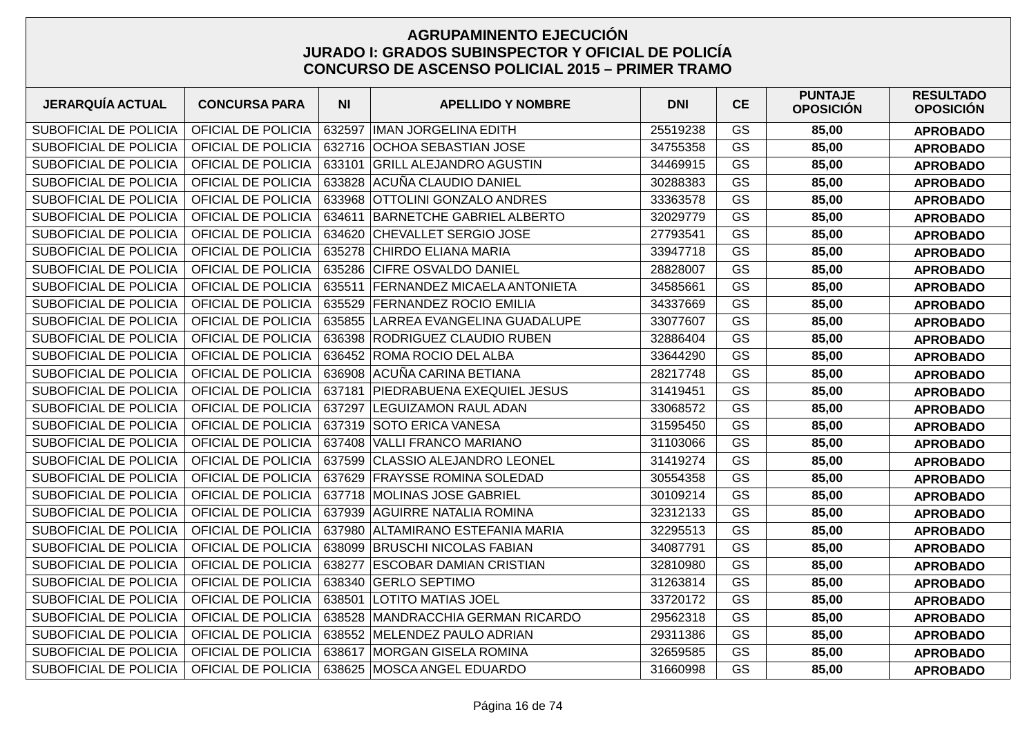| <b>JERARQUÍA ACTUAL</b> | <b>CONCURSA PARA</b> | <b>NI</b> | <b>APELLIDO Y NOMBRE</b>           | <b>DNI</b> | <b>CE</b> | <b>PUNTAJE</b><br><b>OPOSICIÓN</b> | <b>RESULTADO</b><br><b>OPOSICIÓN</b> |
|-------------------------|----------------------|-----------|------------------------------------|------------|-----------|------------------------------------|--------------------------------------|
| SUBOFICIAL DE POLICIA   | OFICIAL DE POLICIA   | 632597    | <b>IMAN JORGELINA EDITH</b>        | 25519238   | GS        | 85,00                              | <b>APROBADO</b>                      |
| SUBOFICIAL DE POLICIA   | OFICIAL DE POLICIA   | 632716    | <b>OCHOA SEBASTIAN JOSE</b>        | 34755358   | GS        | 85,00                              | <b>APROBADO</b>                      |
| SUBOFICIAL DE POLICIA   | OFICIAL DE POLICIA   |           | 633101 GRILL ALEJANDRO AGUSTIN     | 34469915   | GS        | 85,00                              | <b>APROBADO</b>                      |
| SUBOFICIAL DE POLICIA   | OFICIAL DE POLICIA   | 633828    | ACUÑA CLAUDIO DANIEL               | 30288383   | GS        | 85,00                              | <b>APROBADO</b>                      |
| SUBOFICIAL DE POLICIA   | OFICIAL DE POLICIA   | 633968    | <b>OTTOLINI GONZALO ANDRES</b>     | 33363578   | GS        | 85,00                              | <b>APROBADO</b>                      |
| SUBOFICIAL DE POLICIA   | OFICIAL DE POLICIA   |           | 634611 BARNETCHE GABRIEL ALBERTO   | 32029779   | GS        | 85,00                              | <b>APROBADO</b>                      |
| SUBOFICIAL DE POLICIA   | OFICIAL DE POLICIA   | 634620    | CHEVALLET SERGIO JOSE              | 27793541   | GS        | 85,00                              | <b>APROBADO</b>                      |
| SUBOFICIAL DE POLICIA   | OFICIAL DE POLICIA   | 635278    | <b>CHIRDO ELIANA MARIA</b>         | 33947718   | GS        | 85,00                              | <b>APROBADO</b>                      |
| SUBOFICIAL DE POLICIA   | OFICIAL DE POLICIA   | 635286    | <b>CIFRE OSVALDO DANIEL</b>        | 28828007   | GS        | 85,00                              | <b>APROBADO</b>                      |
| SUBOFICIAL DE POLICIA   | OFICIAL DE POLICIA   | 635511    | <b>FERNANDEZ MICAELA ANTONIETA</b> | 34585661   | GS        | 85,00                              | <b>APROBADO</b>                      |
| SUBOFICIAL DE POLICIA   | OFICIAL DE POLICIA   | 635529    | <b>FERNANDEZ ROCIO EMILIA</b>      | 34337669   | GS        | 85,00                              | <b>APROBADO</b>                      |
| SUBOFICIAL DE POLICIA   | OFICIAL DE POLICIA   | 635855    | LARREA EVANGELINA GUADALUPE        | 33077607   | GS        | 85,00                              | <b>APROBADO</b>                      |
| SUBOFICIAL DE POLICIA   | OFICIAL DE POLICIA   | 636398    | <b>RODRIGUEZ CLAUDIO RUBEN</b>     | 32886404   | GS        | 85,00                              | <b>APROBADO</b>                      |
| SUBOFICIAL DE POLICIA   | OFICIAL DE POLICIA   | 636452    | <b>ROMA ROCIO DEL ALBA</b>         | 33644290   | GS        | 85,00                              | <b>APROBADO</b>                      |
| SUBOFICIAL DE POLICIA   | OFICIAL DE POLICIA   | 636908    | <b>ACUÑA CARINA BETIANA</b>        | 28217748   | GS        | 85,00                              | <b>APROBADO</b>                      |
| SUBOFICIAL DE POLICIA   | OFICIAL DE POLICIA   |           | 637181 PIEDRABUENA EXEQUIEL JESUS  | 31419451   | GS        | 85,00                              | <b>APROBADO</b>                      |
| SUBOFICIAL DE POLICIA   | OFICIAL DE POLICIA   | 637297    | <b>LEGUIZAMON RAUL ADAN</b>        | 33068572   | GS        | 85,00                              | <b>APROBADO</b>                      |
| SUBOFICIAL DE POLICIA   | OFICIAL DE POLICIA   | 637319    | <b>SOTO ERICA VANESA</b>           | 31595450   | GS        | 85,00                              | <b>APROBADO</b>                      |
| SUBOFICIAL DE POLICIA   | OFICIAL DE POLICIA   | 637408    | <b>VALLI FRANCO MARIANO</b>        | 31103066   | GS        | 85,00                              | <b>APROBADO</b>                      |
| SUBOFICIAL DE POLICIA   | OFICIAL DE POLICIA   | 637599    | CLASSIO ALEJANDRO LEONEL           | 31419274   | GS        | 85,00                              | <b>APROBADO</b>                      |
| SUBOFICIAL DE POLICIA   | OFICIAL DE POLICIA   | 637629    | <b>FRAYSSE ROMINA SOLEDAD</b>      | 30554358   | GS        | 85,00                              | <b>APROBADO</b>                      |
| SUBOFICIAL DE POLICIA   | OFICIAL DE POLICIA   | 637718    | MOLINAS JOSE GABRIEL               | 30109214   | GS        | 85,00                              | <b>APROBADO</b>                      |
| SUBOFICIAL DE POLICIA   | OFICIAL DE POLICIA   |           | 637939 AGUIRRE NATALIA ROMINA      | 32312133   | GS        | 85,00                              | <b>APROBADO</b>                      |
| SUBOFICIAL DE POLICIA   | OFICIAL DE POLICIA   |           | 637980 ALTAMIRANO ESTEFANIA MARIA  | 32295513   | GS        | 85,00                              | <b>APROBADO</b>                      |
| SUBOFICIAL DE POLICIA   | OFICIAL DE POLICIA   | 638099    | <b>BRUSCHI NICOLAS FABIAN</b>      | 34087791   | GS        | 85,00                              | <b>APROBADO</b>                      |
| SUBOFICIAL DE POLICIA   | OFICIAL DE POLICIA   | 638277    | <b>ESCOBAR DAMIAN CRISTIAN</b>     | 32810980   | GS        | 85,00                              | <b>APROBADO</b>                      |
| SUBOFICIAL DE POLICIA   | OFICIAL DE POLICIA   | 638340    | <b>GERLO SEPTIMO</b>               | 31263814   | GS        | 85,00                              | <b>APROBADO</b>                      |
| SUBOFICIAL DE POLICIA   | OFICIAL DE POLICIA   | 638501    | <b>LOTITO MATIAS JOEL</b>          | 33720172   | GS        | 85,00                              | <b>APROBADO</b>                      |
| SUBOFICIAL DE POLICIA   | OFICIAL DE POLICIA   | 638528    | MANDRACCHIA GERMAN RICARDO         | 29562318   | GS        | 85,00                              | <b>APROBADO</b>                      |
| SUBOFICIAL DE POLICIA   | OFICIAL DE POLICIA   | 638552    | MELENDEZ PAULO ADRIAN              | 29311386   | GS        | 85,00                              | <b>APROBADO</b>                      |
| SUBOFICIAL DE POLICIA   | OFICIAL DE POLICIA   | 638617    | MORGAN GISELA ROMINA               | 32659585   | GS        | 85,00                              | <b>APROBADO</b>                      |
| SUBOFICIAL DE POLICIA   | OFICIAL DE POLICIA   | 638625    | MOSCA ANGEL EDUARDO                | 31660998   | GS        | 85,00                              | <b>APROBADO</b>                      |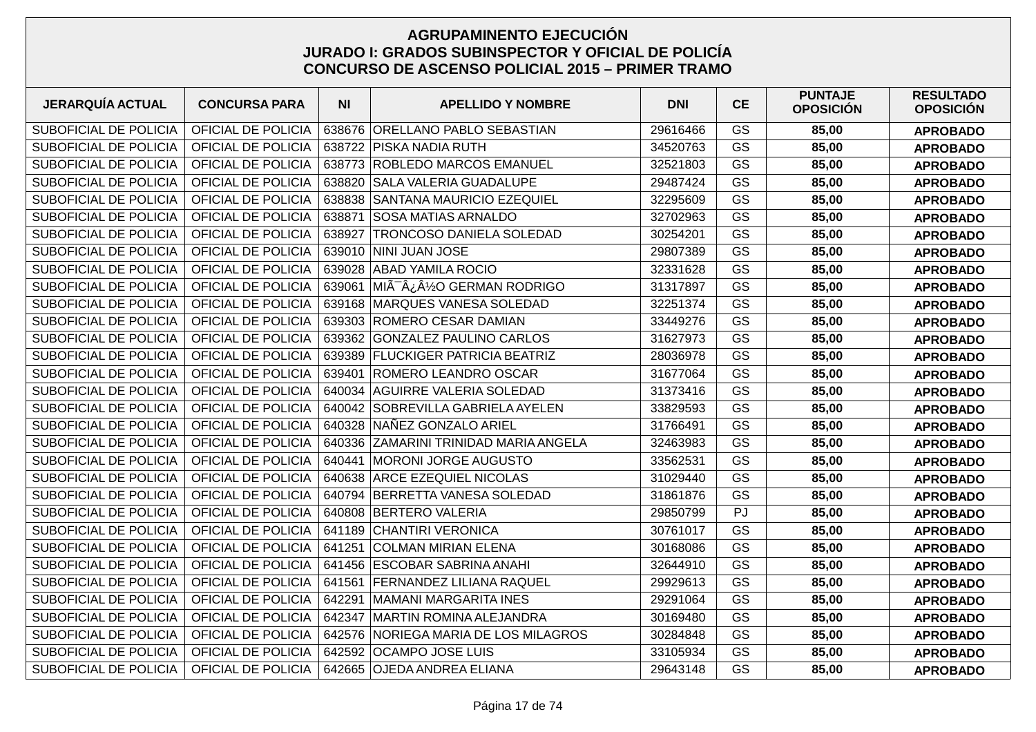| <b>JERARQUÍA ACTUAL</b> | <b>CONCURSA PARA</b> | <b>NI</b> | <b>APELLIDO Y NOMBRE</b>              | <b>DNI</b> | <b>CE</b> | <b>PUNTAJE</b><br><b>OPOSICIÓN</b> | <b>RESULTADO</b><br><b>OPOSICIÓN</b> |
|-------------------------|----------------------|-----------|---------------------------------------|------------|-----------|------------------------------------|--------------------------------------|
| SUBOFICIAL DE POLICIA   | OFICIAL DE POLICIA   | 638676    | <b>ORELLANO PABLO SEBASTIAN</b>       | 29616466   | GS        | 85,00                              | <b>APROBADO</b>                      |
| SUBOFICIAL DE POLICIA   | OFICIAL DE POLICIA   | 638722    | <b>PISKA NADIA RUTH</b>               | 34520763   | GS        | 85,00                              | <b>APROBADO</b>                      |
| SUBOFICIAL DE POLICIA   | OFICIAL DE POLICIA   |           | 638773 ROBLEDO MARCOS EMANUEL         | 32521803   | GS        | 85,00                              | <b>APROBADO</b>                      |
| SUBOFICIAL DE POLICIA   | OFICIAL DE POLICIA   | 638820    | SALA VALERIA GUADALUPE                | 29487424   | GS        | 85,00                              | <b>APROBADO</b>                      |
| SUBOFICIAL DE POLICIA   | OFICIAL DE POLICIA   | 638838    | SANTANA MAURICIO EZEQUIEL             | 32295609   | GS        | 85,00                              | <b>APROBADO</b>                      |
| SUBOFICIAL DE POLICIA   | OFICIAL DE POLICIA   | 638871    | <b>SOSA MATIAS ARNALDO</b>            | 32702963   | GS        | 85,00                              | <b>APROBADO</b>                      |
| SUBOFICIAL DE POLICIA   | OFICIAL DE POLICIA   | 638927    | TRONCOSO DANIELA SOLEDAD              | 30254201   | GS        | 85,00                              | <b>APROBADO</b>                      |
| SUBOFICIAL DE POLICIA   | OFICIAL DE POLICIA   | 639010    | NINI JUAN JOSE                        | 29807389   | GS        | 85,00                              | <b>APROBADO</b>                      |
| SUBOFICIAL DE POLICIA   | OFICIAL DE POLICIA   | 639028    | <b>ABAD YAMILA ROCIO</b>              | 32331628   | GS        | 85,00                              | <b>APROBADO</b>                      |
| SUBOFICIAL DE POLICIA   | OFICIAL DE POLICIA   | 639061    | MI�O GERMAN RODRIGO                   | 31317897   | GS        | 85,00                              | <b>APROBADO</b>                      |
| SUBOFICIAL DE POLICIA   | OFICIAL DE POLICIA   | 639168    | MARQUES VANESA SOLEDAD                | 32251374   | GS        | 85,00                              | <b>APROBADO</b>                      |
| SUBOFICIAL DE POLICIA   | OFICIAL DE POLICIA   | 639303    | <b>ROMERO CESAR DAMIAN</b>            | 33449276   | GS        | 85,00                              | <b>APROBADO</b>                      |
| SUBOFICIAL DE POLICIA   | OFICIAL DE POLICIA   | 639362    | <b>GONZALEZ PAULINO CARLOS</b>        | 31627973   | GS        | 85,00                              | <b>APROBADO</b>                      |
| SUBOFICIAL DE POLICIA   | OFICIAL DE POLICIA   | 639389    | <b>FLUCKIGER PATRICIA BEATRIZ</b>     | 28036978   | GS        | 85,00                              | <b>APROBADO</b>                      |
| SUBOFICIAL DE POLICIA   | OFICIAL DE POLICIA   | 639401    | ROMERO LEANDRO OSCAR                  | 31677064   | GS        | 85,00                              | <b>APROBADO</b>                      |
| SUBOFICIAL DE POLICIA   | OFICIAL DE POLICIA   | 640034    | <b>AGUIRRE VALERIA SOLEDAD</b>        | 31373416   | GS        | 85,00                              | <b>APROBADO</b>                      |
| SUBOFICIAL DE POLICIA   | OFICIAL DE POLICIA   | 640042    | SOBREVILLA GABRIELA AYELEN            | 33829593   | GS        | 85,00                              | <b>APROBADO</b>                      |
| SUBOFICIAL DE POLICIA   | OFICIAL DE POLICIA   |           | 640328 NAÑEZ GONZALO ARIEL            | 31766491   | GS        | 85,00                              | <b>APROBADO</b>                      |
| SUBOFICIAL DE POLICIA   | OFICIAL DE POLICIA   | 640336    | <b>ZAMARINI TRINIDAD MARIA ANGELA</b> | 32463983   | GS        | 85,00                              | <b>APROBADO</b>                      |
| SUBOFICIAL DE POLICIA   | OFICIAL DE POLICIA   | 640441    | <b>MORONI JORGE AUGUSTO</b>           | 33562531   | GS        | 85,00                              | <b>APROBADO</b>                      |
| SUBOFICIAL DE POLICIA   | OFICIAL DE POLICIA   |           | 640638 ARCE EZEQUIEL NICOLAS          | 31029440   | GS        | 85,00                              | <b>APROBADO</b>                      |
| SUBOFICIAL DE POLICIA   | OFICIAL DE POLICIA   |           | 640794 BERRETTA VANESA SOLEDAD        | 31861876   | GS        | 85,00                              | <b>APROBADO</b>                      |
| SUBOFICIAL DE POLICIA   | OFICIAL DE POLICIA   |           | 640808 BERTERO VALERIA                | 29850799   | PJ        | 85,00                              | <b>APROBADO</b>                      |
| SUBOFICIAL DE POLICIA   | OFICIAL DE POLICIA   | 641189    | <b>CHANTIRI VERONICA</b>              | 30761017   | GS        | 85,00                              | <b>APROBADO</b>                      |
| SUBOFICIAL DE POLICIA   | OFICIAL DE POLICIA   | 641251    | <b>COLMAN MIRIAN ELENA</b>            | 30168086   | GS        | 85,00                              | <b>APROBADO</b>                      |
| SUBOFICIAL DE POLICIA   | OFICIAL DE POLICIA   |           | 641456 ESCOBAR SABRINA ANAHI          | 32644910   | GS        | 85,00                              | <b>APROBADO</b>                      |
| SUBOFICIAL DE POLICIA   | OFICIAL DE POLICIA   |           | 641561 FERNANDEZ LILIANA RAQUEL       | 29929613   | GS        | 85,00                              | <b>APROBADO</b>                      |
| SUBOFICIAL DE POLICIA   | OFICIAL DE POLICIA   | 642291    | MAMANI MARGARITA INES                 | 29291064   | GS        | 85,00                              | <b>APROBADO</b>                      |
| SUBOFICIAL DE POLICIA   | OFICIAL DE POLICIA   | 642347    | MARTIN ROMINA ALEJANDRA               | 30169480   | GS        | 85,00                              | <b>APROBADO</b>                      |
| SUBOFICIAL DE POLICIA   | OFICIAL DE POLICIA   | 642576    | NORIEGA MARIA DE LOS MILAGROS         | 30284848   | GS        | 85,00                              | <b>APROBADO</b>                      |
| SUBOFICIAL DE POLICIA   | OFICIAL DE POLICIA   |           | 642592 OCAMPO JOSE LUIS               | 33105934   | GS        | 85,00                              | <b>APROBADO</b>                      |
| SUBOFICIAL DE POLICIA   | OFICIAL DE POLICIA   |           | 642665 OJEDA ANDREA ELIANA            | 29643148   | GS        | 85,00                              | <b>APROBADO</b>                      |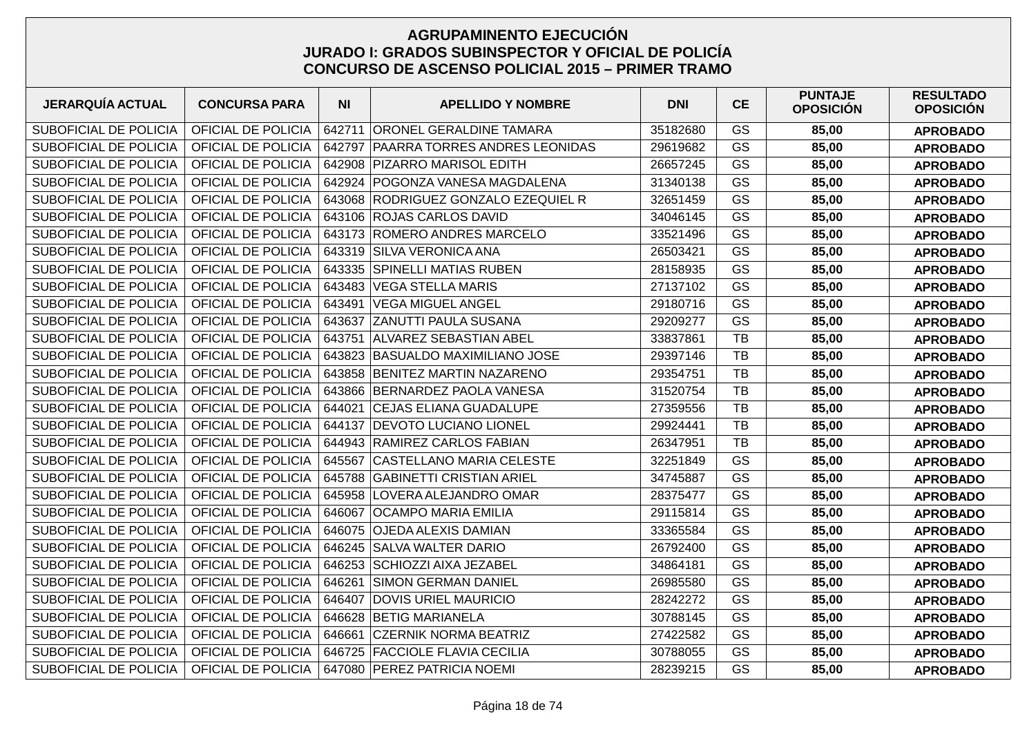| <b>JERARQUÍA ACTUAL</b> | <b>CONCURSA PARA</b> | <b>NI</b> | <b>APELLIDO Y NOMBRE</b>             | <b>DNI</b> | <b>CE</b> | <b>PUNTAJE</b><br><b>OPOSICIÓN</b> | <b>RESULTADO</b><br><b>OPOSICIÓN</b> |
|-------------------------|----------------------|-----------|--------------------------------------|------------|-----------|------------------------------------|--------------------------------------|
| SUBOFICIAL DE POLICIA   | OFICIAL DE POLICIA   | 642711    | <b>ORONEL GERALDINE TAMARA</b>       | 35182680   | GS        | 85,00                              | <b>APROBADO</b>                      |
| SUBOFICIAL DE POLICIA   | OFICIAL DE POLICIA   |           | 642797 PAARRA TORRES ANDRES LEONIDAS | 29619682   | GS        | 85,00                              | <b>APROBADO</b>                      |
| SUBOFICIAL DE POLICIA   | OFICIAL DE POLICIA   | 642908    | <b>PIZARRO MARISOL EDITH</b>         | 26657245   | GS        | 85,00                              | <b>APROBADO</b>                      |
| SUBOFICIAL DE POLICIA   | OFICIAL DE POLICIA   |           | 642924 POGONZA VANESA MAGDALENA      | 31340138   | GS        | 85,00                              | <b>APROBADO</b>                      |
| SUBOFICIAL DE POLICIA   | OFICIAL DE POLICIA   | 643068    | RODRIGUEZ GONZALO EZEQUIEL R         | 32651459   | GS        | 85,00                              | <b>APROBADO</b>                      |
| SUBOFICIAL DE POLICIA   | OFICIAL DE POLICIA   | 643106    | <b>ROJAS CARLOS DAVID</b>            | 34046145   | GS        | 85,00                              | <b>APROBADO</b>                      |
| SUBOFICIAL DE POLICIA   | OFICIAL DE POLICIA   | 643173    | <b>ROMERO ANDRES MARCELO</b>         | 33521496   | GS        | 85,00                              | <b>APROBADO</b>                      |
| SUBOFICIAL DE POLICIA   | OFICIAL DE POLICIA   | 643319    | SILVA VERONICA ANA                   | 26503421   | GS        | 85,00                              | <b>APROBADO</b>                      |
| SUBOFICIAL DE POLICIA   | OFICIAL DE POLICIA   | 643335    | <b>SPINELLI MATIAS RUBEN</b>         | 28158935   | GS        | 85,00                              | <b>APROBADO</b>                      |
| SUBOFICIAL DE POLICIA   | OFICIAL DE POLICIA   | 643483    | <b>VEGA STELLA MARIS</b>             | 27137102   | GS        | 85,00                              | <b>APROBADO</b>                      |
| SUBOFICIAL DE POLICIA   | OFICIAL DE POLICIA   | 643491    | <b>VEGA MIGUEL ANGEL</b>             | 29180716   | GS        | 85,00                              | <b>APROBADO</b>                      |
| SUBOFICIAL DE POLICIA   | OFICIAL DE POLICIA   | 643637    | <b>ZANUTTI PAULA SUSANA</b>          | 29209277   | GS        | 85,00                              | <b>APROBADO</b>                      |
| SUBOFICIAL DE POLICIA   | OFICIAL DE POLICIA   |           | 643751 ALVAREZ SEBASTIAN ABEL        | 33837861   | TB        | 85,00                              | <b>APROBADO</b>                      |
| SUBOFICIAL DE POLICIA   | OFICIAL DE POLICIA   |           | 643823 BASUALDO MAXIMILIANO JOSE     | 29397146   | TB        | 85,00                              | <b>APROBADO</b>                      |
| SUBOFICIAL DE POLICIA   | OFICIAL DE POLICIA   | 643858    | <b>BENITEZ MARTIN NAZARENO</b>       | 29354751   | TB        | 85,00                              | <b>APROBADO</b>                      |
| SUBOFICIAL DE POLICIA   | OFICIAL DE POLICIA   | 643866    | <b>BERNARDEZ PAOLA VANESA</b>        | 31520754   | TB        | 85,00                              | <b>APROBADO</b>                      |
| SUBOFICIAL DE POLICIA   | OFICIAL DE POLICIA   | 644021    | <b>CEJAS ELIANA GUADALUPE</b>        | 27359556   | TB        | 85,00                              | <b>APROBADO</b>                      |
| SUBOFICIAL DE POLICIA   | OFICIAL DE POLICIA   | 644137    | <b>DEVOTO LUCIANO LIONEL</b>         | 29924441   | TB        | 85,00                              | <b>APROBADO</b>                      |
| SUBOFICIAL DE POLICIA   | OFICIAL DE POLICIA   | 644943    | <b>RAMIREZ CARLOS FABIAN</b>         | 26347951   | TB        | 85,00                              | <b>APROBADO</b>                      |
| SUBOFICIAL DE POLICIA   | OFICIAL DE POLICIA   | 645567    | CASTELLANO MARIA CELESTE             | 32251849   | GS        | 85,00                              | <b>APROBADO</b>                      |
| SUBOFICIAL DE POLICIA   | OFICIAL DE POLICIA   | 645788    | <b>GABINETTI CRISTIAN ARIEL</b>      | 34745887   | GS        | 85,00                              | <b>APROBADO</b>                      |
| SUBOFICIAL DE POLICIA   | OFICIAL DE POLICIA   | 645958    | LOVERA ALEJANDRO OMAR                | 28375477   | GS        | 85,00                              | <b>APROBADO</b>                      |
| SUBOFICIAL DE POLICIA   | OFICIAL DE POLICIA   | 646067    | <b>OCAMPO MARIA EMILIA</b>           | 29115814   | GS        | 85,00                              | <b>APROBADO</b>                      |
| SUBOFICIAL DE POLICIA   | OFICIAL DE POLICIA   | 646075    | <b>OJEDA ALEXIS DAMIAN</b>           | 33365584   | GS        | 85,00                              | <b>APROBADO</b>                      |
| SUBOFICIAL DE POLICIA   | OFICIAL DE POLICIA   | 646245    | <b>SALVA WALTER DARIO</b>            | 26792400   | GS        | 85,00                              | <b>APROBADO</b>                      |
| SUBOFICIAL DE POLICIA   | OFICIAL DE POLICIA   | 646253    | SCHIOZZI AIXA JEZABEL                | 34864181   | GS        | 85,00                              | <b>APROBADO</b>                      |
| SUBOFICIAL DE POLICIA   | OFICIAL DE POLICIA   | 646261    | SIMON GERMAN DANIEL                  | 26985580   | GS        | 85,00                              | <b>APROBADO</b>                      |
| SUBOFICIAL DE POLICIA   | OFICIAL DE POLICIA   | 646407    | <b>DOVIS URIEL MAURICIO</b>          | 28242272   | GS        | 85,00                              | <b>APROBADO</b>                      |
| SUBOFICIAL DE POLICIA   | OFICIAL DE POLICIA   | 646628    | <b>BETIG MARIANELA</b>               | 30788145   | GS        | 85,00                              | <b>APROBADO</b>                      |
| SUBOFICIAL DE POLICIA   | OFICIAL DE POLICIA   | 646661    | <b>CZERNIK NORMA BEATRIZ</b>         | 27422582   | GS        | 85,00                              | <b>APROBADO</b>                      |
| SUBOFICIAL DE POLICIA   | OFICIAL DE POLICIA   | 646725    | <b>FACCIOLE FLAVIA CECILIA</b>       | 30788055   | GS        | 85,00                              | <b>APROBADO</b>                      |
| SUBOFICIAL DE POLICIA   | OFICIAL DE POLICIA   |           | 647080 PEREZ PATRICIA NOEMI          | 28239215   | GS        | 85,00                              | <b>APROBADO</b>                      |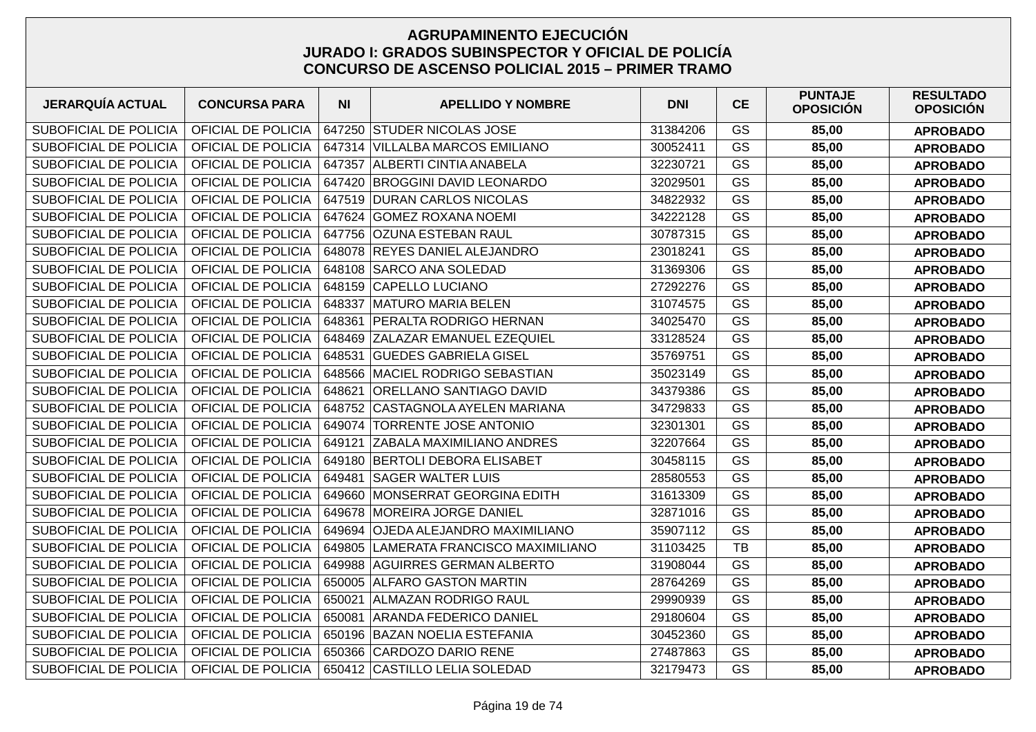| <b>JERARQUÍA ACTUAL</b> | <b>CONCURSA PARA</b> | <b>NI</b> | <b>APELLIDO Y NOMBRE</b>         | <b>DNI</b> | <b>CE</b> | <b>PUNTAJE</b><br><b>OPOSICIÓN</b> | <b>RESULTADO</b><br><b>OPOSICIÓN</b> |
|-------------------------|----------------------|-----------|----------------------------------|------------|-----------|------------------------------------|--------------------------------------|
| SUBOFICIAL DE POLICIA   | OFICIAL DE POLICIA   |           | 647250 STUDER NICOLAS JOSE       | 31384206   | GS        | 85,00                              | <b>APROBADO</b>                      |
| SUBOFICIAL DE POLICIA   | OFICIAL DE POLICIA   | 647314    | <b>VILLALBA MARCOS EMILIANO</b>  | 30052411   | GS        | 85,00                              | <b>APROBADO</b>                      |
| SUBOFICIAL DE POLICIA   | OFICIAL DE POLICIA   |           | 647357 ALBERTI CINTIA ANABELA    | 32230721   | GS        | 85,00                              | <b>APROBADO</b>                      |
| SUBOFICIAL DE POLICIA   | OFICIAL DE POLICIA   | 647420    | <b>BROGGINI DAVID LEONARDO</b>   | 32029501   | GS        | 85,00                              | <b>APROBADO</b>                      |
| SUBOFICIAL DE POLICIA   | OFICIAL DE POLICIA   | 647519    | <b>DURAN CARLOS NICOLAS</b>      | 34822932   | GS        | 85,00                              | <b>APROBADO</b>                      |
| SUBOFICIAL DE POLICIA   | OFICIAL DE POLICIA   | 647624    | <b>GOMEZ ROXANA NOEMI</b>        | 34222128   | GS        | 85,00                              | <b>APROBADO</b>                      |
| SUBOFICIAL DE POLICIA   | OFICIAL DE POLICIA   | 647756    | OZUNA ESTEBAN RAUL               | 30787315   | GS        | 85,00                              | <b>APROBADO</b>                      |
| SUBOFICIAL DE POLICIA   | OFICIAL DE POLICIA   | 648078    | <b>REYES DANIEL ALEJANDRO</b>    | 23018241   | GS        | 85,00                              | <b>APROBADO</b>                      |
| SUBOFICIAL DE POLICIA   | OFICIAL DE POLICIA   | 648108    | <b>SARCO ANA SOLEDAD</b>         | 31369306   | GS        | 85,00                              | <b>APROBADO</b>                      |
| SUBOFICIAL DE POLICIA   | OFICIAL DE POLICIA   | 648159    | CAPELLO LUCIANO                  | 27292276   | GS        | 85,00                              | <b>APROBADO</b>                      |
| SUBOFICIAL DE POLICIA   | OFICIAL DE POLICIA   | 648337    | MATURO MARIA BELEN               | 31074575   | GS        | 85,00                              | <b>APROBADO</b>                      |
| SUBOFICIAL DE POLICIA   | OFICIAL DE POLICIA   | 648361    | <b>PERALTA RODRIGO HERNAN</b>    | 34025470   | GS        | 85,00                              | <b>APROBADO</b>                      |
| SUBOFICIAL DE POLICIA   | OFICIAL DE POLICIA   | 648469    | <b>ZALAZAR EMANUEL EZEQUIEL</b>  | 33128524   | GS        | 85,00                              | <b>APROBADO</b>                      |
| SUBOFICIAL DE POLICIA   | OFICIAL DE POLICIA   |           | 648531 GUEDES GABRIELA GISEL     | 35769751   | GS        | 85,00                              | <b>APROBADO</b>                      |
| SUBOFICIAL DE POLICIA   | OFICIAL DE POLICIA   | 648566    | <b>MACIEL RODRIGO SEBASTIAN</b>  | 35023149   | GS        | 85,00                              | <b>APROBADO</b>                      |
| SUBOFICIAL DE POLICIA   | OFICIAL DE POLICIA   | 648621    | <b>ORELLANO SANTIAGO DAVID</b>   | 34379386   | GS        | 85,00                              | <b>APROBADO</b>                      |
| SUBOFICIAL DE POLICIA   | OFICIAL DE POLICIA   | 648752    | CASTAGNOLA AYELEN MARIANA        | 34729833   | GS        | 85,00                              | <b>APROBADO</b>                      |
| SUBOFICIAL DE POLICIA   | OFICIAL DE POLICIA   | 649074    | <b>TORRENTE JOSE ANTONIO</b>     | 32301301   | GS        | 85,00                              | <b>APROBADO</b>                      |
| SUBOFICIAL DE POLICIA   | OFICIAL DE POLICIA   |           | 649121 ZABALA MAXIMILIANO ANDRES | 32207664   | GS        | 85,00                              | <b>APROBADO</b>                      |
| SUBOFICIAL DE POLICIA   | OFICIAL DE POLICIA   | 649180    | <b>BERTOLI DEBORA ELISABET</b>   | 30458115   | GS        | 85,00                              | <b>APROBADO</b>                      |
| SUBOFICIAL DE POLICIA   | OFICIAL DE POLICIA   | 649481    | <b>SAGER WALTER LUIS</b>         | 28580553   | GS        | 85,00                              | <b>APROBADO</b>                      |
| SUBOFICIAL DE POLICIA   | OFICIAL DE POLICIA   | 649660    | MONSERRAT GEORGINA EDITH         | 31613309   | GS        | 85,00                              | <b>APROBADO</b>                      |
| SUBOFICIAL DE POLICIA   | OFICIAL DE POLICIA   | 649678    | MOREIRA JORGE DANIEL             | 32871016   | GS        | 85,00                              | <b>APROBADO</b>                      |
| SUBOFICIAL DE POLICIA   | OFICIAL DE POLICIA   | 649694    | OJEDA ALEJANDRO MAXIMILIANO      | 35907112   | GS        | 85,00                              | <b>APROBADO</b>                      |
| SUBOFICIAL DE POLICIA   | OFICIAL DE POLICIA   | 649805    | LAMERATA FRANCISCO MAXIMILIANO   | 31103425   | TB        | 85,00                              | <b>APROBADO</b>                      |
| SUBOFICIAL DE POLICIA   | OFICIAL DE POLICIA   | 649988    | <b>AGUIRRES GERMAN ALBERTO</b>   | 31908044   | GS        | 85,00                              | <b>APROBADO</b>                      |
| SUBOFICIAL DE POLICIA   | OFICIAL DE POLICIA   | 650005    | <b>ALFARO GASTON MARTIN</b>      | 28764269   | GS        | 85,00                              | <b>APROBADO</b>                      |
| SUBOFICIAL DE POLICIA   | OFICIAL DE POLICIA   | 650021    | ALMAZAN RODRIGO RAUL             | 29990939   | GS        | 85,00                              | <b>APROBADO</b>                      |
| SUBOFICIAL DE POLICIA   | OFICIAL DE POLICIA   |           | 650081 ARANDA FEDERICO DANIEL    | 29180604   | GS        | 85,00                              | <b>APROBADO</b>                      |
| SUBOFICIAL DE POLICIA   | OFICIAL DE POLICIA   | 650196    | <b>BAZAN NOELIA ESTEFANIA</b>    | 30452360   | GS        | 85,00                              | <b>APROBADO</b>                      |
| SUBOFICIAL DE POLICIA   | OFICIAL DE POLICIA   | 650366    | CARDOZO DARIO RENE               | 27487863   | GS        | 85,00                              | <b>APROBADO</b>                      |
| SUBOFICIAL DE POLICIA   | OFICIAL DE POLICIA   |           | 650412 CASTILLO LELIA SOLEDAD    | 32179473   | GS        | 85,00                              | <b>APROBADO</b>                      |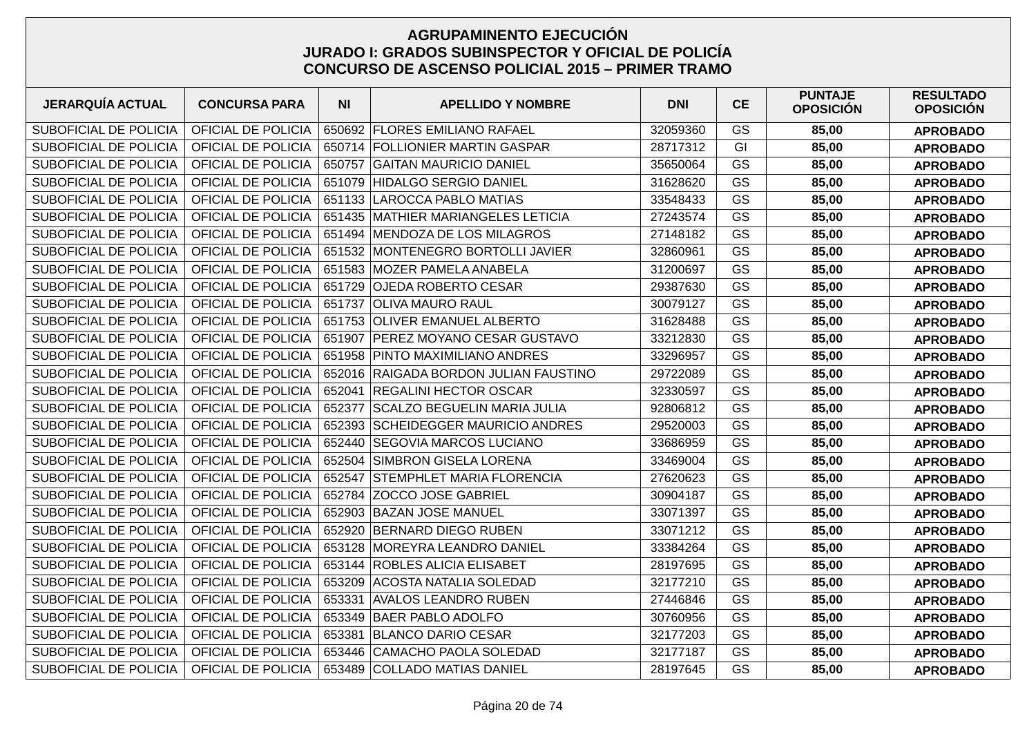| <b>JERARQUÍA ACTUAL</b>      | <b>CONCURSA PARA</b> | <b>NI</b> | <b>APELLIDO Y NOMBRE</b>           | <b>DNI</b> | <b>CE</b> | <b>PUNTAJE</b><br><b>OPOSICIÓN</b> | <b>RESULTADO</b><br><b>OPOSICIÓN</b> |
|------------------------------|----------------------|-----------|------------------------------------|------------|-----------|------------------------------------|--------------------------------------|
| SUBOFICIAL DE POLICIA        | OFICIAL DE POLICIA   |           | 650692 FLORES EMILIANO RAFAEL      | 32059360   | GS        | 85,00                              | <b>APROBADO</b>                      |
| SUBOFICIAL DE POLICIA        | OFICIAL DE POLICIA   |           | 650714 FOLLIONIER MARTIN GASPAR    | 28717312   | GI        | 85,00                              | <b>APROBADO</b>                      |
| SUBOFICIAL DE POLICIA        | OFICIAL DE POLICIA   | 650757    | <b>GAITAN MAURICIO DANIEL</b>      | 35650064   | GS        | 85,00                              | <b>APROBADO</b>                      |
| SUBOFICIAL DE POLICIA        | OFICIAL DE POLICIA   | 651079    | <b>HIDALGO SERGIO DANIEL</b>       | 31628620   | GS        | 85,00                              | <b>APROBADO</b>                      |
| SUBOFICIAL DE POLICIA        | OFICIAL DE POLICIA   | 651133    | LAROCCA PABLO MATIAS               | 33548433   | GS        | 85,00                              | <b>APROBADO</b>                      |
| SUBOFICIAL DE POLICIA        | OFICIAL DE POLICIA   | 651435    | MATHIER MARIANGELES LETICIA        | 27243574   | GS        | 85,00                              | <b>APROBADO</b>                      |
| SUBOFICIAL DE POLICIA        | OFICIAL DE POLICIA   | 651494    | MENDOZA DE LOS MILAGROS            | 27148182   | GS        | 85,00                              | <b>APROBADO</b>                      |
| SUBOFICIAL DE POLICIA        | OFICIAL DE POLICIA   | 651532    | MONTENEGRO BORTOLLI JAVIER         | 32860961   | GS        | 85,00                              | <b>APROBADO</b>                      |
| SUBOFICIAL DE POLICIA        | OFICIAL DE POLICIA   | 651583    | MOZER PAMELA ANABELA               | 31200697   | GS        | 85,00                              | <b>APROBADO</b>                      |
| SUBOFICIAL DE POLICIA        | OFICIAL DE POLICIA   | 651729    | <b>OJEDA ROBERTO CESAR</b>         | 29387630   | GS        | 85,00                              | <b>APROBADO</b>                      |
| SUBOFICIAL DE POLICIA        | OFICIAL DE POLICIA   | 651737    | <b>OLIVA MAURO RAUL</b>            | 30079127   | GS        | 85,00                              | <b>APROBADO</b>                      |
| SUBOFICIAL DE POLICIA        | OFICIAL DE POLICIA   | 651753    | <b>OLIVER EMANUEL ALBERTO</b>      | 31628488   | <b>GS</b> | 85,00                              | <b>APROBADO</b>                      |
| SUBOFICIAL DE POLICIA        | OFICIAL DE POLICIA   |           | 651907 PEREZ MOYANO CESAR GUSTAVO  | 33212830   | GS        | 85,00                              | <b>APROBADO</b>                      |
| SUBOFICIAL DE POLICIA        | OFICIAL DE POLICIA   | 651958    | PINTO MAXIMILIANO ANDRES           | 33296957   | GS        | 85,00                              | <b>APROBADO</b>                      |
| SUBOFICIAL DE POLICIA        | OFICIAL DE POLICIA   | 652016    | RAIGADA BORDON JULIAN FAUSTINO     | 29722089   | <b>GS</b> | 85,00                              | <b>APROBADO</b>                      |
| <b>SUBOFICIAL DE POLICIA</b> | OFICIAL DE POLICIA   | 652041    | <b>REGALINI HECTOR OSCAR</b>       | 32330597   | GS        | 85,00                              | <b>APROBADO</b>                      |
| SUBOFICIAL DE POLICIA        | OFICIAL DE POLICIA   | 652377    | SCALZO BEGUELIN MARIA JULIA        | 92806812   | GS        | 85,00                              | <b>APROBADO</b>                      |
| SUBOFICIAL DE POLICIA        | OFICIAL DE POLICIA   |           | 652393 SCHEIDEGGER MAURICIO ANDRES | 29520003   | GS        | 85,00                              | <b>APROBADO</b>                      |
| SUBOFICIAL DE POLICIA        | OFICIAL DE POLICIA   | 652440    | <b>SEGOVIA MARCOS LUCIANO</b>      | 33686959   | <b>GS</b> | 85,00                              | <b>APROBADO</b>                      |
| SUBOFICIAL DE POLICIA        | OFICIAL DE POLICIA   | 652504    | SIMBRON GISELA LORENA              | 33469004   | GS        | 85,00                              | <b>APROBADO</b>                      |
| SUBOFICIAL DE POLICIA        | OFICIAL DE POLICIA   | 652547    | <b>STEMPHLET MARIA FLORENCIA</b>   | 27620623   | GS        | 85,00                              | <b>APROBADO</b>                      |
| SUBOFICIAL DE POLICIA        | OFICIAL DE POLICIA   | 652784    | <b>ZOCCO JOSE GABRIEL</b>          | 30904187   | GS        | 85,00                              | <b>APROBADO</b>                      |
| SUBOFICIAL DE POLICIA        | OFICIAL DE POLICIA   |           | 652903 BAZAN JOSE MANUEL           | 33071397   | GS        | 85,00                              | <b>APROBADO</b>                      |
| SUBOFICIAL DE POLICIA        | OFICIAL DE POLICIA   | 652920    | <b>BERNARD DIEGO RUBEN</b>         | 33071212   | GS        | 85,00                              | <b>APROBADO</b>                      |
| SUBOFICIAL DE POLICIA        | OFICIAL DE POLICIA   | 653128    | MOREYRA LEANDRO DANIEL             | 33384264   | GS        | 85,00                              | <b>APROBADO</b>                      |
| SUBOFICIAL DE POLICIA        | OFICIAL DE POLICIA   | 653144    | <b>ROBLES ALICIA ELISABET</b>      | 28197695   | GS        | 85,00                              | <b>APROBADO</b>                      |
| SUBOFICIAL DE POLICIA        | OFICIAL DE POLICIA   | 653209    | <b>ACOSTA NATALIA SOLEDAD</b>      | 32177210   | GS        | 85,00                              | <b>APROBADO</b>                      |
| SUBOFICIAL DE POLICIA        | OFICIAL DE POLICIA   | 653331    | <b>AVALOS LEANDRO RUBEN</b>        | 27446846   | GS        | 85,00                              | <b>APROBADO</b>                      |
| SUBOFICIAL DE POLICIA        | OFICIAL DE POLICIA   |           | 653349 BAER PABLO ADOLFO           | 30760956   | GS        | 85,00                              | <b>APROBADO</b>                      |
| SUBOFICIAL DE POLICIA        | OFICIAL DE POLICIA   | 653381    | <b>BLANCO DARIO CESAR</b>          | 32177203   | GS        | 85,00                              | <b>APROBADO</b>                      |
| SUBOFICIAL DE POLICIA        | OFICIAL DE POLICIA   | 653446    | CAMACHO PAOLA SOLEDAD              | 32177187   | GS        | 85,00                              | <b>APROBADO</b>                      |
| SUBOFICIAL DE POLICIA        | OFICIAL DE POLICIA   | 653489    | COLLADO MATIAS DANIEL              | 28197645   | GS        | 85,00                              | <b>APROBADO</b>                      |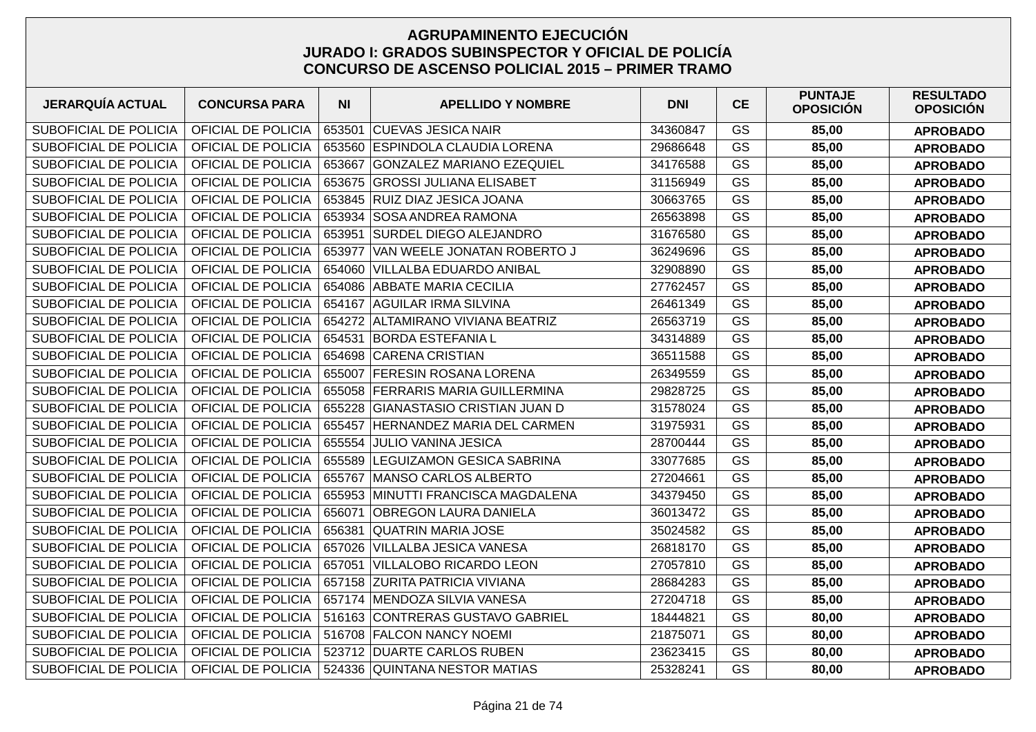| <b>JERARQUÍA ACTUAL</b> | <b>CONCURSA PARA</b> | <b>NI</b> | <b>APELLIDO Y NOMBRE</b>           | <b>DNI</b> | <b>CE</b> | <b>PUNTAJE</b><br><b>OPOSICIÓN</b> | <b>RESULTADO</b><br><b>OPOSICIÓN</b> |
|-------------------------|----------------------|-----------|------------------------------------|------------|-----------|------------------------------------|--------------------------------------|
| SUBOFICIAL DE POLICIA   | OFICIAL DE POLICIA   |           | 653501 CUEVAS JESICA NAIR          | 34360847   | <b>GS</b> | 85,00                              | <b>APROBADO</b>                      |
| SUBOFICIAL DE POLICIA   | OFICIAL DE POLICIA   |           | 653560 ESPINDOLA CLAUDIA LORENA    | 29686648   | <b>GS</b> | 85,00                              | <b>APROBADO</b>                      |
| SUBOFICIAL DE POLICIA   | OFICIAL DE POLICIA   |           | 653667 GONZALEZ MARIANO EZEQUIEL   | 34176588   | GS        | 85,00                              | <b>APROBADO</b>                      |
| SUBOFICIAL DE POLICIA   | OFICIAL DE POLICIA   |           | 653675 GROSSI JULIANA ELISABET     | 31156949   | GS        | 85,00                              | <b>APROBADO</b>                      |
| SUBOFICIAL DE POLICIA   | OFICIAL DE POLICIA   | 653845    | <b>RUIZ DIAZ JESICA JOANA</b>      | 30663765   | <b>GS</b> | 85,00                              | <b>APROBADO</b>                      |
| SUBOFICIAL DE POLICIA   | OFICIAL DE POLICIA   | 653934    | SOSA ANDREA RAMONA                 | 26563898   | GS        | 85,00                              | <b>APROBADO</b>                      |
| SUBOFICIAL DE POLICIA   | OFICIAL DE POLICIA   |           | 653951 SURDEL DIEGO ALEJANDRO      | 31676580   | GS        | 85,00                              | <b>APROBADO</b>                      |
| SUBOFICIAL DE POLICIA   | OFICIAL DE POLICIA   |           | 653977 VAN WEELE JONATAN ROBERTO J | 36249696   | GS        | 85,00                              | <b>APROBADO</b>                      |
| SUBOFICIAL DE POLICIA   | OFICIAL DE POLICIA   |           | 654060 VILLALBA EDUARDO ANIBAL     | 32908890   | GS        | 85,00                              | <b>APROBADO</b>                      |
| SUBOFICIAL DE POLICIA   | OFICIAL DE POLICIA   |           | 654086 ABBATE MARIA CECILIA        | 27762457   | <b>GS</b> | 85,00                              | <b>APROBADO</b>                      |
| SUBOFICIAL DE POLICIA   | OFICIAL DE POLICIA   |           | 654167 AGUILAR IRMA SILVINA        | 26461349   | GS        | 85,00                              | <b>APROBADO</b>                      |
| SUBOFICIAL DE POLICIA   | OFICIAL DE POLICIA   |           | 654272 ALTAMIRANO VIVIANA BEATRIZ  | 26563719   | GS        | 85,00                              | <b>APROBADO</b>                      |
| SUBOFICIAL DE POLICIA   | OFICIAL DE POLICIA   |           | 654531 BORDA ESTEFANIA L           | 34314889   | GS        | 85,00                              | <b>APROBADO</b>                      |
| SUBOFICIAL DE POLICIA   | OFICIAL DE POLICIA   |           | 654698 CARENA CRISTIAN             | 36511588   | GS        | 85,00                              | <b>APROBADO</b>                      |
| SUBOFICIAL DE POLICIA   | OFICIAL DE POLICIA   |           | 655007 FERESIN ROSANA LORENA       | 26349559   | <b>GS</b> | 85,00                              | <b>APROBADO</b>                      |
| SUBOFICIAL DE POLICIA   | OFICIAL DE POLICIA   |           | 655058 FERRARIS MARIA GUILLERMINA  | 29828725   | GS        | 85,00                              | <b>APROBADO</b>                      |
| SUBOFICIAL DE POLICIA   | OFICIAL DE POLICIA   | 655228    | <b>GIANASTASIO CRISTIAN JUAN D</b> | 31578024   | GS        | 85,00                              | <b>APROBADO</b>                      |
| SUBOFICIAL DE POLICIA   | OFICIAL DE POLICIA   |           | 655457 HERNANDEZ MARIA DEL CARMEN  | 31975931   | GS        | 85,00                              | <b>APROBADO</b>                      |
| SUBOFICIAL DE POLICIA   | OFICIAL DE POLICIA   | 655554    | <b>JULIO VANINA JESICA</b>         | 28700444   | GS        | 85,00                              | <b>APROBADO</b>                      |
| SUBOFICIAL DE POLICIA   | OFICIAL DE POLICIA   | 655589    | <b>LEGUIZAMON GESICA SABRINA</b>   | 33077685   | <b>GS</b> | 85,00                              | <b>APROBADO</b>                      |
| SUBOFICIAL DE POLICIA   | OFICIAL DE POLICIA   |           | 655767 MANSO CARLOS ALBERTO        | 27204661   | GS        | 85,00                              | <b>APROBADO</b>                      |
| SUBOFICIAL DE POLICIA   | OFICIAL DE POLICIA   | 655953    | MINUTTI FRANCISCA MAGDALENA        | 34379450   | GS        | 85,00                              | <b>APROBADO</b>                      |
| SUBOFICIAL DE POLICIA   | OFICIAL DE POLICIA   |           | 656071 OBREGON LAURA DANIELA       | 36013472   | GS        | 85,00                              | <b>APROBADO</b>                      |
| SUBOFICIAL DE POLICIA   | OFICIAL DE POLICIA   |           | 656381 QUATRIN MARIA JOSE          | 35024582   | GS        | 85,00                              | <b>APROBADO</b>                      |
| SUBOFICIAL DE POLICIA   | OFICIAL DE POLICIA   | 657026    | VILLALBA JESICA VANESA             | 26818170   | <b>GS</b> | 85,00                              | <b>APROBADO</b>                      |
| SUBOFICIAL DE POLICIA   | OFICIAL DE POLICIA   |           | 657051 VILLALOBO RICARDO LEON      | 27057810   | GS        | 85,00                              | <b>APROBADO</b>                      |
| SUBOFICIAL DE POLICIA   | OFICIAL DE POLICIA   |           | 657158 ZURITA PATRICIA VIVIANA     | 28684283   | GS        | 85,00                              | <b>APROBADO</b>                      |
| SUBOFICIAL DE POLICIA   | OFICIAL DE POLICIA   |           | 657174 MENDOZA SILVIA VANESA       | 27204718   | GS        | 85,00                              | <b>APROBADO</b>                      |
| SUBOFICIAL DE POLICIA   | OFICIAL DE POLICIA   |           | 516163 CONTRERAS GUSTAVO GABRIEL   | 18444821   | GS        | 80,00                              | <b>APROBADO</b>                      |
| SUBOFICIAL DE POLICIA   | OFICIAL DE POLICIA   |           | 516708 FALCON NANCY NOEMI          | 21875071   | GS        | 80,00                              | <b>APROBADO</b>                      |
| SUBOFICIAL DE POLICIA   | OFICIAL DE POLICIA   |           | 523712 DUARTE CARLOS RUBEN         | 23623415   | GS        | 80,00                              | <b>APROBADO</b>                      |
| SUBOFICIAL DE POLICIA   | OFICIAL DE POLICIA   |           | 524336 QUINTANA NESTOR MATIAS      | 25328241   | GS        | 80,00                              | <b>APROBADO</b>                      |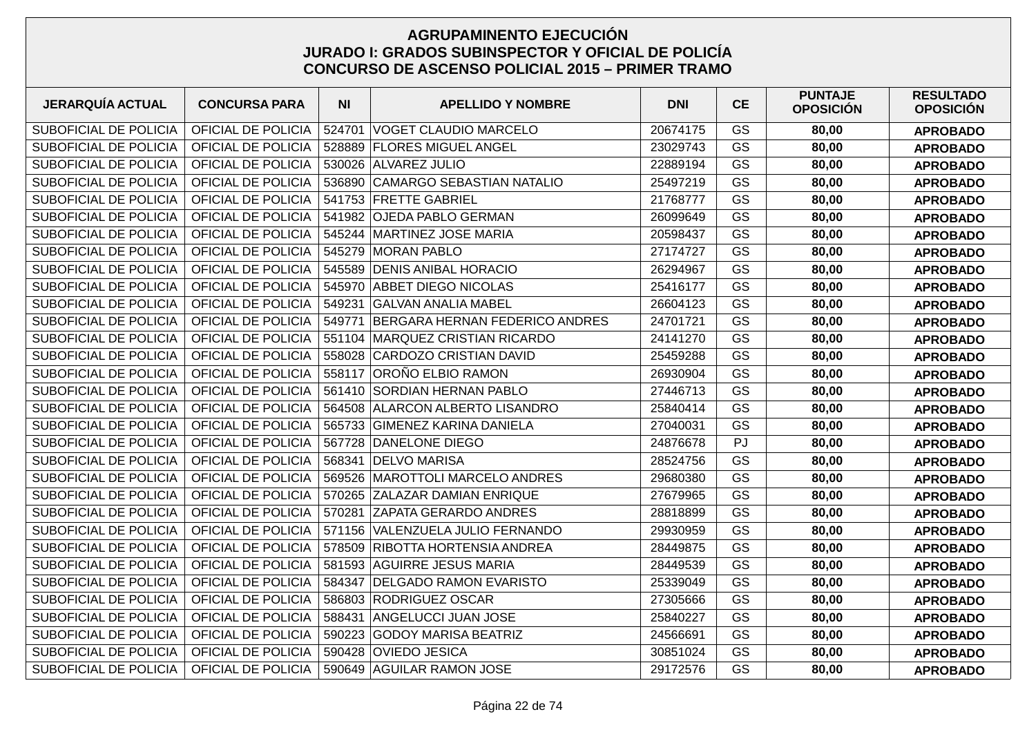| <b>JERARQUÍA ACTUAL</b> | <b>CONCURSA PARA</b> | <b>NI</b> | <b>APELLIDO Y NOMBRE</b>              | <b>DNI</b> | <b>CE</b> | <b>PUNTAJE</b><br><b>OPOSICIÓN</b> | <b>RESULTADO</b><br><b>OPOSICIÓN</b> |
|-------------------------|----------------------|-----------|---------------------------------------|------------|-----------|------------------------------------|--------------------------------------|
| SUBOFICIAL DE POLICIA   | OFICIAL DE POLICIA   | 524701    | <b>VOGET CLAUDIO MARCELO</b>          | 20674175   | GS        | 80,00                              | <b>APROBADO</b>                      |
| SUBOFICIAL DE POLICIA   | OFICIAL DE POLICIA   | 528889    | <b>FLORES MIGUEL ANGEL</b>            | 23029743   | GS        | 80,00                              | <b>APROBADO</b>                      |
| SUBOFICIAL DE POLICIA   | OFICIAL DE POLICIA   | 530026    | ALVAREZ JULIO                         | 22889194   | GS        | 80,00                              | <b>APROBADO</b>                      |
| SUBOFICIAL DE POLICIA   | OFICIAL DE POLICIA   | 536890    | CAMARGO SEBASTIAN NATALIO             | 25497219   | GS        | 80,00                              | <b>APROBADO</b>                      |
| SUBOFICIAL DE POLICIA   | OFICIAL DE POLICIA   | 541753    | <b>FRETTE GABRIEL</b>                 | 21768777   | GS        | 80,00                              | <b>APROBADO</b>                      |
| SUBOFICIAL DE POLICIA   | OFICIAL DE POLICIA   | 541982    | <b>OJEDA PABLO GERMAN</b>             | 26099649   | GS        | 80,00                              | <b>APROBADO</b>                      |
| SUBOFICIAL DE POLICIA   | OFICIAL DE POLICIA   | 545244    | MARTINEZ JOSE MARIA                   | 20598437   | GS        | 80,00                              | <b>APROBADO</b>                      |
| SUBOFICIAL DE POLICIA   | OFICIAL DE POLICIA   | 545279    | <b>MORAN PABLO</b>                    | 27174727   | GS        | 80,00                              | <b>APROBADO</b>                      |
| SUBOFICIAL DE POLICIA   | OFICIAL DE POLICIA   | 545589    | <b>DENIS ANIBAL HORACIO</b>           | 26294967   | GS        | 80,00                              | <b>APROBADO</b>                      |
| SUBOFICIAL DE POLICIA   | OFICIAL DE POLICIA   | 545970    | <b>ABBET DIEGO NICOLAS</b>            | 25416177   | GS        | 80,00                              | <b>APROBADO</b>                      |
| SUBOFICIAL DE POLICIA   | OFICIAL DE POLICIA   |           | 549231 GALVAN ANALIA MABEL            | 26604123   | GS        | 80,00                              | <b>APROBADO</b>                      |
| SUBOFICIAL DE POLICIA   | OFICIAL DE POLICIA   |           | 549771 BERGARA HERNAN FEDERICO ANDRES | 24701721   | GS        | 80,00                              | <b>APROBADO</b>                      |
| SUBOFICIAL DE POLICIA   | OFICIAL DE POLICIA   |           | 551104 MARQUEZ CRISTIAN RICARDO       | 24141270   | GS        | 80,00                              | <b>APROBADO</b>                      |
| SUBOFICIAL DE POLICIA   | OFICIAL DE POLICIA   | 558028    | CARDOZO CRISTIAN DAVID                | 25459288   | GS        | 80,00                              | <b>APROBADO</b>                      |
| SUBOFICIAL DE POLICIA   | OFICIAL DE POLICIA   | 558117    | OROÑO ELBIO RAMON                     | 26930904   | GS        | 80,00                              | <b>APROBADO</b>                      |
| SUBOFICIAL DE POLICIA   | OFICIAL DE POLICIA   | 561410    | SORDIAN HERNAN PABLO                  | 27446713   | GS        | 80,00                              | <b>APROBADO</b>                      |
| SUBOFICIAL DE POLICIA   | OFICIAL DE POLICIA   |           | 564508 ALARCON ALBERTO LISANDRO       | 25840414   | GS        | 80,00                              | <b>APROBADO</b>                      |
| SUBOFICIAL DE POLICIA   | OFICIAL DE POLICIA   |           | 565733 GIMENEZ KARINA DANIELA         | 27040031   | GS        | 80,00                              | <b>APROBADO</b>                      |
| SUBOFICIAL DE POLICIA   | OFICIAL DE POLICIA   |           | 567728 DANELONE DIEGO                 | 24876678   | PJ        | 80,00                              | <b>APROBADO</b>                      |
| SUBOFICIAL DE POLICIA   | OFICIAL DE POLICIA   | 568341    | <b>DELVO MARISA</b>                   | 28524756   | GS        | 80,00                              | <b>APROBADO</b>                      |
| SUBOFICIAL DE POLICIA   | OFICIAL DE POLICIA   | 569526    | MAROTTOLI MARCELO ANDRES              | 29680380   | GS        | 80,00                              | <b>APROBADO</b>                      |
| SUBOFICIAL DE POLICIA   | OFICIAL DE POLICIA   | 570265    | <b>ZALAZAR DAMIAN ENRIQUE</b>         | 27679965   | GS        | 80,00                              | <b>APROBADO</b>                      |
| SUBOFICIAL DE POLICIA   | OFICIAL DE POLICIA   |           | 570281 ZAPATA GERARDO ANDRES          | 28818899   | GS        | 80,00                              | <b>APROBADO</b>                      |
| SUBOFICIAL DE POLICIA   | OFICIAL DE POLICIA   | 571156    | VALENZUELA JULIO FERNANDO             | 29930959   | GS        | 80,00                              | <b>APROBADO</b>                      |
| SUBOFICIAL DE POLICIA   | OFICIAL DE POLICIA   | 578509    | RIBOTTA HORTENSIA ANDREA              | 28449875   | GS        | 80,00                              | <b>APROBADO</b>                      |
| SUBOFICIAL DE POLICIA   | OFICIAL DE POLICIA   |           | 581593 AGUIRRE JESUS MARIA            | 28449539   | GS        | 80,00                              | <b>APROBADO</b>                      |
| SUBOFICIAL DE POLICIA   | OFICIAL DE POLICIA   | 584347    | <b>DELGADO RAMON EVARISTO</b>         | 25339049   | GS        | 80,00                              | <b>APROBADO</b>                      |
| SUBOFICIAL DE POLICIA   | OFICIAL DE POLICIA   |           | 586803 RODRIGUEZ OSCAR                | 27305666   | GS        | 80,00                              | <b>APROBADO</b>                      |
| SUBOFICIAL DE POLICIA   | OFICIAL DE POLICIA   |           | 588431 ANGELUCCI JUAN JOSE            | 25840227   | GS        | 80,00                              | <b>APROBADO</b>                      |
| SUBOFICIAL DE POLICIA   | OFICIAL DE POLICIA   | 590223    | <b>GODOY MARISA BEATRIZ</b>           | 24566691   | GS        | 80,00                              | <b>APROBADO</b>                      |
| SUBOFICIAL DE POLICIA   | OFICIAL DE POLICIA   | 590428    | <b>OVIEDO JESICA</b>                  | 30851024   | GS        | 80,00                              | <b>APROBADO</b>                      |
| SUBOFICIAL DE POLICIA   | OFICIAL DE POLICIA   |           | 590649 AGUILAR RAMON JOSE             | 29172576   | GS        | 80,00                              | <b>APROBADO</b>                      |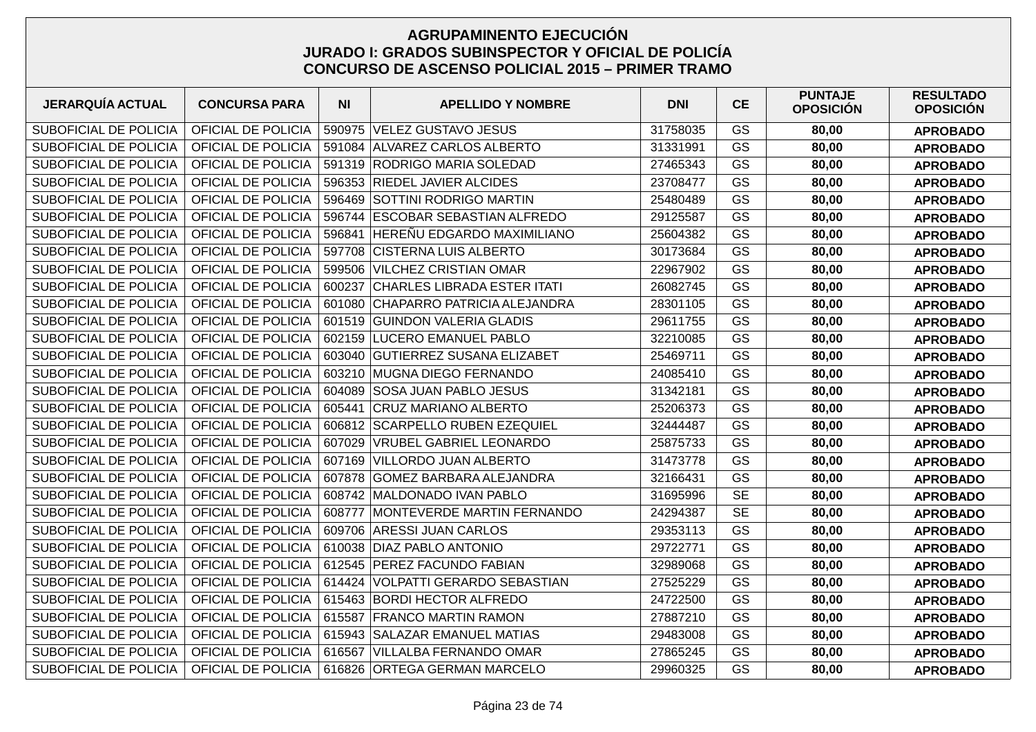| <b>JERARQUÍA ACTUAL</b> | <b>CONCURSA PARA</b> | <b>NI</b> | <b>APELLIDO Y NOMBRE</b>           | <b>DNI</b> | <b>CE</b> | <b>PUNTAJE</b><br><b>OPOSICIÓN</b> | <b>RESULTADO</b><br><b>OPOSICIÓN</b> |
|-------------------------|----------------------|-----------|------------------------------------|------------|-----------|------------------------------------|--------------------------------------|
| SUBOFICIAL DE POLICIA   | OFICIAL DE POLICIA   | 590975    | <b>VELEZ GUSTAVO JESUS</b>         | 31758035   | GS        | 80,00                              | <b>APROBADO</b>                      |
| SUBOFICIAL DE POLICIA   | OFICIAL DE POLICIA   | 591084    | ALVAREZ CARLOS ALBERTO             | 31331991   | GS        | 80,00                              | <b>APROBADO</b>                      |
| SUBOFICIAL DE POLICIA   | OFICIAL DE POLICIA   | 591319    | <b>RODRIGO MARIA SOLEDAD</b>       | 27465343   | GS        | 80,00                              | <b>APROBADO</b>                      |
| SUBOFICIAL DE POLICIA   | OFICIAL DE POLICIA   | 596353    | <b>RIEDEL JAVIER ALCIDES</b>       | 23708477   | GS        | 80,00                              | <b>APROBADO</b>                      |
| SUBOFICIAL DE POLICIA   | OFICIAL DE POLICIA   | 596469    | SOTTINI RODRIGO MARTIN             | 25480489   | GS        | 80,00                              | <b>APROBADO</b>                      |
| SUBOFICIAL DE POLICIA   | OFICIAL DE POLICIA   | 596744    | <b>ESCOBAR SEBASTIAN ALFREDO</b>   | 29125587   | GS        | 80,00                              | <b>APROBADO</b>                      |
| SUBOFICIAL DE POLICIA   | OFICIAL DE POLICIA   | 596841    | HEREÑU EDGARDO MAXIMILIANO         | 25604382   | GS        | 80,00                              | <b>APROBADO</b>                      |
| SUBOFICIAL DE POLICIA   | OFICIAL DE POLICIA   | 597708    | <b>CISTERNA LUIS ALBERTO</b>       | 30173684   | GS        | 80,00                              | <b>APROBADO</b>                      |
| SUBOFICIAL DE POLICIA   | OFICIAL DE POLICIA   | 599506    | <b>VILCHEZ CRISTIAN OMAR</b>       | 22967902   | GS        | 80,00                              | <b>APROBADO</b>                      |
| SUBOFICIAL DE POLICIA   | OFICIAL DE POLICIA   | 600237    | <b>CHARLES LIBRADA ESTER ITATI</b> | 26082745   | GS        | 80,00                              | <b>APROBADO</b>                      |
| SUBOFICIAL DE POLICIA   | OFICIAL DE POLICIA   | 601080    | CHAPARRO PATRICIA ALEJANDRA        | 28301105   | GS        | 80,00                              | <b>APROBADO</b>                      |
| SUBOFICIAL DE POLICIA   | OFICIAL DE POLICIA   | 601519    | <b>GUINDON VALERIA GLADIS</b>      | 29611755   | GS        | 80,00                              | <b>APROBADO</b>                      |
| SUBOFICIAL DE POLICIA   | OFICIAL DE POLICIA   | 602159    | <b>LUCERO EMANUEL PABLO</b>        | 32210085   | GS        | 80,00                              | <b>APROBADO</b>                      |
| SUBOFICIAL DE POLICIA   | OFICIAL DE POLICIA   | 603040    | <b>GUTIERREZ SUSANA ELIZABET</b>   | 25469711   | GS        | 80,00                              | <b>APROBADO</b>                      |
| SUBOFICIAL DE POLICIA   | OFICIAL DE POLICIA   | 603210    | MUGNA DIEGO FERNANDO               | 24085410   | GS        | 80,00                              | <b>APROBADO</b>                      |
| SUBOFICIAL DE POLICIA   | OFICIAL DE POLICIA   | 604089    | SOSA JUAN PABLO JESUS              | 31342181   | GS        | 80,00                              | <b>APROBADO</b>                      |
| SUBOFICIAL DE POLICIA   | OFICIAL DE POLICIA   | 605441    | CRUZ MARIANO ALBERTO               | 25206373   | GS        | 80,00                              | <b>APROBADO</b>                      |
| SUBOFICIAL DE POLICIA   | OFICIAL DE POLICIA   |           | 606812 SCARPELLO RUBEN EZEQUIEL    | 32444487   | GS        | 80,00                              | <b>APROBADO</b>                      |
| SUBOFICIAL DE POLICIA   | OFICIAL DE POLICIA   | 607029    | <b>VRUBEL GABRIEL LEONARDO</b>     | 25875733   | GS        | 80,00                              | <b>APROBADO</b>                      |
| SUBOFICIAL DE POLICIA   | OFICIAL DE POLICIA   | 607169    | VILLORDO JUAN ALBERTO              | 31473778   | GS        | 80,00                              | <b>APROBADO</b>                      |
| SUBOFICIAL DE POLICIA   | OFICIAL DE POLICIA   | 607878    | GOMEZ BARBARA ALEJANDRA            | 32166431   | GS        | 80,00                              | <b>APROBADO</b>                      |
| SUBOFICIAL DE POLICIA   | OFICIAL DE POLICIA   | 608742    | MALDONADO IVAN PABLO               | 31695996   | <b>SE</b> | 80,00                              | <b>APROBADO</b>                      |
| SUBOFICIAL DE POLICIA   | OFICIAL DE POLICIA   | 608777    | MONTEVERDE MARTIN FERNANDO         | 24294387   | <b>SE</b> | 80,00                              | <b>APROBADO</b>                      |
| SUBOFICIAL DE POLICIA   | OFICIAL DE POLICIA   | 609706    | <b>ARESSI JUAN CARLOS</b>          | 29353113   | GS        | 80,00                              | <b>APROBADO</b>                      |
| SUBOFICIAL DE POLICIA   | OFICIAL DE POLICIA   | 610038    | <b>DIAZ PABLO ANTONIO</b>          | 29722771   | GS        | 80,00                              | <b>APROBADO</b>                      |
| SUBOFICIAL DE POLICIA   | OFICIAL DE POLICIA   | 612545    | <b>PEREZ FACUNDO FABIAN</b>        | 32989068   | GS        | 80,00                              | <b>APROBADO</b>                      |
| SUBOFICIAL DE POLICIA   | OFICIAL DE POLICIA   | 614424    | <b>VOLPATTI GERARDO SEBASTIAN</b>  | 27525229   | GS        | 80,00                              | <b>APROBADO</b>                      |
| SUBOFICIAL DE POLICIA   | OFICIAL DE POLICIA   |           | 615463 BORDI HECTOR ALFREDO        | 24722500   | GS        | 80,00                              | <b>APROBADO</b>                      |
| SUBOFICIAL DE POLICIA   | OFICIAL DE POLICIA   |           | 615587 FRANCO MARTIN RAMON         | 27887210   | GS        | 80,00                              | <b>APROBADO</b>                      |
| SUBOFICIAL DE POLICIA   | OFICIAL DE POLICIA   | 615943    | <b>SALAZAR EMANUEL MATIAS</b>      | 29483008   | GS        | 80,00                              | <b>APROBADO</b>                      |
| SUBOFICIAL DE POLICIA   | OFICIAL DE POLICIA   | 616567    | <b>VILLALBA FERNANDO OMAR</b>      | 27865245   | GS        | 80,00                              | <b>APROBADO</b>                      |
| SUBOFICIAL DE POLICIA   | OFICIAL DE POLICIA   | 616826    | <b>ORTEGA GERMAN MARCELO</b>       | 29960325   | GS        | 80,00                              | <b>APROBADO</b>                      |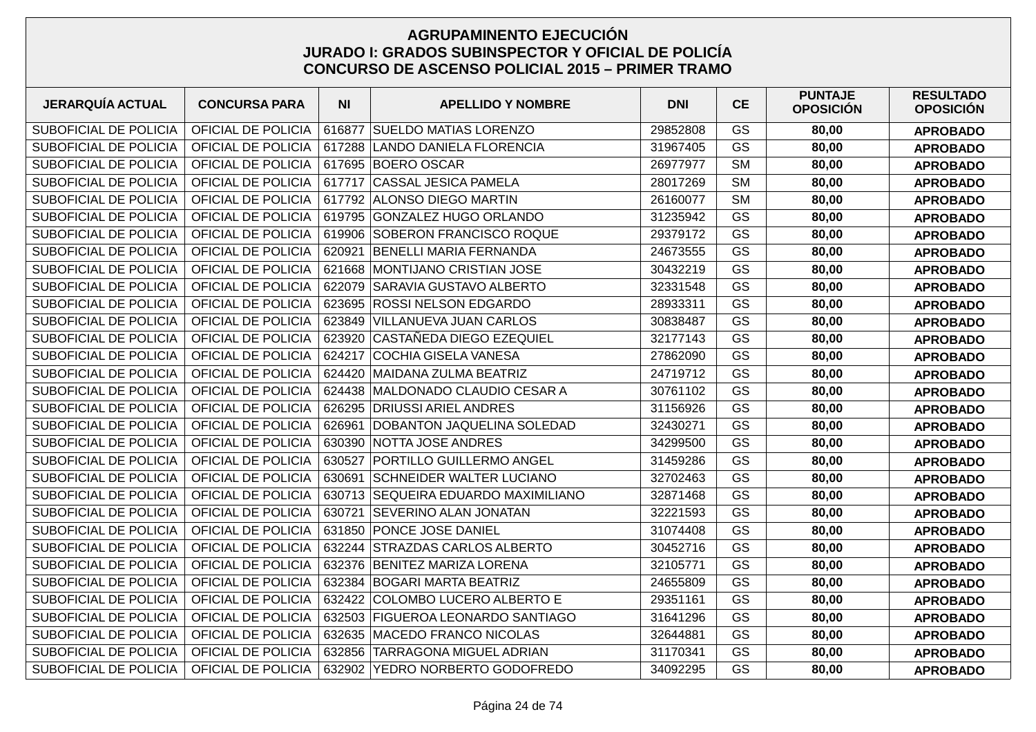| <b>JERARQUÍA ACTUAL</b> | <b>CONCURSA PARA</b> | <b>NI</b> | <b>APELLIDO Y NOMBRE</b>            | <b>DNI</b> | <b>CE</b> | <b>PUNTAJE</b><br><b>OPOSICIÓN</b> | <b>RESULTADO</b><br><b>OPOSICIÓN</b> |
|-------------------------|----------------------|-----------|-------------------------------------|------------|-----------|------------------------------------|--------------------------------------|
| SUBOFICIAL DE POLICIA   | OFICIAL DE POLICIA   |           | 616877 SUELDO MATIAS LORENZO        | 29852808   | GS        | 80,00                              | <b>APROBADO</b>                      |
| SUBOFICIAL DE POLICIA   | OFICIAL DE POLICIA   |           | 617288 LANDO DANIELA FLORENCIA      | 31967405   | <b>GS</b> | 80,00                              | <b>APROBADO</b>                      |
| SUBOFICIAL DE POLICIA   | OFICIAL DE POLICIA   |           | 617695 BOERO OSCAR                  | 26977977   | <b>SM</b> | 80,00                              | <b>APROBADO</b>                      |
| SUBOFICIAL DE POLICIA   | OFICIAL DE POLICIA   |           | 617717 CASSAL JESICA PAMELA         | 28017269   | <b>SM</b> | 80,00                              | <b>APROBADO</b>                      |
| SUBOFICIAL DE POLICIA   | OFICIAL DE POLICIA   |           | 617792 ALONSO DIEGO MARTIN          | 26160077   | <b>SM</b> | 80,00                              | <b>APROBADO</b>                      |
| SUBOFICIAL DE POLICIA   | OFICIAL DE POLICIA   |           | 619795 GONZALEZ HUGO ORLANDO        | 31235942   | GS        | 80,00                              | <b>APROBADO</b>                      |
| SUBOFICIAL DE POLICIA   | OFICIAL DE POLICIA   |           | 619906 SOBERON FRANCISCO ROQUE      | 29379172   | GS        | 80,00                              | <b>APROBADO</b>                      |
| SUBOFICIAL DE POLICIA   | OFICIAL DE POLICIA   |           | 620921 BENELLI MARIA FERNANDA       | 24673555   | GS        | 80,00                              | <b>APROBADO</b>                      |
| SUBOFICIAL DE POLICIA   | OFICIAL DE POLICIA   |           | 621668 MONTIJANO CRISTIAN JOSE      | 30432219   | GS        | 80,00                              | <b>APROBADO</b>                      |
| SUBOFICIAL DE POLICIA   | OFICIAL DE POLICIA   |           | 622079 SARAVIA GUSTAVO ALBERTO      | 32331548   | GS        | 80,00                              | <b>APROBADO</b>                      |
| SUBOFICIAL DE POLICIA   | OFICIAL DE POLICIA   |           | 623695 ROSSI NELSON EDGARDO         | 28933311   | GS        | 80,00                              | <b>APROBADO</b>                      |
| SUBOFICIAL DE POLICIA   | OFICIAL DE POLICIA   |           | 623849 VILLANUEVA JUAN CARLOS       | 30838487   | GS        | 80,00                              | <b>APROBADO</b>                      |
| SUBOFICIAL DE POLICIA   | OFICIAL DE POLICIA   |           | 623920 CASTAÑEDA DIEGO EZEQUIEL     | 32177143   | GS        | 80,00                              | <b>APROBADO</b>                      |
| SUBOFICIAL DE POLICIA   | OFICIAL DE POLICIA   |           | 624217 COCHIA GISELA VANESA         | 27862090   | GS        | 80,00                              | <b>APROBADO</b>                      |
| SUBOFICIAL DE POLICIA   | OFICIAL DE POLICIA   |           | 624420 MAIDANA ZULMA BEATRIZ        | 24719712   | <b>GS</b> | 80,00                              | <b>APROBADO</b>                      |
| SUBOFICIAL DE POLICIA   | OFICIAL DE POLICIA   |           | 624438 MALDONADO CLAUDIO CESAR A    | 30761102   | GS        | 80,00                              | <b>APROBADO</b>                      |
| SUBOFICIAL DE POLICIA   | OFICIAL DE POLICIA   |           | 626295 DRIUSSI ARIEL ANDRES         | 31156926   | GS        | 80,00                              | <b>APROBADO</b>                      |
| SUBOFICIAL DE POLICIA   | OFICIAL DE POLICIA   |           | 626961 DOBANTON JAQUELINA SOLEDAD   | 32430271   | GS        | 80,00                              | <b>APROBADO</b>                      |
| SUBOFICIAL DE POLICIA   | OFICIAL DE POLICIA   |           | 630390 NOTTA JOSE ANDRES            | 34299500   | GS        | 80,00                              | <b>APROBADO</b>                      |
| SUBOFICIAL DE POLICIA   | OFICIAL DE POLICIA   |           | 630527 PORTILLO GUILLERMO ANGEL     | 31459286   | <b>GS</b> | 80,00                              | <b>APROBADO</b>                      |
| SUBOFICIAL DE POLICIA   | OFICIAL DE POLICIA   |           | 630691 SCHNEIDER WALTER LUCIANO     | 32702463   | GS        | 80,00                              | <b>APROBADO</b>                      |
| SUBOFICIAL DE POLICIA   | OFICIAL DE POLICIA   |           | 630713 SEQUEIRA EDUARDO MAXIMILIANO | 32871468   | GS        | 80,00                              | <b>APROBADO</b>                      |
| SUBOFICIAL DE POLICIA   | OFICIAL DE POLICIA   |           | 630721 SEVERINO ALAN JONATAN        | 32221593   | GS        | 80,00                              | <b>APROBADO</b>                      |
| SUBOFICIAL DE POLICIA   | OFICIAL DE POLICIA   |           | 631850 PONCE JOSE DANIEL            | 31074408   | GS        | 80,00                              | <b>APROBADO</b>                      |
| SUBOFICIAL DE POLICIA   | OFICIAL DE POLICIA   |           | 632244 STRAZDAS CARLOS ALBERTO      | 30452716   | <b>GS</b> | 80,00                              | <b>APROBADO</b>                      |
| SUBOFICIAL DE POLICIA   | OFICIAL DE POLICIA   |           | 632376 BENITEZ MARIZA LORENA        | 32105771   | GS        | 80,00                              | <b>APROBADO</b>                      |
| SUBOFICIAL DE POLICIA   | OFICIAL DE POLICIA   |           | 632384 BOGARI MARTA BEATRIZ         | 24655809   | GS        | 80,00                              | <b>APROBADO</b>                      |
| SUBOFICIAL DE POLICIA   | OFICIAL DE POLICIA   |           | 632422 COLOMBO LUCERO ALBERTO E     | 29351161   | GS        | 80,00                              | <b>APROBADO</b>                      |
| SUBOFICIAL DE POLICIA   | OFICIAL DE POLICIA   |           | 632503 FIGUEROA LEONARDO SANTIAGO   | 31641296   | GS        | 80,00                              | <b>APROBADO</b>                      |
| SUBOFICIAL DE POLICIA   | OFICIAL DE POLICIA   |           | 632635 MACEDO FRANCO NICOLAS        | 32644881   | GS        | 80,00                              | <b>APROBADO</b>                      |
| SUBOFICIAL DE POLICIA   | OFICIAL DE POLICIA   |           | 632856 TARRAGONA MIGUEL ADRIAN      | 31170341   | GS        | 80,00                              | <b>APROBADO</b>                      |
| SUBOFICIAL DE POLICIA   | OFICIAL DE POLICIA   |           | 632902 YEDRO NORBERTO GODOFREDO     | 34092295   | GS        | 80,00                              | <b>APROBADO</b>                      |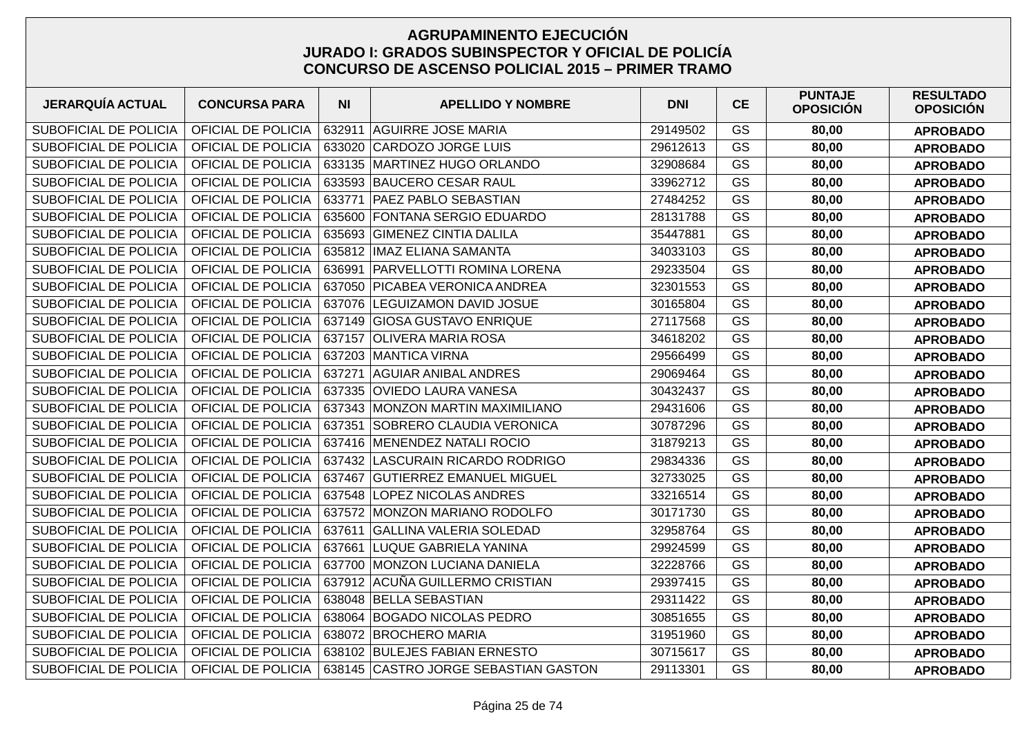| <b>JERARQUÍA ACTUAL</b> | <b>CONCURSA PARA</b> | <b>NI</b> | <b>APELLIDO Y NOMBRE</b>             | <b>DNI</b> | <b>CE</b> | <b>PUNTAJE</b><br><b>OPOSICIÓN</b> | <b>RESULTADO</b><br><b>OPOSICIÓN</b> |
|-------------------------|----------------------|-----------|--------------------------------------|------------|-----------|------------------------------------|--------------------------------------|
| SUBOFICIAL DE POLICIA   | OFICIAL DE POLICIA   | 632911    | <b>AGUIRRE JOSE MARIA</b>            | 29149502   | <b>GS</b> | 80,00                              | <b>APROBADO</b>                      |
| SUBOFICIAL DE POLICIA   | OFICIAL DE POLICIA   | 633020    | CARDOZO JORGE LUIS                   | 29612613   | GS        | 80,00                              | <b>APROBADO</b>                      |
| SUBOFICIAL DE POLICIA   | OFICIAL DE POLICIA   |           | 633135 MARTINEZ HUGO ORLANDO         | 32908684   | GS        | 80,00                              | <b>APROBADO</b>                      |
| SUBOFICIAL DE POLICIA   | OFICIAL DE POLICIA   |           | 633593 BAUCERO CESAR RAUL            | 33962712   | GS        | 80,00                              | <b>APROBADO</b>                      |
| SUBOFICIAL DE POLICIA   | OFICIAL DE POLICIA   |           | 633771 PAEZ PABLO SEBASTIAN          | 27484252   | GS        | 80,00                              | <b>APROBADO</b>                      |
| SUBOFICIAL DE POLICIA   | OFICIAL DE POLICIA   | 635600    | <b>FONTANA SERGIO EDUARDO</b>        | 28131788   | <b>GS</b> | 80,00                              | <b>APROBADO</b>                      |
| SUBOFICIAL DE POLICIA   | OFICIAL DE POLICIA   |           | 635693 GIMENEZ CINTIA DALILA         | 35447881   | GS        | 80,00                              | <b>APROBADO</b>                      |
| SUBOFICIAL DE POLICIA   | OFICIAL DE POLICIA   |           | 635812 IMAZ ELIANA SAMANTA           | 34033103   | GS        | 80,00                              | <b>APROBADO</b>                      |
| SUBOFICIAL DE POLICIA   | OFICIAL DE POLICIA   |           | 636991 PARVELLOTTI ROMINA LORENA     | 29233504   | GS        | 80,00                              | <b>APROBADO</b>                      |
| SUBOFICIAL DE POLICIA   | OFICIAL DE POLICIA   |           | 637050 PICABEA VERONICA ANDREA       | 32301553   | GS        | 80,00                              | <b>APROBADO</b>                      |
| SUBOFICIAL DE POLICIA   | OFICIAL DE POLICIA   |           | 637076 LEGUIZAMON DAVID JOSUE        | 30165804   | GS        | 80,00                              | <b>APROBADO</b>                      |
| SUBOFICIAL DE POLICIA   | OFICIAL DE POLICIA   | 637149    | <b>GIOSA GUSTAVO ENRIQUE</b>         | 27117568   | GS        | 80,00                              | <b>APROBADO</b>                      |
| SUBOFICIAL DE POLICIA   | OFICIAL DE POLICIA   |           | 637157 OLIVERA MARIA ROSA            | 34618202   | GS        | 80,00                              | <b>APROBADO</b>                      |
| SUBOFICIAL DE POLICIA   | OFICIAL DE POLICIA   |           | 637203 MANTICA VIRNA                 | 29566499   | GS        | 80,00                              | <b>APROBADO</b>                      |
| SUBOFICIAL DE POLICIA   | OFICIAL DE POLICIA   |           | 637271 AGUIAR ANIBAL ANDRES          | 29069464   | GS        | 80,00                              | <b>APROBADO</b>                      |
| SUBOFICIAL DE POLICIA   | OFICIAL DE POLICIA   |           | 637335 OVIEDO LAURA VANESA           | 30432437   | <b>GS</b> | 80,00                              | <b>APROBADO</b>                      |
| SUBOFICIAL DE POLICIA   | OFICIAL DE POLICIA   |           | 637343 MONZON MARTIN MAXIMILIANO     | 29431606   | GS        | 80,00                              | <b>APROBADO</b>                      |
| SUBOFICIAL DE POLICIA   | OFICIAL DE POLICIA   |           | 637351 SOBRERO CLAUDIA VERONICA      | 30787296   | GS        | 80,00                              | <b>APROBADO</b>                      |
| SUBOFICIAL DE POLICIA   | OFICIAL DE POLICIA   |           | 637416 MENENDEZ NATALI ROCIO         | 31879213   | GS        | 80,00                              | <b>APROBADO</b>                      |
| SUBOFICIAL DE POLICIA   | OFICIAL DE POLICIA   |           | 637432 LASCURAIN RICARDO RODRIGO     | 29834336   | GS        | 80,00                              | <b>APROBADO</b>                      |
| SUBOFICIAL DE POLICIA   | OFICIAL DE POLICIA   |           | 637467 GUTIERREZ EMANUEL MIGUEL      | 32733025   | GS        | 80,00                              | <b>APROBADO</b>                      |
| SUBOFICIAL DE POLICIA   | OFICIAL DE POLICIA   |           | 637548 LOPEZ NICOLAS ANDRES          | 33216514   | GS        | 80,00                              | <b>APROBADO</b>                      |
| SUBOFICIAL DE POLICIA   | OFICIAL DE POLICIA   |           | 637572 MONZON MARIANO RODOLFO        | 30171730   | GS        | 80,00                              | <b>APROBADO</b>                      |
| SUBOFICIAL DE POLICIA   | OFICIAL DE POLICIA   |           | 637611 GALLINA VALERIA SOLEDAD       | 32958764   | GS        | 80,00                              | <b>APROBADO</b>                      |
| SUBOFICIAL DE POLICIA   | OFICIAL DE POLICIA   |           | 637661 LUQUE GABRIELA YANINA         | 29924599   | <b>GS</b> | 80,00                              | <b>APROBADO</b>                      |
| SUBOFICIAL DE POLICIA   | OFICIAL DE POLICIA   |           | 637700 MONZON LUCIANA DANIELA        | 32228766   | GS        | 80,00                              | <b>APROBADO</b>                      |
| SUBOFICIAL DE POLICIA   | OFICIAL DE POLICIA   |           | 637912 ACUÑA GUILLERMO CRISTIAN      | 29397415   | GS        | 80,00                              | <b>APROBADO</b>                      |
| SUBOFICIAL DE POLICIA   | OFICIAL DE POLICIA   |           | 638048 BELLA SEBASTIAN               | 29311422   | GS        | 80,00                              | <b>APROBADO</b>                      |
| SUBOFICIAL DE POLICIA   | OFICIAL DE POLICIA   |           | 638064 BOGADO NICOLAS PEDRO          | 30851655   | GS        | 80,00                              | <b>APROBADO</b>                      |
| SUBOFICIAL DE POLICIA   | OFICIAL DE POLICIA   |           | 638072 BROCHERO MARIA                | 31951960   | GS        | 80,00                              | <b>APROBADO</b>                      |
| SUBOFICIAL DE POLICIA   | OFICIAL DE POLICIA   |           | 638102 BULEJES FABIAN ERNESTO        | 30715617   | GS        | 80,00                              | <b>APROBADO</b>                      |
| SUBOFICIAL DE POLICIA   | OFICIAL DE POLICIA   |           | 638145 CASTRO JORGE SEBASTIAN GASTON | 29113301   | GS        | 80,00                              | <b>APROBADO</b>                      |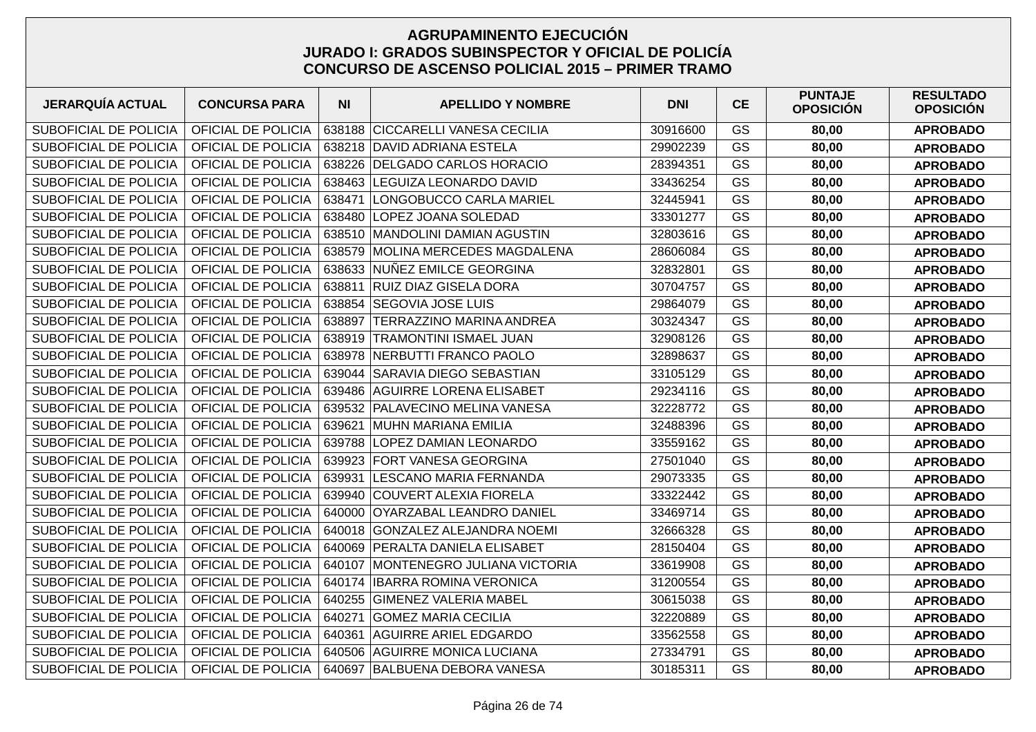| <b>JERARQUÍA ACTUAL</b> | <b>CONCURSA PARA</b> | <b>NI</b> | <b>APELLIDO Y NOMBRE</b>         | <b>DNI</b> | <b>CE</b> | <b>PUNTAJE</b><br><b>OPOSICIÓN</b> | <b>RESULTADO</b><br><b>OPOSICIÓN</b> |
|-------------------------|----------------------|-----------|----------------------------------|------------|-----------|------------------------------------|--------------------------------------|
| SUBOFICIAL DE POLICIA   | OFICIAL DE POLICIA   | 638188    | <b>CICCARELLI VANESA CECILIA</b> | 30916600   | GS        | 80,00                              | <b>APROBADO</b>                      |
| SUBOFICIAL DE POLICIA   | OFICIAL DE POLICIA   | 638218    | <b>DAVID ADRIANA ESTELA</b>      | 29902239   | GS        | 80,00                              | <b>APROBADO</b>                      |
| SUBOFICIAL DE POLICIA   | OFICIAL DE POLICIA   | 638226    | <b>DELGADO CARLOS HORACIO</b>    | 28394351   | GS        | 80,00                              | <b>APROBADO</b>                      |
| SUBOFICIAL DE POLICIA   | OFICIAL DE POLICIA   | 638463    | LEGUIZA LEONARDO DAVID           | 33436254   | GS        | 80,00                              | <b>APROBADO</b>                      |
| SUBOFICIAL DE POLICIA   | OFICIAL DE POLICIA   | 638471    | LONGOBUCCO CARLA MARIEL          | 32445941   | GS        | 80,00                              | <b>APROBADO</b>                      |
| SUBOFICIAL DE POLICIA   | OFICIAL DE POLICIA   | 638480    | LOPEZ JOANA SOLEDAD              | 33301277   | GS        | 80,00                              | <b>APROBADO</b>                      |
| SUBOFICIAL DE POLICIA   | OFICIAL DE POLICIA   | 638510    | MANDOLINI DAMIAN AGUSTIN         | 32803616   | GS        | 80,00                              | <b>APROBADO</b>                      |
| SUBOFICIAL DE POLICIA   | OFICIAL DE POLICIA   | 638579    | MOLINA MERCEDES MAGDALENA        | 28606084   | GS        | 80,00                              | <b>APROBADO</b>                      |
| SUBOFICIAL DE POLICIA   | OFICIAL DE POLICIA   | 638633    | NUÑEZ EMILCE GEORGINA            | 32832801   | GS        | 80,00                              | <b>APROBADO</b>                      |
| SUBOFICIAL DE POLICIA   | OFICIAL DE POLICIA   | 638811    | <b>RUIZ DIAZ GISELA DORA</b>     | 30704757   | GS        | 80,00                              | <b>APROBADO</b>                      |
| SUBOFICIAL DE POLICIA   | OFICIAL DE POLICIA   | 638854    | <b>SEGOVIA JOSE LUIS</b>         | 29864079   | GS        | 80,00                              | <b>APROBADO</b>                      |
| SUBOFICIAL DE POLICIA   | OFICIAL DE POLICIA   | 638897    | <b>TERRAZZINO MARINA ANDREA</b>  | 30324347   | GS        | 80,00                              | <b>APROBADO</b>                      |
| SUBOFICIAL DE POLICIA   | OFICIAL DE POLICIA   | 638919    | <b>TRAMONTINI ISMAEL JUAN</b>    | 32908126   | GS        | 80,00                              | <b>APROBADO</b>                      |
| SUBOFICIAL DE POLICIA   | OFICIAL DE POLICIA   | 638978    | NERBUTTI FRANCO PAOLO            | 32898637   | GS        | 80,00                              | <b>APROBADO</b>                      |
| SUBOFICIAL DE POLICIA   | OFICIAL DE POLICIA   | 639044    | SARAVIA DIEGO SEBASTIAN          | 33105129   | GS        | 80,00                              | <b>APROBADO</b>                      |
| SUBOFICIAL DE POLICIA   | OFICIAL DE POLICIA   | 639486    | <b>AGUIRRE LORENA ELISABET</b>   | 29234116   | GS        | 80,00                              | <b>APROBADO</b>                      |
| SUBOFICIAL DE POLICIA   | OFICIAL DE POLICIA   | 639532    | PALAVECINO MELINA VANESA         | 32228772   | GS        | 80,00                              | <b>APROBADO</b>                      |
| SUBOFICIAL DE POLICIA   | OFICIAL DE POLICIA   | 639621    | MUHN MARIANA EMILIA              | 32488396   | GS        | 80,00                              | <b>APROBADO</b>                      |
| SUBOFICIAL DE POLICIA   | OFICIAL DE POLICIA   | 639788    | LOPEZ DAMIAN LEONARDO            | 33559162   | GS        | 80,00                              | <b>APROBADO</b>                      |
| SUBOFICIAL DE POLICIA   | OFICIAL DE POLICIA   | 639923    | <b>FORT VANESA GEORGINA</b>      | 27501040   | GS        | 80,00                              | <b>APROBADO</b>                      |
| SUBOFICIAL DE POLICIA   | OFICIAL DE POLICIA   | 639931    | LESCANO MARIA FERNANDA           | 29073335   | GS        | 80,00                              | <b>APROBADO</b>                      |
| SUBOFICIAL DE POLICIA   | OFICIAL DE POLICIA   | 639940    | <b>COUVERT ALEXIA FIORELA</b>    | 33322442   | GS        | 80,00                              | <b>APROBADO</b>                      |
| SUBOFICIAL DE POLICIA   | OFICIAL DE POLICIA   | 640000    | OYARZABAL LEANDRO DANIEL         | 33469714   | GS        | 80,00                              | <b>APROBADO</b>                      |
| SUBOFICIAL DE POLICIA   | OFICIAL DE POLICIA   | 640018    | GONZALEZ ALEJANDRA NOEMI         | 32666328   | GS        | 80,00                              | <b>APROBADO</b>                      |
| SUBOFICIAL DE POLICIA   | OFICIAL DE POLICIA   | 640069    | <b>PERALTA DANIELA ELISABET</b>  | 28150404   | GS        | 80,00                              | <b>APROBADO</b>                      |
| SUBOFICIAL DE POLICIA   | OFICIAL DE POLICIA   | 640107    | MONTENEGRO JULIANA VICTORIA      | 33619908   | GS        | 80,00                              | <b>APROBADO</b>                      |
| SUBOFICIAL DE POLICIA   | OFICIAL DE POLICIA   | 640174    | <b>IBARRA ROMINA VERONICA</b>    | 31200554   | GS        | 80,00                              | <b>APROBADO</b>                      |
| SUBOFICIAL DE POLICIA   | OFICIAL DE POLICIA   | 640255    | <b>GIMENEZ VALERIA MABEL</b>     | 30615038   | GS        | 80,00                              | <b>APROBADO</b>                      |
| SUBOFICIAL DE POLICIA   | OFICIAL DE POLICIA   | 640271    | <b>GOMEZ MARIA CECILIA</b>       | 32220889   | GS        | 80,00                              | <b>APROBADO</b>                      |
| SUBOFICIAL DE POLICIA   | OFICIAL DE POLICIA   | 640361    | <b>AGUIRRE ARIEL EDGARDO</b>     | 33562558   | GS        | 80,00                              | <b>APROBADO</b>                      |
| SUBOFICIAL DE POLICIA   | OFICIAL DE POLICIA   | 640506    | <b>AGUIRRE MONICA LUCIANA</b>    | 27334791   | GS        | 80,00                              | <b>APROBADO</b>                      |
| SUBOFICIAL DE POLICIA   | OFICIAL DE POLICIA   |           | 640697 BALBUENA DEBORA VANESA    | 30185311   | GS        | 80,00                              | <b>APROBADO</b>                      |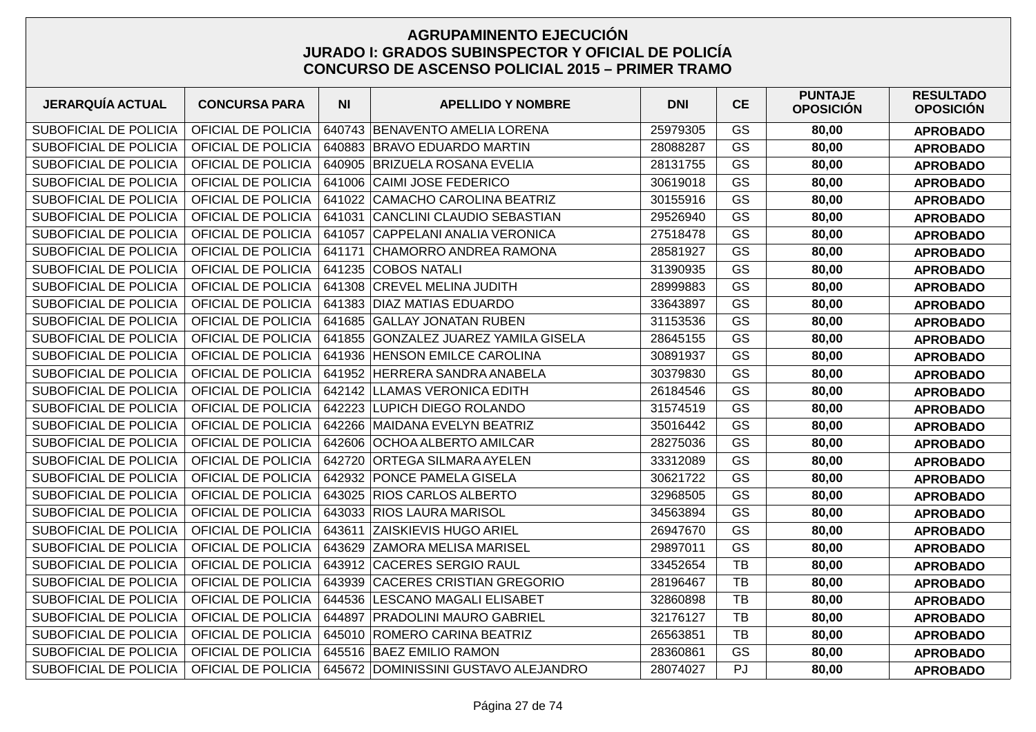| <b>JERARQUÍA ACTUAL</b> | <b>CONCURSA PARA</b> | <b>NI</b> | <b>APELLIDO Y NOMBRE</b>             | <b>DNI</b> | <b>CE</b> | <b>PUNTAJE</b><br><b>OPOSICIÓN</b> | <b>RESULTADO</b><br><b>OPOSICIÓN</b> |
|-------------------------|----------------------|-----------|--------------------------------------|------------|-----------|------------------------------------|--------------------------------------|
| SUBOFICIAL DE POLICIA   | OFICIAL DE POLICIA   |           | 640743 BENAVENTO AMELIA LORENA       | 25979305   | <b>GS</b> | 80,00                              | <b>APROBADO</b>                      |
| SUBOFICIAL DE POLICIA   | OFICIAL DE POLICIA   |           | 640883 BRAVO EDUARDO MARTIN          | 28088287   | GS        | 80,00                              | <b>APROBADO</b>                      |
| SUBOFICIAL DE POLICIA   | OFICIAL DE POLICIA   |           | 640905 BRIZUELA ROSANA EVELIA        | 28131755   | GS        | 80,00                              | <b>APROBADO</b>                      |
| SUBOFICIAL DE POLICIA   | OFICIAL DE POLICIA   | 641006    | <b>CAIMI JOSE FEDERICO</b>           | 30619018   | GS        | 80,00                              | <b>APROBADO</b>                      |
| SUBOFICIAL DE POLICIA   | OFICIAL DE POLICIA   | 641022    | CAMACHO CAROLINA BEATRIZ             | 30155916   | GS        | 80,00                              | <b>APROBADO</b>                      |
| SUBOFICIAL DE POLICIA   | OFICIAL DE POLICIA   | 641031    | CANCLINI CLAUDIO SEBASTIAN           | 29526940   | GS        | 80,00                              | <b>APROBADO</b>                      |
| SUBOFICIAL DE POLICIA   | OFICIAL DE POLICIA   |           | 641057 CAPPELANI ANALIA VERONICA     | 27518478   | GS        | 80,00                              | <b>APROBADO</b>                      |
| SUBOFICIAL DE POLICIA   | OFICIAL DE POLICIA   |           | 641171 CHAMORRO ANDREA RAMONA        | 28581927   | GS        | 80,00                              | <b>APROBADO</b>                      |
| SUBOFICIAL DE POLICIA   | OFICIAL DE POLICIA   | 641235    | <b>COBOS NATALI</b>                  | 31390935   | GS        | 80,00                              | <b>APROBADO</b>                      |
| SUBOFICIAL DE POLICIA   | OFICIAL DE POLICIA   | 641308    | <b>CREVEL MELINA JUDITH</b>          | 28999883   | GS        | 80,00                              | <b>APROBADO</b>                      |
| SUBOFICIAL DE POLICIA   | OFICIAL DE POLICIA   |           | 641383 DIAZ MATIAS EDUARDO           | 33643897   | GS        | 80,00                              | <b>APROBADO</b>                      |
| SUBOFICIAL DE POLICIA   | OFICIAL DE POLICIA   | 641685    | <b>GALLAY JONATAN RUBEN</b>          | 31153536   | GS        | 80,00                              | <b>APROBADO</b>                      |
| SUBOFICIAL DE POLICIA   | OFICIAL DE POLICIA   |           | 641855 GONZALEZ JUAREZ YAMILA GISELA | 28645155   | GS        | 80,00                              | <b>APROBADO</b>                      |
| SUBOFICIAL DE POLICIA   | OFICIAL DE POLICIA   |           | 641936 HENSON EMILCE CAROLINA        | 30891937   | GS        | 80,00                              | <b>APROBADO</b>                      |
| SUBOFICIAL DE POLICIA   | OFICIAL DE POLICIA   | 641952    | <b>HERRERA SANDRA ANABELA</b>        | 30379830   | GS        | 80,00                              | <b>APROBADO</b>                      |
| SUBOFICIAL DE POLICIA   | OFICIAL DE POLICIA   |           | 642142 LLAMAS VERONICA EDITH         | 26184546   | <b>GS</b> | 80,00                              | <b>APROBADO</b>                      |
| SUBOFICIAL DE POLICIA   | OFICIAL DE POLICIA   | 642223    | LUPICH DIEGO ROLANDO                 | 31574519   | GS        | 80,00                              | <b>APROBADO</b>                      |
| SUBOFICIAL DE POLICIA   | OFICIAL DE POLICIA   |           | 642266 MAIDANA EVELYN BEATRIZ        | 35016442   | GS        | 80,00                              | <b>APROBADO</b>                      |
| SUBOFICIAL DE POLICIA   | OFICIAL DE POLICIA   | 642606    | <b>OCHOA ALBERTO AMILCAR</b>         | 28275036   | <b>GS</b> | 80,00                              | <b>APROBADO</b>                      |
| SUBOFICIAL DE POLICIA   | OFICIAL DE POLICIA   | 642720    | ORTEGA SILMARA AYELEN                | 33312089   | <b>GS</b> | 80,00                              | <b>APROBADO</b>                      |
| SUBOFICIAL DE POLICIA   | OFICIAL DE POLICIA   |           | 642932 PONCE PAMELA GISELA           | 30621722   | GS        | 80,00                              | <b>APROBADO</b>                      |
| SUBOFICIAL DE POLICIA   | OFICIAL DE POLICIA   |           | 643025 RIOS CARLOS ALBERTO           | 32968505   | GS        | 80,00                              | <b>APROBADO</b>                      |
| SUBOFICIAL DE POLICIA   | OFICIAL DE POLICIA   |           | 643033 RIOS LAURA MARISOL            | 34563894   | GS        | 80,00                              | <b>APROBADO</b>                      |
| SUBOFICIAL DE POLICIA   | OFICIAL DE POLICIA   |           | 643611 ZAISKIEVIS HUGO ARIEL         | 26947670   | GS        | 80,00                              | <b>APROBADO</b>                      |
| SUBOFICIAL DE POLICIA   | OFICIAL DE POLICIA   | 643629    | <b>ZAMORA MELISA MARISEL</b>         | 29897011   | <b>GS</b> | 80,00                              | <b>APROBADO</b>                      |
| SUBOFICIAL DE POLICIA   | OFICIAL DE POLICIA   |           | 643912 CACERES SERGIO RAUL           | 33452654   | TB        | 80,00                              | <b>APROBADO</b>                      |
| SUBOFICIAL DE POLICIA   | OFICIAL DE POLICIA   | 643939    | <b>CACERES CRISTIAN GREGORIO</b>     | 28196467   | TB        | 80,00                              | <b>APROBADO</b>                      |
| SUBOFICIAL DE POLICIA   | OFICIAL DE POLICIA   |           | 644536 LESCANO MAGALI ELISABET       | 32860898   | TB        | 80,00                              | <b>APROBADO</b>                      |
| SUBOFICIAL DE POLICIA   | OFICIAL DE POLICIA   |           | 644897 PRADOLINI MAURO GABRIEL       | 32176127   | TB        | 80,00                              | <b>APROBADO</b>                      |
| SUBOFICIAL DE POLICIA   | OFICIAL DE POLICIA   | 645010    | <b>ROMERO CARINA BEATRIZ</b>         | 26563851   | TB        | 80,00                              | <b>APROBADO</b>                      |
| SUBOFICIAL DE POLICIA   | OFICIAL DE POLICIA   |           | 645516 BAEZ EMILIO RAMON             | 28360861   | GS        | 80,00                              | <b>APROBADO</b>                      |
| SUBOFICIAL DE POLICIA   | OFICIAL DE POLICIA   |           | 645672 DOMINISSINI GUSTAVO ALEJANDRO | 28074027   | PJ        | 80,00                              | <b>APROBADO</b>                      |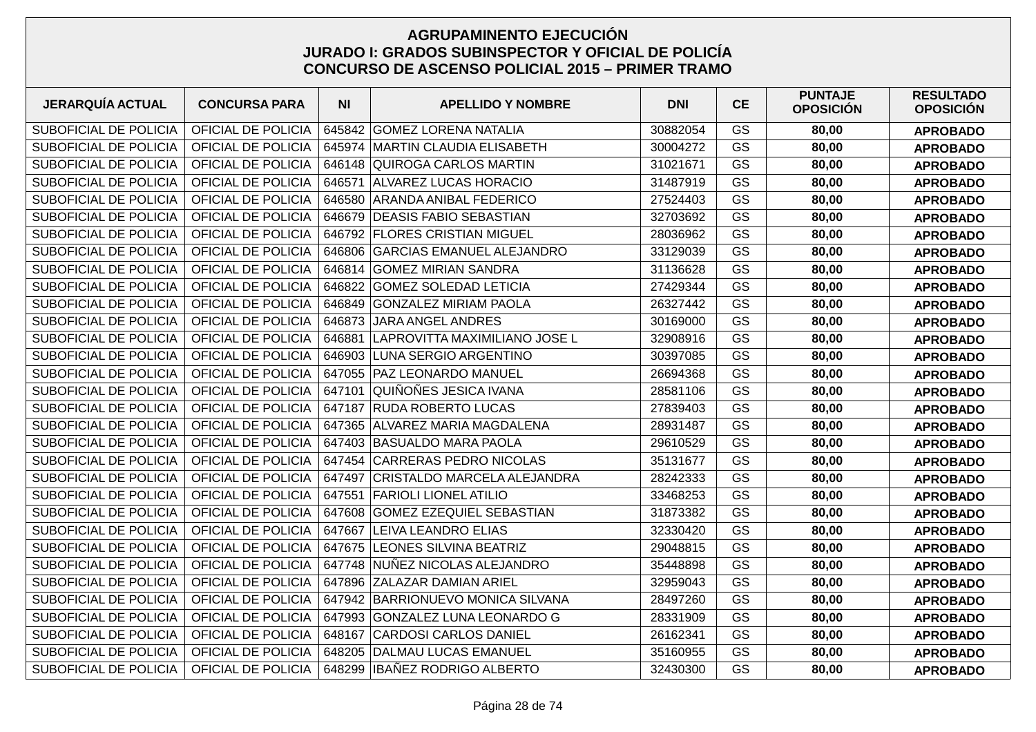| <b>JERARQUÍA ACTUAL</b> | <b>CONCURSA PARA</b> | <b>NI</b> | <b>APELLIDO Y NOMBRE</b>          | <b>DNI</b> | <b>CE</b> | <b>PUNTAJE</b><br><b>OPOSICIÓN</b> | <b>RESULTADO</b><br><b>OPOSICIÓN</b> |
|-------------------------|----------------------|-----------|-----------------------------------|------------|-----------|------------------------------------|--------------------------------------|
| SUBOFICIAL DE POLICIA   | OFICIAL DE POLICIA   | 645842    | <b>GOMEZ LORENA NATALIA</b>       | 30882054   | <b>GS</b> | 80,00                              | <b>APROBADO</b>                      |
| SUBOFICIAL DE POLICIA   | OFICIAL DE POLICIA   | 645974    | MARTIN CLAUDIA ELISABETH          | 30004272   | GS        | 80,00                              | <b>APROBADO</b>                      |
| SUBOFICIAL DE POLICIA   | OFICIAL DE POLICIA   | 646148    | <b>QUIROGA CARLOS MARTIN</b>      | 31021671   | GS        | 80,00                              | <b>APROBADO</b>                      |
| SUBOFICIAL DE POLICIA   | OFICIAL DE POLICIA   | 646571    | ALVAREZ LUCAS HORACIO             | 31487919   | GS        | 80,00                              | <b>APROBADO</b>                      |
| SUBOFICIAL DE POLICIA   | OFICIAL DE POLICIA   | 646580    | <b>ARANDA ANIBAL FEDERICO</b>     | 27524403   | GS        | 80,00                              | <b>APROBADO</b>                      |
| SUBOFICIAL DE POLICIA   | OFICIAL DE POLICIA   | 646679    | <b>DEASIS FABIO SEBASTIAN</b>     | 32703692   | GS        | 80,00                              | <b>APROBADO</b>                      |
| SUBOFICIAL DE POLICIA   | OFICIAL DE POLICIA   |           | 646792 FLORES CRISTIAN MIGUEL     | 28036962   | GS        | 80,00                              | <b>APROBADO</b>                      |
| SUBOFICIAL DE POLICIA   | OFICIAL DE POLICIA   | 646806    | <b>GARCIAS EMANUEL ALEJANDRO</b>  | 33129039   | GS        | 80,00                              | <b>APROBADO</b>                      |
| SUBOFICIAL DE POLICIA   | OFICIAL DE POLICIA   | 646814    | <b>GOMEZ MIRIAN SANDRA</b>        | 31136628   | GS        | 80,00                              | <b>APROBADO</b>                      |
| SUBOFICIAL DE POLICIA   | OFICIAL DE POLICIA   | 646822    | <b>GOMEZ SOLEDAD LETICIA</b>      | 27429344   | GS        | 80,00                              | <b>APROBADO</b>                      |
| SUBOFICIAL DE POLICIA   | OFICIAL DE POLICIA   | 646849    | <b>GONZALEZ MIRIAM PAOLA</b>      | 26327442   | GS        | 80,00                              | <b>APROBADO</b>                      |
| SUBOFICIAL DE POLICIA   | OFICIAL DE POLICIA   | 646873    | JARA ANGEL ANDRES                 | 30169000   | GS        | 80,00                              | <b>APROBADO</b>                      |
| SUBOFICIAL DE POLICIA   | OFICIAL DE POLICIA   | 646881    | LAPROVITTA MAXIMILIANO JOSE L     | 32908916   | GS        | 80,00                              | <b>APROBADO</b>                      |
| SUBOFICIAL DE POLICIA   | OFICIAL DE POLICIA   | 646903    | <b>LUNA SERGIO ARGENTINO</b>      | 30397085   | GS        | 80,00                              | <b>APROBADO</b>                      |
| SUBOFICIAL DE POLICIA   | OFICIAL DE POLICIA   | 647055    | <b>PAZ LEONARDO MANUEL</b>        | 26694368   | GS        | 80,00                              | <b>APROBADO</b>                      |
| SUBOFICIAL DE POLICIA   | OFICIAL DE POLICIA   | 647101    | QUIÑOÑES JESICA IVANA             | 28581106   | GS        | 80,00                              | <b>APROBADO</b>                      |
| SUBOFICIAL DE POLICIA   | OFICIAL DE POLICIA   |           | 647187 RUDA ROBERTO LUCAS         | 27839403   | GS        | 80,00                              | <b>APROBADO</b>                      |
| SUBOFICIAL DE POLICIA   | OFICIAL DE POLICIA   |           | 647365 ALVAREZ MARIA MAGDALENA    | 28931487   | GS        | 80,00                              | <b>APROBADO</b>                      |
| SUBOFICIAL DE POLICIA   | OFICIAL DE POLICIA   |           | 647403 BASUALDO MARA PAOLA        | 29610529   | <b>GS</b> | 80,00                              | <b>APROBADO</b>                      |
| SUBOFICIAL DE POLICIA   | OFICIAL DE POLICIA   | 647454    | CARRERAS PEDRO NICOLAS            | 35131677   | GS        | 80,00                              | <b>APROBADO</b>                      |
| SUBOFICIAL DE POLICIA   | OFICIAL DE POLICIA   | 647497    | CRISTALDO MARCELA ALEJANDRA       | 28242333   | GS        | 80,00                              | <b>APROBADO</b>                      |
| SUBOFICIAL DE POLICIA   | OFICIAL DE POLICIA   |           | 647551 FARIOLI LIONEL ATILIO      | 33468253   | GS        | 80,00                              | <b>APROBADO</b>                      |
| SUBOFICIAL DE POLICIA   | OFICIAL DE POLICIA   |           | 647608 GOMEZ EZEQUIEL SEBASTIAN   | 31873382   | GS        | 80,00                              | <b>APROBADO</b>                      |
| SUBOFICIAL DE POLICIA   | OFICIAL DE POLICIA   | 647667    | <b>LEIVA LEANDRO ELIAS</b>        | 32330420   | GS        | 80,00                              | <b>APROBADO</b>                      |
| SUBOFICIAL DE POLICIA   | OFICIAL DE POLICIA   | 647675    | <b>LEONES SILVINA BEATRIZ</b>     | 29048815   | GS        | 80,00                              | <b>APROBADO</b>                      |
| SUBOFICIAL DE POLICIA   | OFICIAL DE POLICIA   | 647748    | NUÑEZ NICOLAS ALEJANDRO           | 35448898   | GS        | 80,00                              | <b>APROBADO</b>                      |
| SUBOFICIAL DE POLICIA   | OFICIAL DE POLICIA   | 647896    | <b>ZALAZAR DAMIAN ARIEL</b>       | 32959043   | GS        | 80,00                              | <b>APROBADO</b>                      |
| SUBOFICIAL DE POLICIA   | OFICIAL DE POLICIA   |           | 647942 BARRIONUEVO MONICA SILVANA | 28497260   | GS        | 80,00                              | <b>APROBADO</b>                      |
| SUBOFICIAL DE POLICIA   | OFICIAL DE POLICIA   | 647993    | GONZALEZ LUNA LEONARDO G          | 28331909   | GS        | 80,00                              | <b>APROBADO</b>                      |
| SUBOFICIAL DE POLICIA   | OFICIAL DE POLICIA   | 648167    | <b>CARDOSI CARLOS DANIEL</b>      | 26162341   | GS        | 80,00                              | <b>APROBADO</b>                      |
| SUBOFICIAL DE POLICIA   | OFICIAL DE POLICIA   | 648205    | DALMAU LUCAS EMANUEL              | 35160955   | GS        | 80,00                              | <b>APROBADO</b>                      |
| SUBOFICIAL DE POLICIA   | OFICIAL DE POLICIA   | 648299    | IBAÑEZ RODRIGO ALBERTO            | 32430300   | GS        | 80,00                              | <b>APROBADO</b>                      |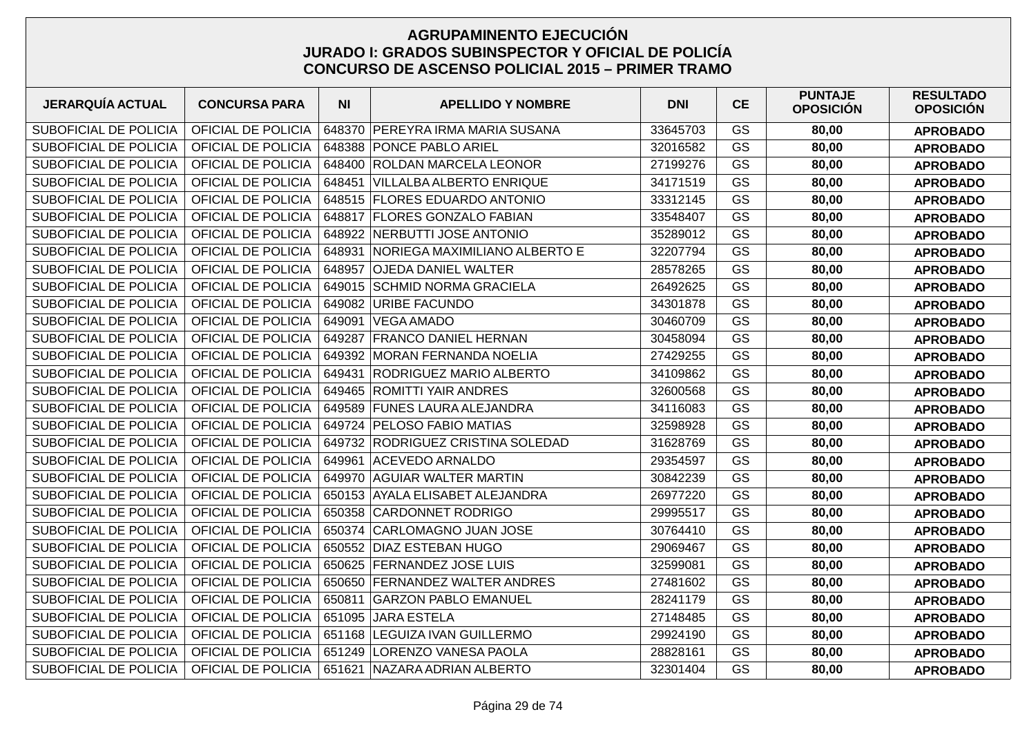| <b>JERARQUÍA ACTUAL</b> | <b>CONCURSA PARA</b> | <b>NI</b> | <b>APELLIDO Y NOMBRE</b>             | <b>DNI</b> | <b>CE</b> | <b>PUNTAJE</b><br><b>OPOSICIÓN</b> | <b>RESULTADO</b><br><b>OPOSICIÓN</b> |
|-------------------------|----------------------|-----------|--------------------------------------|------------|-----------|------------------------------------|--------------------------------------|
| SUBOFICIAL DE POLICIA   | OFICIAL DE POLICIA   |           | 648370 PEREYRA IRMA MARIA SUSANA     | 33645703   | <b>GS</b> | 80,00                              | <b>APROBADO</b>                      |
| SUBOFICIAL DE POLICIA   | OFICIAL DE POLICIA   |           | 648388 PONCE PABLO ARIEL             | 32016582   | <b>GS</b> | 80,00                              | <b>APROBADO</b>                      |
| SUBOFICIAL DE POLICIA   | OFICIAL DE POLICIA   |           | 648400 ROLDAN MARCELA LEONOR         | 27199276   | GS        | 80,00                              | <b>APROBADO</b>                      |
| SUBOFICIAL DE POLICIA   | OFICIAL DE POLICIA   |           | 648451 VILLALBA ALBERTO ENRIQUE      | 34171519   | GS        | 80,00                              | <b>APROBADO</b>                      |
| SUBOFICIAL DE POLICIA   | OFICIAL DE POLICIA   |           | 648515 FLORES EDUARDO ANTONIO        | 33312145   | <b>GS</b> | 80,00                              | <b>APROBADO</b>                      |
| SUBOFICIAL DE POLICIA   | OFICIAL DE POLICIA   |           | 648817 FLORES GONZALO FABIAN         | 33548407   | GS        | 80,00                              | <b>APROBADO</b>                      |
| SUBOFICIAL DE POLICIA   | OFICIAL DE POLICIA   | 648922    | NERBUTTI JOSE ANTONIO                | 35289012   | GS        | 80,00                              | <b>APROBADO</b>                      |
| SUBOFICIAL DE POLICIA   | OFICIAL DE POLICIA   |           | 648931 NORIEGA MAXIMILIANO ALBERTO E | 32207794   | GS        | 80,00                              | <b>APROBADO</b>                      |
| SUBOFICIAL DE POLICIA   | OFICIAL DE POLICIA   |           | 648957 OJEDA DANIEL WALTER           | 28578265   | GS        | 80,00                              | <b>APROBADO</b>                      |
| SUBOFICIAL DE POLICIA   | OFICIAL DE POLICIA   | 649015    | <b>SCHMID NORMA GRACIELA</b>         | 26492625   | <b>GS</b> | 80,00                              | <b>APROBADO</b>                      |
| SUBOFICIAL DE POLICIA   | OFICIAL DE POLICIA   |           | 649082 URIBE FACUNDO                 | 34301878   | GS        | 80,00                              | <b>APROBADO</b>                      |
| SUBOFICIAL DE POLICIA   | OFICIAL DE POLICIA   | 649091    | <b>VEGA AMADO</b>                    | 30460709   | GS        | 80,00                              | <b>APROBADO</b>                      |
| SUBOFICIAL DE POLICIA   | OFICIAL DE POLICIA   |           | 649287 FRANCO DANIEL HERNAN          | 30458094   | GS        | 80,00                              | <b>APROBADO</b>                      |
| SUBOFICIAL DE POLICIA   | OFICIAL DE POLICIA   |           | 649392 MORAN FERNANDA NOELIA         | 27429255   | GS        | 80,00                              | <b>APROBADO</b>                      |
| SUBOFICIAL DE POLICIA   | OFICIAL DE POLICIA   |           | 649431 RODRIGUEZ MARIO ALBERTO       | 34109862   | <b>GS</b> | 80,00                              | <b>APROBADO</b>                      |
| SUBOFICIAL DE POLICIA   | OFICIAL DE POLICIA   |           | 649465 ROMITTI YAIR ANDRES           | 32600568   | GS        | 80,00                              | <b>APROBADO</b>                      |
| SUBOFICIAL DE POLICIA   | OFICIAL DE POLICIA   | 649589    | <b>FUNES LAURA ALEJANDRA</b>         | 34116083   | GS        | 80,00                              | <b>APROBADO</b>                      |
| SUBOFICIAL DE POLICIA   | OFICIAL DE POLICIA   |           | 649724 PELOSO FABIO MATIAS           | 32598928   | GS        | 80,00                              | <b>APROBADO</b>                      |
| SUBOFICIAL DE POLICIA   | OFICIAL DE POLICIA   |           | 649732 RODRIGUEZ CRISTINA SOLEDAD    | 31628769   | GS        | 80,00                              | <b>APROBADO</b>                      |
| SUBOFICIAL DE POLICIA   | OFICIAL DE POLICIA   |           | 649961 ACEVEDO ARNALDO               | 29354597   | <b>GS</b> | 80,00                              | <b>APROBADO</b>                      |
| SUBOFICIAL DE POLICIA   | OFICIAL DE POLICIA   |           | 649970 AGUIAR WALTER MARTIN          | 30842239   | GS        | 80,00                              | <b>APROBADO</b>                      |
| SUBOFICIAL DE POLICIA   | OFICIAL DE POLICIA   |           | 650153 AYALA ELISABET ALEJANDRA      | 26977220   | GS        | 80,00                              | <b>APROBADO</b>                      |
| SUBOFICIAL DE POLICIA   | OFICIAL DE POLICIA   |           | 650358 CARDONNET RODRIGO             | 29995517   | GS        | 80,00                              | <b>APROBADO</b>                      |
| SUBOFICIAL DE POLICIA   | OFICIAL DE POLICIA   |           | 650374 CARLOMAGNO JUAN JOSE          | 30764410   | GS        | 80,00                              | <b>APROBADO</b>                      |
| SUBOFICIAL DE POLICIA   | OFICIAL DE POLICIA   | 650552    | <b>DIAZ ESTEBAN HUGO</b>             | 29069467   | <b>GS</b> | 80,00                              | <b>APROBADO</b>                      |
| SUBOFICIAL DE POLICIA   | OFICIAL DE POLICIA   |           | 650625 FERNANDEZ JOSE LUIS           | 32599081   | GS        | 80,00                              | <b>APROBADO</b>                      |
| SUBOFICIAL DE POLICIA   | OFICIAL DE POLICIA   |           | 650650 FERNANDEZ WALTER ANDRES       | 27481602   | GS        | 80,00                              | <b>APROBADO</b>                      |
| SUBOFICIAL DE POLICIA   | OFICIAL DE POLICIA   |           | 650811 GARZON PABLO EMANUEL          | 28241179   | GS        | 80,00                              | <b>APROBADO</b>                      |
| SUBOFICIAL DE POLICIA   | OFICIAL DE POLICIA   | 651095    | <b>JARA ESTELA</b>                   | 27148485   | GS        | 80,00                              | <b>APROBADO</b>                      |
| SUBOFICIAL DE POLICIA   | OFICIAL DE POLICIA   | 651168    | <b>LEGUIZA IVAN GUILLERMO</b>        | 29924190   | GS        | 80,00                              | <b>APROBADO</b>                      |
| SUBOFICIAL DE POLICIA   | OFICIAL DE POLICIA   |           | 651249 LORENZO VANESA PAOLA          | 28828161   | GS        | 80,00                              | <b>APROBADO</b>                      |
| SUBOFICIAL DE POLICIA   | OFICIAL DE POLICIA   |           | 651621 NAZARA ADRIAN ALBERTO         | 32301404   | GS        | 80,00                              | <b>APROBADO</b>                      |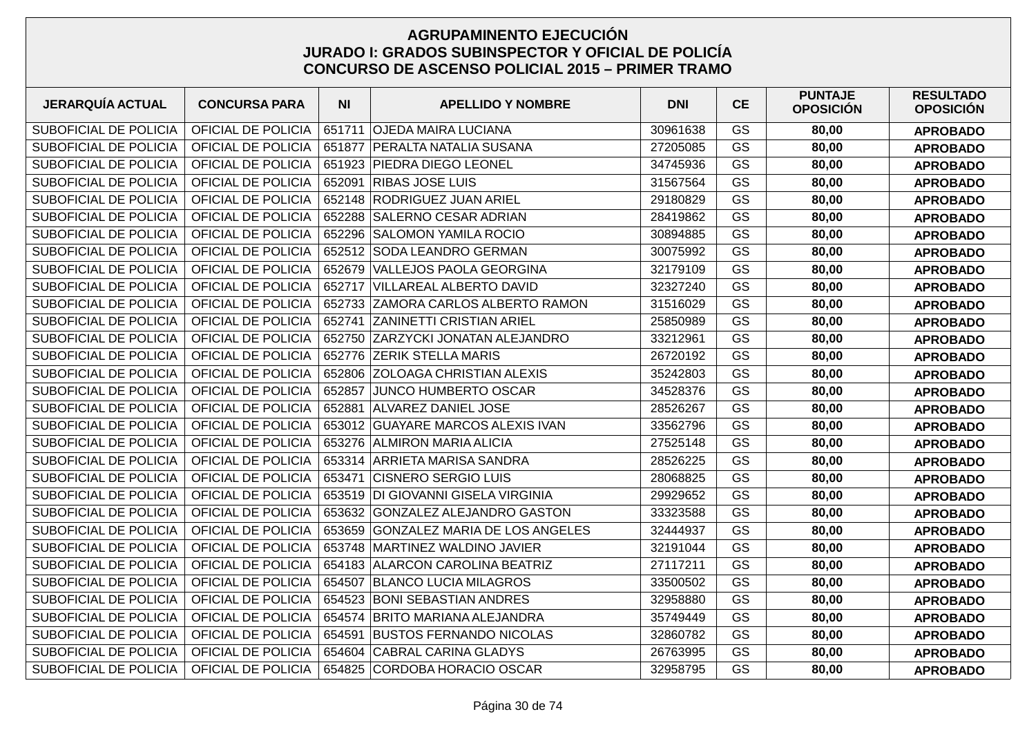| <b>JERARQUÍA ACTUAL</b> | <b>CONCURSA PARA</b> | <b>NI</b> | <b>APELLIDO Y NOMBRE</b>             | <b>DNI</b> | <b>CE</b> | <b>PUNTAJE</b><br><b>OPOSICIÓN</b> | <b>RESULTADO</b><br><b>OPOSICIÓN</b> |
|-------------------------|----------------------|-----------|--------------------------------------|------------|-----------|------------------------------------|--------------------------------------|
| SUBOFICIAL DE POLICIA   | OFICIAL DE POLICIA   | 651711    | <b>OJEDA MAIRA LUCIANA</b>           | 30961638   | GS        | 80,00                              | <b>APROBADO</b>                      |
| SUBOFICIAL DE POLICIA   | OFICIAL DE POLICIA   | 651877    | <b>PERALTA NATALIA SUSANA</b>        | 27205085   | GS        | 80,00                              | <b>APROBADO</b>                      |
| SUBOFICIAL DE POLICIA   | OFICIAL DE POLICIA   | 651923    | <b>PIEDRA DIEGO LEONEL</b>           | 34745936   | GS        | 80,00                              | <b>APROBADO</b>                      |
| SUBOFICIAL DE POLICIA   | OFICIAL DE POLICIA   | 652091    | <b>RIBAS JOSE LUIS</b>               | 31567564   | GS        | 80,00                              | <b>APROBADO</b>                      |
| SUBOFICIAL DE POLICIA   | OFICIAL DE POLICIA   | 652148    | <b>RODRIGUEZ JUAN ARIEL</b>          | 29180829   | GS        | 80,00                              | <b>APROBADO</b>                      |
| SUBOFICIAL DE POLICIA   | OFICIAL DE POLICIA   | 652288    | <b>SALERNO CESAR ADRIAN</b>          | 28419862   | GS        | 80,00                              | <b>APROBADO</b>                      |
| SUBOFICIAL DE POLICIA   | OFICIAL DE POLICIA   | 652296    | <b>SALOMON YAMILA ROCIO</b>          | 30894885   | GS        | 80,00                              | <b>APROBADO</b>                      |
| SUBOFICIAL DE POLICIA   | OFICIAL DE POLICIA   | 652512    | SODA LEANDRO GERMAN                  | 30075992   | GS        | 80,00                              | <b>APROBADO</b>                      |
| SUBOFICIAL DE POLICIA   | OFICIAL DE POLICIA   | 652679    | VALLEJOS PAOLA GEORGINA              | 32179109   | GS        | 80,00                              | <b>APROBADO</b>                      |
| SUBOFICIAL DE POLICIA   | OFICIAL DE POLICIA   | 652717    | VILLAREAL ALBERTO DAVID              | 32327240   | GS        | 80,00                              | <b>APROBADO</b>                      |
| SUBOFICIAL DE POLICIA   | OFICIAL DE POLICIA   | 652733    | <b>ZAMORA CARLOS ALBERTO RAMON</b>   | 31516029   | GS        | 80,00                              | <b>APROBADO</b>                      |
| SUBOFICIAL DE POLICIA   | OFICIAL DE POLICIA   | 652741    | <b>ZANINETTI CRISTIAN ARIEL</b>      | 25850989   | GS        | 80,00                              | <b>APROBADO</b>                      |
| SUBOFICIAL DE POLICIA   | OFICIAL DE POLICIA   |           | 652750 ZARZYCKI JONATAN ALEJANDRO    | 33212961   | GS        | 80,00                              | <b>APROBADO</b>                      |
| SUBOFICIAL DE POLICIA   | OFICIAL DE POLICIA   | 652776    | <b>ZERIK STELLA MARIS</b>            | 26720192   | GS        | 80,00                              | <b>APROBADO</b>                      |
| SUBOFICIAL DE POLICIA   | OFICIAL DE POLICIA   | 652806    | <b>ZOLOAGA CHRISTIAN ALEXIS</b>      | 35242803   | GS        | 80,00                              | <b>APROBADO</b>                      |
| SUBOFICIAL DE POLICIA   | OFICIAL DE POLICIA   | 652857    | <b>JUNCO HUMBERTO OSCAR</b>          | 34528376   | GS        | 80,00                              | <b>APROBADO</b>                      |
| SUBOFICIAL DE POLICIA   | OFICIAL DE POLICIA   | 652881    | ALVAREZ DANIEL JOSE                  | 28526267   | GS        | 80,00                              | <b>APROBADO</b>                      |
| SUBOFICIAL DE POLICIA   | OFICIAL DE POLICIA   | 653012    | <b>GUAYARE MARCOS ALEXIS IVAN</b>    | 33562796   | GS        | 80,00                              | <b>APROBADO</b>                      |
| SUBOFICIAL DE POLICIA   | OFICIAL DE POLICIA   | 653276    | ALMIRON MARIA ALICIA                 | 27525148   | GS        | 80,00                              | <b>APROBADO</b>                      |
| SUBOFICIAL DE POLICIA   | OFICIAL DE POLICIA   | 653314    | <b>ARRIETA MARISA SANDRA</b>         | 28526225   | GS        | 80,00                              | <b>APROBADO</b>                      |
| SUBOFICIAL DE POLICIA   | OFICIAL DE POLICIA   | 653471    | <b>CISNERO SERGIO LUIS</b>           | 28068825   | GS        | 80,00                              | <b>APROBADO</b>                      |
| SUBOFICIAL DE POLICIA   | OFICIAL DE POLICIA   | 653519    | <b>DI GIOVANNI GISELA VIRGINIA</b>   | 29929652   | GS        | 80,00                              | <b>APROBADO</b>                      |
| SUBOFICIAL DE POLICIA   | OFICIAL DE POLICIA   | 653632    | GONZALEZ ALEJANDRO GASTON            | 33323588   | GS        | 80,00                              | <b>APROBADO</b>                      |
| SUBOFICIAL DE POLICIA   | OFICIAL DE POLICIA   | 653659    | <b>GONZALEZ MARIA DE LOS ANGELES</b> | 32444937   | GS        | 80,00                              | <b>APROBADO</b>                      |
| SUBOFICIAL DE POLICIA   | OFICIAL DE POLICIA   | 653748    | MARTINEZ WALDINO JAVIER              | 32191044   | GS        | 80,00                              | <b>APROBADO</b>                      |
| SUBOFICIAL DE POLICIA   | OFICIAL DE POLICIA   | 654183    | ALARCON CAROLINA BEATRIZ             | 27117211   | GS        | 80,00                              | <b>APROBADO</b>                      |
| SUBOFICIAL DE POLICIA   | OFICIAL DE POLICIA   | 654507    | <b>BLANCO LUCIA MILAGROS</b>         | 33500502   | GS        | 80,00                              | <b>APROBADO</b>                      |
| SUBOFICIAL DE POLICIA   | OFICIAL DE POLICIA   | 654523    | <b>BONI SEBASTIAN ANDRES</b>         | 32958880   | GS        | 80,00                              | <b>APROBADO</b>                      |
| SUBOFICIAL DE POLICIA   | OFICIAL DE POLICIA   |           | 654574 BRITO MARIANA ALEJANDRA       | 35749449   | GS        | 80,00                              | <b>APROBADO</b>                      |
| SUBOFICIAL DE POLICIA   | OFICIAL DE POLICIA   | 654591    | <b>BUSTOS FERNANDO NICOLAS</b>       | 32860782   | GS        | 80,00                              | <b>APROBADO</b>                      |
| SUBOFICIAL DE POLICIA   | OFICIAL DE POLICIA   | 654604    | CABRAL CARINA GLADYS                 | 26763995   | GS        | 80,00                              | <b>APROBADO</b>                      |
| SUBOFICIAL DE POLICIA   | OFICIAL DE POLICIA   | 654825    | CORDOBA HORACIO OSCAR                | 32958795   | GS        | 80,00                              | <b>APROBADO</b>                      |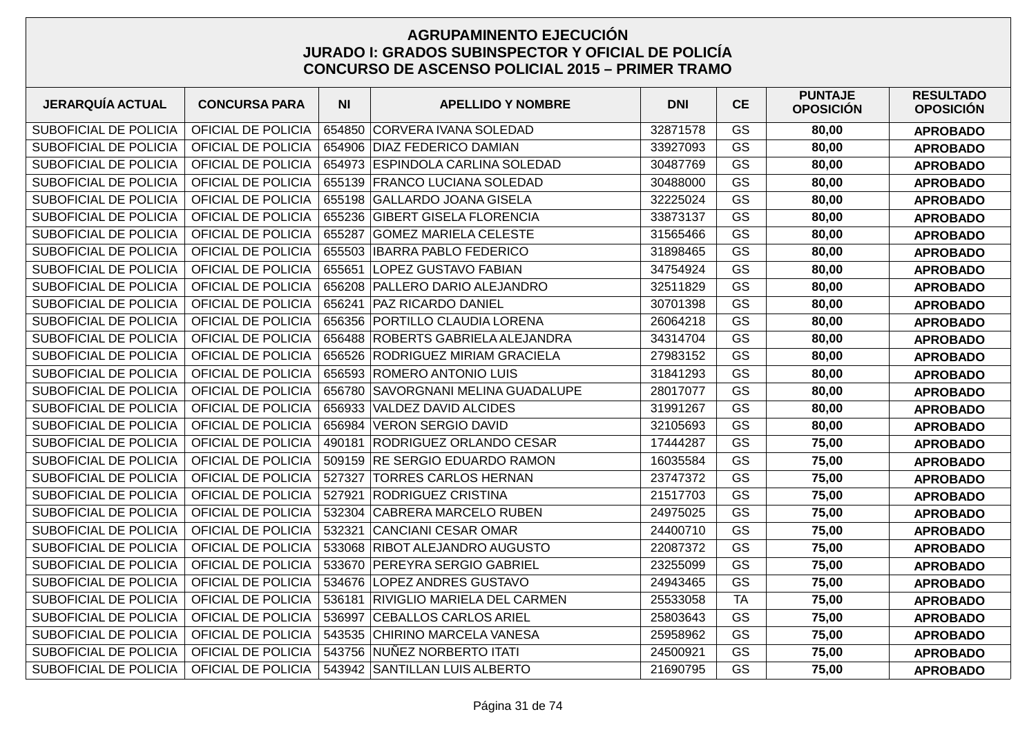| <b>JERARQUÍA ACTUAL</b> | <b>CONCURSA PARA</b> | <b>NI</b> | <b>APELLIDO Y NOMBRE</b>           | <b>DNI</b> | <b>CE</b> | <b>PUNTAJE</b><br><b>OPOSICIÓN</b> | <b>RESULTADO</b><br><b>OPOSICIÓN</b> |
|-------------------------|----------------------|-----------|------------------------------------|------------|-----------|------------------------------------|--------------------------------------|
| SUBOFICIAL DE POLICIA   | OFICIAL DE POLICIA   | 654850    | <b>CORVERA IVANA SOLEDAD</b>       | 32871578   | GS        | 80,00                              | <b>APROBADO</b>                      |
| SUBOFICIAL DE POLICIA   | OFICIAL DE POLICIA   | 654906    | <b>DIAZ FEDERICO DAMIAN</b>        | 33927093   | GS        | 80,00                              | <b>APROBADO</b>                      |
| SUBOFICIAL DE POLICIA   | OFICIAL DE POLICIA   | 654973    | <b>ESPINDOLA CARLINA SOLEDAD</b>   | 30487769   | GS        | 80,00                              | <b>APROBADO</b>                      |
| SUBOFICIAL DE POLICIA   | OFICIAL DE POLICIA   | 655139    | <b>FRANCO LUCIANA SOLEDAD</b>      | 30488000   | GS        | 80,00                              | <b>APROBADO</b>                      |
| SUBOFICIAL DE POLICIA   | OFICIAL DE POLICIA   | 655198    | GALLARDO JOANA GISELA              | 32225024   | GS        | 80,00                              | <b>APROBADO</b>                      |
| SUBOFICIAL DE POLICIA   | OFICIAL DE POLICIA   | 655236    | <b>GIBERT GISELA FLORENCIA</b>     | 33873137   | GS        | 80,00                              | <b>APROBADO</b>                      |
| SUBOFICIAL DE POLICIA   | OFICIAL DE POLICIA   | 655287    | <b>GOMEZ MARIELA CELESTE</b>       | 31565466   | GS        | 80,00                              | <b>APROBADO</b>                      |
| SUBOFICIAL DE POLICIA   | OFICIAL DE POLICIA   | 655503    | <b>IBARRA PABLO FEDERICO</b>       | 31898465   | GS        | 80,00                              | <b>APROBADO</b>                      |
| SUBOFICIAL DE POLICIA   | OFICIAL DE POLICIA   | 655651    | LOPEZ GUSTAVO FABIAN               | 34754924   | GS        | 80,00                              | <b>APROBADO</b>                      |
| SUBOFICIAL DE POLICIA   | OFICIAL DE POLICIA   | 656208    | PALLERO DARIO ALEJANDRO            | 32511829   | GS        | 80,00                              | <b>APROBADO</b>                      |
| SUBOFICIAL DE POLICIA   | OFICIAL DE POLICIA   | 656241    | <b>PAZ RICARDO DANIEL</b>          | 30701398   | GS        | 80,00                              | <b>APROBADO</b>                      |
| SUBOFICIAL DE POLICIA   | OFICIAL DE POLICIA   | 656356    | <b>PORTILLO CLAUDIA LORENA</b>     | 26064218   | GS        | 80,00                              | <b>APROBADO</b>                      |
| SUBOFICIAL DE POLICIA   | OFICIAL DE POLICIA   | 656488    | ROBERTS GABRIELA ALEJANDRA         | 34314704   | GS        | 80,00                              | <b>APROBADO</b>                      |
| SUBOFICIAL DE POLICIA   | OFICIAL DE POLICIA   | 656526    | <b>RODRIGUEZ MIRIAM GRACIELA</b>   | 27983152   | GS        | 80,00                              | <b>APROBADO</b>                      |
| SUBOFICIAL DE POLICIA   | OFICIAL DE POLICIA   | 656593    | <b>ROMERO ANTONIO LUIS</b>         | 31841293   | GS        | 80,00                              | <b>APROBADO</b>                      |
| SUBOFICIAL DE POLICIA   | OFICIAL DE POLICIA   | 656780    | SAVORGNANI MELINA GUADALUPE        | 28017077   | GS        | 80,00                              | <b>APROBADO</b>                      |
| SUBOFICIAL DE POLICIA   | OFICIAL DE POLICIA   | 656933    | <b>VALDEZ DAVID ALCIDES</b>        | 31991267   | GS        | 80,00                              | <b>APROBADO</b>                      |
| SUBOFICIAL DE POLICIA   | OFICIAL DE POLICIA   | 656984    | <b>VERON SERGIO DAVID</b>          | 32105693   | GS        | 80,00                              | <b>APROBADO</b>                      |
| SUBOFICIAL DE POLICIA   | OFICIAL DE POLICIA   |           | 490181 RODRIGUEZ ORLANDO CESAR     | 17444287   | GS        | 75,00                              | <b>APROBADO</b>                      |
| SUBOFICIAL DE POLICIA   | OFICIAL DE POLICIA   | 509159    | <b>RE SERGIO EDUARDO RAMON</b>     | 16035584   | GS        | 75,00                              | <b>APROBADO</b>                      |
| SUBOFICIAL DE POLICIA   | OFICIAL DE POLICIA   | 527327    | <b>TORRES CARLOS HERNAN</b>        | 23747372   | GS        | 75,00                              | <b>APROBADO</b>                      |
| SUBOFICIAL DE POLICIA   | OFICIAL DE POLICIA   | 527921    | <b>RODRIGUEZ CRISTINA</b>          | 21517703   | GS        | 75,00                              | <b>APROBADO</b>                      |
| SUBOFICIAL DE POLICIA   | OFICIAL DE POLICIA   | 532304    | CABRERA MARCELO RUBEN              | 24975025   | GS        | 75,00                              | <b>APROBADO</b>                      |
| SUBOFICIAL DE POLICIA   | OFICIAL DE POLICIA   | 532321    | <b>CANCIANI CESAR OMAR</b>         | 24400710   | GS        | 75,00                              | <b>APROBADO</b>                      |
| SUBOFICIAL DE POLICIA   | OFICIAL DE POLICIA   | 533068    | RIBOT ALEJANDRO AUGUSTO            | 22087372   | GS        | 75,00                              | <b>APROBADO</b>                      |
| SUBOFICIAL DE POLICIA   | OFICIAL DE POLICIA   | 533670    | <b>PEREYRA SERGIO GABRIEL</b>      | 23255099   | GS        | 75,00                              | <b>APROBADO</b>                      |
| SUBOFICIAL DE POLICIA   | OFICIAL DE POLICIA   | 534676    | LOPEZ ANDRES GUSTAVO               | 24943465   | GS        | 75,00                              | <b>APROBADO</b>                      |
| SUBOFICIAL DE POLICIA   | OFICIAL DE POLICIA   |           | 536181 RIVIGLIO MARIELA DEL CARMEN | 25533058   | <b>TA</b> | 75,00                              | <b>APROBADO</b>                      |
| SUBOFICIAL DE POLICIA   | OFICIAL DE POLICIA   | 536997    | <b>CEBALLOS CARLOS ARIEL</b>       | 25803643   | GS        | 75,00                              | <b>APROBADO</b>                      |
| SUBOFICIAL DE POLICIA   | OFICIAL DE POLICIA   | 543535    | CHIRINO MARCELA VANESA             | 25958962   | GS        | 75,00                              | <b>APROBADO</b>                      |
| SUBOFICIAL DE POLICIA   | OFICIAL DE POLICIA   | 543756    | NUÑEZ NORBERTO ITATI               | 24500921   | GS        | 75,00                              | <b>APROBADO</b>                      |
| SUBOFICIAL DE POLICIA   | OFICIAL DE POLICIA   |           | 543942 SANTILLAN LUIS ALBERTO      | 21690795   | GS        | 75,00                              | <b>APROBADO</b>                      |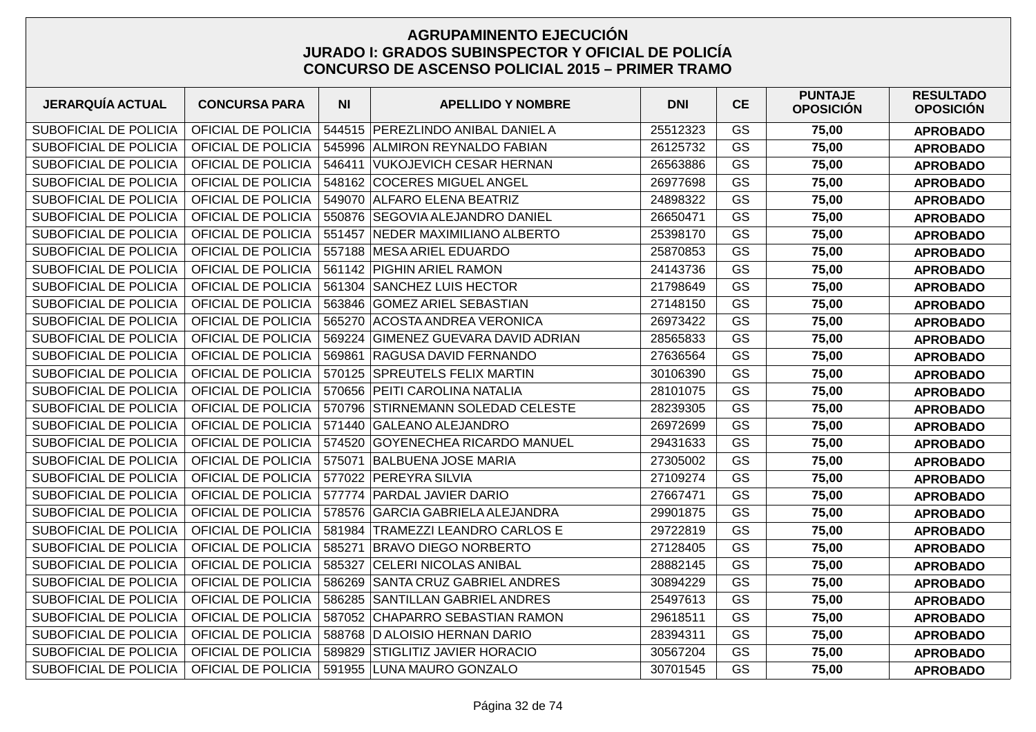| <b>JERARQUÍA ACTUAL</b> | <b>CONCURSA PARA</b> | <b>NI</b> | <b>APELLIDO Y NOMBRE</b>            | <b>DNI</b> | <b>CE</b> | <b>PUNTAJE</b><br><b>OPOSICIÓN</b> | <b>RESULTADO</b><br><b>OPOSICIÓN</b> |
|-------------------------|----------------------|-----------|-------------------------------------|------------|-----------|------------------------------------|--------------------------------------|
| SUBOFICIAL DE POLICIA   | OFICIAL DE POLICIA   |           | 544515 PEREZLINDO ANIBAL DANIEL A   | 25512323   | <b>GS</b> | 75,00                              | <b>APROBADO</b>                      |
| SUBOFICIAL DE POLICIA   | OFICIAL DE POLICIA   |           | 545996 ALMIRON REYNALDO FABIAN      | 26125732   | <b>GS</b> | 75,00                              | <b>APROBADO</b>                      |
| SUBOFICIAL DE POLICIA   | OFICIAL DE POLICIA   |           | 546411 VUKOJEVICH CESAR HERNAN      | 26563886   | GS        | 75,00                              | <b>APROBADO</b>                      |
| SUBOFICIAL DE POLICIA   | OFICIAL DE POLICIA   |           | 548162 COCERES MIGUEL ANGEL         | 26977698   | GS        | 75,00                              | <b>APROBADO</b>                      |
| SUBOFICIAL DE POLICIA   | OFICIAL DE POLICIA   |           | 549070 ALFARO ELENA BEATRIZ         | 24898322   | <b>GS</b> | 75,00                              | <b>APROBADO</b>                      |
| SUBOFICIAL DE POLICIA   | OFICIAL DE POLICIA   |           | 550876 SEGOVIA ALEJANDRO DANIEL     | 26650471   | <b>GS</b> | 75,00                              | <b>APROBADO</b>                      |
| SUBOFICIAL DE POLICIA   | OFICIAL DE POLICIA   |           | 551457 NEDER MAXIMILIANO ALBERTO    | 25398170   | GS        | 75,00                              | <b>APROBADO</b>                      |
| SUBOFICIAL DE POLICIA   | OFICIAL DE POLICIA   |           | 557188 MESA ARIEL EDUARDO           | 25870853   | GS        | 75,00                              | <b>APROBADO</b>                      |
| SUBOFICIAL DE POLICIA   | OFICIAL DE POLICIA   |           | 561142 PIGHIN ARIEL RAMON           | 24143736   | GS        | 75,00                              | <b>APROBADO</b>                      |
| SUBOFICIAL DE POLICIA   | OFICIAL DE POLICIA   | 561304    | SANCHEZ LUIS HECTOR                 | 21798649   | <b>GS</b> | 75,00                              | <b>APROBADO</b>                      |
| SUBOFICIAL DE POLICIA   | OFICIAL DE POLICIA   |           | 563846 GOMEZ ARIEL SEBASTIAN        | 27148150   | GS        | 75,00                              | <b>APROBADO</b>                      |
| SUBOFICIAL DE POLICIA   | OFICIAL DE POLICIA   |           | 565270 ACOSTA ANDREA VERONICA       | 26973422   | <b>GS</b> | 75,00                              | <b>APROBADO</b>                      |
| SUBOFICIAL DE POLICIA   | OFICIAL DE POLICIA   |           | 569224 GIMENEZ GUEVARA DAVID ADRIAN | 28565833   | GS        | 75,00                              | <b>APROBADO</b>                      |
| SUBOFICIAL DE POLICIA   | OFICIAL DE POLICIA   |           | 569861 RAGUSA DAVID FERNANDO        | 27636564   | GS        | 75,00                              | <b>APROBADO</b>                      |
| SUBOFICIAL DE POLICIA   | OFICIAL DE POLICIA   | 570125    | <b>SPREUTELS FELIX MARTIN</b>       | 30106390   | <b>GS</b> | 75,00                              | <b>APROBADO</b>                      |
| SUBOFICIAL DE POLICIA   | OFICIAL DE POLICIA   |           | 570656 PEITI CAROLINA NATALIA       | 28101075   | GS        | 75,00                              | <b>APROBADO</b>                      |
| SUBOFICIAL DE POLICIA   | OFICIAL DE POLICIA   | 570796    | STIRNEMANN SOLEDAD CELESTE          | 28239305   | GS        | 75,00                              | <b>APROBADO</b>                      |
| SUBOFICIAL DE POLICIA   | OFICIAL DE POLICIA   |           | 571440 GALEANO ALEJANDRO            | 26972699   | GS        | 75,00                              | <b>APROBADO</b>                      |
| SUBOFICIAL DE POLICIA   | OFICIAL DE POLICIA   |           | 574520 GOYENECHEA RICARDO MANUEL    | 29431633   | GS        | 75,00                              | <b>APROBADO</b>                      |
| SUBOFICIAL DE POLICIA   | OFICIAL DE POLICIA   |           | 575071 BALBUENA JOSE MARIA          | 27305002   | <b>GS</b> | 75,00                              | <b>APROBADO</b>                      |
| SUBOFICIAL DE POLICIA   | OFICIAL DE POLICIA   |           | 577022 PEREYRA SILVIA               | 27109274   | GS        | 75,00                              | <b>APROBADO</b>                      |
| SUBOFICIAL DE POLICIA   | OFICIAL DE POLICIA   |           | 577774 PARDAL JAVIER DARIO          | 27667471   | GS        | 75,00                              | <b>APROBADO</b>                      |
| SUBOFICIAL DE POLICIA   | OFICIAL DE POLICIA   |           | 578576 GARCIA GABRIELA ALEJANDRA    | 29901875   | GS        | 75,00                              | <b>APROBADO</b>                      |
| SUBOFICIAL DE POLICIA   | OFICIAL DE POLICIA   | 581984    | TRAMEZZI LEANDRO CARLOS E           | 29722819   | GS        | 75,00                              | <b>APROBADO</b>                      |
| SUBOFICIAL DE POLICIA   | OFICIAL DE POLICIA   | 585271    | <b>BRAVO DIEGO NORBERTO</b>         | 27128405   | <b>GS</b> | 75,00                              | <b>APROBADO</b>                      |
| SUBOFICIAL DE POLICIA   | OFICIAL DE POLICIA   | 585327    | <b>CELERI NICOLAS ANIBAL</b>        | 28882145   | GS        | 75,00                              | <b>APROBADO</b>                      |
| SUBOFICIAL DE POLICIA   | OFICIAL DE POLICIA   | 586269    | <b>SANTA CRUZ GABRIEL ANDRES</b>    | 30894229   | GS        | 75,00                              | <b>APROBADO</b>                      |
| SUBOFICIAL DE POLICIA   | OFICIAL DE POLICIA   | 586285    | <b>SANTILLAN GABRIEL ANDRES</b>     | 25497613   | GS        | 75,00                              | <b>APROBADO</b>                      |
| SUBOFICIAL DE POLICIA   | OFICIAL DE POLICIA   |           | 587052 CHAPARRO SEBASTIAN RAMON     | 29618511   | GS        | 75,00                              | <b>APROBADO</b>                      |
| SUBOFICIAL DE POLICIA   | OFICIAL DE POLICIA   |           | 588768 D ALOISIO HERNAN DARIO       | 28394311   | GS        | 75,00                              | <b>APROBADO</b>                      |
| SUBOFICIAL DE POLICIA   | OFICIAL DE POLICIA   |           | 589829 STIGLITIZ JAVIER HORACIO     | 30567204   | GS        | 75,00                              | <b>APROBADO</b>                      |
| SUBOFICIAL DE POLICIA   | OFICIAL DE POLICIA   |           | 591955 LUNA MAURO GONZALO           | 30701545   | GS        | 75,00                              | <b>APROBADO</b>                      |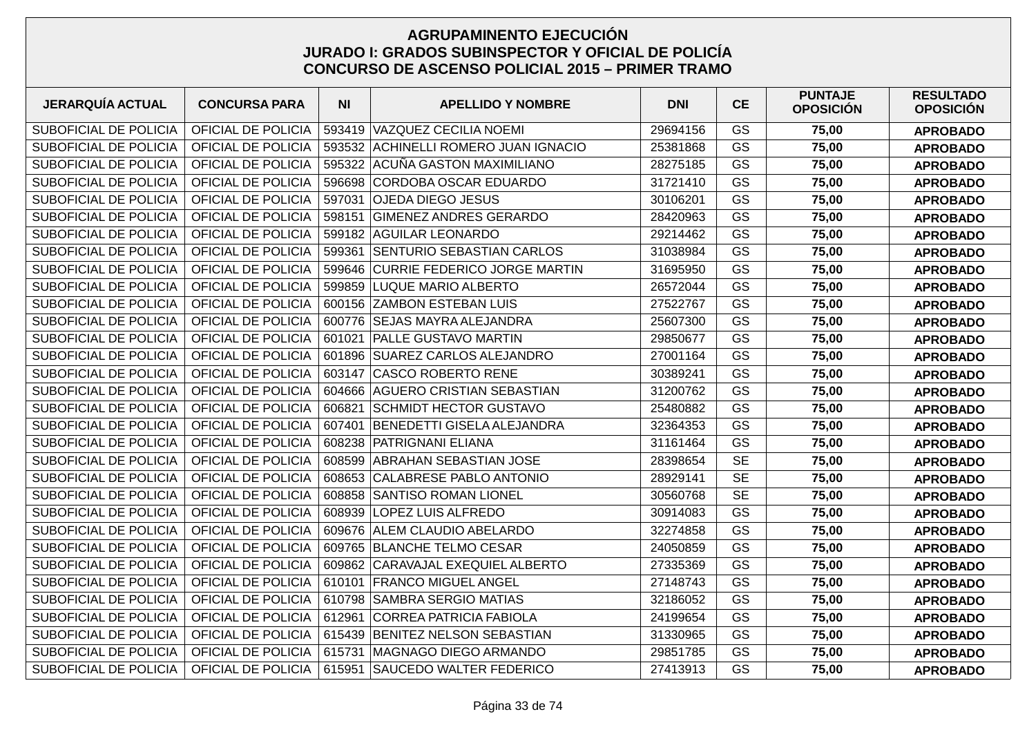| <b>JERARQUÍA ACTUAL</b> | <b>CONCURSA PARA</b> | <b>NI</b> | <b>APELLIDO Y NOMBRE</b>             | <b>DNI</b> | <b>CE</b> | <b>PUNTAJE</b><br><b>OPOSICIÓN</b> | <b>RESULTADO</b><br><b>OPOSICIÓN</b> |
|-------------------------|----------------------|-----------|--------------------------------------|------------|-----------|------------------------------------|--------------------------------------|
| SUBOFICIAL DE POLICIA   | OFICIAL DE POLICIA   | 593419    | VAZQUEZ CECILIA NOEMI                | 29694156   | GS        | 75,00                              | <b>APROBADO</b>                      |
| SUBOFICIAL DE POLICIA   | OFICIAL DE POLICIA   |           | 593532 ACHINELLI ROMERO JUAN IGNACIO | 25381868   | GS        | 75,00                              | <b>APROBADO</b>                      |
| SUBOFICIAL DE POLICIA   | OFICIAL DE POLICIA   | 595322    | ACUÑA GASTON MAXIMILIANO             | 28275185   | GS        | 75,00                              | <b>APROBADO</b>                      |
| SUBOFICIAL DE POLICIA   | OFICIAL DE POLICIA   | 596698    | CORDOBA OSCAR EDUARDO                | 31721410   | GS        | 75,00                              | <b>APROBADO</b>                      |
| SUBOFICIAL DE POLICIA   | OFICIAL DE POLICIA   | 597031    | <b>OJEDA DIEGO JESUS</b>             | 30106201   | GS        | 75,00                              | <b>APROBADO</b>                      |
| SUBOFICIAL DE POLICIA   | OFICIAL DE POLICIA   | 598151    | <b>GIMENEZ ANDRES GERARDO</b>        | 28420963   | GS        | 75,00                              | <b>APROBADO</b>                      |
| SUBOFICIAL DE POLICIA   | OFICIAL DE POLICIA   |           | 599182 AGUILAR LEONARDO              | 29214462   | GS        | 75,00                              | <b>APROBADO</b>                      |
| SUBOFICIAL DE POLICIA   | OFICIAL DE POLICIA   |           | 599361 SENTURIO SEBASTIAN CARLOS     | 31038984   | GS        | 75,00                              | <b>APROBADO</b>                      |
| SUBOFICIAL DE POLICIA   | OFICIAL DE POLICIA   | 599646    | CURRIE FEDERICO JORGE MARTIN         | 31695950   | GS        | 75,00                              | <b>APROBADO</b>                      |
| SUBOFICIAL DE POLICIA   | OFICIAL DE POLICIA   | 599859    | <b>LUQUE MARIO ALBERTO</b>           | 26572044   | GS        | 75,00                              | <b>APROBADO</b>                      |
| SUBOFICIAL DE POLICIA   | OFICIAL DE POLICIA   |           | 600156 ZAMBON ESTEBAN LUIS           | 27522767   | GS        | 75,00                              | <b>APROBADO</b>                      |
| SUBOFICIAL DE POLICIA   | OFICIAL DE POLICIA   | 600776    | <b>SEJAS MAYRA ALEJANDRA</b>         | 25607300   | GS        | 75,00                              | <b>APROBADO</b>                      |
| SUBOFICIAL DE POLICIA   | OFICIAL DE POLICIA   |           | 601021 PALLE GUSTAVO MARTIN          | 29850677   | GS        | 75,00                              | <b>APROBADO</b>                      |
| SUBOFICIAL DE POLICIA   | OFICIAL DE POLICIA   | 601896    | <b>SUAREZ CARLOS ALEJANDRO</b>       | 27001164   | GS        | 75,00                              | <b>APROBADO</b>                      |
| SUBOFICIAL DE POLICIA   | OFICIAL DE POLICIA   | 603147    | CASCO ROBERTO RENE                   | 30389241   | GS        | 75,00                              | <b>APROBADO</b>                      |
| SUBOFICIAL DE POLICIA   | OFICIAL DE POLICIA   | 604666    | <b>AGUERO CRISTIAN SEBASTIAN</b>     | 31200762   | GS        | 75,00                              | <b>APROBADO</b>                      |
| SUBOFICIAL DE POLICIA   | OFICIAL DE POLICIA   | 606821    | <b>SCHMIDT HECTOR GUSTAVO</b>        | 25480882   | GS        | 75,00                              | <b>APROBADO</b>                      |
| SUBOFICIAL DE POLICIA   | OFICIAL DE POLICIA   |           | 607401 BENEDETTI GISELA ALEJANDRA    | 32364353   | GS        | 75,00                              | <b>APROBADO</b>                      |
| SUBOFICIAL DE POLICIA   | OFICIAL DE POLICIA   | 608238    | <b>PATRIGNANI ELIANA</b>             | 31161464   | GS        | 75,00                              | <b>APROBADO</b>                      |
| SUBOFICIAL DE POLICIA   | OFICIAL DE POLICIA   | 608599    | <b>ABRAHAN SEBASTIAN JOSE</b>        | 28398654   | <b>SE</b> | 75,00                              | <b>APROBADO</b>                      |
| SUBOFICIAL DE POLICIA   | OFICIAL DE POLICIA   | 608653    | CALABRESE PABLO ANTONIO              | 28929141   | <b>SE</b> | 75,00                              | <b>APROBADO</b>                      |
| SUBOFICIAL DE POLICIA   | OFICIAL DE POLICIA   | 608858    | <b>SANTISO ROMAN LIONEL</b>          | 30560768   | <b>SE</b> | 75,00                              | <b>APROBADO</b>                      |
| SUBOFICIAL DE POLICIA   | OFICIAL DE POLICIA   | 608939    | LOPEZ LUIS ALFREDO                   | 30914083   | GS        | 75,00                              | <b>APROBADO</b>                      |
| SUBOFICIAL DE POLICIA   | OFICIAL DE POLICIA   | 609676    | ALEM CLAUDIO ABELARDO                | 32274858   | GS        | 75,00                              | <b>APROBADO</b>                      |
| SUBOFICIAL DE POLICIA   | OFICIAL DE POLICIA   | 609765    | <b>BLANCHE TELMO CESAR</b>           | 24050859   | GS        | 75,00                              | <b>APROBADO</b>                      |
| SUBOFICIAL DE POLICIA   | OFICIAL DE POLICIA   |           | 609862 CARAVAJAL EXEQUIEL ALBERTO    | 27335369   | GS        | 75,00                              | <b>APROBADO</b>                      |
| SUBOFICIAL DE POLICIA   | OFICIAL DE POLICIA   |           | 610101 FRANCO MIGUEL ANGEL           | 27148743   | GS        | 75,00                              | <b>APROBADO</b>                      |
| SUBOFICIAL DE POLICIA   | OFICIAL DE POLICIA   |           | 610798 SAMBRA SERGIO MATIAS          | 32186052   | GS        | 75,00                              | <b>APROBADO</b>                      |
| SUBOFICIAL DE POLICIA   | OFICIAL DE POLICIA   |           | 612961 CORREA PATRICIA FABIOLA       | 24199654   | GS        | 75,00                              | <b>APROBADO</b>                      |
| SUBOFICIAL DE POLICIA   | OFICIAL DE POLICIA   | 615439    | <b>BENITEZ NELSON SEBASTIAN</b>      | 31330965   | GS        | 75,00                              | <b>APROBADO</b>                      |
| SUBOFICIAL DE POLICIA   | OFICIAL DE POLICIA   | 615731    | MAGNAGO DIEGO ARMANDO                | 29851785   | GS        | 75,00                              | <b>APROBADO</b>                      |
| SUBOFICIAL DE POLICIA   | OFICIAL DE POLICIA   |           | 615951 SAUCEDO WALTER FEDERICO       | 27413913   | GS        | 75,00                              | <b>APROBADO</b>                      |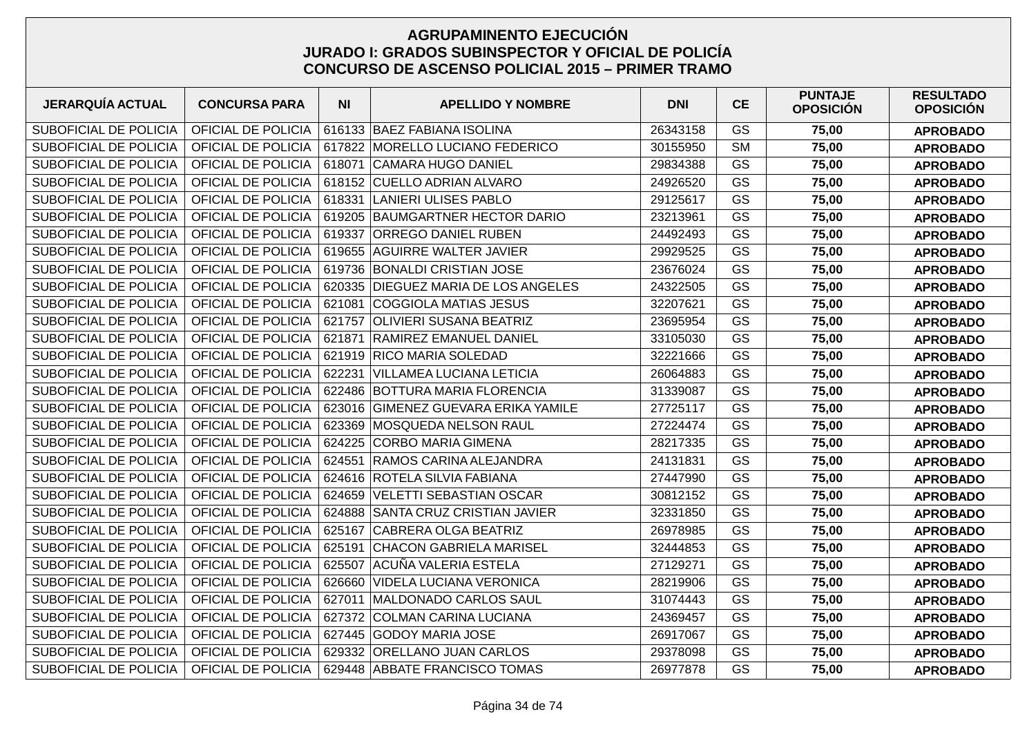| <b>JERARQUÍA ACTUAL</b> | <b>CONCURSA PARA</b> | <b>NI</b> | <b>APELLIDO Y NOMBRE</b>            | <b>DNI</b> | <b>CE</b> | <b>PUNTAJE</b><br><b>OPOSICIÓN</b> | <b>RESULTADO</b><br><b>OPOSICIÓN</b> |
|-------------------------|----------------------|-----------|-------------------------------------|------------|-----------|------------------------------------|--------------------------------------|
| SUBOFICIAL DE POLICIA   | OFICIAL DE POLICIA   |           | 616133 BAEZ FABIANA ISOLINA         | 26343158   | GS        | 75,00                              | <b>APROBADO</b>                      |
| SUBOFICIAL DE POLICIA   | OFICIAL DE POLICIA   | 617822    | MORELLO LUCIANO FEDERICO            | 30155950   | <b>SM</b> | 75,00                              | <b>APROBADO</b>                      |
| SUBOFICIAL DE POLICIA   | OFICIAL DE POLICIA   |           | 618071 CAMARA HUGO DANIEL           | 29834388   | GS        | 75,00                              | <b>APROBADO</b>                      |
| SUBOFICIAL DE POLICIA   | OFICIAL DE POLICIA   | 618152    | <b>CUELLO ADRIAN ALVARO</b>         | 24926520   | GS        | 75,00                              | <b>APROBADO</b>                      |
| SUBOFICIAL DE POLICIA   | OFICIAL DE POLICIA   | 618331    | <b>LANIERI ULISES PABLO</b>         | 29125617   | GS        | 75,00                              | <b>APROBADO</b>                      |
| SUBOFICIAL DE POLICIA   | OFICIAL DE POLICIA   | 619205    | <b>BAUMGARTNER HECTOR DARIO</b>     | 23213961   | GS        | 75,00                              | <b>APROBADO</b>                      |
| SUBOFICIAL DE POLICIA   | OFICIAL DE POLICIA   | 619337    | <b>ORREGO DANIEL RUBEN</b>          | 24492493   | GS        | 75,00                              | <b>APROBADO</b>                      |
| SUBOFICIAL DE POLICIA   | OFICIAL DE POLICIA   |           | 619655 AGUIRRE WALTER JAVIER        | 29929525   | GS        | 75,00                              | <b>APROBADO</b>                      |
| SUBOFICIAL DE POLICIA   | OFICIAL DE POLICIA   | 619736    | <b>BONALDI CRISTIAN JOSE</b>        | 23676024   | GS        | 75,00                              | <b>APROBADO</b>                      |
| SUBOFICIAL DE POLICIA   | OFICIAL DE POLICIA   | 620335    | <b>DIEGUEZ MARIA DE LOS ANGELES</b> | 24322505   | GS        | 75,00                              | <b>APROBADO</b>                      |
| SUBOFICIAL DE POLICIA   | OFICIAL DE POLICIA   | 621081    | COGGIOLA MATIAS JESUS               | 32207621   | GS        | 75,00                              | <b>APROBADO</b>                      |
| SUBOFICIAL DE POLICIA   | OFICIAL DE POLICIA   | 621757    | <b>OLIVIERI SUSANA BEATRIZ</b>      | 23695954   | GS        | 75,00                              | <b>APROBADO</b>                      |
| SUBOFICIAL DE POLICIA   | OFICIAL DE POLICIA   | 621871    | <b>RAMIREZ EMANUEL DANIEL</b>       | 33105030   | GS        | 75,00                              | <b>APROBADO</b>                      |
| SUBOFICIAL DE POLICIA   | OFICIAL DE POLICIA   | 621919    | <b>RICO MARIA SOLEDAD</b>           | 32221666   | GS        | 75,00                              | <b>APROBADO</b>                      |
| SUBOFICIAL DE POLICIA   | OFICIAL DE POLICIA   | 622231    | <b>VILLAMEA LUCIANA LETICIA</b>     | 26064883   | GS        | 75,00                              | <b>APROBADO</b>                      |
| SUBOFICIAL DE POLICIA   | OFICIAL DE POLICIA   | 622486    | <b>BOTTURA MARIA FLORENCIA</b>      | 31339087   | GS        | 75,00                              | <b>APROBADO</b>                      |
| SUBOFICIAL DE POLICIA   | OFICIAL DE POLICIA   | 623016    | <b>GIMENEZ GUEVARA ERIKA YAMILE</b> | 27725117   | GS        | 75,00                              | <b>APROBADO</b>                      |
| SUBOFICIAL DE POLICIA   | OFICIAL DE POLICIA   |           | 623369 MOSQUEDA NELSON RAUL         | 27224474   | GS        | 75,00                              | <b>APROBADO</b>                      |
| SUBOFICIAL DE POLICIA   | OFICIAL DE POLICIA   | 624225    | <b>CORBO MARIA GIMENA</b>           | 28217335   | GS        | 75,00                              | <b>APROBADO</b>                      |
| SUBOFICIAL DE POLICIA   | OFICIAL DE POLICIA   | 624551    | RAMOS CARINA ALEJANDRA              | 24131831   | GS        | 75,00                              | <b>APROBADO</b>                      |
| SUBOFICIAL DE POLICIA   | OFICIAL DE POLICIA   | 624616    | <b>ROTELA SILVIA FABIANA</b>        | 27447990   | GS        | 75,00                              | <b>APROBADO</b>                      |
| SUBOFICIAL DE POLICIA   | OFICIAL DE POLICIA   | 624659    | <b>VELETTI SEBASTIAN OSCAR</b>      | 30812152   | GS        | 75,00                              | <b>APROBADO</b>                      |
| SUBOFICIAL DE POLICIA   | OFICIAL DE POLICIA   |           | 624888 SANTA CRUZ CRISTIAN JAVIER   | 32331850   | GS        | 75,00                              | <b>APROBADO</b>                      |
| SUBOFICIAL DE POLICIA   | OFICIAL DE POLICIA   | 625167    | CABRERA OLGA BEATRIZ                | 26978985   | GS        | 75,00                              | <b>APROBADO</b>                      |
| SUBOFICIAL DE POLICIA   | OFICIAL DE POLICIA   | 625191    | <b>CHACON GABRIELA MARISEL</b>      | 32444853   | GS        | 75,00                              | <b>APROBADO</b>                      |
| SUBOFICIAL DE POLICIA   | OFICIAL DE POLICIA   | 625507    | ACUÑA VALERIA ESTELA                | 27129271   | GS        | 75,00                              | <b>APROBADO</b>                      |
| SUBOFICIAL DE POLICIA   | OFICIAL DE POLICIA   | 626660    | <b>VIDELA LUCIANA VERONICA</b>      | 28219906   | GS        | 75,00                              | <b>APROBADO</b>                      |
| SUBOFICIAL DE POLICIA   | OFICIAL DE POLICIA   | 627011    | MALDONADO CARLOS SAUL               | 31074443   | GS        | 75,00                              | <b>APROBADO</b>                      |
| SUBOFICIAL DE POLICIA   | OFICIAL DE POLICIA   | 627372    | COLMAN CARINA LUCIANA               | 24369457   | GS        | 75,00                              | <b>APROBADO</b>                      |
| SUBOFICIAL DE POLICIA   | OFICIAL DE POLICIA   | 627445    | <b>GODOY MARIA JOSE</b>             | 26917067   | GS        | 75,00                              | <b>APROBADO</b>                      |
| SUBOFICIAL DE POLICIA   | OFICIAL DE POLICIA   | 629332    | <b>ORELLANO JUAN CARLOS</b>         | 29378098   | GS        | 75,00                              | <b>APROBADO</b>                      |
| SUBOFICIAL DE POLICIA   | OFICIAL DE POLICIA   |           | 629448 ABBATE FRANCISCO TOMAS       | 26977878   | GS        | 75,00                              | <b>APROBADO</b>                      |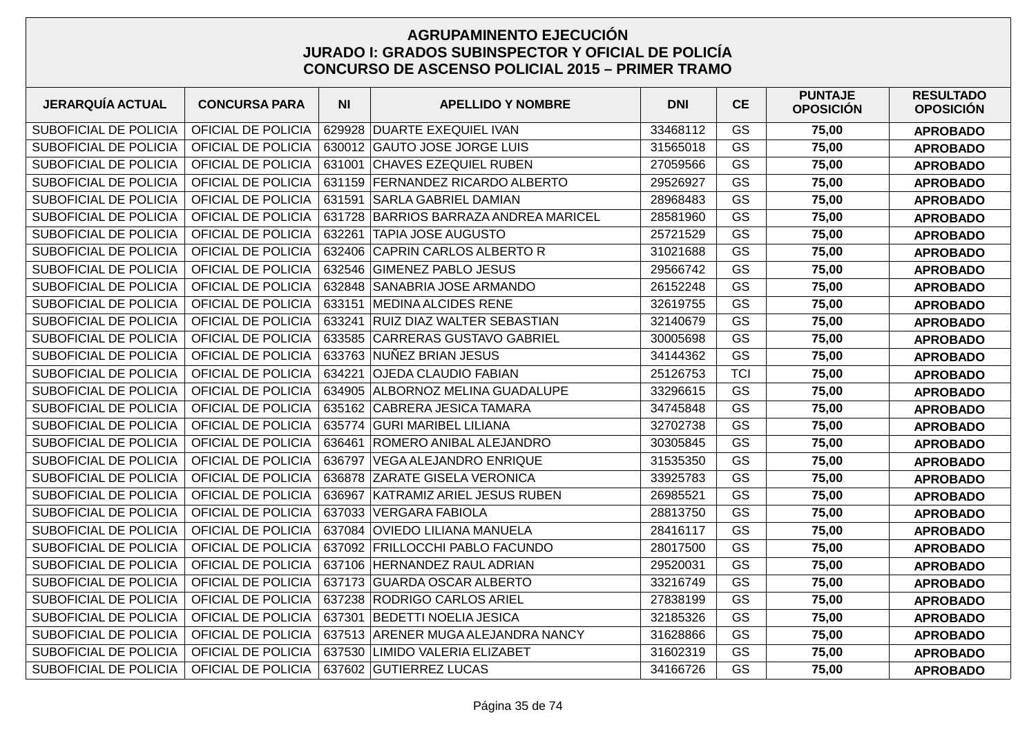| <b>JERARQUÍA ACTUAL</b> | <b>CONCURSA PARA</b> | <b>NI</b> | <b>APELLIDO Y NOMBRE</b>              | <b>DNI</b> | <b>CE</b>  | <b>PUNTAJE</b><br><b>OPOSICIÓN</b> | <b>RESULTADO</b><br><b>OPOSICIÓN</b> |
|-------------------------|----------------------|-----------|---------------------------------------|------------|------------|------------------------------------|--------------------------------------|
| SUBOFICIAL DE POLICIA   | OFICIAL DE POLICIA   |           | 629928 DUARTE EXEQUIEL IVAN           | 33468112   | <b>GS</b>  | 75,00                              | <b>APROBADO</b>                      |
| SUBOFICIAL DE POLICIA   | OFICIAL DE POLICIA   |           | 630012 GAUTO JOSE JORGE LUIS          | 31565018   | <b>GS</b>  | 75,00                              | <b>APROBADO</b>                      |
| SUBOFICIAL DE POLICIA   | OFICIAL DE POLICIA   |           | 631001 CHAVES EZEQUIEL RUBEN          | 27059566   | GS         | 75,00                              | <b>APROBADO</b>                      |
| SUBOFICIAL DE POLICIA   | OFICIAL DE POLICIA   |           | 631159 FERNANDEZ RICARDO ALBERTO      | 29526927   | GS         | 75,00                              | <b>APROBADO</b>                      |
| SUBOFICIAL DE POLICIA   | OFICIAL DE POLICIA   |           | 631591 SARLA GABRIEL DAMIAN           | 28968483   | <b>GS</b>  | 75,00                              | <b>APROBADO</b>                      |
| SUBOFICIAL DE POLICIA   | OFICIAL DE POLICIA   |           | 631728 BARRIOS BARRAZA ANDREA MARICEL | 28581960   | GS         | 75,00                              | <b>APROBADO</b>                      |
| SUBOFICIAL DE POLICIA   | OFICIAL DE POLICIA   | 632261    | <b>TAPIA JOSE AUGUSTO</b>             | 25721529   | GS         | 75,00                              | <b>APROBADO</b>                      |
| SUBOFICIAL DE POLICIA   | OFICIAL DE POLICIA   |           | 632406 CAPRIN CARLOS ALBERTO R        | 31021688   | GS         | 75,00                              | <b>APROBADO</b>                      |
| SUBOFICIAL DE POLICIA   | OFICIAL DE POLICIA   |           | 632546 GIMENEZ PABLO JESUS            | 29566742   | GS         | 75,00                              | <b>APROBADO</b>                      |
| SUBOFICIAL DE POLICIA   | OFICIAL DE POLICIA   | 632848    | SANABRIA JOSE ARMANDO                 | 26152248   | <b>GS</b>  | 75,00                              | <b>APROBADO</b>                      |
| SUBOFICIAL DE POLICIA   | OFICIAL DE POLICIA   |           | 633151 MEDINA ALCIDES RENE            | 32619755   | GS         | 75,00                              | <b>APROBADO</b>                      |
| SUBOFICIAL DE POLICIA   | OFICIAL DE POLICIA   |           | 633241 RUIZ DIAZ WALTER SEBASTIAN     | 32140679   | GS         | 75,00                              | <b>APROBADO</b>                      |
| SUBOFICIAL DE POLICIA   | OFICIAL DE POLICIA   |           | 633585 CARRERAS GUSTAVO GABRIEL       | 30005698   | GS         | 75,00                              | <b>APROBADO</b>                      |
| SUBOFICIAL DE POLICIA   | OFICIAL DE POLICIA   |           | 633763 NUÑEZ BRIAN JESUS              | 34144362   | GS         | 75,00                              | <b>APROBADO</b>                      |
| SUBOFICIAL DE POLICIA   | OFICIAL DE POLICIA   |           | 634221 OJEDA CLAUDIO FABIAN           | 25126753   | <b>TCI</b> | 75,00                              | <b>APROBADO</b>                      |
| SUBOFICIAL DE POLICIA   | OFICIAL DE POLICIA   |           | 634905 ALBORNOZ MELINA GUADALUPE      | 33296615   | GS         | 75,00                              | <b>APROBADO</b>                      |
| SUBOFICIAL DE POLICIA   | OFICIAL DE POLICIA   | 635162    | CABRERA JESICA TAMARA                 | 34745848   | GS         | 75,00                              | <b>APROBADO</b>                      |
| SUBOFICIAL DE POLICIA   | OFICIAL DE POLICIA   |           | 635774 GURI MARIBEL LILIANA           | 32702738   | GS         | 75,00                              | <b>APROBADO</b>                      |
| SUBOFICIAL DE POLICIA   | OFICIAL DE POLICIA   |           | 636461 ROMERO ANIBAL ALEJANDRO        | 30305845   | GS         | 75,00                              | <b>APROBADO</b>                      |
| SUBOFICIAL DE POLICIA   | OFICIAL DE POLICIA   | 636797    | <b>VEGA ALEJANDRO ENRIQUE</b>         | 31535350   | <b>GS</b>  | 75,00                              | <b>APROBADO</b>                      |
| SUBOFICIAL DE POLICIA   | OFICIAL DE POLICIA   |           | 636878 ZARATE GISELA VERONICA         | 33925783   | GS         | 75,00                              | <b>APROBADO</b>                      |
| SUBOFICIAL DE POLICIA   | OFICIAL DE POLICIA   |           | 636967 KATRAMIZ ARIEL JESUS RUBEN     | 26985521   | GS         | 75,00                              | <b>APROBADO</b>                      |
| SUBOFICIAL DE POLICIA   | OFICIAL DE POLICIA   |           | 637033 VERGARA FABIOLA                | 28813750   | GS         | 75,00                              | <b>APROBADO</b>                      |
| SUBOFICIAL DE POLICIA   | OFICIAL DE POLICIA   |           | 637084 OVIEDO LILIANA MANUELA         | 28416117   | GS         | 75,00                              | <b>APROBADO</b>                      |
| SUBOFICIAL DE POLICIA   | OFICIAL DE POLICIA   |           | 637092 FRILLOCCHI PABLO FACUNDO       | 28017500   | <b>GS</b>  | 75,00                              | <b>APROBADO</b>                      |
| SUBOFICIAL DE POLICIA   | OFICIAL DE POLICIA   |           | 637106 HERNANDEZ RAUL ADRIAN          | 29520031   | GS         | 75,00                              | <b>APROBADO</b>                      |
| SUBOFICIAL DE POLICIA   | OFICIAL DE POLICIA   | 637173    | <b>GUARDA OSCAR ALBERTO</b>           | 33216749   | GS         | 75,00                              | <b>APROBADO</b>                      |
| SUBOFICIAL DE POLICIA   | OFICIAL DE POLICIA   |           | 637238 RODRIGO CARLOS ARIEL           | 27838199   | GS         | 75,00                              | <b>APROBADO</b>                      |
| SUBOFICIAL DE POLICIA   | OFICIAL DE POLICIA   |           | 637301 BEDETTI NOELIA JESICA          | 32185326   | GS         | 75,00                              | <b>APROBADO</b>                      |
| SUBOFICIAL DE POLICIA   | OFICIAL DE POLICIA   |           | 637513 ARENER MUGA ALEJANDRA NANCY    | 31628866   | GS         | 75,00                              | <b>APROBADO</b>                      |
| SUBOFICIAL DE POLICIA   | OFICIAL DE POLICIA   |           | 637530 LIMIDO VALERIA ELIZABET        | 31602319   | GS         | 75,00                              | <b>APROBADO</b>                      |
| SUBOFICIAL DE POLICIA   | OFICIAL DE POLICIA   |           | 637602 GUTIERREZ LUCAS                | 34166726   | GS         | 75,00                              | <b>APROBADO</b>                      |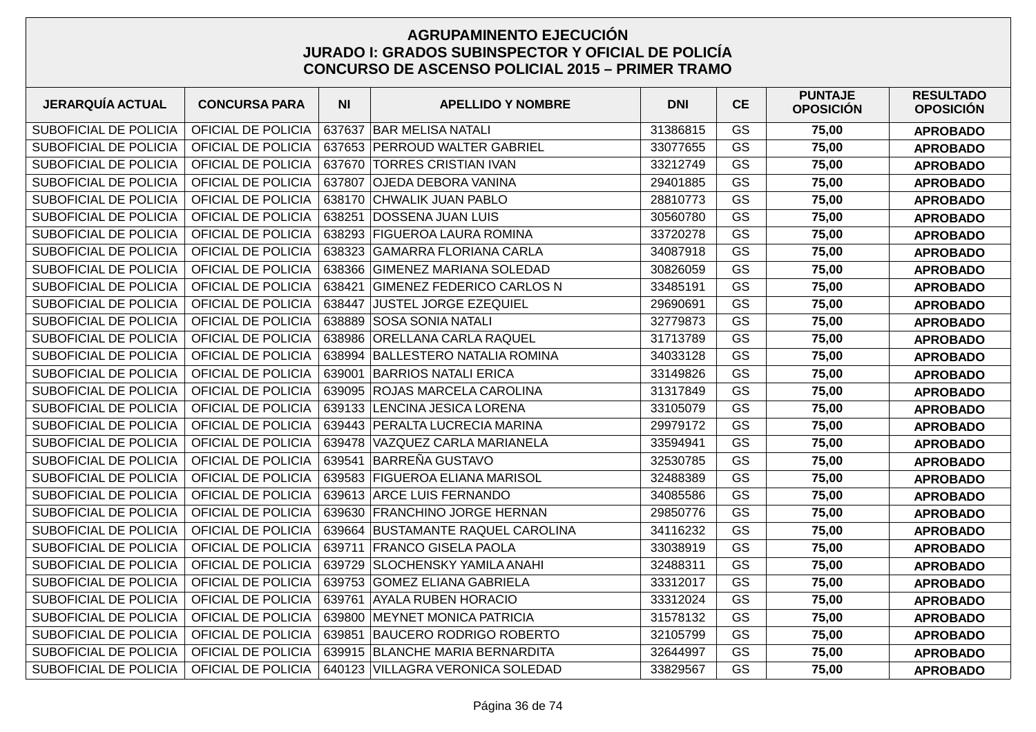| <b>JERARQUÍA ACTUAL</b> | <b>CONCURSA PARA</b> | <b>NI</b> | <b>APELLIDO Y NOMBRE</b>          | <b>DNI</b> | <b>CE</b> | <b>PUNTAJE</b><br><b>OPOSICIÓN</b> | <b>RESULTADO</b><br><b>OPOSICIÓN</b> |
|-------------------------|----------------------|-----------|-----------------------------------|------------|-----------|------------------------------------|--------------------------------------|
| SUBOFICIAL DE POLICIA   | OFICIAL DE POLICIA   |           | 637637 BAR MELISA NATALI          | 31386815   | GS        | 75,00                              | <b>APROBADO</b>                      |
| SUBOFICIAL DE POLICIA   | OFICIAL DE POLICIA   |           | 637653 PERROUD WALTER GABRIEL     | 33077655   | <b>GS</b> | 75,00                              | <b>APROBADO</b>                      |
| SUBOFICIAL DE POLICIA   | OFICIAL DE POLICIA   |           | 637670 TORRES CRISTIAN IVAN       | 33212749   | GS        | 75,00                              | <b>APROBADO</b>                      |
| SUBOFICIAL DE POLICIA   | OFICIAL DE POLICIA   |           | 637807 OJEDA DEBORA VANINA        | 29401885   | GS        | 75,00                              | <b>APROBADO</b>                      |
| SUBOFICIAL DE POLICIA   | OFICIAL DE POLICIA   |           | 638170 CHWALIK JUAN PABLO         | 28810773   | GS        | 75,00                              | <b>APROBADO</b>                      |
| SUBOFICIAL DE POLICIA   | OFICIAL DE POLICIA   |           | 638251 DOSSENA JUAN LUIS          | 30560780   | GS        | 75,00                              | <b>APROBADO</b>                      |
| SUBOFICIAL DE POLICIA   | OFICIAL DE POLICIA   |           | 638293 FIGUEROA LAURA ROMINA      | 33720278   | GS        | 75,00                              | <b>APROBADO</b>                      |
| SUBOFICIAL DE POLICIA   | OFICIAL DE POLICIA   |           | 638323 GAMARRA FLORIANA CARLA     | 34087918   | <b>GS</b> | 75,00                              | <b>APROBADO</b>                      |
| SUBOFICIAL DE POLICIA   | OFICIAL DE POLICIA   |           | 638366 GIMENEZ MARIANA SOLEDAD    | 30826059   | GS        | 75,00                              | <b>APROBADO</b>                      |
| SUBOFICIAL DE POLICIA   | OFICIAL DE POLICIA   |           | 638421 GIMENEZ FEDERICO CARLOS N  | 33485191   | GS        | 75,00                              | <b>APROBADO</b>                      |
| SUBOFICIAL DE POLICIA   | OFICIAL DE POLICIA   |           | 638447 JUSTEL JORGE EZEQUIEL      | 29690691   | GS        | 75,00                              | <b>APROBADO</b>                      |
| SUBOFICIAL DE POLICIA   | OFICIAL DE POLICIA   |           | 638889 SOSA SONIA NATALI          | 32779873   | GS        | 75,00                              | <b>APROBADO</b>                      |
| SUBOFICIAL DE POLICIA   | OFICIAL DE POLICIA   |           | 638986 ORELLANA CARLA RAQUEL      | 31713789   | GS        | 75,00                              | <b>APROBADO</b>                      |
| SUBOFICIAL DE POLICIA   | OFICIAL DE POLICIA   |           | 638994 BALLESTERO NATALIA ROMINA  | 34033128   | GS        | 75,00                              | <b>APROBADO</b>                      |
| SUBOFICIAL DE POLICIA   | OFICIAL DE POLICIA   |           | 639001 BARRIOS NATALI ERICA       | 33149826   | <b>GS</b> | 75,00                              | <b>APROBADO</b>                      |
| SUBOFICIAL DE POLICIA   | OFICIAL DE POLICIA   |           | 639095 ROJAS MARCELA CAROLINA     | 31317849   | GS        | 75,00                              | <b>APROBADO</b>                      |
| SUBOFICIAL DE POLICIA   | OFICIAL DE POLICIA   |           | 639133 LENCINA JESICA LORENA      | 33105079   | GS        | 75,00                              | <b>APROBADO</b>                      |
| SUBOFICIAL DE POLICIA   | OFICIAL DE POLICIA   |           | 639443 PERALTA LUCRECIA MARINA    | 29979172   | GS        | 75,00                              | <b>APROBADO</b>                      |
| SUBOFICIAL DE POLICIA   | OFICIAL DE POLICIA   |           | 639478 VAZQUEZ CARLA MARIANELA    | 33594941   | GS        | 75,00                              | <b>APROBADO</b>                      |
| SUBOFICIAL DE POLICIA   | OFICIAL DE POLICIA   |           | 639541 BARREÑA GUSTAVO            | 32530785   | <b>GS</b> | 75,00                              | <b>APROBADO</b>                      |
| SUBOFICIAL DE POLICIA   | OFICIAL DE POLICIA   |           | 639583 FIGUEROA ELIANA MARISOL    | 32488389   | GS        | 75,00                              | <b>APROBADO</b>                      |
| SUBOFICIAL DE POLICIA   | OFICIAL DE POLICIA   |           | 639613 ARCE LUIS FERNANDO         | 34085586   | GS        | 75,00                              | <b>APROBADO</b>                      |
| SUBOFICIAL DE POLICIA   | OFICIAL DE POLICIA   |           | 639630 FRANCHINO JORGE HERNAN     | 29850776   | GS        | 75,00                              | <b>APROBADO</b>                      |
| SUBOFICIAL DE POLICIA   | OFICIAL DE POLICIA   |           | 639664 BUSTAMANTE RAQUEL CAROLINA | 34116232   | GS        | 75,00                              | <b>APROBADO</b>                      |
| SUBOFICIAL DE POLICIA   | OFICIAL DE POLICIA   |           | 639711 FRANCO GISELA PAOLA        | 33038919   | <b>GS</b> | 75,00                              | <b>APROBADO</b>                      |
| SUBOFICIAL DE POLICIA   | OFICIAL DE POLICIA   |           | 639729 SLOCHENSKY YAMILA ANAHI    | 32488311   | GS        | 75,00                              | <b>APROBADO</b>                      |
| SUBOFICIAL DE POLICIA   | OFICIAL DE POLICIA   |           | 639753 GOMEZ ELIANA GABRIELA      | 33312017   | GS        | 75,00                              | <b>APROBADO</b>                      |
| SUBOFICIAL DE POLICIA   | OFICIAL DE POLICIA   |           | 639761 AYALA RUBEN HORACIO        | 33312024   | GS        | 75,00                              | <b>APROBADO</b>                      |
| SUBOFICIAL DE POLICIA   | OFICIAL DE POLICIA   |           | 639800 MEYNET MONICA PATRICIA     | 31578132   | GS        | 75,00                              | <b>APROBADO</b>                      |
| SUBOFICIAL DE POLICIA   | OFICIAL DE POLICIA   |           | 639851 BAUCERO RODRIGO ROBERTO    | 32105799   | GS        | 75,00                              | <b>APROBADO</b>                      |
| SUBOFICIAL DE POLICIA   | OFICIAL DE POLICIA   |           | 639915 BLANCHE MARIA BERNARDITA   | 32644997   | GS        | 75,00                              | <b>APROBADO</b>                      |
| SUBOFICIAL DE POLICIA   | OFICIAL DE POLICIA   |           | 640123 VILLAGRA VERONICA SOLEDAD  | 33829567   | GS        | 75,00                              | <b>APROBADO</b>                      |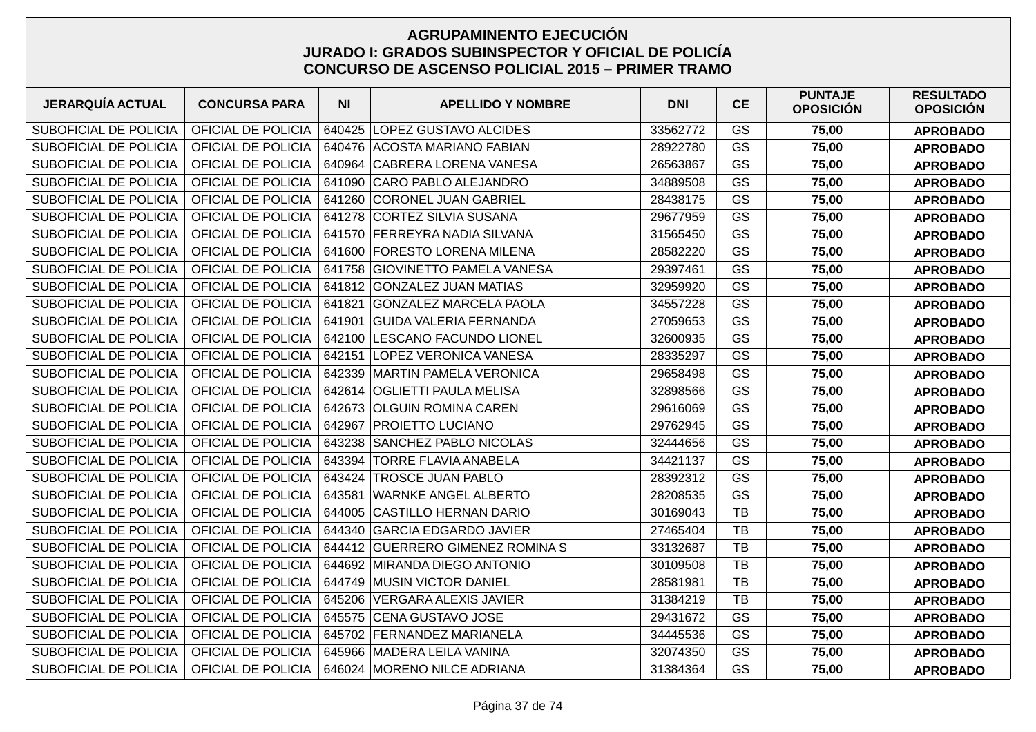| <b>JERARQUÍA ACTUAL</b> | <b>CONCURSA PARA</b> | <b>NI</b> | <b>APELLIDO Y NOMBRE</b>         | <b>DNI</b> | <b>CE</b> | <b>PUNTAJE</b><br><b>OPOSICIÓN</b> | <b>RESULTADO</b><br><b>OPOSICIÓN</b> |
|-------------------------|----------------------|-----------|----------------------------------|------------|-----------|------------------------------------|--------------------------------------|
| SUBOFICIAL DE POLICIA   | OFICIAL DE POLICIA   | 640425    | <b>LOPEZ GUSTAVO ALCIDES</b>     | 33562772   | GS        | 75,00                              | <b>APROBADO</b>                      |
| SUBOFICIAL DE POLICIA   | OFICIAL DE POLICIA   | 640476    | <b>ACOSTA MARIANO FABIAN</b>     | 28922780   | GS        | 75,00                              | <b>APROBADO</b>                      |
| SUBOFICIAL DE POLICIA   | OFICIAL DE POLICIA   | 640964    | CABRERA LORENA VANESA            | 26563867   | GS        | 75,00                              | <b>APROBADO</b>                      |
| SUBOFICIAL DE POLICIA   | OFICIAL DE POLICIA   | 641090    | CARO PABLO ALEJANDRO             | 34889508   | GS        | 75,00                              | <b>APROBADO</b>                      |
| SUBOFICIAL DE POLICIA   | OFICIAL DE POLICIA   | 641260    | CORONEL JUAN GABRIEL             | 28438175   | GS        | 75,00                              | <b>APROBADO</b>                      |
| SUBOFICIAL DE POLICIA   | OFICIAL DE POLICIA   | 641278    | <b>CORTEZ SILVIA SUSANA</b>      | 29677959   | GS        | 75,00                              | <b>APROBADO</b>                      |
| SUBOFICIAL DE POLICIA   | OFICIAL DE POLICIA   |           | 641570 FERREYRA NADIA SILVANA    | 31565450   | GS        | 75,00                              | <b>APROBADO</b>                      |
| SUBOFICIAL DE POLICIA   | OFICIAL DE POLICIA   |           | 641600 FORESTO LORENA MILENA     | 28582220   | GS        | 75,00                              | <b>APROBADO</b>                      |
| SUBOFICIAL DE POLICIA   | OFICIAL DE POLICIA   | 641758    | <b>GIOVINETTO PAMELA VANESA</b>  | 29397461   | GS        | 75,00                              | <b>APROBADO</b>                      |
| SUBOFICIAL DE POLICIA   | OFICIAL DE POLICIA   | 641812    | <b>GONZALEZ JUAN MATIAS</b>      | 32959920   | GS        | 75,00                              | <b>APROBADO</b>                      |
| SUBOFICIAL DE POLICIA   | OFICIAL DE POLICIA   | 641821    | GONZALEZ MARCELA PAOLA           | 34557228   | GS        | 75,00                              | <b>APROBADO</b>                      |
| SUBOFICIAL DE POLICIA   | OFICIAL DE POLICIA   | 641901    | <b>GUIDA VALERIA FERNANDA</b>    | 27059653   | GS        | 75,00                              | <b>APROBADO</b>                      |
| SUBOFICIAL DE POLICIA   | OFICIAL DE POLICIA   | 642100    | LESCANO FACUNDO LIONEL           | 32600935   | GS        | 75,00                              | <b>APROBADO</b>                      |
| SUBOFICIAL DE POLICIA   | OFICIAL DE POLICIA   | 642151    | LOPEZ VERONICA VANESA            | 28335297   | GS        | 75,00                              | <b>APROBADO</b>                      |
| SUBOFICIAL DE POLICIA   | OFICIAL DE POLICIA   | 642339    | <b>MARTIN PAMELA VERONICA</b>    | 29658498   | <b>GS</b> | 75,00                              | <b>APROBADO</b>                      |
| SUBOFICIAL DE POLICIA   | OFICIAL DE POLICIA   | 642614    | <b>OGLIETTI PAULA MELISA</b>     | 32898566   | GS        | 75,00                              | <b>APROBADO</b>                      |
| SUBOFICIAL DE POLICIA   | OFICIAL DE POLICIA   | 642673    | <b>OLGUIN ROMINA CAREN</b>       | 29616069   | GS        | 75,00                              | <b>APROBADO</b>                      |
| SUBOFICIAL DE POLICIA   | OFICIAL DE POLICIA   |           | 642967 PROIETTO LUCIANO          | 29762945   | GS        | 75,00                              | <b>APROBADO</b>                      |
| SUBOFICIAL DE POLICIA   | OFICIAL DE POLICIA   | 643238    | <b>SANCHEZ PABLO NICOLAS</b>     | 32444656   | <b>GS</b> | 75,00                              | <b>APROBADO</b>                      |
| SUBOFICIAL DE POLICIA   | OFICIAL DE POLICIA   | 643394    | <b>TORRE FLAVIA ANABELA</b>      | 34421137   | GS        | 75,00                              | <b>APROBADO</b>                      |
| SUBOFICIAL DE POLICIA   | OFICIAL DE POLICIA   | 643424    | <b>TROSCE JUAN PABLO</b>         | 28392312   | GS        | 75,00                              | <b>APROBADO</b>                      |
| SUBOFICIAL DE POLICIA   | OFICIAL DE POLICIA   | 643581    | <b>WARNKE ANGEL ALBERTO</b>      | 28208535   | GS        | 75,00                              | <b>APROBADO</b>                      |
| SUBOFICIAL DE POLICIA   | OFICIAL DE POLICIA   | 644005    | <b>CASTILLO HERNAN DARIO</b>     | 30169043   | TB        | 75,00                              | <b>APROBADO</b>                      |
| SUBOFICIAL DE POLICIA   | OFICIAL DE POLICIA   | 644340    | <b>GARCIA EDGARDO JAVIER</b>     | 27465404   | <b>TB</b> | 75,00                              | <b>APROBADO</b>                      |
| SUBOFICIAL DE POLICIA   | OFICIAL DE POLICIA   | 644412    | <b>GUERRERO GIMENEZ ROMINA S</b> | 33132687   | TB        | 75,00                              | <b>APROBADO</b>                      |
| SUBOFICIAL DE POLICIA   | OFICIAL DE POLICIA   | 644692    | MIRANDA DIEGO ANTONIO            | 30109508   | TB        | 75,00                              | <b>APROBADO</b>                      |
| SUBOFICIAL DE POLICIA   | OFICIAL DE POLICIA   | 644749    | <b>MUSIN VICTOR DANIEL</b>       | 28581981   | TB        | 75,00                              | <b>APROBADO</b>                      |
| SUBOFICIAL DE POLICIA   | OFICIAL DE POLICIA   | 645206    | VERGARA ALEXIS JAVIER            | 31384219   | <b>TB</b> | 75,00                              | <b>APROBADO</b>                      |
| SUBOFICIAL DE POLICIA   | OFICIAL DE POLICIA   | 645575    | CENA GUSTAVO JOSE                | 29431672   | GS        | 75,00                              | <b>APROBADO</b>                      |
| SUBOFICIAL DE POLICIA   | OFICIAL DE POLICIA   | 645702    | <b>FERNANDEZ MARIANELA</b>       | 34445536   | GS        | 75,00                              | <b>APROBADO</b>                      |
| SUBOFICIAL DE POLICIA   | OFICIAL DE POLICIA   | 645966    | MADERA LEILA VANINA              | 32074350   | GS        | 75,00                              | <b>APROBADO</b>                      |
| SUBOFICIAL DE POLICIA   | OFICIAL DE POLICIA   | 646024    | MORENO NILCE ADRIANA             | 31384364   | GS        | 75,00                              | <b>APROBADO</b>                      |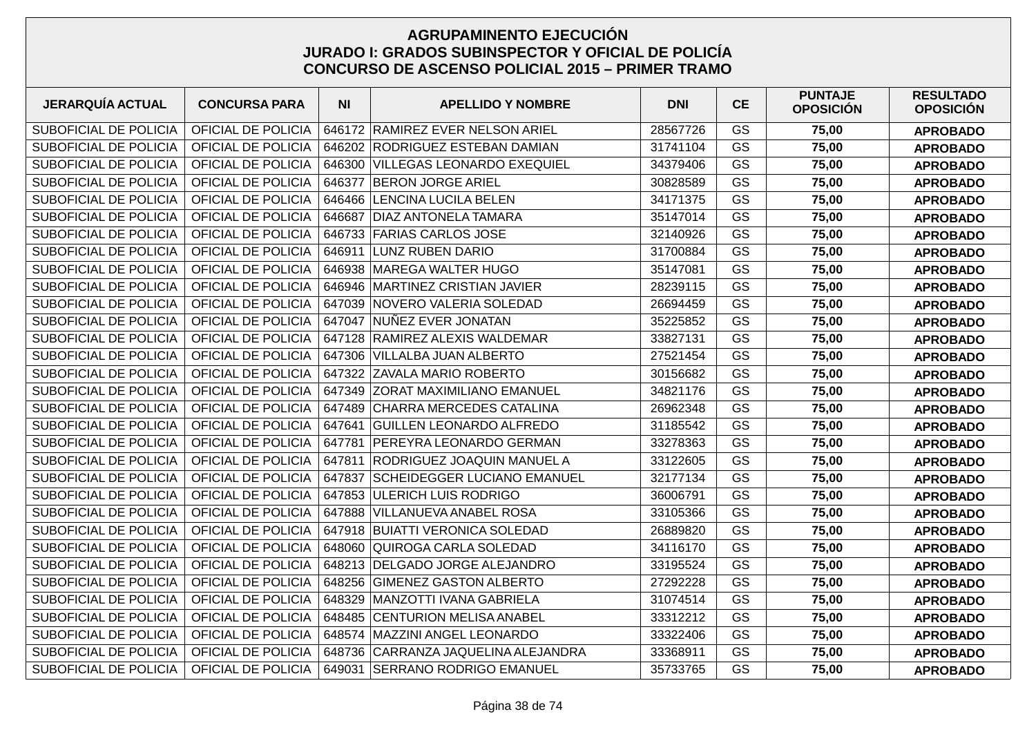| <b>JERARQUÍA ACTUAL</b> | <b>CONCURSA PARA</b> | <b>NI</b> | <b>APELLIDO Y NOMBRE</b>            | <b>DNI</b> | <b>CE</b> | <b>PUNTAJE</b><br><b>OPOSICIÓN</b> | <b>RESULTADO</b><br><b>OPOSICIÓN</b> |
|-------------------------|----------------------|-----------|-------------------------------------|------------|-----------|------------------------------------|--------------------------------------|
| SUBOFICIAL DE POLICIA   | OFICIAL DE POLICIA   |           | 646172 RAMIREZ EVER NELSON ARIEL    | 28567726   | GS        | 75,00                              | <b>APROBADO</b>                      |
| SUBOFICIAL DE POLICIA   | OFICIAL DE POLICIA   |           | 646202 RODRIGUEZ ESTEBAN DAMIAN     | 31741104   | GS        | 75,00                              | <b>APROBADO</b>                      |
| SUBOFICIAL DE POLICIA   | OFICIAL DE POLICIA   |           | 646300 VILLEGAS LEONARDO EXEQUIEL   | 34379406   | GS        | 75,00                              | <b>APROBADO</b>                      |
| SUBOFICIAL DE POLICIA   | OFICIAL DE POLICIA   |           | 646377 BERON JORGE ARIEL            | 30828589   | GS        | 75,00                              | <b>APROBADO</b>                      |
| SUBOFICIAL DE POLICIA   | OFICIAL DE POLICIA   |           | 646466 LENCINA LUCILA BELEN         | 34171375   | GS        | 75,00                              | <b>APROBADO</b>                      |
| SUBOFICIAL DE POLICIA   | OFICIAL DE POLICIA   |           | 646687 DIAZ ANTONELA TAMARA         | 35147014   | GS        | 75,00                              | <b>APROBADO</b>                      |
| SUBOFICIAL DE POLICIA   | OFICIAL DE POLICIA   |           | 646733 FARIAS CARLOS JOSE           | 32140926   | GS        | 75,00                              | <b>APROBADO</b>                      |
| SUBOFICIAL DE POLICIA   | OFICIAL DE POLICIA   |           | 646911 LUNZ RUBEN DARIO             | 31700884   | GS        | 75,00                              | <b>APROBADO</b>                      |
| SUBOFICIAL DE POLICIA   | OFICIAL DE POLICIA   |           | 646938   MAREGA WALTER HUGO         | 35147081   | GS        | 75,00                              | <b>APROBADO</b>                      |
| SUBOFICIAL DE POLICIA   | OFICIAL DE POLICIA   |           | 646946 MARTINEZ CRISTIAN JAVIER     | 28239115   | GS        | 75,00                              | <b>APROBADO</b>                      |
| SUBOFICIAL DE POLICIA   | OFICIAL DE POLICIA   |           | 647039 NOVERO VALERIA SOLEDAD       | 26694459   | GS        | 75,00                              | <b>APROBADO</b>                      |
| SUBOFICIAL DE POLICIA   | OFICIAL DE POLICIA   |           | 647047 NUÑEZ EVER JONATAN           | 35225852   | GS        | 75,00                              | <b>APROBADO</b>                      |
| SUBOFICIAL DE POLICIA   | OFICIAL DE POLICIA   |           | 647128 RAMIREZ ALEXIS WALDEMAR      | 33827131   | GS        | 75,00                              | <b>APROBADO</b>                      |
| SUBOFICIAL DE POLICIA   | OFICIAL DE POLICIA   |           | 647306 VILLALBA JUAN ALBERTO        | 27521454   | GS        | 75,00                              | <b>APROBADO</b>                      |
| SUBOFICIAL DE POLICIA   | OFICIAL DE POLICIA   |           | 647322 ZAVALA MARIO ROBERTO         | 30156682   | GS        | 75,00                              | <b>APROBADO</b>                      |
| SUBOFICIAL DE POLICIA   | OFICIAL DE POLICIA   |           | 647349 ZORAT MAXIMILIANO EMANUEL    | 34821176   | GS        | 75,00                              | <b>APROBADO</b>                      |
| SUBOFICIAL DE POLICIA   | OFICIAL DE POLICIA   |           | 647489 CHARRA MERCEDES CATALINA     | 26962348   | GS        | 75,00                              | <b>APROBADO</b>                      |
| SUBOFICIAL DE POLICIA   | OFICIAL DE POLICIA   |           | 647641 GUILLEN LEONARDO ALFREDO     | 31185542   | GS        | 75,00                              | <b>APROBADO</b>                      |
| SUBOFICIAL DE POLICIA   | OFICIAL DE POLICIA   |           | 647781 PEREYRA LEONARDO GERMAN      | 33278363   | GS        | 75,00                              | <b>APROBADO</b>                      |
| SUBOFICIAL DE POLICIA   | OFICIAL DE POLICIA   |           | 647811 RODRIGUEZ JOAQUIN MANUEL A   | 33122605   | GS        | 75,00                              | <b>APROBADO</b>                      |
| SUBOFICIAL DE POLICIA   | OFICIAL DE POLICIA   |           | 647837 SCHEIDEGGER LUCIANO EMANUEL  | 32177134   | GS        | 75,00                              | <b>APROBADO</b>                      |
| SUBOFICIAL DE POLICIA   | OFICIAL DE POLICIA   |           | 647853 ULERICH LUIS RODRIGO         | 36006791   | GS        | 75,00                              | <b>APROBADO</b>                      |
| SUBOFICIAL DE POLICIA   | OFICIAL DE POLICIA   |           | 647888 VILLANUEVA ANABEL ROSA       | 33105366   | GS        | 75,00                              | <b>APROBADO</b>                      |
| SUBOFICIAL DE POLICIA   | OFICIAL DE POLICIA   |           | 647918 BUIATTI VERONICA SOLEDAD     | 26889820   | GS        | 75,00                              | <b>APROBADO</b>                      |
| SUBOFICIAL DE POLICIA   | OFICIAL DE POLICIA   |           | 648060 QUIROGA CARLA SOLEDAD        | 34116170   | GS        | 75,00                              | <b>APROBADO</b>                      |
| SUBOFICIAL DE POLICIA   | OFICIAL DE POLICIA   |           | 648213 DELGADO JORGE ALEJANDRO      | 33195524   | GS        | 75,00                              | <b>APROBADO</b>                      |
| SUBOFICIAL DE POLICIA   | OFICIAL DE POLICIA   |           | 648256 GIMENEZ GASTON ALBERTO       | 27292228   | GS        | 75,00                              | <b>APROBADO</b>                      |
| SUBOFICIAL DE POLICIA   | OFICIAL DE POLICIA   |           | 648329 MANZOTTI IVANA GABRIELA      | 31074514   | GS        | 75,00                              | <b>APROBADO</b>                      |
| SUBOFICIAL DE POLICIA   | OFICIAL DE POLICIA   |           | 648485 CENTURION MELISA ANABEL      | 33312212   | GS        | 75,00                              | <b>APROBADO</b>                      |
| SUBOFICIAL DE POLICIA   | OFICIAL DE POLICIA   |           | 648574   MAZZINI ANGEL LEONARDO     | 33322406   | GS        | 75,00                              | <b>APROBADO</b>                      |
| SUBOFICIAL DE POLICIA   | OFICIAL DE POLICIA   |           | 648736 CARRANZA JAQUELINA ALEJANDRA | 33368911   | GS        | 75,00                              | <b>APROBADO</b>                      |
| SUBOFICIAL DE POLICIA   | OFICIAL DE POLICIA   |           | 649031 SERRANO RODRIGO EMANUEL      | 35733765   | GS        | 75,00                              | <b>APROBADO</b>                      |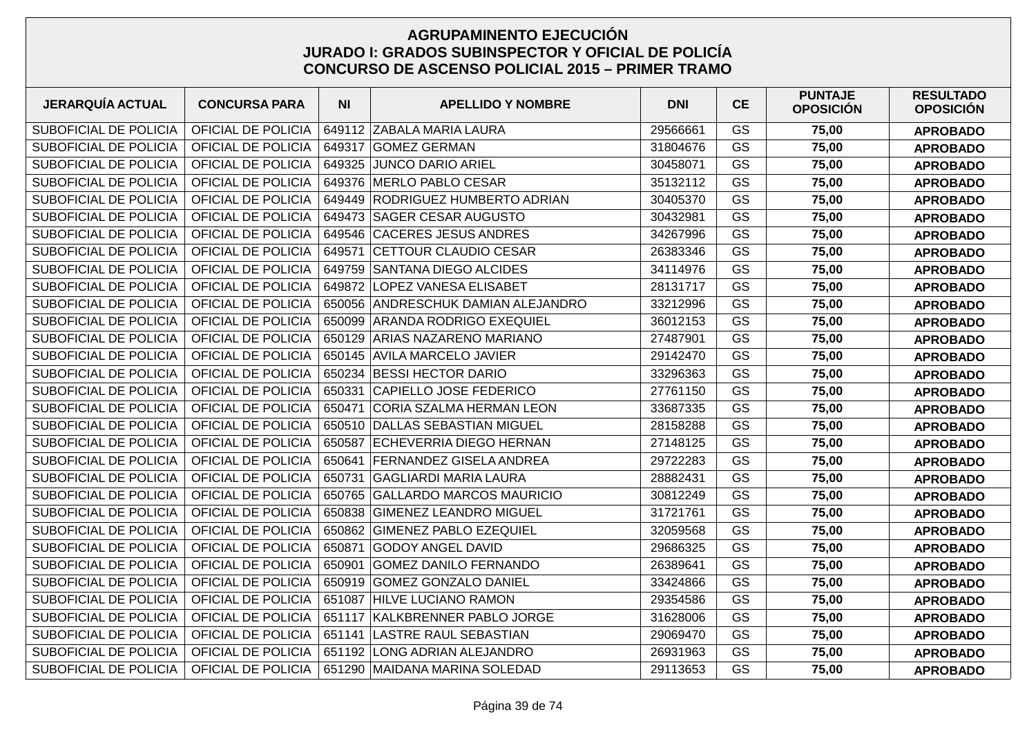| <b>JERARQUÍA ACTUAL</b> | <b>CONCURSA PARA</b> | <b>NI</b> | <b>APELLIDO Y NOMBRE</b>           | <b>DNI</b> | <b>CE</b>              | <b>PUNTAJE</b><br><b>OPOSICIÓN</b> | <b>RESULTADO</b><br><b>OPOSICIÓN</b> |
|-------------------------|----------------------|-----------|------------------------------------|------------|------------------------|------------------------------------|--------------------------------------|
| SUBOFICIAL DE POLICIA   | OFICIAL DE POLICIA   | 649112    | <b>ZABALA MARIA LAURA</b>          | 29566661   | GS                     | 75,00                              | <b>APROBADO</b>                      |
| SUBOFICIAL DE POLICIA   | OFICIAL DE POLICIA   | 649317    | <b>GOMEZ GERMAN</b>                | 31804676   | GS                     | 75,00                              | <b>APROBADO</b>                      |
| SUBOFICIAL DE POLICIA   | OFICIAL DE POLICIA   | 649325    | JUNCO DARIO ARIEL                  | 30458071   | GS                     | 75,00                              | <b>APROBADO</b>                      |
| SUBOFICIAL DE POLICIA   | OFICIAL DE POLICIA   | 649376    | MERLO PABLO CESAR                  | 35132112   | GS                     | 75,00                              | <b>APROBADO</b>                      |
| SUBOFICIAL DE POLICIA   | OFICIAL DE POLICIA   | 649449    | <b>RODRIGUEZ HUMBERTO ADRIAN</b>   | 30405370   | GS                     | 75,00                              | <b>APROBADO</b>                      |
| SUBOFICIAL DE POLICIA   | OFICIAL DE POLICIA   | 649473    | <b>SAGER CESAR AUGUSTO</b>         | 30432981   | GS                     | 75,00                              | <b>APROBADO</b>                      |
| SUBOFICIAL DE POLICIA   | OFICIAL DE POLICIA   | 649546    | <b>CACERES JESUS ANDRES</b>        | 34267996   | GS                     | 75,00                              | <b>APROBADO</b>                      |
| SUBOFICIAL DE POLICIA   | OFICIAL DE POLICIA   |           | 649571 CETTOUR CLAUDIO CESAR       | 26383346   | GS                     | 75,00                              | <b>APROBADO</b>                      |
| SUBOFICIAL DE POLICIA   | OFICIAL DE POLICIA   | 649759    | <b>SANTANA DIEGO ALCIDES</b>       | 34114976   | GS                     | 75,00                              | <b>APROBADO</b>                      |
| SUBOFICIAL DE POLICIA   | OFICIAL DE POLICIA   | 649872    | LOPEZ VANESA ELISABET              | 28131717   | GS                     | 75,00                              | <b>APROBADO</b>                      |
| SUBOFICIAL DE POLICIA   | OFICIAL DE POLICIA   |           | 650056 ANDRESCHUK DAMIAN ALEJANDRO | 33212996   | GS                     | 75,00                              | <b>APROBADO</b>                      |
| SUBOFICIAL DE POLICIA   | OFICIAL DE POLICIA   |           | 650099 ARANDA RODRIGO EXEQUIEL     | 36012153   | GS                     | 75,00                              | <b>APROBADO</b>                      |
| SUBOFICIAL DE POLICIA   | OFICIAL DE POLICIA   | 650129    | <b>ARIAS NAZARENO MARIANO</b>      | 27487901   | GS                     | 75,00                              | <b>APROBADO</b>                      |
| SUBOFICIAL DE POLICIA   | OFICIAL DE POLICIA   | 650145    | <b>AVILA MARCELO JAVIER</b>        | 29142470   | $\overline{\text{GS}}$ | 75,00                              | <b>APROBADO</b>                      |
| SUBOFICIAL DE POLICIA   | OFICIAL DE POLICIA   | 650234    | <b>BESSI HECTOR DARIO</b>          | 33296363   | GS                     | 75,00                              | <b>APROBADO</b>                      |
| SUBOFICIAL DE POLICIA   | OFICIAL DE POLICIA   | 650331    | CAPIELLO JOSE FEDERICO             | 27761150   | GS                     | 75,00                              | <b>APROBADO</b>                      |
| SUBOFICIAL DE POLICIA   | OFICIAL DE POLICIA   | 650471    | CORIA SZALMA HERMAN LEON           | 33687335   | GS                     | 75,00                              | <b>APROBADO</b>                      |
| SUBOFICIAL DE POLICIA   | OFICIAL DE POLICIA   |           | 650510 DALLAS SEBASTIAN MIGUEL     | 28158288   | GS                     | 75,00                              | <b>APROBADO</b>                      |
| SUBOFICIAL DE POLICIA   | OFICIAL DE POLICIA   |           | 650587 ECHEVERRIA DIEGO HERNAN     | 27148125   | GS                     | 75,00                              | <b>APROBADO</b>                      |
| SUBOFICIAL DE POLICIA   | OFICIAL DE POLICIA   |           | 650641 FERNANDEZ GISELA ANDREA     | 29722283   | GS                     | 75,00                              | <b>APROBADO</b>                      |
| SUBOFICIAL DE POLICIA   | OFICIAL DE POLICIA   |           | 650731 GAGLIARDI MARIA LAURA       | 28882431   | GS                     | 75,00                              | <b>APROBADO</b>                      |
| SUBOFICIAL DE POLICIA   | OFICIAL DE POLICIA   | 650765    | <b>GALLARDO MARCOS MAURICIO</b>    | 30812249   | GS                     | 75,00                              | <b>APROBADO</b>                      |
| SUBOFICIAL DE POLICIA   | OFICIAL DE POLICIA   | 650838    | <b>GIMENEZ LEANDRO MIGUEL</b>      | 31721761   | GS                     | 75,00                              | <b>APROBADO</b>                      |
| SUBOFICIAL DE POLICIA   | OFICIAL DE POLICIA   | 650862    | <b>GIMENEZ PABLO EZEQUIEL</b>      | 32059568   | GS                     | 75,00                              | <b>APROBADO</b>                      |
| SUBOFICIAL DE POLICIA   | OFICIAL DE POLICIA   | 650871    | <b>GODOY ANGEL DAVID</b>           | 29686325   | GS                     | 75,00                              | <b>APROBADO</b>                      |
| SUBOFICIAL DE POLICIA   | OFICIAL DE POLICIA   | 650901    | <b>GOMEZ DANILO FERNANDO</b>       | 26389641   | GS                     | 75,00                              | <b>APROBADO</b>                      |
| SUBOFICIAL DE POLICIA   | OFICIAL DE POLICIA   | 650919    | <b>GOMEZ GONZALO DANIEL</b>        | 33424866   | GS                     | 75,00                              | <b>APROBADO</b>                      |
| SUBOFICIAL DE POLICIA   | OFICIAL DE POLICIA   | 651087    | <b>HILVE LUCIANO RAMON</b>         | 29354586   | GS                     | 75,00                              | <b>APROBADO</b>                      |
| SUBOFICIAL DE POLICIA   | OFICIAL DE POLICIA   | 651117    | KALKBRENNER PABLO JORGE            | 31628006   | GS                     | 75,00                              | <b>APROBADO</b>                      |
| SUBOFICIAL DE POLICIA   | OFICIAL DE POLICIA   | 651141    | <b>LASTRE RAUL SEBASTIAN</b>       | 29069470   | GS                     | 75,00                              | <b>APROBADO</b>                      |
| SUBOFICIAL DE POLICIA   | OFICIAL DE POLICIA   | 651192    | LONG ADRIAN ALEJANDRO              | 26931963   | GS                     | 75,00                              | <b>APROBADO</b>                      |
| SUBOFICIAL DE POLICIA   | OFICIAL DE POLICIA   |           | 651290 MAIDANA MARINA SOLEDAD      | 29113653   | GS                     | 75,00                              | <b>APROBADO</b>                      |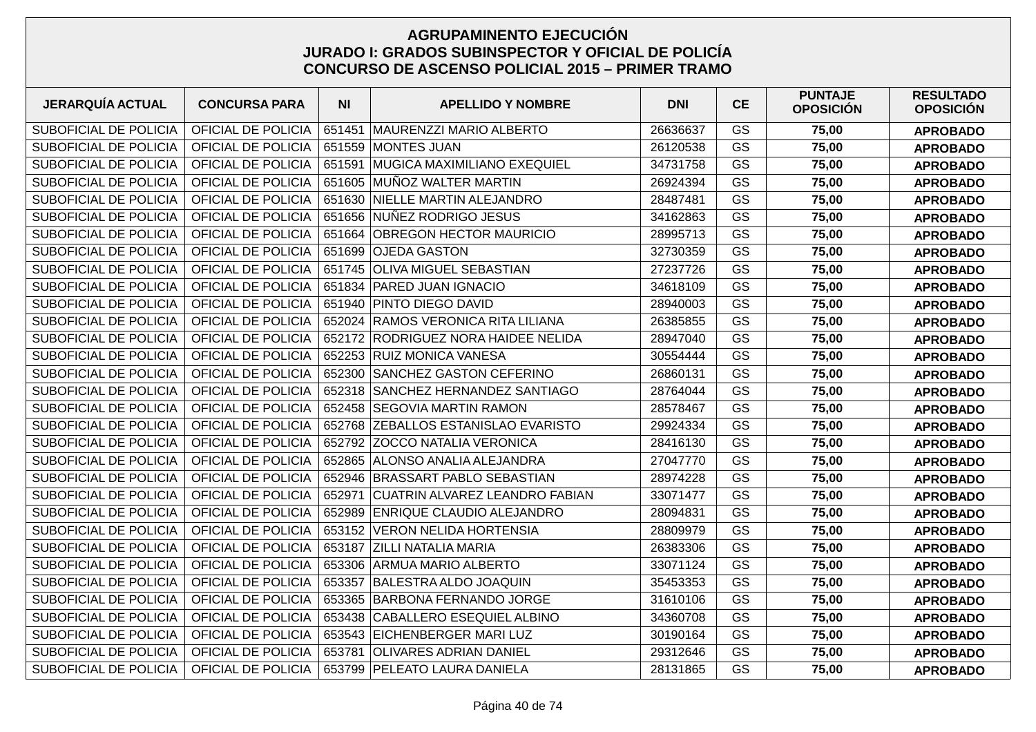| <b>JERARQUÍA ACTUAL</b> | <b>CONCURSA PARA</b> | <b>NI</b> | <b>APELLIDO Y NOMBRE</b>              | <b>DNI</b> | <b>CE</b>              | <b>PUNTAJE</b><br><b>OPOSICIÓN</b> | <b>RESULTADO</b><br><b>OPOSICIÓN</b> |
|-------------------------|----------------------|-----------|---------------------------------------|------------|------------------------|------------------------------------|--------------------------------------|
| SUBOFICIAL DE POLICIA   | OFICIAL DE POLICIA   | 651451    | MAURENZZI MARIO ALBERTO               | 26636637   | GS                     | 75,00                              | <b>APROBADO</b>                      |
| SUBOFICIAL DE POLICIA   | OFICIAL DE POLICIA   | 651559    | MONTES JUAN                           | 26120538   | GS                     | 75,00                              | <b>APROBADO</b>                      |
| SUBOFICIAL DE POLICIA   | OFICIAL DE POLICIA   |           | 651591 MUGICA MAXIMILIANO EXEQUIEL    | 34731758   | GS                     | 75,00                              | <b>APROBADO</b>                      |
| SUBOFICIAL DE POLICIA   | OFICIAL DE POLICIA   | 651605    | MUÑOZ WALTER MARTIN                   | 26924394   | GS                     | 75,00                              | <b>APROBADO</b>                      |
| SUBOFICIAL DE POLICIA   | OFICIAL DE POLICIA   | 651630    | NIELLE MARTIN ALEJANDRO               | 28487481   | GS                     | 75,00                              | <b>APROBADO</b>                      |
| SUBOFICIAL DE POLICIA   | OFICIAL DE POLICIA   | 651656    | NUÑEZ RODRIGO JESUS                   | 34162863   | GS                     | 75,00                              | <b>APROBADO</b>                      |
| SUBOFICIAL DE POLICIA   | OFICIAL DE POLICIA   | 651664    | <b>OBREGON HECTOR MAURICIO</b>        | 28995713   | GS                     | 75,00                              | <b>APROBADO</b>                      |
| SUBOFICIAL DE POLICIA   | OFICIAL DE POLICIA   |           | 651699 OJEDA GASTON                   | 32730359   | GS                     | 75,00                              | <b>APROBADO</b>                      |
| SUBOFICIAL DE POLICIA   | OFICIAL DE POLICIA   | 651745    | <b>OLIVA MIGUEL SEBASTIAN</b>         | 27237726   | GS                     | 75,00                              | <b>APROBADO</b>                      |
| SUBOFICIAL DE POLICIA   | OFICIAL DE POLICIA   | 651834    | <b>PARED JUAN IGNACIO</b>             | 34618109   | GS                     | 75,00                              | <b>APROBADO</b>                      |
| SUBOFICIAL DE POLICIA   | OFICIAL DE POLICIA   | 651940    | PINTO DIEGO DAVID                     | 28940003   | GS                     | 75,00                              | <b>APROBADO</b>                      |
| SUBOFICIAL DE POLICIA   | OFICIAL DE POLICIA   |           | 652024 RAMOS VERONICA RITA LILIANA    | 26385855   | GS                     | 75,00                              | <b>APROBADO</b>                      |
| SUBOFICIAL DE POLICIA   | OFICIAL DE POLICIA   |           | 652172 RODRIGUEZ NORA HAIDEE NELIDA   | 28947040   | GS                     | 75,00                              | <b>APROBADO</b>                      |
| SUBOFICIAL DE POLICIA   | OFICIAL DE POLICIA   |           | 652253 RUIZ MONICA VANESA             | 30554444   | $\overline{\text{GS}}$ | 75,00                              | <b>APROBADO</b>                      |
| SUBOFICIAL DE POLICIA   | OFICIAL DE POLICIA   | 652300    | SANCHEZ GASTON CEFERINO               | 26860131   | GS                     | 75,00                              | <b>APROBADO</b>                      |
| SUBOFICIAL DE POLICIA   | OFICIAL DE POLICIA   | 652318    | <b>SANCHEZ HERNANDEZ SANTIAGO</b>     | 28764044   | GS                     | 75,00                              | <b>APROBADO</b>                      |
| SUBOFICIAL DE POLICIA   | OFICIAL DE POLICIA   | 652458    | <b>SEGOVIA MARTIN RAMON</b>           | 28578467   | GS                     | 75,00                              | <b>APROBADO</b>                      |
| SUBOFICIAL DE POLICIA   | OFICIAL DE POLICIA   |           | 652768 ZEBALLOS ESTANISLAO EVARISTO   | 29924334   | GS                     | 75,00                              | <b>APROBADO</b>                      |
| SUBOFICIAL DE POLICIA   | OFICIAL DE POLICIA   |           | 652792 ZOCCO NATALIA VERONICA         | 28416130   | GS                     | 75,00                              | <b>APROBADO</b>                      |
| SUBOFICIAL DE POLICIA   | OFICIAL DE POLICIA   | 652865    | ALONSO ANALIA ALEJANDRA               | 27047770   | GS                     | 75,00                              | <b>APROBADO</b>                      |
| SUBOFICIAL DE POLICIA   | OFICIAL DE POLICIA   |           | 652946 BRASSART PABLO SEBASTIAN       | 28974228   | GS                     | 75,00                              | <b>APROBADO</b>                      |
| SUBOFICIAL DE POLICIA   | OFICIAL DE POLICIA   | 652971    | <b>CUATRIN ALVAREZ LEANDRO FABIAN</b> | 33071477   | GS                     | 75,00                              | <b>APROBADO</b>                      |
| SUBOFICIAL DE POLICIA   | OFICIAL DE POLICIA   |           | 652989 ENRIQUE CLAUDIO ALEJANDRO      | 28094831   | GS                     | 75,00                              | <b>APROBADO</b>                      |
| SUBOFICIAL DE POLICIA   | OFICIAL DE POLICIA   | 653152    | <b>VERON NELIDA HORTENSIA</b>         | 28809979   | GS                     | 75,00                              | <b>APROBADO</b>                      |
| SUBOFICIAL DE POLICIA   | OFICIAL DE POLICIA   | 653187    | <b>ZILLI NATALIA MARIA</b>            | 26383306   | GS                     | 75,00                              | <b>APROBADO</b>                      |
| SUBOFICIAL DE POLICIA   | OFICIAL DE POLICIA   |           | 653306 ARMUA MARIO ALBERTO            | 33071124   | GS                     | 75,00                              | <b>APROBADO</b>                      |
| SUBOFICIAL DE POLICIA   | OFICIAL DE POLICIA   | 653357    | <b>BALESTRA ALDO JOAQUIN</b>          | 35453353   | GS                     | 75,00                              | <b>APROBADO</b>                      |
| SUBOFICIAL DE POLICIA   | OFICIAL DE POLICIA   |           | 653365 BARBONA FERNANDO JORGE         | 31610106   | GS                     | 75,00                              | <b>APROBADO</b>                      |
| SUBOFICIAL DE POLICIA   | OFICIAL DE POLICIA   | 653438    | CABALLERO ESEQUIEL ALBINO             | 34360708   | GS                     | 75,00                              | <b>APROBADO</b>                      |
| SUBOFICIAL DE POLICIA   | OFICIAL DE POLICIA   | 653543    | <b>EICHENBERGER MARI LUZ</b>          | 30190164   | GS                     | 75,00                              | <b>APROBADO</b>                      |
| SUBOFICIAL DE POLICIA   | OFICIAL DE POLICIA   |           | 653781 OLIVARES ADRIAN DANIEL         | 29312646   | GS                     | 75,00                              | <b>APROBADO</b>                      |
| SUBOFICIAL DE POLICIA   | OFICIAL DE POLICIA   |           | 653799 PELEATO LAURA DANIELA          | 28131865   | GS                     | 75,00                              | <b>APROBADO</b>                      |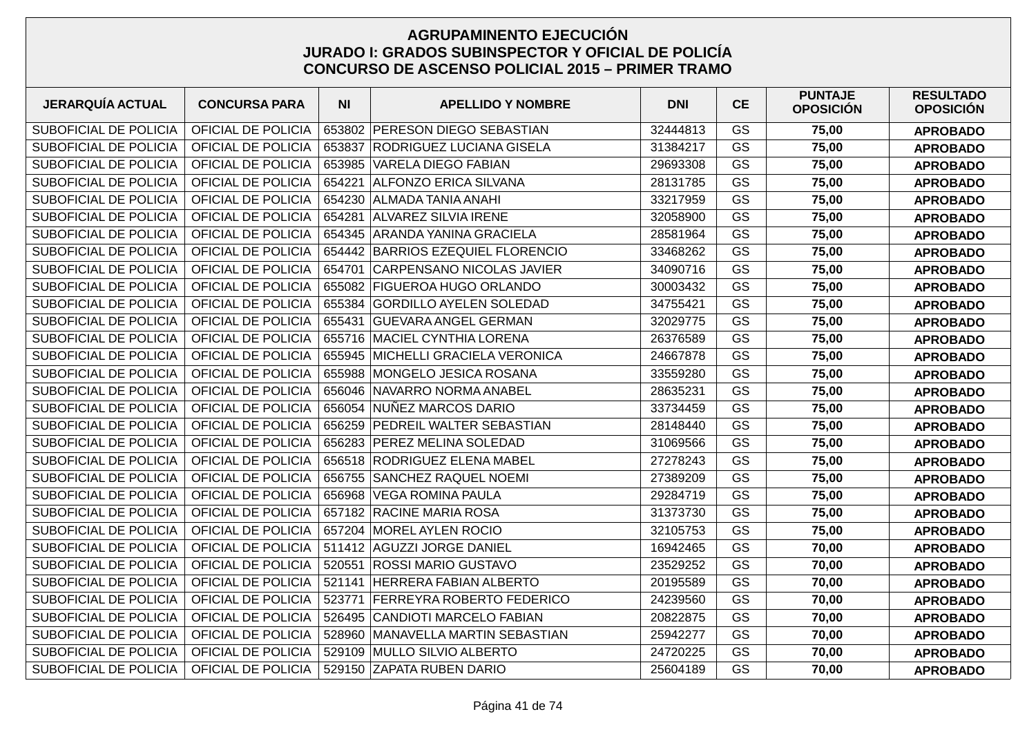| <b>JERARQUÍA ACTUAL</b> | <b>CONCURSA PARA</b> | <b>NI</b> | <b>APELLIDO Y NOMBRE</b>          | <b>DNI</b> | <b>CE</b> | <b>PUNTAJE</b><br><b>OPOSICIÓN</b> | <b>RESULTADO</b><br><b>OPOSICIÓN</b> |
|-------------------------|----------------------|-----------|-----------------------------------|------------|-----------|------------------------------------|--------------------------------------|
| SUBOFICIAL DE POLICIA   | OFICIAL DE POLICIA   | 653802    | <b>PERESON DIEGO SEBASTIAN</b>    | 32444813   | GS        | 75,00                              | <b>APROBADO</b>                      |
| SUBOFICIAL DE POLICIA   | OFICIAL DE POLICIA   | 653837    | <b>RODRIGUEZ LUCIANA GISELA</b>   | 31384217   | GS        | 75,00                              | <b>APROBADO</b>                      |
| SUBOFICIAL DE POLICIA   | OFICIAL DE POLICIA   | 653985    | <b>VARELA DIEGO FABIAN</b>        | 29693308   | GS        | 75,00                              | <b>APROBADO</b>                      |
| SUBOFICIAL DE POLICIA   | OFICIAL DE POLICIA   | 654221    | <b>ALFONZO ERICA SILVANA</b>      | 28131785   | GS        | 75,00                              | <b>APROBADO</b>                      |
| SUBOFICIAL DE POLICIA   | OFICIAL DE POLICIA   | 654230    | ALMADA TANIA ANAHI                | 33217959   | GS        | 75,00                              | <b>APROBADO</b>                      |
| SUBOFICIAL DE POLICIA   | OFICIAL DE POLICIA   | 654281    | <b>ALVAREZ SILVIA IRENE</b>       | 32058900   | GS        | 75,00                              | <b>APROBADO</b>                      |
| SUBOFICIAL DE POLICIA   | OFICIAL DE POLICIA   |           | 654345 ARANDA YANINA GRACIELA     | 28581964   | GS        | 75,00                              | <b>APROBADO</b>                      |
| SUBOFICIAL DE POLICIA   | OFICIAL DE POLICIA   |           | 654442 BARRIOS EZEQUIEL FLORENCIO | 33468262   | GS        | 75,00                              | <b>APROBADO</b>                      |
| SUBOFICIAL DE POLICIA   | OFICIAL DE POLICIA   | 654701    | CARPENSANO NICOLAS JAVIER         | 34090716   | GS        | 75,00                              | <b>APROBADO</b>                      |
| SUBOFICIAL DE POLICIA   | OFICIAL DE POLICIA   | 655082    | <b>FIGUEROA HUGO ORLANDO</b>      | 30003432   | GS        | 75,00                              | <b>APROBADO</b>                      |
| SUBOFICIAL DE POLICIA   | OFICIAL DE POLICIA   | 655384    | <b>GORDILLO AYELEN SOLEDAD</b>    | 34755421   | GS        | 75,00                              | <b>APROBADO</b>                      |
| SUBOFICIAL DE POLICIA   | OFICIAL DE POLICIA   | 655431    | <b>GUEVARA ANGEL GERMAN</b>       | 32029775   | GS        | 75,00                              | <b>APROBADO</b>                      |
| SUBOFICIAL DE POLICIA   | OFICIAL DE POLICIA   | 655716    | MACIEL CYNTHIA LORENA             | 26376589   | GS        | 75,00                              | <b>APROBADO</b>                      |
| SUBOFICIAL DE POLICIA   | OFICIAL DE POLICIA   | 655945    | MICHELLI GRACIELA VERONICA        | 24667878   | GS        | 75,00                              | <b>APROBADO</b>                      |
| SUBOFICIAL DE POLICIA   | OFICIAL DE POLICIA   | 655988    | MONGELO JESICA ROSANA             | 33559280   | GS        | 75,00                              | <b>APROBADO</b>                      |
| SUBOFICIAL DE POLICIA   | OFICIAL DE POLICIA   | 656046    | NAVARRO NORMA ANABEL              | 28635231   | GS        | 75,00                              | <b>APROBADO</b>                      |
| SUBOFICIAL DE POLICIA   | OFICIAL DE POLICIA   | 656054    | NUÑEZ MARCOS DARIO                | 33734459   | GS        | 75,00                              | <b>APROBADO</b>                      |
| SUBOFICIAL DE POLICIA   | OFICIAL DE POLICIA   |           | 656259 PEDREIL WALTER SEBASTIAN   | 28148440   | GS        | 75,00                              | <b>APROBADO</b>                      |
| SUBOFICIAL DE POLICIA   | OFICIAL DE POLICIA   | 656283    | <b>PEREZ MELINA SOLEDAD</b>       | 31069566   | GS        | 75,00                              | <b>APROBADO</b>                      |
| SUBOFICIAL DE POLICIA   | OFICIAL DE POLICIA   | 656518    | <b>RODRIGUEZ ELENA MABEL</b>      | 27278243   | GS        | 75,00                              | <b>APROBADO</b>                      |
| SUBOFICIAL DE POLICIA   | OFICIAL DE POLICIA   | 656755    | SANCHEZ RAQUEL NOEMI              | 27389209   | GS        | 75,00                              | <b>APROBADO</b>                      |
| SUBOFICIAL DE POLICIA   | OFICIAL DE POLICIA   | 656968    | VEGA ROMINA PAULA                 | 29284719   | GS        | 75,00                              | <b>APROBADO</b>                      |
| SUBOFICIAL DE POLICIA   | OFICIAL DE POLICIA   |           | 657182 RACINE MARIA ROSA          | 31373730   | GS        | 75,00                              | <b>APROBADO</b>                      |
| SUBOFICIAL DE POLICIA   | OFICIAL DE POLICIA   | 657204    | MOREL AYLEN ROCIO                 | 32105753   | GS        | 75,00                              | <b>APROBADO</b>                      |
| SUBOFICIAL DE POLICIA   | OFICIAL DE POLICIA   | 511412    | <b>AGUZZI JORGE DANIEL</b>        | 16942465   | GS        | 70,00                              | <b>APROBADO</b>                      |
| SUBOFICIAL DE POLICIA   | OFICIAL DE POLICIA   |           | 520551 ROSSI MARIO GUSTAVO        | 23529252   | GS        | 70,00                              | <b>APROBADO</b>                      |
| SUBOFICIAL DE POLICIA   | OFICIAL DE POLICIA   | 521141    | <b>HERRERA FABIAN ALBERTO</b>     | 20195589   | GS        | 70,00                              | <b>APROBADO</b>                      |
| SUBOFICIAL DE POLICIA   | OFICIAL DE POLICIA   | 523771    | <b>FERREYRA ROBERTO FEDERICO</b>  | 24239560   | GS        | 70,00                              | <b>APROBADO</b>                      |
| SUBOFICIAL DE POLICIA   | OFICIAL DE POLICIA   | 526495    | CANDIOTI MARCELO FABIAN           | 20822875   | GS        | 70,00                              | <b>APROBADO</b>                      |
| SUBOFICIAL DE POLICIA   | OFICIAL DE POLICIA   | 528960    | MANAVELLA MARTIN SEBASTIAN        | 25942277   | GS        | 70,00                              | <b>APROBADO</b>                      |
| SUBOFICIAL DE POLICIA   | OFICIAL DE POLICIA   | 529109    | MULLO SILVIO ALBERTO              | 24720225   | GS        | 70,00                              | <b>APROBADO</b>                      |
| SUBOFICIAL DE POLICIA   | OFICIAL DE POLICIA   |           | 529150 ZAPATA RUBEN DARIO         | 25604189   | GS        | 70,00                              | <b>APROBADO</b>                      |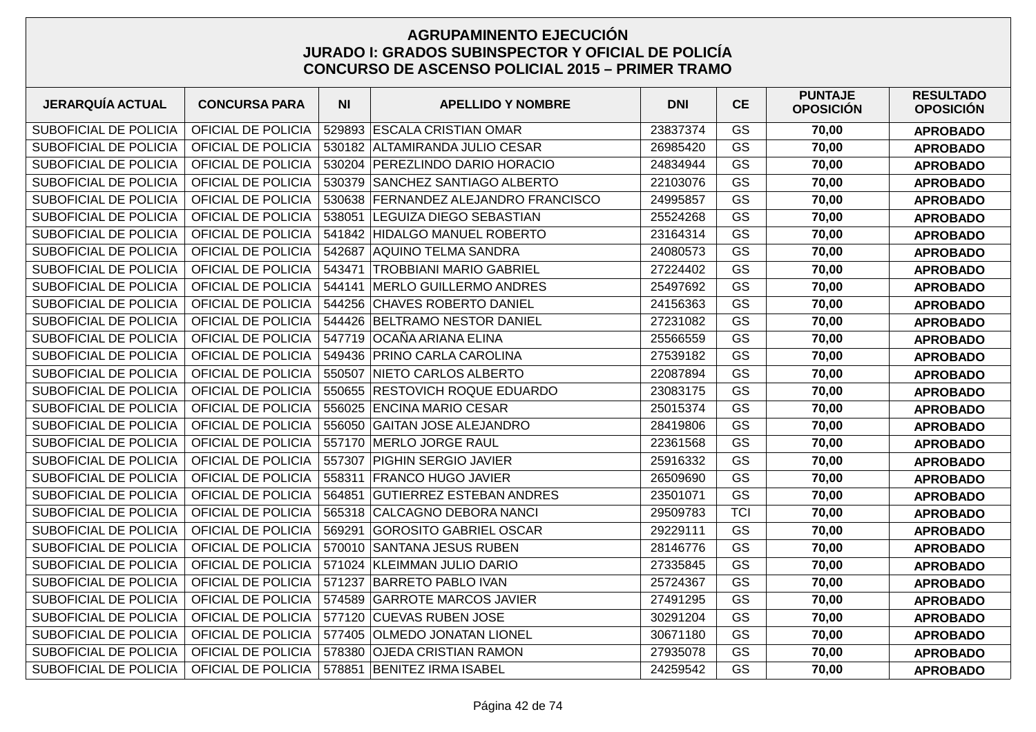| <b>JERARQUÍA ACTUAL</b> | <b>CONCURSA PARA</b> | <b>NI</b> | <b>APELLIDO Y NOMBRE</b>             | <b>DNI</b> | <b>CE</b>  | <b>PUNTAJE</b><br><b>OPOSICIÓN</b> | <b>RESULTADO</b><br><b>OPOSICIÓN</b> |
|-------------------------|----------------------|-----------|--------------------------------------|------------|------------|------------------------------------|--------------------------------------|
| SUBOFICIAL DE POLICIA   | OFICIAL DE POLICIA   |           | 529893 ESCALA CRISTIAN OMAR          | 23837374   | <b>GS</b>  | 70,00                              | <b>APROBADO</b>                      |
| SUBOFICIAL DE POLICIA   | OFICIAL DE POLICIA   |           | 530182 ALTAMIRANDA JULIO CESAR       | 26985420   | <b>GS</b>  | 70,00                              | <b>APROBADO</b>                      |
| SUBOFICIAL DE POLICIA   | OFICIAL DE POLICIA   |           | 530204 PEREZLINDO DARIO HORACIO      | 24834944   | GS         | 70,00                              | <b>APROBADO</b>                      |
| SUBOFICIAL DE POLICIA   | OFICIAL DE POLICIA   | 530379    | SANCHEZ SANTIAGO ALBERTO             | 22103076   | GS         | 70,00                              | <b>APROBADO</b>                      |
| SUBOFICIAL DE POLICIA   | OFICIAL DE POLICIA   |           | 530638 FERNANDEZ ALEJANDRO FRANCISCO | 24995857   | <b>GS</b>  | 70,00                              | <b>APROBADO</b>                      |
| SUBOFICIAL DE POLICIA   | OFICIAL DE POLICIA   |           | 538051 LEGUIZA DIEGO SEBASTIAN       | 25524268   | GS         | 70,00                              | <b>APROBADO</b>                      |
| SUBOFICIAL DE POLICIA   | OFICIAL DE POLICIA   |           | 541842 HIDALGO MANUEL ROBERTO        | 23164314   | GS         | 70,00                              | <b>APROBADO</b>                      |
| SUBOFICIAL DE POLICIA   | OFICIAL DE POLICIA   |           | 542687 AQUINO TELMA SANDRA           | 24080573   | GS         | 70,00                              | <b>APROBADO</b>                      |
| SUBOFICIAL DE POLICIA   | OFICIAL DE POLICIA   |           | 543471 TROBBIANI MARIO GABRIEL       | 27224402   | GS         | 70,00                              | <b>APROBADO</b>                      |
| SUBOFICIAL DE POLICIA   | OFICIAL DE POLICIA   | 544141    | MERLO GUILLERMO ANDRES               | 25497692   | <b>GS</b>  | 70,00                              | <b>APROBADO</b>                      |
| SUBOFICIAL DE POLICIA   | OFICIAL DE POLICIA   |           | 544256 CHAVES ROBERTO DANIEL         | 24156363   | GS         | 70,00                              | <b>APROBADO</b>                      |
| SUBOFICIAL DE POLICIA   | OFICIAL DE POLICIA   |           | 544426 BELTRAMO NESTOR DANIEL        | 27231082   | GS         | 70,00                              | <b>APROBADO</b>                      |
| SUBOFICIAL DE POLICIA   | OFICIAL DE POLICIA   |           | 547719 OCAÑA ARIANA ELINA            | 25566559   | GS         | 70,00                              | <b>APROBADO</b>                      |
| SUBOFICIAL DE POLICIA   | OFICIAL DE POLICIA   |           | 549436 PRINO CARLA CAROLINA          | 27539182   | GS         | 70,00                              | <b>APROBADO</b>                      |
| SUBOFICIAL DE POLICIA   | OFICIAL DE POLICIA   |           | 550507 NIETO CARLOS ALBERTO          | 22087894   | <b>GS</b>  | 70,00                              | <b>APROBADO</b>                      |
| SUBOFICIAL DE POLICIA   | OFICIAL DE POLICIA   |           | 550655 RESTOVICH ROQUE EDUARDO       | 23083175   | GS         | 70,00                              | <b>APROBADO</b>                      |
| SUBOFICIAL DE POLICIA   | OFICIAL DE POLICIA   |           | 556025 ENCINA MARIO CESAR            | 25015374   | GS         | 70,00                              | <b>APROBADO</b>                      |
| SUBOFICIAL DE POLICIA   | OFICIAL DE POLICIA   |           | 556050 GAITAN JOSE ALEJANDRO         | 28419806   | GS         | 70,00                              | <b>APROBADO</b>                      |
| SUBOFICIAL DE POLICIA   | OFICIAL DE POLICIA   |           | 557170 MERLO JORGE RAUL              | 22361568   | GS         | 70,00                              | <b>APROBADO</b>                      |
| SUBOFICIAL DE POLICIA   | OFICIAL DE POLICIA   | 557307    | <b>PIGHIN SERGIO JAVIER</b>          | 25916332   | <b>GS</b>  | 70,00                              | <b>APROBADO</b>                      |
| SUBOFICIAL DE POLICIA   | OFICIAL DE POLICIA   |           | 558311 FRANCO HUGO JAVIER            | 26509690   | GS         | 70,00                              | <b>APROBADO</b>                      |
| SUBOFICIAL DE POLICIA   | OFICIAL DE POLICIA   |           | 564851 GUTIERREZ ESTEBAN ANDRES      | 23501071   | GS         | 70,00                              | <b>APROBADO</b>                      |
| SUBOFICIAL DE POLICIA   | OFICIAL DE POLICIA   |           | 565318 CALCAGNO DEBORA NANCI         | 29509783   | <b>TCI</b> | 70,00                              | <b>APROBADO</b>                      |
| SUBOFICIAL DE POLICIA   | OFICIAL DE POLICIA   |           | 569291 GOROSITO GABRIEL OSCAR        | 29229111   | GS         | 70,00                              | <b>APROBADO</b>                      |
| SUBOFICIAL DE POLICIA   | OFICIAL DE POLICIA   | 570010    | SANTANA JESUS RUBEN                  | 28146776   | <b>GS</b>  | 70,00                              | <b>APROBADO</b>                      |
| SUBOFICIAL DE POLICIA   | OFICIAL DE POLICIA   |           | 571024 KLEIMMAN JULIO DARIO          | 27335845   | GS         | 70,00                              | <b>APROBADO</b>                      |
| SUBOFICIAL DE POLICIA   | OFICIAL DE POLICIA   |           | 571237 BARRETO PABLO IVAN            | 25724367   | GS         | 70,00                              | <b>APROBADO</b>                      |
| SUBOFICIAL DE POLICIA   | OFICIAL DE POLICIA   |           | 574589 GARROTE MARCOS JAVIER         | 27491295   | GS         | 70,00                              | <b>APROBADO</b>                      |
| SUBOFICIAL DE POLICIA   | OFICIAL DE POLICIA   |           | 577120 CUEVAS RUBEN JOSE             | 30291204   | GS         | 70,00                              | <b>APROBADO</b>                      |
| SUBOFICIAL DE POLICIA   | OFICIAL DE POLICIA   | 577405    | OLMEDO JONATAN LIONEL                | 30671180   | GS         | 70,00                              | <b>APROBADO</b>                      |
| SUBOFICIAL DE POLICIA   | OFICIAL DE POLICIA   |           | 578380 OJEDA CRISTIAN RAMON          | 27935078   | GS         | 70,00                              | <b>APROBADO</b>                      |
| SUBOFICIAL DE POLICIA   | OFICIAL DE POLICIA   |           | 578851 BENITEZ IRMA ISABEL           | 24259542   | GS         | 70,00                              | <b>APROBADO</b>                      |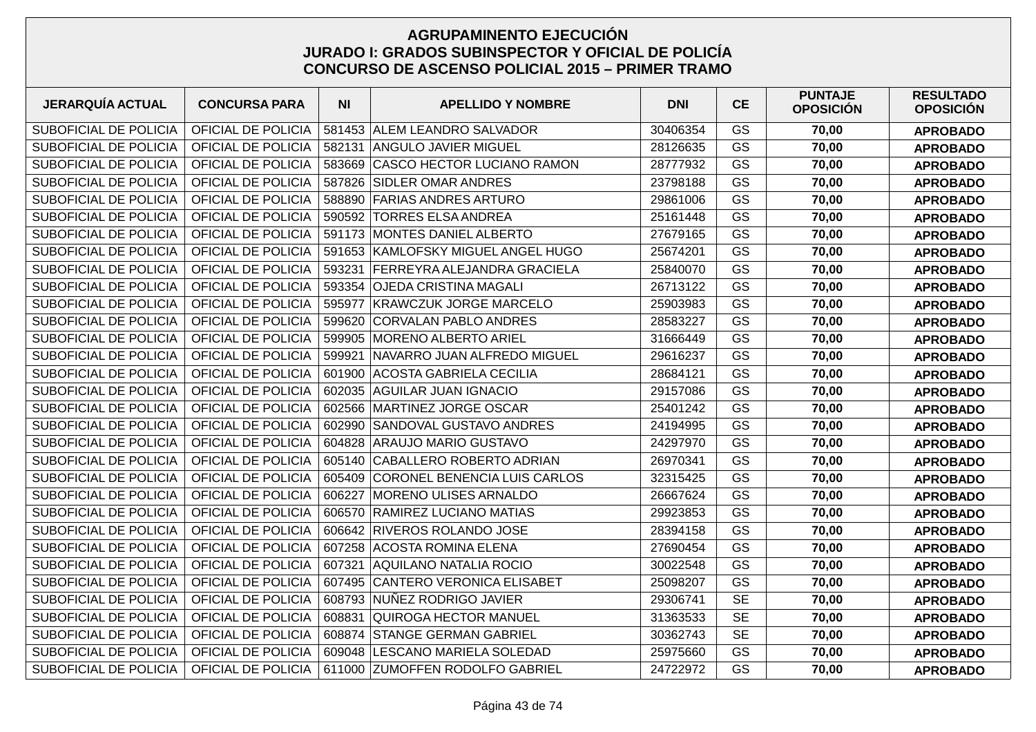| <b>JERARQUÍA ACTUAL</b> | <b>CONCURSA PARA</b> | <b>NI</b> | <b>APELLIDO Y NOMBRE</b>           | <b>DNI</b> | <b>CE</b> | <b>PUNTAJE</b><br><b>OPOSICIÓN</b> | <b>RESULTADO</b><br><b>OPOSICIÓN</b> |
|-------------------------|----------------------|-----------|------------------------------------|------------|-----------|------------------------------------|--------------------------------------|
| SUBOFICIAL DE POLICIA   | OFICIAL DE POLICIA   | 581453    | ALEM LEANDRO SALVADOR              | 30406354   | GS        | 70,00                              | <b>APROBADO</b>                      |
| SUBOFICIAL DE POLICIA   | OFICIAL DE POLICIA   | 582131    | <b>ANGULO JAVIER MIGUEL</b>        | 28126635   | GS        | 70,00                              | <b>APROBADO</b>                      |
| SUBOFICIAL DE POLICIA   | OFICIAL DE POLICIA   | 583669    | CASCO HECTOR LUCIANO RAMON         | 28777932   | GS        | 70,00                              | <b>APROBADO</b>                      |
| SUBOFICIAL DE POLICIA   | OFICIAL DE POLICIA   | 587826    | <b>SIDLER OMAR ANDRES</b>          | 23798188   | GS        | 70,00                              | <b>APROBADO</b>                      |
| SUBOFICIAL DE POLICIA   | OFICIAL DE POLICIA   | 588890    | <b>FARIAS ANDRES ARTURO</b>        | 29861006   | GS        | 70,00                              | <b>APROBADO</b>                      |
| SUBOFICIAL DE POLICIA   | OFICIAL DE POLICIA   | 590592    | <b>TORRES ELSA ANDREA</b>          | 25161448   | GS        | 70,00                              | <b>APROBADO</b>                      |
| SUBOFICIAL DE POLICIA   | OFICIAL DE POLICIA   | 591173    | MONTES DANIEL ALBERTO              | 27679165   | GS        | 70,00                              | <b>APROBADO</b>                      |
| SUBOFICIAL DE POLICIA   | OFICIAL DE POLICIA   |           | 591653 KAMLOFSKY MIGUEL ANGEL HUGO | 25674201   | GS        | 70,00                              | <b>APROBADO</b>                      |
| SUBOFICIAL DE POLICIA   | OFICIAL DE POLICIA   | 593231    | <b>FERREYRA ALEJANDRA GRACIELA</b> | 25840070   | GS        | 70,00                              | <b>APROBADO</b>                      |
| SUBOFICIAL DE POLICIA   | OFICIAL DE POLICIA   | 593354    | <b>OJEDA CRISTINA MAGALI</b>       | 26713122   | GS        | 70,00                              | <b>APROBADO</b>                      |
| SUBOFICIAL DE POLICIA   | OFICIAL DE POLICIA   | 595977    | KRAWCZUK JORGE MARCELO             | 25903983   | GS        | 70,00                              | <b>APROBADO</b>                      |
| SUBOFICIAL DE POLICIA   | OFICIAL DE POLICIA   | 599620    | <b>CORVALAN PABLO ANDRES</b>       | 28583227   | GS        | 70,00                              | <b>APROBADO</b>                      |
| SUBOFICIAL DE POLICIA   | OFICIAL DE POLICIA   | 599905    | <b>MORENO ALBERTO ARIEL</b>        | 31666449   | GS        | 70,00                              | <b>APROBADO</b>                      |
| SUBOFICIAL DE POLICIA   | OFICIAL DE POLICIA   | 599921    | NAVARRO JUAN ALFREDO MIGUEL        | 29616237   | GS        | 70,00                              | <b>APROBADO</b>                      |
| SUBOFICIAL DE POLICIA   | OFICIAL DE POLICIA   | 601900    | <b>ACOSTA GABRIELA CECILIA</b>     | 28684121   | GS        | 70,00                              | <b>APROBADO</b>                      |
| SUBOFICIAL DE POLICIA   | OFICIAL DE POLICIA   | 602035    | AGUILAR JUAN IGNACIO               | 29157086   | GS        | 70,00                              | <b>APROBADO</b>                      |
| SUBOFICIAL DE POLICIA   | OFICIAL DE POLICIA   | 602566    | MARTINEZ JORGE OSCAR               | 25401242   | GS        | 70,00                              | <b>APROBADO</b>                      |
| SUBOFICIAL DE POLICIA   | OFICIAL DE POLICIA   | 602990    | SANDOVAL GUSTAVO ANDRES            | 24194995   | GS        | 70,00                              | <b>APROBADO</b>                      |
| SUBOFICIAL DE POLICIA   | OFICIAL DE POLICIA   | 604828    | ARAUJO MARIO GUSTAVO               | 24297970   | GS        | 70,00                              | <b>APROBADO</b>                      |
| SUBOFICIAL DE POLICIA   | OFICIAL DE POLICIA   | 605140    | CABALLERO ROBERTO ADRIAN           | 26970341   | GS        | 70,00                              | <b>APROBADO</b>                      |
| SUBOFICIAL DE POLICIA   | OFICIAL DE POLICIA   | 605409    | CORONEL BENENCIA LUIS CARLOS       | 32315425   | GS        | 70,00                              | <b>APROBADO</b>                      |
| SUBOFICIAL DE POLICIA   | OFICIAL DE POLICIA   | 606227    | MORENO ULISES ARNALDO              | 26667624   | GS        | 70,00                              | <b>APROBADO</b>                      |
| SUBOFICIAL DE POLICIA   | OFICIAL DE POLICIA   |           | 606570 RAMIREZ LUCIANO MATIAS      | 29923853   | GS        | 70,00                              | <b>APROBADO</b>                      |
| SUBOFICIAL DE POLICIA   | OFICIAL DE POLICIA   | 606642    | <b>RIVEROS ROLANDO JOSE</b>        | 28394158   | GS        | 70,00                              | <b>APROBADO</b>                      |
| SUBOFICIAL DE POLICIA   | OFICIAL DE POLICIA   | 607258    | <b>ACOSTA ROMINA ELENA</b>         | 27690454   | GS        | 70,00                              | <b>APROBADO</b>                      |
| SUBOFICIAL DE POLICIA   | OFICIAL DE POLICIA   |           | 607321 AQUILANO NATALIA ROCIO      | 30022548   | GS        | 70,00                              | <b>APROBADO</b>                      |
| SUBOFICIAL DE POLICIA   | OFICIAL DE POLICIA   | 607495    | CANTERO VERONICA ELISABET          | 25098207   | GS        | 70,00                              | <b>APROBADO</b>                      |
| SUBOFICIAL DE POLICIA   | OFICIAL DE POLICIA   |           | 608793 NUÑEZ RODRIGO JAVIER        | 29306741   | <b>SE</b> | 70,00                              | <b>APROBADO</b>                      |
| SUBOFICIAL DE POLICIA   | OFICIAL DE POLICIA   |           | 608831 QUIROGA HECTOR MANUEL       | 31363533   | <b>SE</b> | 70,00                              | <b>APROBADO</b>                      |
| SUBOFICIAL DE POLICIA   | OFICIAL DE POLICIA   | 608874    | <b>STANGE GERMAN GABRIEL</b>       | 30362743   | <b>SE</b> | 70,00                              | <b>APROBADO</b>                      |
| SUBOFICIAL DE POLICIA   | OFICIAL DE POLICIA   | 609048    | LESCANO MARIELA SOLEDAD            | 25975660   | GS        | 70,00                              | <b>APROBADO</b>                      |
| SUBOFICIAL DE POLICIA   | OFICIAL DE POLICIA   |           | 611000 ZUMOFFEN RODOLFO GABRIEL    | 24722972   | GS        | 70,00                              | <b>APROBADO</b>                      |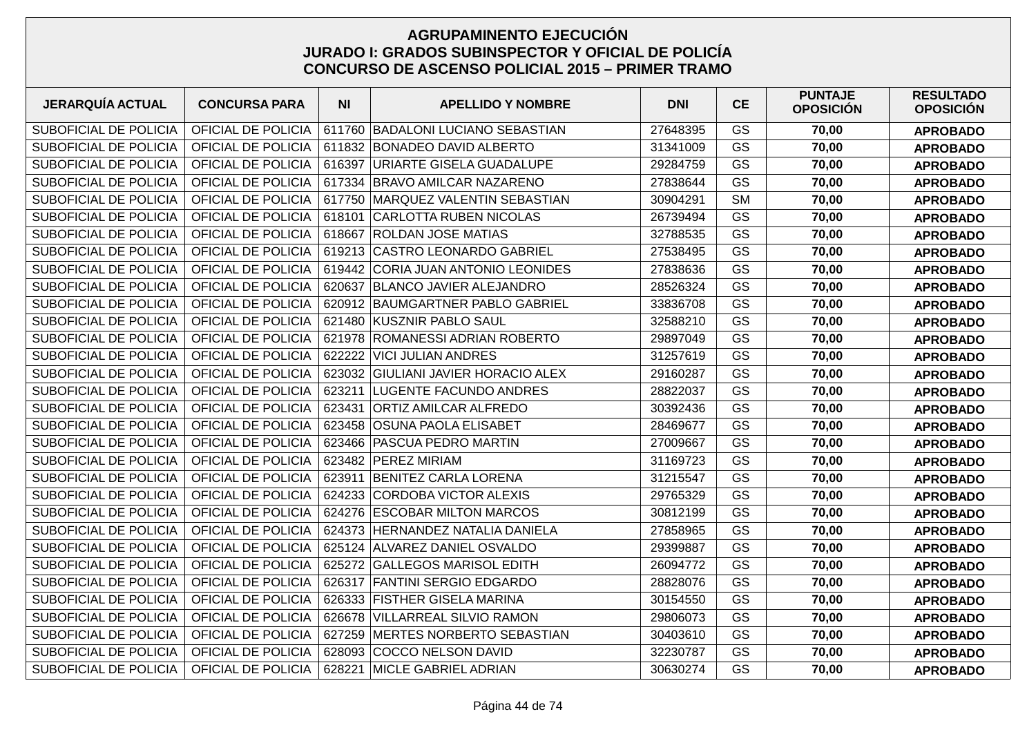| <b>JERARQUÍA ACTUAL</b> | <b>CONCURSA PARA</b> | <b>NI</b> | <b>APELLIDO Y NOMBRE</b>            | <b>DNI</b> | <b>CE</b> | <b>PUNTAJE</b><br><b>OPOSICIÓN</b> | <b>RESULTADO</b><br><b>OPOSICIÓN</b> |
|-------------------------|----------------------|-----------|-------------------------------------|------------|-----------|------------------------------------|--------------------------------------|
| SUBOFICIAL DE POLICIA   | OFICIAL DE POLICIA   |           | 611760 BADALONI LUCIANO SEBASTIAN   | 27648395   | <b>GS</b> | 70,00                              | <b>APROBADO</b>                      |
| SUBOFICIAL DE POLICIA   | OFICIAL DE POLICIA   |           | 611832 BONADEO DAVID ALBERTO        | 31341009   | <b>GS</b> | 70,00                              | <b>APROBADO</b>                      |
| SUBOFICIAL DE POLICIA   | OFICIAL DE POLICIA   |           | 616397 URIARTE GISELA GUADALUPE     | 29284759   | GS        | 70,00                              | <b>APROBADO</b>                      |
| SUBOFICIAL DE POLICIA   | OFICIAL DE POLICIA   |           | 617334 BRAVO AMILCAR NAZARENO       | 27838644   | GS        | 70,00                              | <b>APROBADO</b>                      |
| SUBOFICIAL DE POLICIA   | OFICIAL DE POLICIA   |           | 617750 MARQUEZ VALENTIN SEBASTIAN   | 30904291   | <b>SM</b> | 70,00                              | <b>APROBADO</b>                      |
| SUBOFICIAL DE POLICIA   | OFICIAL DE POLICIA   |           | 618101 CARLOTTA RUBEN NICOLAS       | 26739494   | <b>GS</b> | 70,00                              | <b>APROBADO</b>                      |
| SUBOFICIAL DE POLICIA   | OFICIAL DE POLICIA   |           | 618667 ROLDAN JOSE MATIAS           | 32788535   | GS        | 70,00                              | <b>APROBADO</b>                      |
| SUBOFICIAL DE POLICIA   | OFICIAL DE POLICIA   |           | 619213 CASTRO LEONARDO GABRIEL      | 27538495   | GS        | 70,00                              | <b>APROBADO</b>                      |
| SUBOFICIAL DE POLICIA   | OFICIAL DE POLICIA   |           | 619442 CORIA JUAN ANTONIO LEONIDES  | 27838636   | GS        | 70,00                              | <b>APROBADO</b>                      |
| SUBOFICIAL DE POLICIA   | OFICIAL DE POLICIA   |           | 620637 BLANCO JAVIER ALEJANDRO      | 28526324   | <b>GS</b> | 70,00                              | <b>APROBADO</b>                      |
| SUBOFICIAL DE POLICIA   | OFICIAL DE POLICIA   |           | 620912 BAUMGARTNER PABLO GABRIEL    | 33836708   | GS        | 70,00                              | <b>APROBADO</b>                      |
| SUBOFICIAL DE POLICIA   | OFICIAL DE POLICIA   |           | 621480 KUSZNIR PABLO SAUL           | 32588210   | GS        | 70,00                              | <b>APROBADO</b>                      |
| SUBOFICIAL DE POLICIA   | OFICIAL DE POLICIA   |           | 621978 ROMANESSI ADRIAN ROBERTO     | 29897049   | GS        | 70,00                              | <b>APROBADO</b>                      |
| SUBOFICIAL DE POLICIA   | OFICIAL DE POLICIA   |           | 622222 VICI JULIAN ANDRES           | 31257619   | GS        | 70,00                              | <b>APROBADO</b>                      |
| SUBOFICIAL DE POLICIA   | OFICIAL DE POLICIA   |           | 623032 GIULIANI JAVIER HORACIO ALEX | 29160287   | <b>GS</b> | 70,00                              | <b>APROBADO</b>                      |
| SUBOFICIAL DE POLICIA   | OFICIAL DE POLICIA   |           | 623211 LUGENTE FACUNDO ANDRES       | 28822037   | GS        | 70,00                              | <b>APROBADO</b>                      |
| SUBOFICIAL DE POLICIA   | OFICIAL DE POLICIA   | 623431    | <b>ORTIZ AMILCAR ALFREDO</b>        | 30392436   | GS        | 70,00                              | <b>APROBADO</b>                      |
| SUBOFICIAL DE POLICIA   | OFICIAL DE POLICIA   |           | 623458 OSUNA PAOLA ELISABET         | 28469677   | GS        | 70,00                              | <b>APROBADO</b>                      |
| SUBOFICIAL DE POLICIA   | OFICIAL DE POLICIA   |           | 623466 PASCUA PEDRO MARTIN          | 27009667   | GS        | 70,00                              | <b>APROBADO</b>                      |
| SUBOFICIAL DE POLICIA   | OFICIAL DE POLICIA   |           | 623482 PEREZ MIRIAM                 | 31169723   | <b>GS</b> | 70,00                              | <b>APROBADO</b>                      |
| SUBOFICIAL DE POLICIA   | OFICIAL DE POLICIA   |           | 623911 BENITEZ CARLA LORENA         | 31215547   | GS        | 70,00                              | <b>APROBADO</b>                      |
| SUBOFICIAL DE POLICIA   | OFICIAL DE POLICIA   | 624233    | CORDOBA VICTOR ALEXIS               | 29765329   | GS        | 70,00                              | <b>APROBADO</b>                      |
| SUBOFICIAL DE POLICIA   | OFICIAL DE POLICIA   |           | 624276 ESCOBAR MILTON MARCOS        | 30812199   | GS        | 70,00                              | <b>APROBADO</b>                      |
| SUBOFICIAL DE POLICIA   | OFICIAL DE POLICIA   |           | 624373 HERNANDEZ NATALIA DANIELA    | 27858965   | GS        | 70,00                              | <b>APROBADO</b>                      |
| SUBOFICIAL DE POLICIA   | OFICIAL DE POLICIA   |           | 625124 ALVAREZ DANIEL OSVALDO       | 29399887   | <b>GS</b> | 70,00                              | <b>APROBADO</b>                      |
| SUBOFICIAL DE POLICIA   | OFICIAL DE POLICIA   |           | 625272 GALLEGOS MARISOL EDITH       | 26094772   | GS        | 70,00                              | <b>APROBADO</b>                      |
| SUBOFICIAL DE POLICIA   | OFICIAL DE POLICIA   |           | 626317 FANTINI SERGIO EDGARDO       | 28828076   | GS        | 70,00                              | <b>APROBADO</b>                      |
| SUBOFICIAL DE POLICIA   | OFICIAL DE POLICIA   |           | 626333 FISTHER GISELA MARINA        | 30154550   | GS        | 70,00                              | <b>APROBADO</b>                      |
| SUBOFICIAL DE POLICIA   | OFICIAL DE POLICIA   |           | 626678 VILLARREAL SILVIO RAMON      | 29806073   | GS        | 70,00                              | <b>APROBADO</b>                      |
| SUBOFICIAL DE POLICIA   | OFICIAL DE POLICIA   | 627259    | MERTES NORBERTO SEBASTIAN           | 30403610   | GS        | 70,00                              | <b>APROBADO</b>                      |
| SUBOFICIAL DE POLICIA   | OFICIAL DE POLICIA   |           | 628093 COCCO NELSON DAVID           | 32230787   | GS        | 70,00                              | <b>APROBADO</b>                      |
| SUBOFICIAL DE POLICIA   | OFICIAL DE POLICIA   |           | 628221 MICLE GABRIEL ADRIAN         | 30630274   | GS        | 70,00                              | <b>APROBADO</b>                      |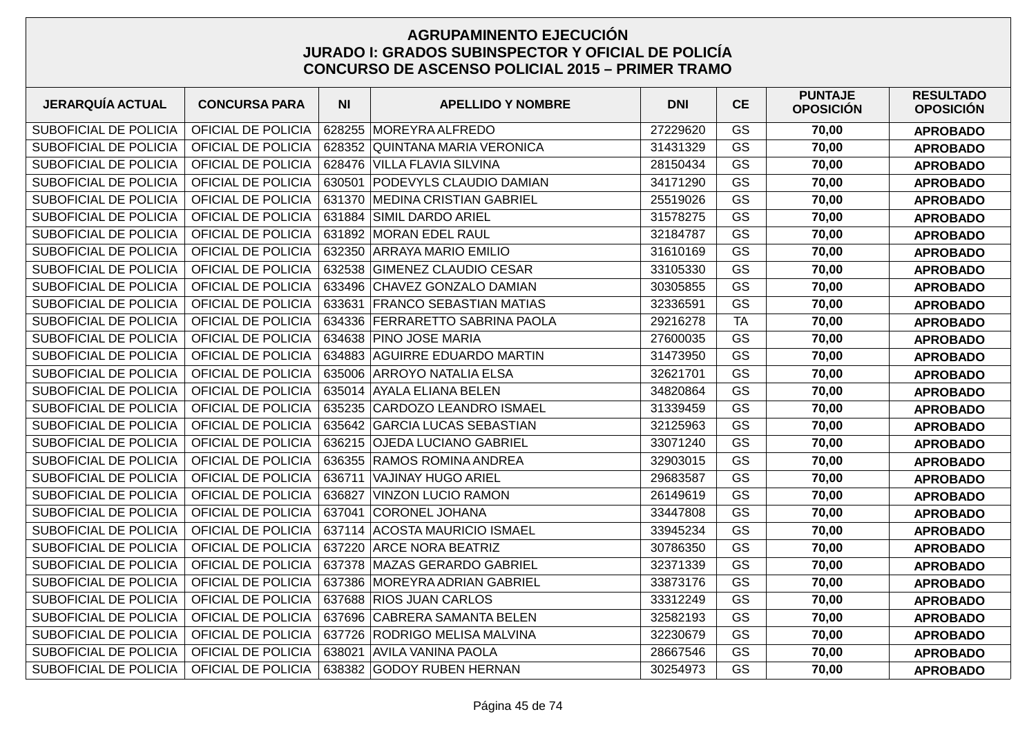| <b>JERARQUÍA ACTUAL</b> | <b>CONCURSA PARA</b> | <b>NI</b> | <b>APELLIDO Y NOMBRE</b>        | <b>DNI</b> | <b>CE</b> | <b>PUNTAJE</b><br><b>OPOSICIÓN</b> | <b>RESULTADO</b><br><b>OPOSICIÓN</b> |
|-------------------------|----------------------|-----------|---------------------------------|------------|-----------|------------------------------------|--------------------------------------|
| SUBOFICIAL DE POLICIA   | OFICIAL DE POLICIA   | 628255    | MOREYRA ALFREDO                 | 27229620   | <b>GS</b> | 70,00                              | <b>APROBADO</b>                      |
| SUBOFICIAL DE POLICIA   | OFICIAL DE POLICIA   |           | 628352 OUINTANA MARIA VERONICA  | 31431329   | <b>GS</b> | 70,00                              | <b>APROBADO</b>                      |
| SUBOFICIAL DE POLICIA   | OFICIAL DE POLICIA   |           | 628476 VILLA FLAVIA SILVINA     | 28150434   | GS        | 70,00                              | <b>APROBADO</b>                      |
| SUBOFICIAL DE POLICIA   | OFICIAL DE POLICIA   |           | 630501 PODEVYLS CLAUDIO DAMIAN  | 34171290   | GS        | 70,00                              | <b>APROBADO</b>                      |
| SUBOFICIAL DE POLICIA   | OFICIAL DE POLICIA   | 631370    | <b>MEDINA CRISTIAN GABRIEL</b>  | 25519026   | <b>GS</b> | 70,00                              | <b>APROBADO</b>                      |
| SUBOFICIAL DE POLICIA   | OFICIAL DE POLICIA   | 631884    | SIMIL DARDO ARIEL               | 31578275   | GS        | 70,00                              | <b>APROBADO</b>                      |
| SUBOFICIAL DE POLICIA   | OFICIAL DE POLICIA   | 631892    | MORAN EDEL RAUL                 | 32184787   | GS        | 70,00                              | <b>APROBADO</b>                      |
| SUBOFICIAL DE POLICIA   | OFICIAL DE POLICIA   |           | 632350 ARRAYA MARIO EMILIO      | 31610169   | GS        | 70,00                              | <b>APROBADO</b>                      |
| SUBOFICIAL DE POLICIA   | OFICIAL DE POLICIA   | 632538    | <b>GIMENEZ CLAUDIO CESAR</b>    | 33105330   | GS        | 70,00                              | <b>APROBADO</b>                      |
| SUBOFICIAL DE POLICIA   | OFICIAL DE POLICIA   |           | 633496 CHAVEZ GONZALO DAMIAN    | 30305855   | <b>GS</b> | 70,00                              | <b>APROBADO</b>                      |
| SUBOFICIAL DE POLICIA   | OFICIAL DE POLICIA   |           | 633631 FRANCO SEBASTIAN MATIAS  | 32336591   | GS        | 70,00                              | <b>APROBADO</b>                      |
| SUBOFICIAL DE POLICIA   | OFICIAL DE POLICIA   |           | 634336 FERRARETTO SABRINA PAOLA | 29216278   | <b>TA</b> | 70,00                              | <b>APROBADO</b>                      |
| SUBOFICIAL DE POLICIA   | OFICIAL DE POLICIA   |           | 634638 PINO JOSE MARIA          | 27600035   | GS        | 70,00                              | <b>APROBADO</b>                      |
| SUBOFICIAL DE POLICIA   | OFICIAL DE POLICIA   |           | 634883 AGUIRRE EDUARDO MARTIN   | 31473950   | GS        | 70,00                              | <b>APROBADO</b>                      |
| SUBOFICIAL DE POLICIA   | OFICIAL DE POLICIA   |           | 635006 ARROYO NATALIA ELSA      | 32621701   | <b>GS</b> | 70,00                              | <b>APROBADO</b>                      |
| SUBOFICIAL DE POLICIA   | OFICIAL DE POLICIA   |           | 635014 AYALA ELIANA BELEN       | 34820864   | GS        | 70,00                              | <b>APROBADO</b>                      |
| SUBOFICIAL DE POLICIA   | OFICIAL DE POLICIA   | 635235    | CARDOZO LEANDRO ISMAEL          | 31339459   | GS        | 70,00                              | <b>APROBADO</b>                      |
| SUBOFICIAL DE POLICIA   | OFICIAL DE POLICIA   |           | 635642 GARCIA LUCAS SEBASTIAN   | 32125963   | GS        | 70,00                              | <b>APROBADO</b>                      |
| SUBOFICIAL DE POLICIA   | OFICIAL DE POLICIA   |           | 636215 OJEDA LUCIANO GABRIEL    | 33071240   | GS        | 70,00                              | <b>APROBADO</b>                      |
| SUBOFICIAL DE POLICIA   | OFICIAL DE POLICIA   |           | 636355 RAMOS ROMINA ANDREA      | 32903015   | <b>GS</b> | 70,00                              | <b>APROBADO</b>                      |
| SUBOFICIAL DE POLICIA   | OFICIAL DE POLICIA   |           | 636711 VAJINAY HUGO ARIEL       | 29683587   | GS        | 70,00                              | <b>APROBADO</b>                      |
| SUBOFICIAL DE POLICIA   | OFICIAL DE POLICIA   | 636827    | <b>VINZON LUCIO RAMON</b>       | 26149619   | GS        | 70,00                              | <b>APROBADO</b>                      |
| SUBOFICIAL DE POLICIA   | OFICIAL DE POLICIA   |           | 637041 CORONEL JOHANA           | 33447808   | GS        | 70,00                              | <b>APROBADO</b>                      |
| SUBOFICIAL DE POLICIA   | OFICIAL DE POLICIA   |           | 637114 ACOSTA MAURICIO ISMAEL   | 33945234   | <b>GS</b> | 70,00                              | <b>APROBADO</b>                      |
| SUBOFICIAL DE POLICIA   | OFICIAL DE POLICIA   | 637220    | <b>ARCE NORA BEATRIZ</b>        | 30786350   | <b>GS</b> | 70,00                              | <b>APROBADO</b>                      |
| SUBOFICIAL DE POLICIA   | OFICIAL DE POLICIA   |           | 637378 MAZAS GERARDO GABRIEL    | 32371339   | GS        | 70,00                              | <b>APROBADO</b>                      |
| SUBOFICIAL DE POLICIA   | OFICIAL DE POLICIA   | 637386    | <b>MOREYRA ADRIAN GABRIEL</b>   | 33873176   | GS        | 70,00                              | <b>APROBADO</b>                      |
| SUBOFICIAL DE POLICIA   | OFICIAL DE POLICIA   |           | 637688 RIOS JUAN CARLOS         | 33312249   | GS        | 70,00                              | <b>APROBADO</b>                      |
| SUBOFICIAL DE POLICIA   | OFICIAL DE POLICIA   |           | 637696 CABRERA SAMANTA BELEN    | 32582193   | GS        | 70,00                              | <b>APROBADO</b>                      |
| SUBOFICIAL DE POLICIA   | OFICIAL DE POLICIA   | 637726    | <b>RODRIGO MELISA MALVINA</b>   | 32230679   | GS        | 70,00                              | <b>APROBADO</b>                      |
| SUBOFICIAL DE POLICIA   | OFICIAL DE POLICIA   |           | 638021 AVILA VANINA PAOLA       | 28667546   | GS        | 70,00                              | <b>APROBADO</b>                      |
| SUBOFICIAL DE POLICIA   | OFICIAL DE POLICIA   |           | 638382 GODOY RUBEN HERNAN       | 30254973   | GS        | 70,00                              | <b>APROBADO</b>                      |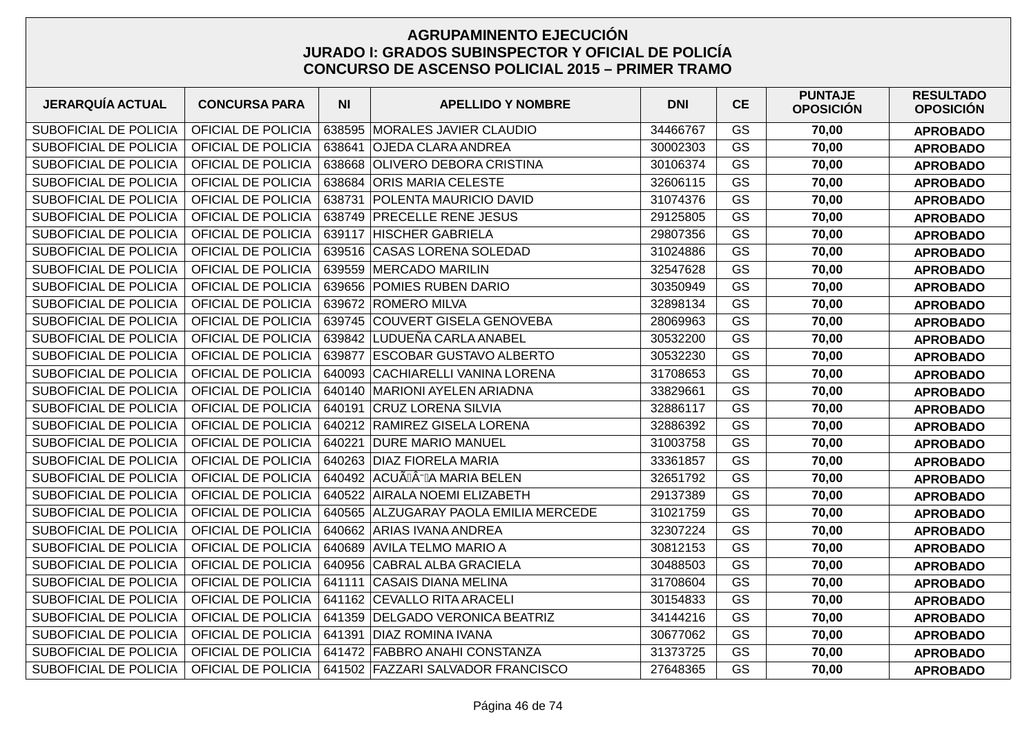| <b>JERARQUÍA ACTUAL</b> | <b>CONCURSA PARA</b> | <b>NI</b> | <b>APELLIDO Y NOMBRE</b>              | <b>DNI</b> | <b>CE</b> | <b>PUNTAJE</b><br><b>OPOSICIÓN</b> | <b>RESULTADO</b><br><b>OPOSICIÓN</b> |
|-------------------------|----------------------|-----------|---------------------------------------|------------|-----------|------------------------------------|--------------------------------------|
| SUBOFICIAL DE POLICIA   | OFICIAL DE POLICIA   | 638595    | MORALES JAVIER CLAUDIO                | 34466767   | GS        | 70,00                              | <b>APROBADO</b>                      |
| SUBOFICIAL DE POLICIA   | OFICIAL DE POLICIA   | 638641    | <b>OJEDA CLARA ANDREA</b>             | 30002303   | GS        | 70,00                              | <b>APROBADO</b>                      |
| SUBOFICIAL DE POLICIA   | OFICIAL DE POLICIA   | 638668    | <b>OLIVERO DEBORA CRISTINA</b>        | 30106374   | GS        | 70,00                              | <b>APROBADO</b>                      |
| SUBOFICIAL DE POLICIA   | OFICIAL DE POLICIA   | 638684    | <b>ORIS MARIA CELESTE</b>             | 32606115   | GS        | 70,00                              | <b>APROBADO</b>                      |
| SUBOFICIAL DE POLICIA   | OFICIAL DE POLICIA   | 638731    | POLENTA MAURICIO DAVID                | 31074376   | GS        | 70,00                              | <b>APROBADO</b>                      |
| SUBOFICIAL DE POLICIA   | OFICIAL DE POLICIA   | 638749    | <b>PRECELLE RENE JESUS</b>            | 29125805   | GS        | 70,00                              | <b>APROBADO</b>                      |
| SUBOFICIAL DE POLICIA   | OFICIAL DE POLICIA   | 639117    | <b>HISCHER GABRIELA</b>               | 29807356   | GS        | 70,00                              | <b>APROBADO</b>                      |
| SUBOFICIAL DE POLICIA   | OFICIAL DE POLICIA   | 639516    | <b>CASAS LORENA SOLEDAD</b>           | 31024886   | GS        | 70,00                              | <b>APROBADO</b>                      |
| SUBOFICIAL DE POLICIA   | OFICIAL DE POLICIA   | 639559    | <b>MERCADO MARILIN</b>                | 32547628   | GS        | 70,00                              | <b>APROBADO</b>                      |
| SUBOFICIAL DE POLICIA   | OFICIAL DE POLICIA   | 639656    | <b>POMIES RUBEN DARIO</b>             | 30350949   | GS        | 70,00                              | <b>APROBADO</b>                      |
| SUBOFICIAL DE POLICIA   | OFICIAL DE POLICIA   | 639672    | <b>ROMERO MILVA</b>                   | 32898134   | GS        | 70,00                              | <b>APROBADO</b>                      |
| SUBOFICIAL DE POLICIA   | OFICIAL DE POLICIA   | 639745    | COUVERT GISELA GENOVEBA               | 28069963   | GS        | 70,00                              | <b>APROBADO</b>                      |
| SUBOFICIAL DE POLICIA   | OFICIAL DE POLICIA   | 639842    | LUDUEÑA CARLA ANABEL                  | 30532200   | GS        | 70,00                              | <b>APROBADO</b>                      |
| SUBOFICIAL DE POLICIA   | OFICIAL DE POLICIA   | 639877    | <b>ESCOBAR GUSTAVO ALBERTO</b>        | 30532230   | GS        | 70,00                              | <b>APROBADO</b>                      |
| SUBOFICIAL DE POLICIA   | OFICIAL DE POLICIA   | 640093    | CACHIARELLI VANINA LORENA             | 31708653   | GS        | 70,00                              | <b>APROBADO</b>                      |
| SUBOFICIAL DE POLICIA   | OFICIAL DE POLICIA   | 640140    | <b>MARIONI AYELEN ARIADNA</b>         | 33829661   | GS        | 70,00                              | <b>APROBADO</b>                      |
| SUBOFICIAL DE POLICIA   | OFICIAL DE POLICIA   | 640191    | CRUZ LORENA SILVIA                    | 32886117   | GS        | 70,00                              | <b>APROBADO</b>                      |
| SUBOFICIAL DE POLICIA   | OFICIAL DE POLICIA   |           | 640212 RAMIREZ GISELA LORENA          | 32886392   | GS        | 70,00                              | <b>APROBADO</b>                      |
| SUBOFICIAL DE POLICIA   | OFICIAL DE POLICIA   |           | 640221 DURE MARIO MANUEL              | 31003758   | GS        | 70,00                              | <b>APROBADO</b>                      |
| SUBOFICIAL DE POLICIA   | OFICIAL DE POLICIA   | 640263    | <b>DIAZ FIORELA MARIA</b>             | 33361857   | GS        | 70,00                              | <b>APROBADO</b>                      |
| SUBOFICIAL DE POLICIA   | OFICIAL DE POLICIA   | 640492    | ACUÃIÂ <sup>-</sup> IA MARIA BELEN    | 32651792   | GS        | 70,00                              | <b>APROBADO</b>                      |
| SUBOFICIAL DE POLICIA   | OFICIAL DE POLICIA   | 640522    | AIRALA NOEMI ELIZABETH                | 29137389   | GS        | 70,00                              | <b>APROBADO</b>                      |
| SUBOFICIAL DE POLICIA   | OFICIAL DE POLICIA   |           | 640565 ALZUGARAY PAOLA EMILIA MERCEDE | 31021759   | GS        | 70,00                              | <b>APROBADO</b>                      |
| SUBOFICIAL DE POLICIA   | OFICIAL DE POLICIA   | 640662    | <b>ARIAS IVANA ANDREA</b>             | 32307224   | GS        | 70,00                              | <b>APROBADO</b>                      |
| SUBOFICIAL DE POLICIA   | OFICIAL DE POLICIA   | 640689    | <b>AVILA TELMO MARIO A</b>            | 30812153   | GS        | 70,00                              | <b>APROBADO</b>                      |
| SUBOFICIAL DE POLICIA   | OFICIAL DE POLICIA   | 640956    | CABRAL ALBA GRACIELA                  | 30488503   | GS        | 70,00                              | <b>APROBADO</b>                      |
| SUBOFICIAL DE POLICIA   | OFICIAL DE POLICIA   | 641111    | <b>CASAIS DIANA MELINA</b>            | 31708604   | GS        | 70,00                              | <b>APROBADO</b>                      |
| SUBOFICIAL DE POLICIA   | OFICIAL DE POLICIA   | 641162    | <b>CEVALLO RITA ARACELI</b>           | 30154833   | GS        | 70,00                              | <b>APROBADO</b>                      |
| SUBOFICIAL DE POLICIA   | OFICIAL DE POLICIA   |           | 641359 DELGADO VERONICA BEATRIZ       | 34144216   | GS        | 70,00                              | <b>APROBADO</b>                      |
| SUBOFICIAL DE POLICIA   | OFICIAL DE POLICIA   | 641391    | <b>DIAZ ROMINA IVANA</b>              | 30677062   | GS        | 70,00                              | <b>APROBADO</b>                      |
| SUBOFICIAL DE POLICIA   | OFICIAL DE POLICIA   | 641472    | <b>FABBRO ANAHI CONSTANZA</b>         | 31373725   | GS        | 70,00                              | <b>APROBADO</b>                      |
| SUBOFICIAL DE POLICIA   | OFICIAL DE POLICIA   |           | 641502 FAZZARI SALVADOR FRANCISCO     | 27648365   | GS        | 70,00                              | <b>APROBADO</b>                      |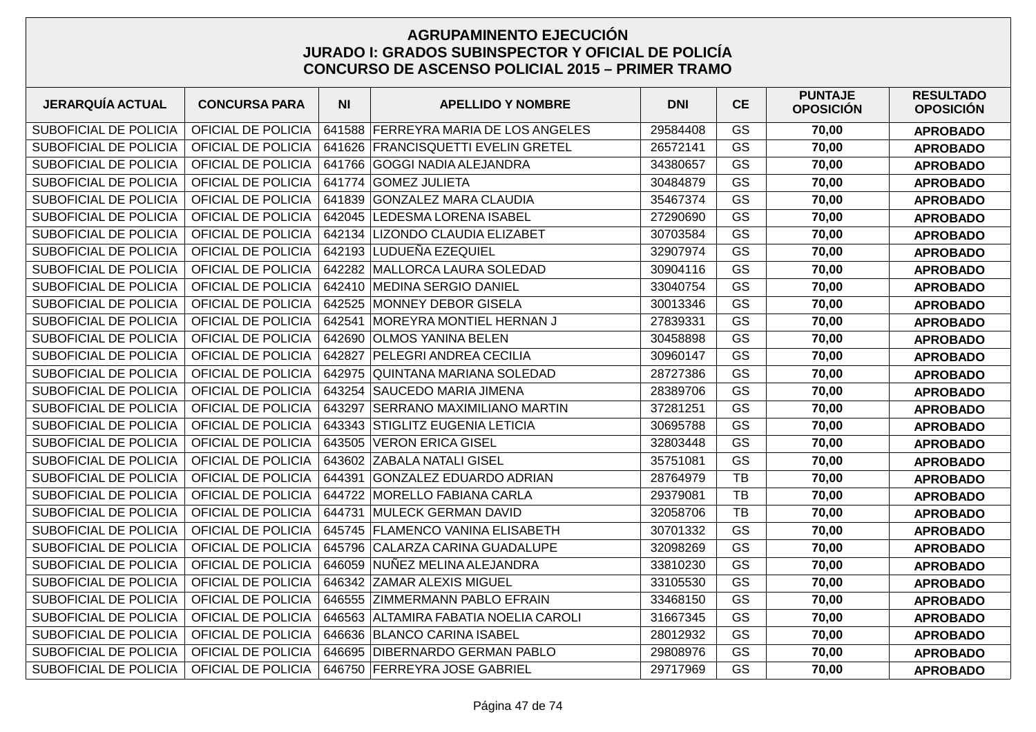| <b>JERARQUÍA ACTUAL</b> | <b>CONCURSA PARA</b> | <b>NI</b> | <b>APELLIDO Y NOMBRE</b>              | <b>DNI</b> | <b>CE</b> | <b>PUNTAJE</b><br><b>OPOSICIÓN</b> | <b>RESULTADO</b><br><b>OPOSICIÓN</b> |
|-------------------------|----------------------|-----------|---------------------------------------|------------|-----------|------------------------------------|--------------------------------------|
| SUBOFICIAL DE POLICIA   | OFICIAL DE POLICIA   |           | 641588 FERREYRA MARIA DE LOS ANGELES  | 29584408   | GS        | 70,00                              | <b>APROBADO</b>                      |
| SUBOFICIAL DE POLICIA   | OFICIAL DE POLICIA   |           | 641626 FRANCISQUETTI EVELIN GRETEL    | 26572141   | <b>GS</b> | 70,00                              | <b>APROBADO</b>                      |
| SUBOFICIAL DE POLICIA   | OFICIAL DE POLICIA   |           | 641766 GOGGI NADIA ALEJANDRA          | 34380657   | GS        | 70,00                              | <b>APROBADO</b>                      |
| SUBOFICIAL DE POLICIA   | OFICIAL DE POLICIA   |           | 641774 GOMEZ JULIETA                  | 30484879   | GS        | 70,00                              | <b>APROBADO</b>                      |
| SUBOFICIAL DE POLICIA   | OFICIAL DE POLICIA   |           | 641839 GONZALEZ MARA CLAUDIA          | 35467374   | <b>GS</b> | 70,00                              | <b>APROBADO</b>                      |
| SUBOFICIAL DE POLICIA   | OFICIAL DE POLICIA   |           | 642045 LEDESMA LORENA ISABEL          | 27290690   | GS        | 70,00                              | <b>APROBADO</b>                      |
| SUBOFICIAL DE POLICIA   | OFICIAL DE POLICIA   |           | 642134 LIZONDO CLAUDIA ELIZABET       | 30703584   | GS        | 70,00                              | <b>APROBADO</b>                      |
| SUBOFICIAL DE POLICIA   | OFICIAL DE POLICIA   |           | 642193 LUDUEÑA EZEQUIEL               | 32907974   | GS        | 70,00                              | <b>APROBADO</b>                      |
| SUBOFICIAL DE POLICIA   | OFICIAL DE POLICIA   |           | 642282 MALLORCA LAURA SOLEDAD         | 30904116   | GS        | 70,00                              | <b>APROBADO</b>                      |
| SUBOFICIAL DE POLICIA   | OFICIAL DE POLICIA   |           | 642410 MEDINA SERGIO DANIEL           | 33040754   | GS        | 70,00                              | <b>APROBADO</b>                      |
| SUBOFICIAL DE POLICIA   | OFICIAL DE POLICIA   |           | 642525 MONNEY DEBOR GISELA            | 30013346   | GS        | 70,00                              | <b>APROBADO</b>                      |
| SUBOFICIAL DE POLICIA   | OFICIAL DE POLICIA   |           | 642541 MOREYRA MONTIEL HERNAN J       | 27839331   | GS        | 70,00                              | <b>APROBADO</b>                      |
| SUBOFICIAL DE POLICIA   | OFICIAL DE POLICIA   |           | 642690 OLMOS YANINA BELEN             | 30458898   | GS        | 70,00                              | <b>APROBADO</b>                      |
| SUBOFICIAL DE POLICIA   | OFICIAL DE POLICIA   |           | 642827 PELEGRI ANDREA CECILIA         | 30960147   | GS        | 70,00                              | <b>APROBADO</b>                      |
| SUBOFICIAL DE POLICIA   | OFICIAL DE POLICIA   |           | 642975 QUINTANA MARIANA SOLEDAD       | 28727386   | <b>GS</b> | 70,00                              | <b>APROBADO</b>                      |
| SUBOFICIAL DE POLICIA   | OFICIAL DE POLICIA   |           | 643254 SAUCEDO MARIA JIMENA           | 28389706   | GS        | 70,00                              | <b>APROBADO</b>                      |
| SUBOFICIAL DE POLICIA   | OFICIAL DE POLICIA   |           | 643297 SERRANO MAXIMILIANO MARTIN     | 37281251   | GS        | 70,00                              | <b>APROBADO</b>                      |
| SUBOFICIAL DE POLICIA   | OFICIAL DE POLICIA   |           | 643343 STIGLITZ EUGENIA LETICIA       | 30695788   | GS        | 70,00                              | <b>APROBADO</b>                      |
| SUBOFICIAL DE POLICIA   | OFICIAL DE POLICIA   |           | 643505 VERON ERICA GISEL              | 32803448   | GS        | 70,00                              | <b>APROBADO</b>                      |
| SUBOFICIAL DE POLICIA   | OFICIAL DE POLICIA   |           | 643602 ZABALA NATALI GISEL            | 35751081   | GS        | 70,00                              | <b>APROBADO</b>                      |
| SUBOFICIAL DE POLICIA   | OFICIAL DE POLICIA   |           | 644391 GONZALEZ EDUARDO ADRIAN        | 28764979   | TB        | 70,00                              | <b>APROBADO</b>                      |
| SUBOFICIAL DE POLICIA   | OFICIAL DE POLICIA   |           | 644722 MORELLO FABIANA CARLA          | 29379081   | TB        | 70,00                              | <b>APROBADO</b>                      |
| SUBOFICIAL DE POLICIA   | OFICIAL DE POLICIA   |           | 644731 MULECK GERMAN DAVID            | 32058706   | TB        | 70,00                              | <b>APROBADO</b>                      |
| SUBOFICIAL DE POLICIA   | OFICIAL DE POLICIA   |           | 645745 FLAMENCO VANINA ELISABETH      | 30701332   | GS        | 70,00                              | <b>APROBADO</b>                      |
| SUBOFICIAL DE POLICIA   | OFICIAL DE POLICIA   |           | 645796 CALARZA CARINA GUADALUPE       | 32098269   | <b>GS</b> | 70,00                              | <b>APROBADO</b>                      |
| SUBOFICIAL DE POLICIA   | OFICIAL DE POLICIA   |           | 646059 NUÑEZ MELINA ALEJANDRA         | 33810230   | GS        | 70,00                              | <b>APROBADO</b>                      |
| SUBOFICIAL DE POLICIA   | OFICIAL DE POLICIA   |           | 646342 ZAMAR ALEXIS MIGUEL            | 33105530   | GS        | 70,00                              | <b>APROBADO</b>                      |
| SUBOFICIAL DE POLICIA   | OFICIAL DE POLICIA   |           | 646555 ZIMMERMANN PABLO EFRAIN        | 33468150   | GS        | 70,00                              | <b>APROBADO</b>                      |
| SUBOFICIAL DE POLICIA   | OFICIAL DE POLICIA   |           | 646563 ALTAMIRA FABATIA NOELIA CAROLI | 31667345   | GS        | 70,00                              | <b>APROBADO</b>                      |
| SUBOFICIAL DE POLICIA   | OFICIAL DE POLICIA   |           | 646636 BLANCO CARINA ISABEL           | 28012932   | GS        | 70,00                              | <b>APROBADO</b>                      |
| SUBOFICIAL DE POLICIA   | OFICIAL DE POLICIA   |           | 646695 DIBERNARDO GERMAN PABLO        | 29808976   | GS        | 70,00                              | <b>APROBADO</b>                      |
| SUBOFICIAL DE POLICIA   | OFICIAL DE POLICIA   |           | 646750 FERREYRA JOSE GABRIEL          | 29717969   | GS        | 70,00                              | <b>APROBADO</b>                      |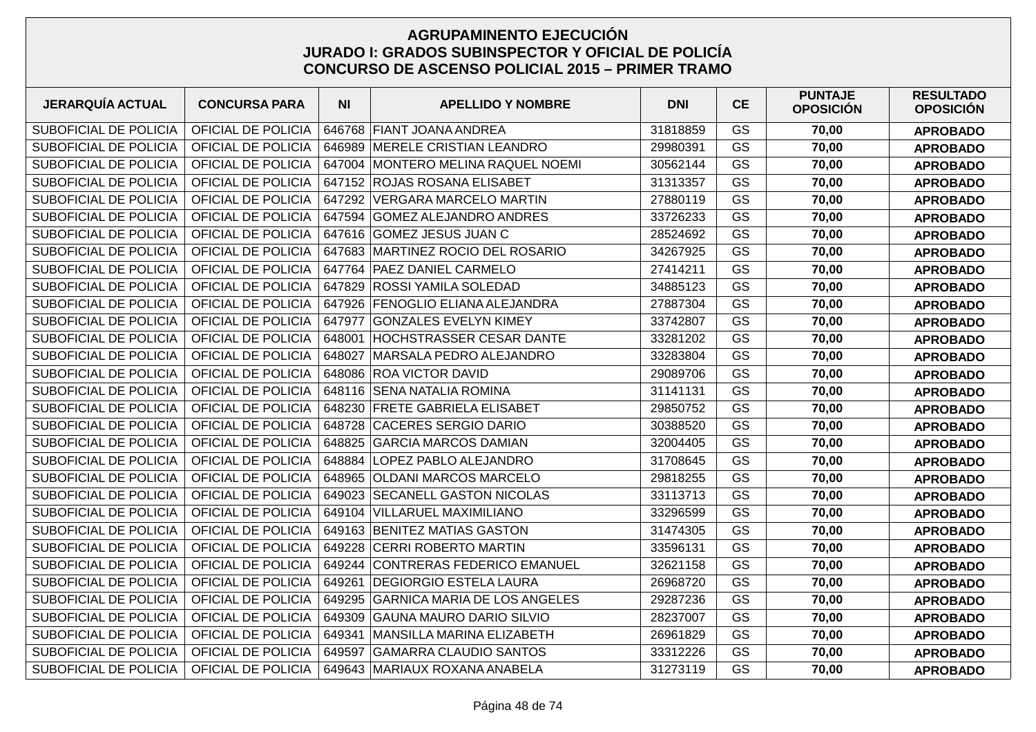| <b>JERARQUÍA ACTUAL</b> | <b>CONCURSA PARA</b> | <b>NI</b> | <b>APELLIDO Y NOMBRE</b>            | <b>DNI</b> | <b>CE</b> | <b>PUNTAJE</b><br><b>OPOSICIÓN</b> | <b>RESULTADO</b><br><b>OPOSICIÓN</b> |
|-------------------------|----------------------|-----------|-------------------------------------|------------|-----------|------------------------------------|--------------------------------------|
| SUBOFICIAL DE POLICIA   | OFICIAL DE POLICIA   |           | 646768 FIANT JOANA ANDREA           | 31818859   | <b>GS</b> | 70,00                              | <b>APROBADO</b>                      |
| SUBOFICIAL DE POLICIA   | OFICIAL DE POLICIA   | 646989    | <b>MERELE CRISTIAN LEANDRO</b>      | 29980391   | <b>GS</b> | 70,00                              | <b>APROBADO</b>                      |
| SUBOFICIAL DE POLICIA   | OFICIAL DE POLICIA   |           | 647004 MONTERO MELINA RAQUEL NOEMI  | 30562144   | GS        | 70,00                              | <b>APROBADO</b>                      |
| SUBOFICIAL DE POLICIA   | OFICIAL DE POLICIA   |           | 647152 ROJAS ROSANA ELISABET        | 31313357   | GS        | 70,00                              | <b>APROBADO</b>                      |
| SUBOFICIAL DE POLICIA   | OFICIAL DE POLICIA   | 647292    | <b>VERGARA MARCELO MARTIN</b>       | 27880119   | <b>GS</b> | 70,00                              | <b>APROBADO</b>                      |
| SUBOFICIAL DE POLICIA   | OFICIAL DE POLICIA   |           | 647594 GOMEZ ALEJANDRO ANDRES       | 33726233   | GS        | 70,00                              | <b>APROBADO</b>                      |
| SUBOFICIAL DE POLICIA   | OFICIAL DE POLICIA   | 647616    | <b>GOMEZ JESUS JUAN C</b>           | 28524692   | GS        | 70,00                              | <b>APROBADO</b>                      |
| SUBOFICIAL DE POLICIA   | OFICIAL DE POLICIA   |           | 647683 MARTINEZ ROCIO DEL ROSARIO   | 34267925   | GS        | 70,00                              | <b>APROBADO</b>                      |
| SUBOFICIAL DE POLICIA   | OFICIAL DE POLICIA   |           | 647764 PAEZ DANIEL CARMELO          | 27414211   | GS        | 70,00                              | <b>APROBADO</b>                      |
| SUBOFICIAL DE POLICIA   | OFICIAL DE POLICIA   | 647829    | <b>ROSSI YAMILA SOLEDAD</b>         | 34885123   | <b>GS</b> | 70,00                              | <b>APROBADO</b>                      |
| SUBOFICIAL DE POLICIA   | OFICIAL DE POLICIA   |           | 647926 FENOGLIO ELIANA ALEJANDRA    | 27887304   | GS        | 70,00                              | <b>APROBADO</b>                      |
| SUBOFICIAL DE POLICIA   | OFICIAL DE POLICIA   | 647977    | <b>GONZALES EVELYN KIMEY</b>        | 33742807   | GS        | 70,00                              | <b>APROBADO</b>                      |
| SUBOFICIAL DE POLICIA   | OFICIAL DE POLICIA   |           | 648001 HOCHSTRASSER CESAR DANTE     | 33281202   | GS        | 70,00                              | <b>APROBADO</b>                      |
| SUBOFICIAL DE POLICIA   | OFICIAL DE POLICIA   |           | 648027 MARSALA PEDRO ALEJANDRO      | 33283804   | GS        | 70,00                              | <b>APROBADO</b>                      |
| SUBOFICIAL DE POLICIA   | OFICIAL DE POLICIA   |           | 648086 ROA VICTOR DAVID             | 29089706   | <b>GS</b> | 70,00                              | <b>APROBADO</b>                      |
| SUBOFICIAL DE POLICIA   | OFICIAL DE POLICIA   |           | 648116 SENA NATALIA ROMINA          | 31141131   | GS        | 70,00                              | <b>APROBADO</b>                      |
| SUBOFICIAL DE POLICIA   | OFICIAL DE POLICIA   | 648230    | <b>FRETE GABRIELA ELISABET</b>      | 29850752   | GS        | 70,00                              | <b>APROBADO</b>                      |
| SUBOFICIAL DE POLICIA   | OFICIAL DE POLICIA   | 648728    | <b>CACERES SERGIO DARIO</b>         | 30388520   | GS        | 70,00                              | <b>APROBADO</b>                      |
| SUBOFICIAL DE POLICIA   | OFICIAL DE POLICIA   |           | 648825 GARCIA MARCOS DAMIAN         | 32004405   | GS        | 70,00                              | <b>APROBADO</b>                      |
| SUBOFICIAL DE POLICIA   | OFICIAL DE POLICIA   | 648884    | LOPEZ PABLO ALEJANDRO               | 31708645   | <b>GS</b> | 70,00                              | <b>APROBADO</b>                      |
| SUBOFICIAL DE POLICIA   | OFICIAL DE POLICIA   | 648965    | <b>OLDANI MARCOS MARCELO</b>        | 29818255   | GS        | 70,00                              | <b>APROBADO</b>                      |
| SUBOFICIAL DE POLICIA   | OFICIAL DE POLICIA   | 649023    | <b>SECANELL GASTON NICOLAS</b>      | 33113713   | GS        | 70,00                              | <b>APROBADO</b>                      |
| SUBOFICIAL DE POLICIA   | OFICIAL DE POLICIA   |           | 649104 VILLARUEL MAXIMILIANO        | 33296599   | GS        | 70,00                              | <b>APROBADO</b>                      |
| SUBOFICIAL DE POLICIA   | OFICIAL DE POLICIA   |           | 649163 BENITEZ MATIAS GASTON        | 31474305   | GS        | 70,00                              | <b>APROBADO</b>                      |
| SUBOFICIAL DE POLICIA   | OFICIAL DE POLICIA   | 649228    | <b>CERRI ROBERTO MARTIN</b>         | 33596131   | <b>GS</b> | 70,00                              | <b>APROBADO</b>                      |
| SUBOFICIAL DE POLICIA   | OFICIAL DE POLICIA   | 649244    | CONTRERAS FEDERICO EMANUEL          | 32621158   | GS        | 70,00                              | <b>APROBADO</b>                      |
| SUBOFICIAL DE POLICIA   | OFICIAL DE POLICIA   | 649261    | <b>DEGIORGIO ESTELA LAURA</b>       | 26968720   | GS        | 70,00                              | <b>APROBADO</b>                      |
| SUBOFICIAL DE POLICIA   | OFICIAL DE POLICIA   |           | 649295 GARNICA MARIA DE LOS ANGELES | 29287236   | GS        | 70,00                              | <b>APROBADO</b>                      |
| SUBOFICIAL DE POLICIA   | OFICIAL DE POLICIA   |           | 649309 GAUNA MAURO DARIO SILVIO     | 28237007   | GS        | 70,00                              | <b>APROBADO</b>                      |
| SUBOFICIAL DE POLICIA   | OFICIAL DE POLICIA   | 649341    | MANSILLA MARINA ELIZABETH           | 26961829   | GS        | 70,00                              | <b>APROBADO</b>                      |
| SUBOFICIAL DE POLICIA   | OFICIAL DE POLICIA   | 649597    | GAMARRA CLAUDIO SANTOS              | 33312226   | GS        | 70,00                              | <b>APROBADO</b>                      |
| SUBOFICIAL DE POLICIA   | OFICIAL DE POLICIA   |           | 649643 MARIAUX ROXANA ANABELA       | 31273119   | GS        | 70,00                              | <b>APROBADO</b>                      |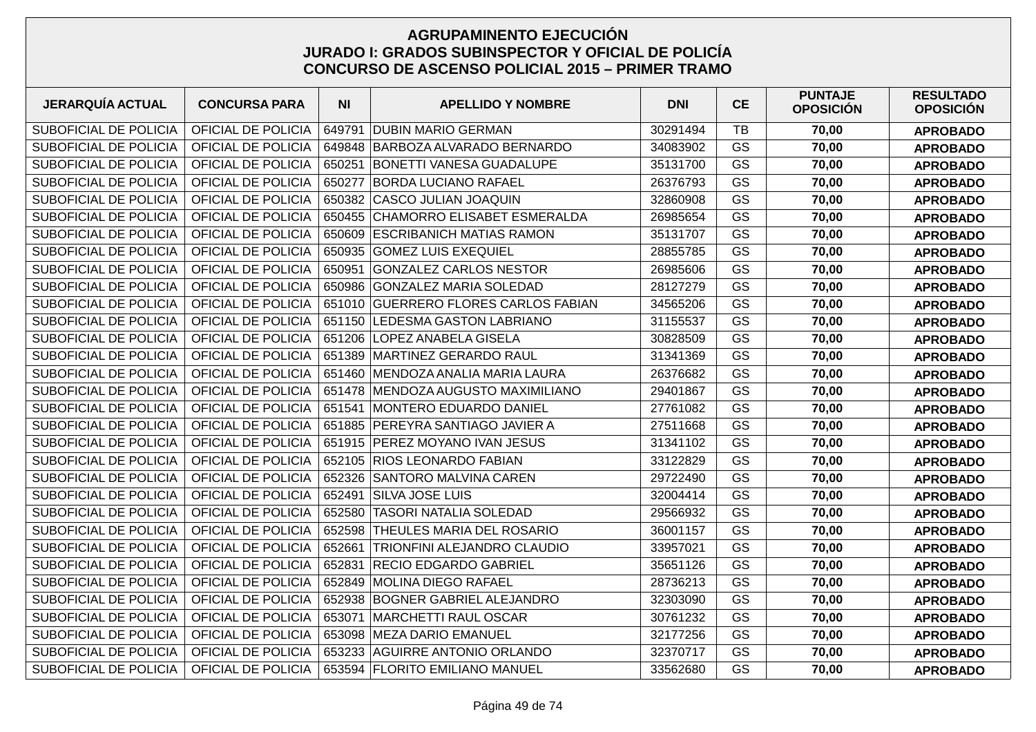| <b>JERARQUÍA ACTUAL</b> | <b>CONCURSA PARA</b> | <b>NI</b> | <b>APELLIDO Y NOMBRE</b>             | <b>DNI</b> | <b>CE</b> | <b>PUNTAJE</b><br><b>OPOSICIÓN</b> | <b>RESULTADO</b><br><b>OPOSICIÓN</b> |
|-------------------------|----------------------|-----------|--------------------------------------|------------|-----------|------------------------------------|--------------------------------------|
| SUBOFICIAL DE POLICIA   | OFICIAL DE POLICIA   |           | 649791 DUBIN MARIO GERMAN            | 30291494   | TB        | 70,00                              | <b>APROBADO</b>                      |
| SUBOFICIAL DE POLICIA   | OFICIAL DE POLICIA   |           | 649848 BARBOZA ALVARADO BERNARDO     | 34083902   | <b>GS</b> | 70,00                              | <b>APROBADO</b>                      |
| SUBOFICIAL DE POLICIA   | OFICIAL DE POLICIA   |           | 650251 BONETTI VANESA GUADALUPE      | 35131700   | GS        | 70,00                              | <b>APROBADO</b>                      |
| SUBOFICIAL DE POLICIA   | OFICIAL DE POLICIA   |           | 650277 BORDA LUCIANO RAFAEL          | 26376793   | GS        | 70,00                              | <b>APROBADO</b>                      |
| SUBOFICIAL DE POLICIA   | OFICIAL DE POLICIA   |           | 650382 CASCO JULIAN JOAQUIN          | 32860908   | <b>GS</b> | 70,00                              | <b>APROBADO</b>                      |
| SUBOFICIAL DE POLICIA   | OFICIAL DE POLICIA   |           | 650455 CHAMORRO ELISABET ESMERALDA   | 26985654   | GS        | 70,00                              | <b>APROBADO</b>                      |
| SUBOFICIAL DE POLICIA   | OFICIAL DE POLICIA   |           | 650609 ESCRIBANICH MATIAS RAMON      | 35131707   | GS        | 70,00                              | <b>APROBADO</b>                      |
| SUBOFICIAL DE POLICIA   | OFICIAL DE POLICIA   |           | 650935 GOMEZ LUIS EXEQUIEL           | 28855785   | GS        | 70,00                              | <b>APROBADO</b>                      |
| SUBOFICIAL DE POLICIA   | OFICIAL DE POLICIA   |           | 650951 GONZALEZ CARLOS NESTOR        | 26985606   | GS        | 70,00                              | <b>APROBADO</b>                      |
| SUBOFICIAL DE POLICIA   | OFICIAL DE POLICIA   |           | 650986 GONZALEZ MARIA SOLEDAD        | 28127279   | <b>GS</b> | 70,00                              | <b>APROBADO</b>                      |
| SUBOFICIAL DE POLICIA   | OFICIAL DE POLICIA   |           | 651010 GUERRERO FLORES CARLOS FABIAN | 34565206   | GS        | 70,00                              | <b>APROBADO</b>                      |
| SUBOFICIAL DE POLICIA   | OFICIAL DE POLICIA   |           | 651150 LEDESMA GASTON LABRIANO       | 31155537   | GS        | 70,00                              | <b>APROBADO</b>                      |
| SUBOFICIAL DE POLICIA   | OFICIAL DE POLICIA   |           | 651206 LOPEZ ANABELA GISELA          | 30828509   | GS        | 70,00                              | <b>APROBADO</b>                      |
| SUBOFICIAL DE POLICIA   | OFICIAL DE POLICIA   | 651389    | MARTINEZ GERARDO RAUL                | 31341369   | GS        | 70,00                              | <b>APROBADO</b>                      |
| SUBOFICIAL DE POLICIA   | OFICIAL DE POLICIA   | 651460    | MENDOZA ANALIA MARIA LAURA           | 26376682   | <b>GS</b> | 70,00                              | <b>APROBADO</b>                      |
| SUBOFICIAL DE POLICIA   | OFICIAL DE POLICIA   |           | 651478 MENDOZA AUGUSTO MAXIMILIANO   | 29401867   | GS        | 70,00                              | <b>APROBADO</b>                      |
| SUBOFICIAL DE POLICIA   | OFICIAL DE POLICIA   | 651541    | MONTERO EDUARDO DANIEL               | 27761082   | GS        | 70,00                              | <b>APROBADO</b>                      |
| SUBOFICIAL DE POLICIA   | OFICIAL DE POLICIA   |           | 651885 PEREYRA SANTIAGO JAVIER A     | 27511668   | GS        | 70,00                              | <b>APROBADO</b>                      |
| SUBOFICIAL DE POLICIA   | OFICIAL DE POLICIA   |           | 651915 PEREZ MOYANO IVAN JESUS       | 31341102   | GS        | 70,00                              | <b>APROBADO</b>                      |
| SUBOFICIAL DE POLICIA   | OFICIAL DE POLICIA   |           | 652105 RIOS LEONARDO FABIAN          | 33122829   | <b>GS</b> | 70,00                              | <b>APROBADO</b>                      |
| SUBOFICIAL DE POLICIA   | OFICIAL DE POLICIA   |           | 652326 SANTORO MALVINA CAREN         | 29722490   | GS        | 70,00                              | <b>APROBADO</b>                      |
| SUBOFICIAL DE POLICIA   | OFICIAL DE POLICIA   | 652491    | SILVA JOSE LUIS                      | 32004414   | GS        | 70,00                              | <b>APROBADO</b>                      |
| SUBOFICIAL DE POLICIA   | OFICIAL DE POLICIA   | 652580    | <b>TASORI NATALIA SOLEDAD</b>        | 29566932   | GS        | 70,00                              | <b>APROBADO</b>                      |
| SUBOFICIAL DE POLICIA   | OFICIAL DE POLICIA   | 652598    | THEULES MARIA DEL ROSARIO            | 36001157   | GS        | 70,00                              | <b>APROBADO</b>                      |
| SUBOFICIAL DE POLICIA   | OFICIAL DE POLICIA   | 652661    | TRIONFINI ALEJANDRO CLAUDIO          | 33957021   | <b>GS</b> | 70,00                              | <b>APROBADO</b>                      |
| SUBOFICIAL DE POLICIA   | OFICIAL DE POLICIA   |           | 652831 RECIO EDGARDO GABRIEL         | 35651126   | GS        | 70,00                              | <b>APROBADO</b>                      |
| SUBOFICIAL DE POLICIA   | OFICIAL DE POLICIA   | 652849    | MOLINA DIEGO RAFAEL                  | 28736213   | GS        | 70,00                              | <b>APROBADO</b>                      |
| SUBOFICIAL DE POLICIA   | OFICIAL DE POLICIA   |           | 652938 BOGNER GABRIEL ALEJANDRO      | 32303090   | GS        | 70,00                              | <b>APROBADO</b>                      |
| SUBOFICIAL DE POLICIA   | OFICIAL DE POLICIA   |           | 653071   MARCHETTI RAUL OSCAR        | 30761232   | GS        | 70,00                              | <b>APROBADO</b>                      |
| SUBOFICIAL DE POLICIA   | OFICIAL DE POLICIA   | 653098    | <b>MEZA DARIO EMANUEL</b>            | 32177256   | GS        | 70,00                              | <b>APROBADO</b>                      |
| SUBOFICIAL DE POLICIA   | OFICIAL DE POLICIA   |           | 653233 AGUIRRE ANTONIO ORLANDO       | 32370717   | GS        | 70,00                              | <b>APROBADO</b>                      |
| SUBOFICIAL DE POLICIA   | OFICIAL DE POLICIA   |           | 653594 FLORITO EMILIANO MANUEL       | 33562680   | GS        | 70,00                              | <b>APROBADO</b>                      |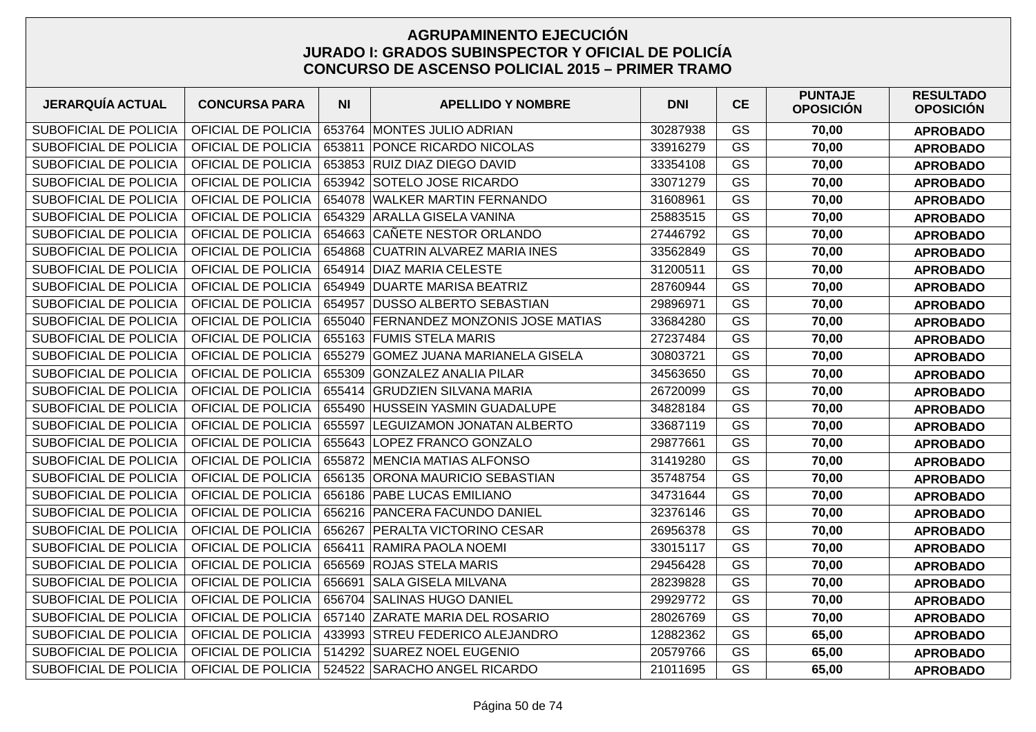| <b>JERARQUÍA ACTUAL</b> | <b>CONCURSA PARA</b> | <b>NI</b> | <b>APELLIDO Y NOMBRE</b>              | <b>DNI</b> | <b>CE</b> | <b>PUNTAJE</b><br><b>OPOSICIÓN</b> | <b>RESULTADO</b><br><b>OPOSICIÓN</b> |
|-------------------------|----------------------|-----------|---------------------------------------|------------|-----------|------------------------------------|--------------------------------------|
| SUBOFICIAL DE POLICIA   | OFICIAL DE POLICIA   | 653764    | MONTES JULIO ADRIAN                   | 30287938   | GS        | 70,00                              | <b>APROBADO</b>                      |
| SUBOFICIAL DE POLICIA   | OFICIAL DE POLICIA   | 653811    | PONCE RICARDO NICOLAS                 | 33916279   | GS        | 70,00                              | <b>APROBADO</b>                      |
| SUBOFICIAL DE POLICIA   | OFICIAL DE POLICIA   |           | 653853 RUIZ DIAZ DIEGO DAVID          | 33354108   | GS        | 70,00                              | <b>APROBADO</b>                      |
| SUBOFICIAL DE POLICIA   | OFICIAL DE POLICIA   | 653942    | SOTELO JOSE RICARDO                   | 33071279   | GS        | 70,00                              | <b>APROBADO</b>                      |
| SUBOFICIAL DE POLICIA   | OFICIAL DE POLICIA   | 654078    | <b>WALKER MARTIN FERNANDO</b>         | 31608961   | GS        | 70,00                              | <b>APROBADO</b>                      |
| SUBOFICIAL DE POLICIA   | OFICIAL DE POLICIA   | 654329    | <b>ARALLA GISELA VANINA</b>           | 25883515   | GS        | 70,00                              | <b>APROBADO</b>                      |
| SUBOFICIAL DE POLICIA   | OFICIAL DE POLICIA   | 654663    | CAÑETE NESTOR ORLANDO                 | 27446792   | GS        | 70,00                              | <b>APROBADO</b>                      |
| SUBOFICIAL DE POLICIA   | OFICIAL DE POLICIA   | 654868    | <b>CUATRIN ALVAREZ MARIA INES</b>     | 33562849   | GS        | 70,00                              | <b>APROBADO</b>                      |
| SUBOFICIAL DE POLICIA   | OFICIAL DE POLICIA   | 654914    | <b>DIAZ MARIA CELESTE</b>             | 31200511   | GS        | 70,00                              | <b>APROBADO</b>                      |
| SUBOFICIAL DE POLICIA   | OFICIAL DE POLICIA   | 654949    | <b>DUARTE MARISA BEATRIZ</b>          | 28760944   | GS        | 70,00                              | <b>APROBADO</b>                      |
| SUBOFICIAL DE POLICIA   | OFICIAL DE POLICIA   | 654957    | <b>DUSSO ALBERTO SEBASTIAN</b>        | 29896971   | GS        | 70,00                              | <b>APROBADO</b>                      |
| SUBOFICIAL DE POLICIA   | OFICIAL DE POLICIA   | 655040    | <b>FERNANDEZ MONZONIS JOSE MATIAS</b> | 33684280   | GS        | 70,00                              | <b>APROBADO</b>                      |
| SUBOFICIAL DE POLICIA   | OFICIAL DE POLICIA   |           | 655163 FUMIS STELA MARIS              | 27237484   | GS        | 70,00                              | <b>APROBADO</b>                      |
| SUBOFICIAL DE POLICIA   | OFICIAL DE POLICIA   | 655279    | <b>GOMEZ JUANA MARIANELA GISELA</b>   | 30803721   | GS        | 70,00                              | <b>APROBADO</b>                      |
| SUBOFICIAL DE POLICIA   | OFICIAL DE POLICIA   | 655309    | <b>GONZALEZ ANALIA PILAR</b>          | 34563650   | GS        | 70,00                              | <b>APROBADO</b>                      |
| SUBOFICIAL DE POLICIA   | OFICIAL DE POLICIA   | 655414    | <b>GRUDZIEN SILVANA MARIA</b>         | 26720099   | GS        | 70,00                              | <b>APROBADO</b>                      |
| SUBOFICIAL DE POLICIA   | OFICIAL DE POLICIA   |           | 655490 HUSSEIN YASMIN GUADALUPE       | 34828184   | GS        | 70,00                              | <b>APROBADO</b>                      |
| SUBOFICIAL DE POLICIA   | OFICIAL DE POLICIA   | 655597    | <b>LEGUIZAMON JONATAN ALBERTO</b>     | 33687119   | GS        | 70,00                              | <b>APROBADO</b>                      |
| SUBOFICIAL DE POLICIA   | OFICIAL DE POLICIA   | 655643    | LOPEZ FRANCO GONZALO                  | 29877661   | GS        | 70,00                              | <b>APROBADO</b>                      |
| SUBOFICIAL DE POLICIA   | OFICIAL DE POLICIA   | 655872    | <b>MENCIA MATIAS ALFONSO</b>          | 31419280   | GS        | 70,00                              | <b>APROBADO</b>                      |
| SUBOFICIAL DE POLICIA   | OFICIAL DE POLICIA   | 656135    | ORONA MAURICIO SEBASTIAN              | 35748754   | GS        | 70,00                              | <b>APROBADO</b>                      |
| SUBOFICIAL DE POLICIA   | OFICIAL DE POLICIA   | 656186    | <b>PABE LUCAS EMILIANO</b>            | 34731644   | GS        | 70,00                              | <b>APROBADO</b>                      |
| SUBOFICIAL DE POLICIA   | OFICIAL DE POLICIA   | 656216    | <b>PANCERA FACUNDO DANIEL</b>         | 32376146   | GS        | 70,00                              | <b>APROBADO</b>                      |
| SUBOFICIAL DE POLICIA   | OFICIAL DE POLICIA   | 656267    | <b>PERALTA VICTORINO CESAR</b>        | 26956378   | GS        | 70,00                              | <b>APROBADO</b>                      |
| SUBOFICIAL DE POLICIA   | OFICIAL DE POLICIA   | 656411    | RAMIRA PAOLA NOEMI                    | 33015117   | GS        | 70,00                              | <b>APROBADO</b>                      |
| SUBOFICIAL DE POLICIA   | OFICIAL DE POLICIA   | 656569    | <b>ROJAS STELA MARIS</b>              | 29456428   | GS        | 70,00                              | <b>APROBADO</b>                      |
| SUBOFICIAL DE POLICIA   | OFICIAL DE POLICIA   | 656691    | <b>SALA GISELA MILVANA</b>            | 28239828   | GS        | 70,00                              | <b>APROBADO</b>                      |
| SUBOFICIAL DE POLICIA   | OFICIAL DE POLICIA   | 656704    | SALINAS HUGO DANIEL                   | 29929772   | GS        | 70,00                              | <b>APROBADO</b>                      |
| SUBOFICIAL DE POLICIA   | OFICIAL DE POLICIA   | 657140    | <b>ZARATE MARIA DEL ROSARIO</b>       | 28026769   | GS        | 70,00                              | <b>APROBADO</b>                      |
| SUBOFICIAL DE POLICIA   | OFICIAL DE POLICIA   | 433993    | <b>STREU FEDERICO ALEJANDRO</b>       | 12882362   | GS        | 65,00                              | <b>APROBADO</b>                      |
| SUBOFICIAL DE POLICIA   | OFICIAL DE POLICIA   | 514292    | <b>SUAREZ NOEL EUGENIO</b>            | 20579766   | GS        | 65,00                              | <b>APROBADO</b>                      |
| SUBOFICIAL DE POLICIA   | OFICIAL DE POLICIA   | 524522    | SARACHO ANGEL RICARDO                 | 21011695   | GS        | 65,00                              | <b>APROBADO</b>                      |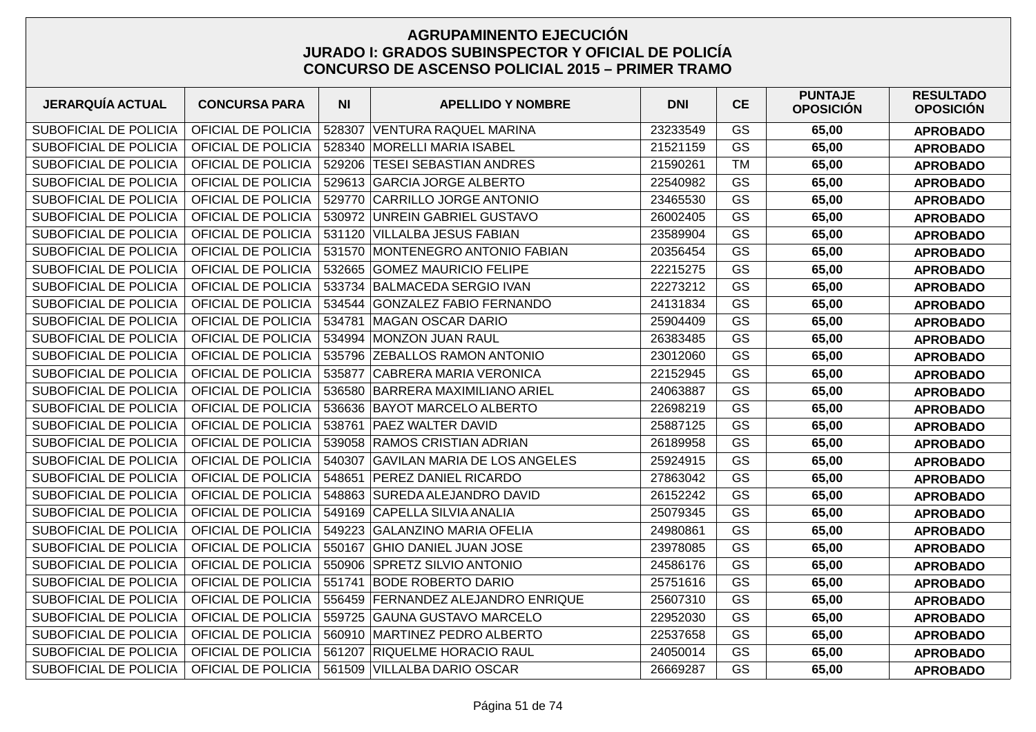| <b>JERARQUÍA ACTUAL</b> | <b>CONCURSA PARA</b> | <b>NI</b> | <b>APELLIDO Y NOMBRE</b>            | <b>DNI</b> | <b>CE</b> | <b>PUNTAJE</b><br><b>OPOSICIÓN</b> | <b>RESULTADO</b><br><b>OPOSICIÓN</b> |
|-------------------------|----------------------|-----------|-------------------------------------|------------|-----------|------------------------------------|--------------------------------------|
| SUBOFICIAL DE POLICIA   | OFICIAL DE POLICIA   | 528307    | <b>VENTURA RAQUEL MARINA</b>        | 23233549   | GS        | 65,00                              | <b>APROBADO</b>                      |
| SUBOFICIAL DE POLICIA   | OFICIAL DE POLICIA   | 528340    | MORELLI MARIA ISABEL                | 21521159   | GS        | 65,00                              | <b>APROBADO</b>                      |
| SUBOFICIAL DE POLICIA   | OFICIAL DE POLICIA   | 529206    | <b>TESEI SEBASTIAN ANDRES</b>       | 21590261   | <b>TM</b> | 65,00                              | <b>APROBADO</b>                      |
| SUBOFICIAL DE POLICIA   | OFICIAL DE POLICIA   | 529613    | <b>GARCIA JORGE ALBERTO</b>         | 22540982   | GS        | 65,00                              | <b>APROBADO</b>                      |
| SUBOFICIAL DE POLICIA   | OFICIAL DE POLICIA   | 529770    | CARRILLO JORGE ANTONIO              | 23465530   | GS        | 65,00                              | <b>APROBADO</b>                      |
| SUBOFICIAL DE POLICIA   | OFICIAL DE POLICIA   | 530972    | UNREIN GABRIEL GUSTAVO              | 26002405   | GS        | 65,00                              | <b>APROBADO</b>                      |
| SUBOFICIAL DE POLICIA   | OFICIAL DE POLICIA   | 531120    | <b>VILLALBA JESUS FABIAN</b>        | 23589904   | GS        | 65,00                              | <b>APROBADO</b>                      |
| SUBOFICIAL DE POLICIA   | OFICIAL DE POLICIA   |           | 531570 MONTENEGRO ANTONIO FABIAN    | 20356454   | GS        | 65,00                              | <b>APROBADO</b>                      |
| SUBOFICIAL DE POLICIA   | OFICIAL DE POLICIA   | 532665    | <b>GOMEZ MAURICIO FELIPE</b>        | 22215275   | GS        | 65,00                              | <b>APROBADO</b>                      |
| SUBOFICIAL DE POLICIA   | OFICIAL DE POLICIA   | 533734    | <b>BALMACEDA SERGIO IVAN</b>        | 22273212   | GS        | 65,00                              | <b>APROBADO</b>                      |
| SUBOFICIAL DE POLICIA   | OFICIAL DE POLICIA   | 534544    | <b>GONZALEZ FABIO FERNANDO</b>      | 24131834   | GS        | 65,00                              | <b>APROBADO</b>                      |
| SUBOFICIAL DE POLICIA   | OFICIAL DE POLICIA   | 534781    | <b>MAGAN OSCAR DARIO</b>            | 25904409   | GS        | 65,00                              | <b>APROBADO</b>                      |
| SUBOFICIAL DE POLICIA   | OFICIAL DE POLICIA   |           | 534994 MONZON JUAN RAUL             | 26383485   | GS        | 65,00                              | <b>APROBADO</b>                      |
| SUBOFICIAL DE POLICIA   | OFICIAL DE POLICIA   | 535796    | <b>ZEBALLOS RAMON ANTONIO</b>       | 23012060   | GS        | 65,00                              | <b>APROBADO</b>                      |
| SUBOFICIAL DE POLICIA   | OFICIAL DE POLICIA   | 535877    | CABRERA MARIA VERONICA              | 22152945   | GS        | 65,00                              | <b>APROBADO</b>                      |
| SUBOFICIAL DE POLICIA   | OFICIAL DE POLICIA   | 536580    | <b>BARRERA MAXIMILIANO ARIEL</b>    | 24063887   | GS        | 65,00                              | <b>APROBADO</b>                      |
| SUBOFICIAL DE POLICIA   | OFICIAL DE POLICIA   | 536636    | <b>BAYOT MARCELO ALBERTO</b>        | 22698219   | GS        | 65,00                              | <b>APROBADO</b>                      |
| SUBOFICIAL DE POLICIA   | OFICIAL DE POLICIA   |           | 538761 PAEZ WALTER DAVID            | 25887125   | GS        | 65,00                              | <b>APROBADO</b>                      |
| SUBOFICIAL DE POLICIA   | OFICIAL DE POLICIA   |           | 539058 RAMOS CRISTIAN ADRIAN        | 26189958   | GS        | 65,00                              | <b>APROBADO</b>                      |
| SUBOFICIAL DE POLICIA   | OFICIAL DE POLICIA   | 540307    | <b>GAVILAN MARIA DE LOS ANGELES</b> | 25924915   | GS        | 65,00                              | <b>APROBADO</b>                      |
| SUBOFICIAL DE POLICIA   | OFICIAL DE POLICIA   |           | 548651 PEREZ DANIEL RICARDO         | 27863042   | GS        | 65,00                              | <b>APROBADO</b>                      |
| SUBOFICIAL DE POLICIA   | OFICIAL DE POLICIA   | 548863    | SUREDA ALEJANDRO DAVID              | 26152242   | GS        | 65,00                              | <b>APROBADO</b>                      |
| SUBOFICIAL DE POLICIA   | OFICIAL DE POLICIA   | 549169    | CAPELLA SILVIA ANALIA               | 25079345   | GS        | 65,00                              | <b>APROBADO</b>                      |
| SUBOFICIAL DE POLICIA   | OFICIAL DE POLICIA   | 549223    | GALANZINO MARIA OFELIA              | 24980861   | GS        | 65,00                              | <b>APROBADO</b>                      |
| SUBOFICIAL DE POLICIA   | OFICIAL DE POLICIA   | 550167    | <b>GHIO DANIEL JUAN JOSE</b>        | 23978085   | GS        | 65,00                              | <b>APROBADO</b>                      |
| SUBOFICIAL DE POLICIA   | OFICIAL DE POLICIA   | 550906    | <b>SPRETZ SILVIO ANTONIO</b>        | 24586176   | GS        | 65,00                              | <b>APROBADO</b>                      |
| SUBOFICIAL DE POLICIA   | OFICIAL DE POLICIA   | 551741    | <b>BODE ROBERTO DARIO</b>           | 25751616   | GS        | 65,00                              | <b>APROBADO</b>                      |
| SUBOFICIAL DE POLICIA   | OFICIAL DE POLICIA   | 556459    | <b>FERNANDEZ ALEJANDRO ENRIQUE</b>  | 25607310   | GS        | 65,00                              | <b>APROBADO</b>                      |
| SUBOFICIAL DE POLICIA   | OFICIAL DE POLICIA   | 559725    | <b>GAUNA GUSTAVO MARCELO</b>        | 22952030   | GS        | 65,00                              | <b>APROBADO</b>                      |
| SUBOFICIAL DE POLICIA   | OFICIAL DE POLICIA   | 560910    | MARTINEZ PEDRO ALBERTO              | 22537658   | GS        | 65,00                              | <b>APROBADO</b>                      |
| SUBOFICIAL DE POLICIA   | OFICIAL DE POLICIA   | 561207    | <b>RIQUELME HORACIO RAUL</b>        | 24050014   | GS        | 65,00                              | <b>APROBADO</b>                      |
| SUBOFICIAL DE POLICIA   | OFICIAL DE POLICIA   |           | 561509 VILLALBA DARIO OSCAR         | 26669287   | GS        | 65,00                              | <b>APROBADO</b>                      |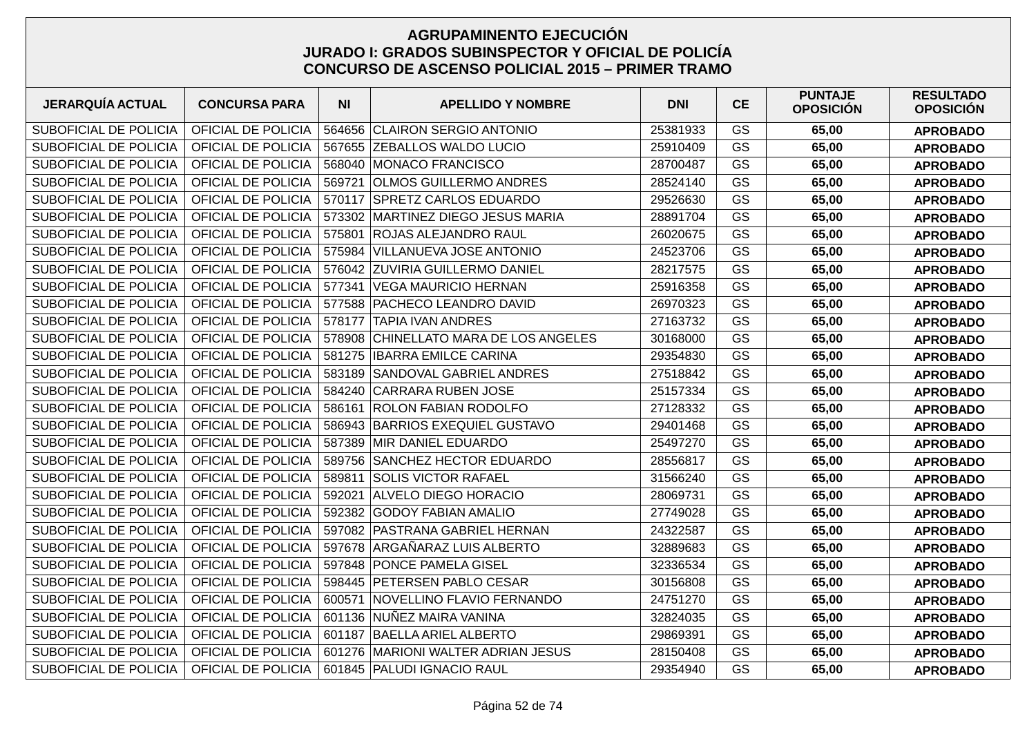| <b>JERARQUÍA ACTUAL</b> | <b>CONCURSA PARA</b> | <b>NI</b> | <b>APELLIDO Y NOMBRE</b>        | <b>DNI</b> | <b>CE</b> | <b>PUNTAJE</b><br><b>OPOSICIÓN</b> | <b>RESULTADO</b><br><b>OPOSICIÓN</b> |
|-------------------------|----------------------|-----------|---------------------------------|------------|-----------|------------------------------------|--------------------------------------|
| SUBOFICIAL DE POLICIA   | OFICIAL DE POLICIA   | 564656    | <b>CLAIRON SERGIO ANTONIO</b>   | 25381933   | GS        | 65,00                              | <b>APROBADO</b>                      |
| SUBOFICIAL DE POLICIA   | OFICIAL DE POLICIA   | 567655    | <b>ZEBALLOS WALDO LUCIO</b>     | 25910409   | GS        | 65,00                              | <b>APROBADO</b>                      |
| SUBOFICIAL DE POLICIA   | OFICIAL DE POLICIA   |           | 568040 MONACO FRANCISCO         | 28700487   | GS        | 65,00                              | <b>APROBADO</b>                      |
| SUBOFICIAL DE POLICIA   | OFICIAL DE POLICIA   | 569721    | <b>OLMOS GUILLERMO ANDRES</b>   | 28524140   | GS        | 65,00                              | <b>APROBADO</b>                      |
| SUBOFICIAL DE POLICIA   | OFICIAL DE POLICIA   | 570117    | <b>SPRETZ CARLOS EDUARDO</b>    | 29526630   | GS        | 65,00                              | <b>APROBADO</b>                      |
| SUBOFICIAL DE POLICIA   | OFICIAL DE POLICIA   | 573302    | MARTINEZ DIEGO JESUS MARIA      | 28891704   | GS        | 65,00                              | <b>APROBADO</b>                      |
| SUBOFICIAL DE POLICIA   | OFICIAL DE POLICIA   | 575801    | ROJAS ALEJANDRO RAUL            | 26020675   | GS        | 65,00                              | <b>APROBADO</b>                      |
| SUBOFICIAL DE POLICIA   | OFICIAL DE POLICIA   | 575984    | <b>VILLANUEVA JOSE ANTONIO</b>  | 24523706   | GS        | 65,00                              | <b>APROBADO</b>                      |
| SUBOFICIAL DE POLICIA   | OFICIAL DE POLICIA   | 576042    | <b>ZUVIRIA GUILLERMO DANIEL</b> | 28217575   | GS        | 65,00                              | <b>APROBADO</b>                      |
| SUBOFICIAL DE POLICIA   | OFICIAL DE POLICIA   | 577341    | <b>VEGA MAURICIO HERNAN</b>     | 25916358   | GS        | 65,00                              | <b>APROBADO</b>                      |
| SUBOFICIAL DE POLICIA   | OFICIAL DE POLICIA   | 577588    | <b>PACHECO LEANDRO DAVID</b>    | 26970323   | GS        | 65,00                              | <b>APROBADO</b>                      |
| SUBOFICIAL DE POLICIA   | OFICIAL DE POLICIA   | 578177    | <b>TAPIA IVAN ANDRES</b>        | 27163732   | GS        | 65,00                              | <b>APROBADO</b>                      |
| SUBOFICIAL DE POLICIA   | OFICIAL DE POLICIA   | 578908    | CHINELLATO MARA DE LOS ANGELES  | 30168000   | GS        | 65,00                              | <b>APROBADO</b>                      |
| SUBOFICIAL DE POLICIA   | OFICIAL DE POLICIA   | 581275    | <b>IBARRA EMILCE CARINA</b>     | 29354830   | GS        | 65,00                              | <b>APROBADO</b>                      |
| SUBOFICIAL DE POLICIA   | OFICIAL DE POLICIA   | 583189    | SANDOVAL GABRIEL ANDRES         | 27518842   | GS        | 65,00                              | <b>APROBADO</b>                      |
| SUBOFICIAL DE POLICIA   | OFICIAL DE POLICIA   | 584240    | CARRARA RUBEN JOSE              | 25157334   | GS        | 65,00                              | <b>APROBADO</b>                      |
| SUBOFICIAL DE POLICIA   | OFICIAL DE POLICIA   | 586161    | <b>ROLON FABIAN RODOLFO</b>     | 27128332   | GS        | 65,00                              | <b>APROBADO</b>                      |
| SUBOFICIAL DE POLICIA   | OFICIAL DE POLICIA   |           | 586943 BARRIOS EXEQUIEL GUSTAVO | 29401468   | GS        | 65,00                              | <b>APROBADO</b>                      |
| SUBOFICIAL DE POLICIA   | OFICIAL DE POLICIA   | 587389    | MIR DANIEL EDUARDO              | 25497270   | GS        | 65,00                              | <b>APROBADO</b>                      |
| SUBOFICIAL DE POLICIA   | OFICIAL DE POLICIA   | 589756    | <b>SANCHEZ HECTOR EDUARDO</b>   | 28556817   | GS        | 65,00                              | <b>APROBADO</b>                      |
| SUBOFICIAL DE POLICIA   | OFICIAL DE POLICIA   | 589811    | <b>SOLIS VICTOR RAFAEL</b>      | 31566240   | GS        | 65,00                              | <b>APROBADO</b>                      |
| SUBOFICIAL DE POLICIA   | OFICIAL DE POLICIA   | 592021    | ALVELO DIEGO HORACIO            | 28069731   | GS        | 65,00                              | <b>APROBADO</b>                      |
| SUBOFICIAL DE POLICIA   | OFICIAL DE POLICIA   | 592382    | <b>GODOY FABIAN AMALIO</b>      | 27749028   | GS        | 65,00                              | <b>APROBADO</b>                      |
| SUBOFICIAL DE POLICIA   | OFICIAL DE POLICIA   |           | 597082 PASTRANA GABRIEL HERNAN  | 24322587   | GS        | 65,00                              | <b>APROBADO</b>                      |
| SUBOFICIAL DE POLICIA   | OFICIAL DE POLICIA   | 597678    | ARGAÑARAZ LUIS ALBERTO          | 32889683   | GS        | 65,00                              | <b>APROBADO</b>                      |
| SUBOFICIAL DE POLICIA   | OFICIAL DE POLICIA   | 597848    | <b>PONCE PAMELA GISEL</b>       | 32336534   | GS        | 65,00                              | <b>APROBADO</b>                      |
| SUBOFICIAL DE POLICIA   | OFICIAL DE POLICIA   | 598445    | <b>PETERSEN PABLO CESAR</b>     | 30156808   | GS        | 65,00                              | <b>APROBADO</b>                      |
| SUBOFICIAL DE POLICIA   | OFICIAL DE POLICIA   | 600571    | NOVELLINO FLAVIO FERNANDO       | 24751270   | GS        | 65,00                              | <b>APROBADO</b>                      |
| SUBOFICIAL DE POLICIA   | OFICIAL DE POLICIA   | 601136    | NUÑEZ MAIRA VANINA              | 32824035   | GS        | 65,00                              | <b>APROBADO</b>                      |
| SUBOFICIAL DE POLICIA   | OFICIAL DE POLICIA   | 601187    | <b>BAELLA ARIEL ALBERTO</b>     | 29869391   | GS        | 65,00                              | <b>APROBADO</b>                      |
| SUBOFICIAL DE POLICIA   | OFICIAL DE POLICIA   | 601276    | MARIONI WALTER ADRIAN JESUS     | 28150408   | GS        | 65,00                              | <b>APROBADO</b>                      |
| SUBOFICIAL DE POLICIA   | OFICIAL DE POLICIA   |           | 601845 PALUDI IGNACIO RAUL      | 29354940   | GS        | 65,00                              | <b>APROBADO</b>                      |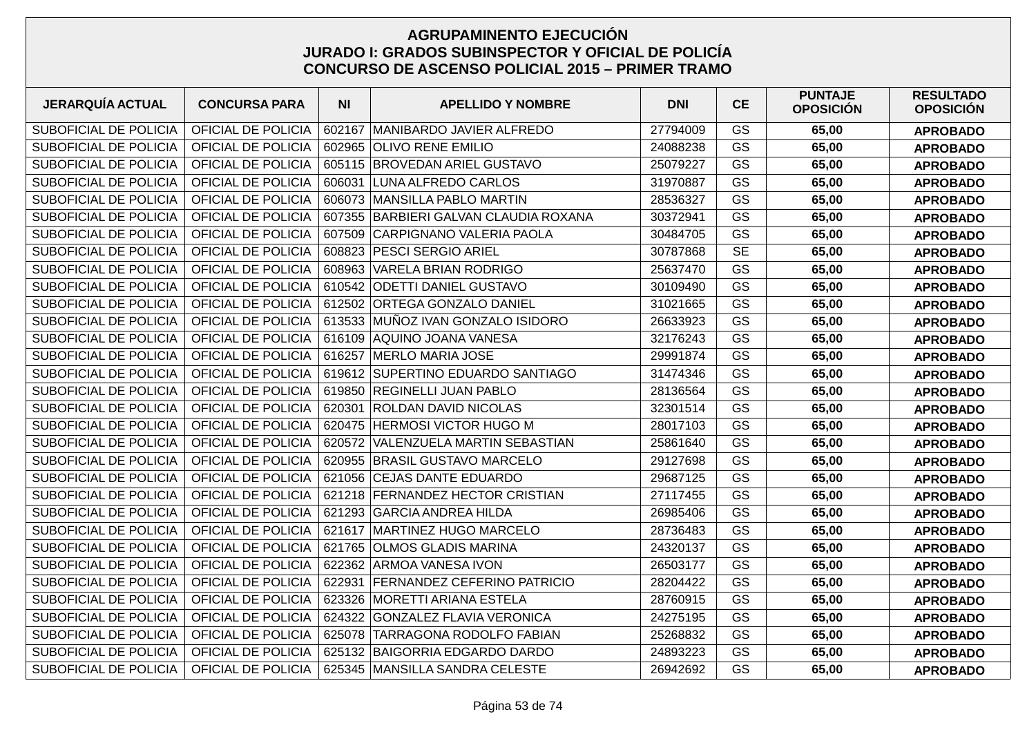| <b>JERARQUÍA ACTUAL</b> | <b>CONCURSA PARA</b> | <b>NI</b> | <b>APELLIDO Y NOMBRE</b>           | <b>DNI</b> | <b>CE</b> | <b>PUNTAJE</b><br><b>OPOSICIÓN</b> | <b>RESULTADO</b><br><b>OPOSICIÓN</b> |
|-------------------------|----------------------|-----------|------------------------------------|------------|-----------|------------------------------------|--------------------------------------|
| SUBOFICIAL DE POLICIA   | OFICIAL DE POLICIA   | 602167    | MANIBARDO JAVIER ALFREDO           | 27794009   | GS        | 65,00                              | <b>APROBADO</b>                      |
| SUBOFICIAL DE POLICIA   | OFICIAL DE POLICIA   | 602965    | <b>OLIVO RENE EMILIO</b>           | 24088238   | GS        | 65,00                              | <b>APROBADO</b>                      |
| SUBOFICIAL DE POLICIA   | OFICIAL DE POLICIA   | 605115    | <b>BROVEDAN ARIEL GUSTAVO</b>      | 25079227   | GS        | 65,00                              | <b>APROBADO</b>                      |
| SUBOFICIAL DE POLICIA   | OFICIAL DE POLICIA   | 606031    | LUNA ALFREDO CARLOS                | 31970887   | GS        | 65,00                              | <b>APROBADO</b>                      |
| SUBOFICIAL DE POLICIA   | OFICIAL DE POLICIA   | 606073    | <b>MANSILLA PABLO MARTIN</b>       | 28536327   | GS        | 65,00                              | <b>APROBADO</b>                      |
| SUBOFICIAL DE POLICIA   | OFICIAL DE POLICIA   | 607355    | BARBIERI GALVAN CLAUDIA ROXANA     | 30372941   | GS        | 65,00                              | <b>APROBADO</b>                      |
| SUBOFICIAL DE POLICIA   | OFICIAL DE POLICIA   | 607509    | CARPIGNANO VALERIA PAOLA           | 30484705   | GS        | 65,00                              | <b>APROBADO</b>                      |
| SUBOFICIAL DE POLICIA   | OFICIAL DE POLICIA   | 608823    | <b>PESCI SERGIO ARIEL</b>          | 30787868   | <b>SE</b> | 65,00                              | <b>APROBADO</b>                      |
| SUBOFICIAL DE POLICIA   | OFICIAL DE POLICIA   | 608963    | <b>VARELA BRIAN RODRIGO</b>        | 25637470   | GS        | 65,00                              | <b>APROBADO</b>                      |
| SUBOFICIAL DE POLICIA   | OFICIAL DE POLICIA   | 610542    | <b>ODETTI DANIEL GUSTAVO</b>       | 30109490   | GS        | 65,00                              | <b>APROBADO</b>                      |
| SUBOFICIAL DE POLICIA   | OFICIAL DE POLICIA   | 612502    | <b>ORTEGA GONZALO DANIEL</b>       | 31021665   | GS        | 65,00                              | <b>APROBADO</b>                      |
| SUBOFICIAL DE POLICIA   | OFICIAL DE POLICIA   | 613533    | MUÑOZ IVAN GONZALO ISIDORO         | 26633923   | GS        | 65,00                              | <b>APROBADO</b>                      |
| SUBOFICIAL DE POLICIA   | OFICIAL DE POLICIA   |           | 616109 AQUINO JOANA VANESA         | 32176243   | GS        | 65,00                              | <b>APROBADO</b>                      |
| SUBOFICIAL DE POLICIA   | OFICIAL DE POLICIA   | 616257    | MERLO MARIA JOSE                   | 29991874   | GS        | 65,00                              | <b>APROBADO</b>                      |
| SUBOFICIAL DE POLICIA   | OFICIAL DE POLICIA   | 619612    | SUPERTINO EDUARDO SANTIAGO         | 31474346   | GS        | 65,00                              | <b>APROBADO</b>                      |
| SUBOFICIAL DE POLICIA   | OFICIAL DE POLICIA   | 619850    | <b>REGINELLI JUAN PABLO</b>        | 28136564   | GS        | 65,00                              | <b>APROBADO</b>                      |
| SUBOFICIAL DE POLICIA   | OFICIAL DE POLICIA   | 620301    | <b>ROLDAN DAVID NICOLAS</b>        | 32301514   | GS        | 65,00                              | <b>APROBADO</b>                      |
| SUBOFICIAL DE POLICIA   | OFICIAL DE POLICIA   |           | 620475 HERMOSI VICTOR HUGO M       | 28017103   | GS        | 65,00                              | <b>APROBADO</b>                      |
| SUBOFICIAL DE POLICIA   | OFICIAL DE POLICIA   | 620572    | VALENZUELA MARTIN SEBASTIAN        | 25861640   | GS        | 65,00                              | <b>APROBADO</b>                      |
| SUBOFICIAL DE POLICIA   | OFICIAL DE POLICIA   | 620955    | <b>BRASIL GUSTAVO MARCELO</b>      | 29127698   | GS        | 65,00                              | <b>APROBADO</b>                      |
| SUBOFICIAL DE POLICIA   | OFICIAL DE POLICIA   | 621056    | <b>CEJAS DANTE EDUARDO</b>         | 29687125   | GS        | 65,00                              | <b>APROBADO</b>                      |
| SUBOFICIAL DE POLICIA   | OFICIAL DE POLICIA   | 621218    | <b>FERNANDEZ HECTOR CRISTIAN</b>   | 27117455   | GS        | 65,00                              | <b>APROBADO</b>                      |
| SUBOFICIAL DE POLICIA   | OFICIAL DE POLICIA   |           | 621293 GARCIA ANDREA HILDA         | 26985406   | GS        | 65,00                              | <b>APROBADO</b>                      |
| SUBOFICIAL DE POLICIA   | OFICIAL DE POLICIA   | 621617    | MARTINEZ HUGO MARCELO              | 28736483   | GS        | 65,00                              | <b>APROBADO</b>                      |
| SUBOFICIAL DE POLICIA   | OFICIAL DE POLICIA   | 621765    | <b>OLMOS GLADIS MARINA</b>         | 24320137   | GS        | 65,00                              | <b>APROBADO</b>                      |
| SUBOFICIAL DE POLICIA   | OFICIAL DE POLICIA   | 622362    | <b>ARMOA VANESA IVON</b>           | 26503177   | GS        | 65,00                              | <b>APROBADO</b>                      |
| SUBOFICIAL DE POLICIA   | OFICIAL DE POLICIA   | 622931    | <b>FERNANDEZ CEFERINO PATRICIO</b> | 28204422   | GS        | 65,00                              | <b>APROBADO</b>                      |
| SUBOFICIAL DE POLICIA   | OFICIAL DE POLICIA   | 623326    | <b>MORETTI ARIANA ESTELA</b>       | 28760915   | GS        | 65,00                              | <b>APROBADO</b>                      |
| SUBOFICIAL DE POLICIA   | OFICIAL DE POLICIA   | 624322    | GONZALEZ FLAVIA VERONICA           | 24275195   | GS        | 65,00                              | <b>APROBADO</b>                      |
| SUBOFICIAL DE POLICIA   | OFICIAL DE POLICIA   | 625078    | TARRAGONA RODOLFO FABIAN           | 25268832   | GS        | 65,00                              | <b>APROBADO</b>                      |
| SUBOFICIAL DE POLICIA   | OFICIAL DE POLICIA   | 625132    | <b>BAIGORRIA EDGARDO DARDO</b>     | 24893223   | GS        | 65,00                              | <b>APROBADO</b>                      |
| SUBOFICIAL DE POLICIA   | OFICIAL DE POLICIA   | 625345    | MANSILLA SANDRA CELESTE            | 26942692   | GS        | 65,00                              | <b>APROBADO</b>                      |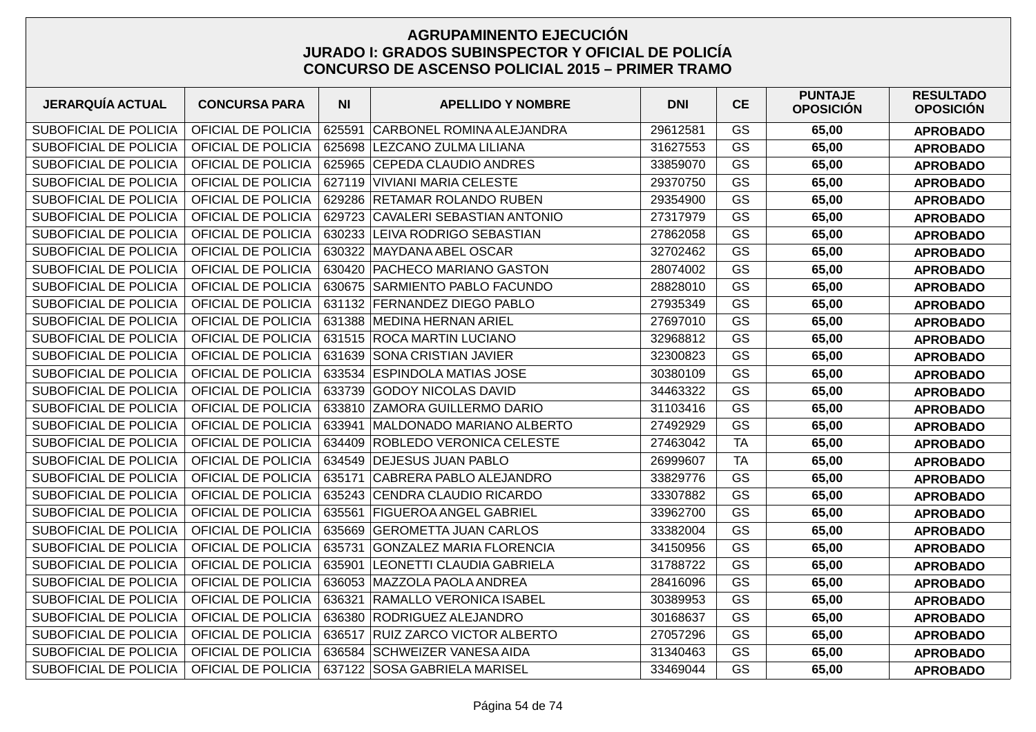| <b>JERARQUÍA ACTUAL</b> | <b>CONCURSA PARA</b> | <b>NI</b> | <b>APELLIDO Y NOMBRE</b>         | <b>DNI</b> | <b>CE</b> | <b>PUNTAJE</b><br><b>OPOSICIÓN</b> | <b>RESULTADO</b><br><b>OPOSICIÓN</b> |
|-------------------------|----------------------|-----------|----------------------------------|------------|-----------|------------------------------------|--------------------------------------|
| SUBOFICIAL DE POLICIA   | OFICIAL DE POLICIA   | 625591    | CARBONEL ROMINA ALEJANDRA        | 29612581   | GS        | 65,00                              | <b>APROBADO</b>                      |
| SUBOFICIAL DE POLICIA   | OFICIAL DE POLICIA   | 625698    | LEZCANO ZULMA LILIANA            | 31627553   | GS        | 65,00                              | <b>APROBADO</b>                      |
| SUBOFICIAL DE POLICIA   | OFICIAL DE POLICIA   | 625965    | <b>CEPEDA CLAUDIO ANDRES</b>     | 33859070   | GS        | 65,00                              | <b>APROBADO</b>                      |
| SUBOFICIAL DE POLICIA   | OFICIAL DE POLICIA   | 627119    | <b>VIVIANI MARIA CELESTE</b>     | 29370750   | GS        | 65,00                              | <b>APROBADO</b>                      |
| SUBOFICIAL DE POLICIA   | OFICIAL DE POLICIA   | 629286    | <b>RETAMAR ROLANDO RUBEN</b>     | 29354900   | GS        | 65,00                              | <b>APROBADO</b>                      |
| SUBOFICIAL DE POLICIA   | OFICIAL DE POLICIA   | 629723    | CAVALERI SEBASTIAN ANTONIO       | 27317979   | GS        | 65,00                              | <b>APROBADO</b>                      |
| SUBOFICIAL DE POLICIA   | OFICIAL DE POLICIA   | 630233    | LEIVA RODRIGO SEBASTIAN          | 27862058   | GS        | 65,00                              | <b>APROBADO</b>                      |
| SUBOFICIAL DE POLICIA   | OFICIAL DE POLICIA   | 630322    | MAYDANA ABEL OSCAR               | 32702462   | GS        | 65,00                              | <b>APROBADO</b>                      |
| SUBOFICIAL DE POLICIA   | OFICIAL DE POLICIA   | 630420    | <b>PACHECO MARIANO GASTON</b>    | 28074002   | GS        | 65,00                              | <b>APROBADO</b>                      |
| SUBOFICIAL DE POLICIA   | OFICIAL DE POLICIA   | 630675    | <b>SARMIENTO PABLO FACUNDO</b>   | 28828010   | GS        | 65,00                              | <b>APROBADO</b>                      |
| SUBOFICIAL DE POLICIA   | OFICIAL DE POLICIA   | 631132    | <b>FERNANDEZ DIEGO PABLO</b>     | 27935349   | GS        | 65,00                              | <b>APROBADO</b>                      |
| SUBOFICIAL DE POLICIA   | OFICIAL DE POLICIA   | 631388    | <b>MEDINA HERNAN ARIEL</b>       | 27697010   | GS        | 65,00                              | <b>APROBADO</b>                      |
| SUBOFICIAL DE POLICIA   | OFICIAL DE POLICIA   | 631515    | <b>ROCA MARTIN LUCIANO</b>       | 32968812   | GS        | 65,00                              | <b>APROBADO</b>                      |
| SUBOFICIAL DE POLICIA   | OFICIAL DE POLICIA   | 631639    | <b>SONA CRISTIAN JAVIER</b>      | 32300823   | GS        | 65,00                              | <b>APROBADO</b>                      |
| SUBOFICIAL DE POLICIA   | OFICIAL DE POLICIA   | 633534    | <b>ESPINDOLA MATIAS JOSE</b>     | 30380109   | GS        | 65,00                              | <b>APROBADO</b>                      |
| SUBOFICIAL DE POLICIA   | OFICIAL DE POLICIA   | 633739    | <b>GODOY NICOLAS DAVID</b>       | 34463322   | GS        | 65,00                              | <b>APROBADO</b>                      |
| SUBOFICIAL DE POLICIA   | OFICIAL DE POLICIA   | 633810    | <b>ZAMORA GUILLERMO DARIO</b>    | 31103416   | GS        | 65,00                              | <b>APROBADO</b>                      |
| SUBOFICIAL DE POLICIA   | OFICIAL DE POLICIA   | 633941    | MALDONADO MARIANO ALBERTO        | 27492929   | GS        | 65,00                              | <b>APROBADO</b>                      |
| SUBOFICIAL DE POLICIA   | OFICIAL DE POLICIA   | 634409    | <b>ROBLEDO VERONICA CELESTE</b>  | 27463042   | <b>TA</b> | 65,00                              | <b>APROBADO</b>                      |
| SUBOFICIAL DE POLICIA   | OFICIAL DE POLICIA   | 634549    | <b>DEJESUS JUAN PABLO</b>        | 26999607   | <b>TA</b> | 65,00                              | <b>APROBADO</b>                      |
| SUBOFICIAL DE POLICIA   | OFICIAL DE POLICIA   | 635171    | CABRERA PABLO ALEJANDRO          | 33829776   | GS        | 65,00                              | <b>APROBADO</b>                      |
| SUBOFICIAL DE POLICIA   | OFICIAL DE POLICIA   | 635243    | CENDRA CLAUDIO RICARDO           | 33307882   | GS        | 65,00                              | <b>APROBADO</b>                      |
| SUBOFICIAL DE POLICIA   | OFICIAL DE POLICIA   | 635561    | <b>FIGUEROA ANGEL GABRIEL</b>    | 33962700   | GS        | 65,00                              | <b>APROBADO</b>                      |
| SUBOFICIAL DE POLICIA   | OFICIAL DE POLICIA   | 635669    | <b>GEROMETTA JUAN CARLOS</b>     | 33382004   | GS        | 65,00                              | <b>APROBADO</b>                      |
| SUBOFICIAL DE POLICIA   | OFICIAL DE POLICIA   | 635731    | <b>GONZALEZ MARIA FLORENCIA</b>  | 34150956   | GS        | 65,00                              | <b>APROBADO</b>                      |
| SUBOFICIAL DE POLICIA   | OFICIAL DE POLICIA   | 635901    | LEONETTI CLAUDIA GABRIELA        | 31788722   | GS        | 65,00                              | <b>APROBADO</b>                      |
| SUBOFICIAL DE POLICIA   | OFICIAL DE POLICIA   | 636053    | MAZZOLA PAOLA ANDREA             | 28416096   | GS        | 65,00                              | <b>APROBADO</b>                      |
| SUBOFICIAL DE POLICIA   | OFICIAL DE POLICIA   | 636321    | RAMALLO VERONICA ISABEL          | 30389953   | GS        | 65,00                              | <b>APROBADO</b>                      |
| SUBOFICIAL DE POLICIA   | OFICIAL DE POLICIA   | 636380    | <b>RODRIGUEZ ALEJANDRO</b>       | 30168637   | GS        | 65,00                              | <b>APROBADO</b>                      |
| SUBOFICIAL DE POLICIA   | OFICIAL DE POLICIA   | 636517    | <b>RUIZ ZARCO VICTOR ALBERTO</b> | 27057296   | GS        | 65,00                              | <b>APROBADO</b>                      |
| SUBOFICIAL DE POLICIA   | OFICIAL DE POLICIA   | 636584    | <b>SCHWEIZER VANESA AIDA</b>     | 31340463   | GS        | 65,00                              | <b>APROBADO</b>                      |
| SUBOFICIAL DE POLICIA   | OFICIAL DE POLICIA   | 637122    | <b>SOSA GABRIELA MARISEL</b>     | 33469044   | GS        | 65,00                              | <b>APROBADO</b>                      |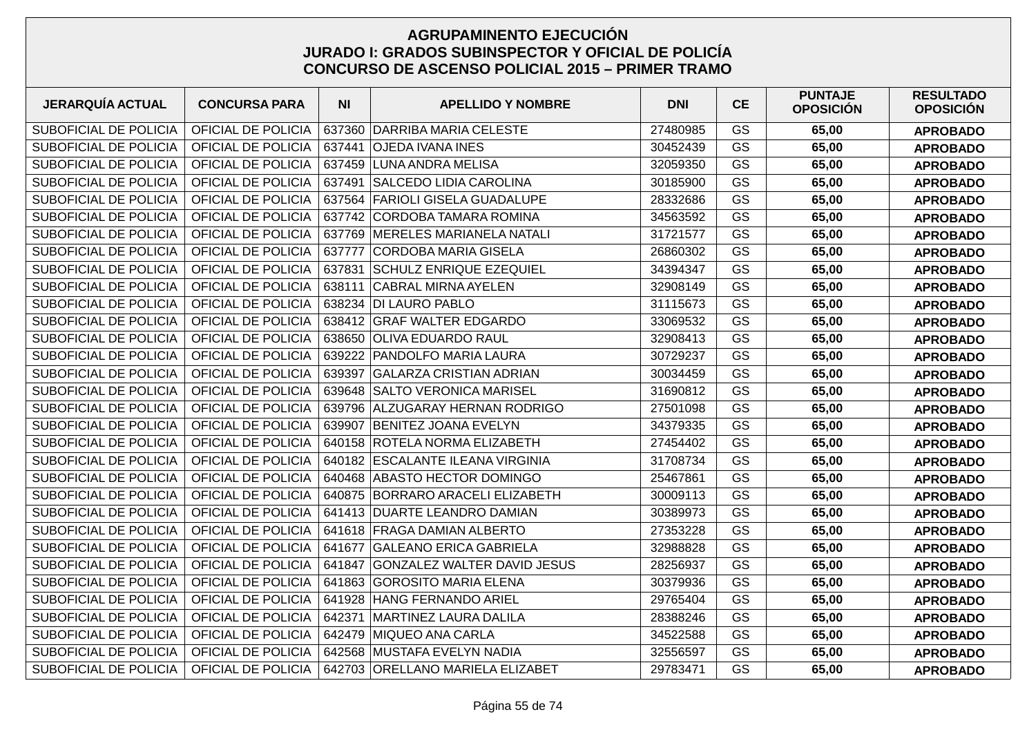| <b>JERARQUÍA ACTUAL</b> | <b>CONCURSA PARA</b> | <b>NI</b> | <b>APELLIDO Y NOMBRE</b>           | <b>DNI</b> | <b>CE</b> | <b>PUNTAJE</b><br><b>OPOSICIÓN</b> | <b>RESULTADO</b><br><b>OPOSICIÓN</b> |
|-------------------------|----------------------|-----------|------------------------------------|------------|-----------|------------------------------------|--------------------------------------|
| SUBOFICIAL DE POLICIA   | OFICIAL DE POLICIA   | 637360    | <b>DARRIBA MARIA CELESTE</b>       | 27480985   | GS        | 65,00                              | <b>APROBADO</b>                      |
| SUBOFICIAL DE POLICIA   | OFICIAL DE POLICIA   | 637441    | <b>OJEDA IVANA INES</b>            | 30452439   | GS        | 65,00                              | <b>APROBADO</b>                      |
| SUBOFICIAL DE POLICIA   | OFICIAL DE POLICIA   | 637459    | LUNA ANDRA MELISA                  | 32059350   | GS        | 65,00                              | <b>APROBADO</b>                      |
| SUBOFICIAL DE POLICIA   | OFICIAL DE POLICIA   | 637491    | SALCEDO LIDIA CAROLINA             | 30185900   | GS        | 65,00                              | <b>APROBADO</b>                      |
| SUBOFICIAL DE POLICIA   | OFICIAL DE POLICIA   | 637564    | <b>FARIOLI GISELA GUADALUPE</b>    | 28332686   | GS        | 65,00                              | <b>APROBADO</b>                      |
| SUBOFICIAL DE POLICIA   | OFICIAL DE POLICIA   | 637742    | CORDOBA TAMARA ROMINA              | 34563592   | GS        | 65,00                              | <b>APROBADO</b>                      |
| SUBOFICIAL DE POLICIA   | OFICIAL DE POLICIA   | 637769    | MERELES MARIANELA NATALI           | 31721577   | GS        | 65,00                              | <b>APROBADO</b>                      |
| SUBOFICIAL DE POLICIA   | OFICIAL DE POLICIA   | 637777    | CORDOBA MARIA GISELA               | 26860302   | GS        | 65,00                              | <b>APROBADO</b>                      |
| SUBOFICIAL DE POLICIA   | OFICIAL DE POLICIA   | 637831    | <b>SCHULZ ENRIQUE EZEQUIEL</b>     | 34394347   | GS        | 65,00                              | <b>APROBADO</b>                      |
| SUBOFICIAL DE POLICIA   | OFICIAL DE POLICIA   | 638111    | CABRAL MIRNA AYELEN                | 32908149   | GS        | 65,00                              | <b>APROBADO</b>                      |
| SUBOFICIAL DE POLICIA   | OFICIAL DE POLICIA   | 638234    | <b>DI LAURO PABLO</b>              | 31115673   | GS        | 65,00                              | <b>APROBADO</b>                      |
| SUBOFICIAL DE POLICIA   | OFICIAL DE POLICIA   | 638412    | <b>GRAF WALTER EDGARDO</b>         | 33069532   | GS        | 65,00                              | <b>APROBADO</b>                      |
| SUBOFICIAL DE POLICIA   | OFICIAL DE POLICIA   |           | 638650 OLIVA EDUARDO RAUL          | 32908413   | GS        | 65,00                              | <b>APROBADO</b>                      |
| SUBOFICIAL DE POLICIA   | OFICIAL DE POLICIA   | 639222    | <b>PANDOLFO MARIA LAURA</b>        | 30729237   | GS        | 65,00                              | <b>APROBADO</b>                      |
| SUBOFICIAL DE POLICIA   | OFICIAL DE POLICIA   | 639397    | <b>GALARZA CRISTIAN ADRIAN</b>     | 30034459   | GS        | 65,00                              | <b>APROBADO</b>                      |
| SUBOFICIAL DE POLICIA   | OFICIAL DE POLICIA   | 639648    | <b>SALTO VERONICA MARISEL</b>      | 31690812   | GS        | 65,00                              | <b>APROBADO</b>                      |
| SUBOFICIAL DE POLICIA   | OFICIAL DE POLICIA   | 639796    | ALZUGARAY HERNAN RODRIGO           | 27501098   | GS        | 65,00                              | <b>APROBADO</b>                      |
| SUBOFICIAL DE POLICIA   | OFICIAL DE POLICIA   | 639907    | <b>BENITEZ JOANA EVELYN</b>        | 34379335   | GS        | 65,00                              | <b>APROBADO</b>                      |
| SUBOFICIAL DE POLICIA   | OFICIAL DE POLICIA   | 640158    | <b>ROTELA NORMA ELIZABETH</b>      | 27454402   | GS        | 65,00                              | <b>APROBADO</b>                      |
| SUBOFICIAL DE POLICIA   | OFICIAL DE POLICIA   | 640182    | <b>ESCALANTE ILEANA VIRGINIA</b>   | 31708734   | GS        | 65,00                              | <b>APROBADO</b>                      |
| SUBOFICIAL DE POLICIA   | OFICIAL DE POLICIA   |           | 640468 ABASTO HECTOR DOMINGO       | 25467861   | GS        | 65,00                              | <b>APROBADO</b>                      |
| SUBOFICIAL DE POLICIA   | OFICIAL DE POLICIA   | 640875    | <b>BORRARO ARACELI ELIZABETH</b>   | 30009113   | GS        | 65,00                              | <b>APROBADO</b>                      |
| SUBOFICIAL DE POLICIA   | OFICIAL DE POLICIA   |           | 641413 DUARTE LEANDRO DAMIAN       | 30389973   | GS        | 65,00                              | <b>APROBADO</b>                      |
| SUBOFICIAL DE POLICIA   | OFICIAL DE POLICIA   | 641618    | <b>FRAGA DAMIAN ALBERTO</b>        | 27353228   | GS        | 65,00                              | <b>APROBADO</b>                      |
| SUBOFICIAL DE POLICIA   | OFICIAL DE POLICIA   | 641677    | <b>GALEANO ERICA GABRIELA</b>      | 32988828   | GS        | 65,00                              | <b>APROBADO</b>                      |
| SUBOFICIAL DE POLICIA   | OFICIAL DE POLICIA   | 641847    | <b>GONZALEZ WALTER DAVID JESUS</b> | 28256937   | GS        | 65,00                              | <b>APROBADO</b>                      |
| SUBOFICIAL DE POLICIA   | OFICIAL DE POLICIA   | 641863    | <b>GOROSITO MARIA ELENA</b>        | 30379936   | GS        | 65,00                              | <b>APROBADO</b>                      |
| SUBOFICIAL DE POLICIA   | OFICIAL DE POLICIA   | 641928    | HANG FERNANDO ARIEL                | 29765404   | GS        | 65,00                              | <b>APROBADO</b>                      |
| SUBOFICIAL DE POLICIA   | OFICIAL DE POLICIA   | 642371    | MARTINEZ LAURA DALILA              | 28388246   | GS        | 65,00                              | <b>APROBADO</b>                      |
| SUBOFICIAL DE POLICIA   | OFICIAL DE POLICIA   | 642479    | <b>MIQUEO ANA CARLA</b>            | 34522588   | GS        | 65,00                              | <b>APROBADO</b>                      |
| SUBOFICIAL DE POLICIA   | OFICIAL DE POLICIA   | 642568    | MUSTAFA EVELYN NADIA               | 32556597   | GS        | 65,00                              | <b>APROBADO</b>                      |
| SUBOFICIAL DE POLICIA   | OFICIAL DE POLICIA   |           | 642703 ORELLANO MARIELA ELIZABET   | 29783471   | GS        | 65,00                              | <b>APROBADO</b>                      |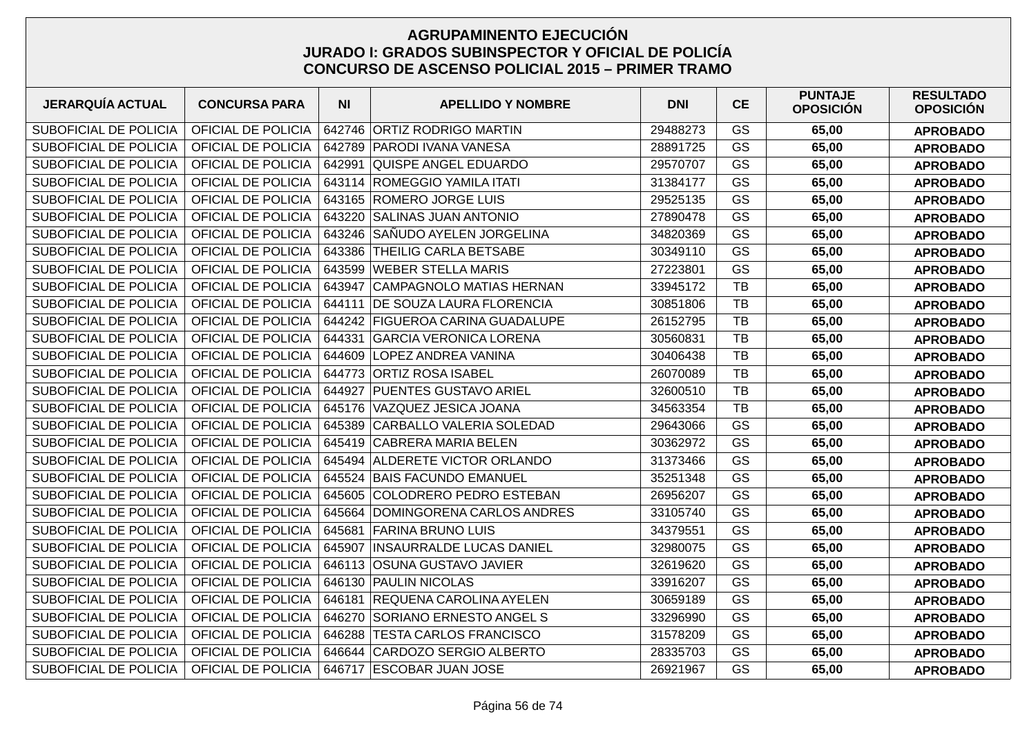| <b>JERARQUÍA ACTUAL</b> | <b>CONCURSA PARA</b> | <b>NI</b> | <b>APELLIDO Y NOMBRE</b>          | <b>DNI</b> | <b>CE</b> | <b>PUNTAJE</b><br><b>OPOSICIÓN</b> | <b>RESULTADO</b><br><b>OPOSICIÓN</b> |
|-------------------------|----------------------|-----------|-----------------------------------|------------|-----------|------------------------------------|--------------------------------------|
| SUBOFICIAL DE POLICIA   | OFICIAL DE POLICIA   | 642746    | ORTIZ RODRIGO MARTIN              | 29488273   | GS        | 65,00                              | <b>APROBADO</b>                      |
| SUBOFICIAL DE POLICIA   | OFICIAL DE POLICIA   | 642789    | <b>PARODI IVANA VANESA</b>        | 28891725   | GS        | 65,00                              | <b>APROBADO</b>                      |
| SUBOFICIAL DE POLICIA   | OFICIAL DE POLICIA   |           | 642991 QUISPE ANGEL EDUARDO       | 29570707   | GS        | 65,00                              | <b>APROBADO</b>                      |
| SUBOFICIAL DE POLICIA   | OFICIAL DE POLICIA   | 643114    | <b>ROMEGGIO YAMILA ITATI</b>      | 31384177   | GS        | 65,00                              | <b>APROBADO</b>                      |
| SUBOFICIAL DE POLICIA   | OFICIAL DE POLICIA   | 643165    | <b>ROMERO JORGE LUIS</b>          | 29525135   | GS        | 65,00                              | <b>APROBADO</b>                      |
| SUBOFICIAL DE POLICIA   | OFICIAL DE POLICIA   | 643220    | <b>SALINAS JUAN ANTONIO</b>       | 27890478   | GS        | 65,00                              | <b>APROBADO</b>                      |
| SUBOFICIAL DE POLICIA   | OFICIAL DE POLICIA   | 643246    | SAÑUDO AYELEN JORGELINA           | 34820369   | GS        | 65,00                              | <b>APROBADO</b>                      |
| SUBOFICIAL DE POLICIA   | OFICIAL DE POLICIA   | 643386    | <b>THEILIG CARLA BETSABE</b>      | 30349110   | GS        | 65,00                              | <b>APROBADO</b>                      |
| SUBOFICIAL DE POLICIA   | OFICIAL DE POLICIA   | 643599    | <b>WEBER STELLA MARIS</b>         | 27223801   | GS        | 65,00                              | <b>APROBADO</b>                      |
| SUBOFICIAL DE POLICIA   | OFICIAL DE POLICIA   | 643947    | CAMPAGNOLO MATIAS HERNAN          | 33945172   | TB        | 65,00                              | <b>APROBADO</b>                      |
| SUBOFICIAL DE POLICIA   | OFICIAL DE POLICIA   |           | 644111   DE SOUZA LAURA FLORENCIA | 30851806   | TB        | 65,00                              | <b>APROBADO</b>                      |
| SUBOFICIAL DE POLICIA   | OFICIAL DE POLICIA   | 644242    | <b>FIGUEROA CARINA GUADALUPE</b>  | 26152795   | TB        | 65,00                              | <b>APROBADO</b>                      |
| SUBOFICIAL DE POLICIA   | OFICIAL DE POLICIA   |           | 644331 GARCIA VERONICA LORENA     | 30560831   | TB        | 65,00                              | <b>APROBADO</b>                      |
| SUBOFICIAL DE POLICIA   | OFICIAL DE POLICIA   | 644609    | LOPEZ ANDREA VANINA               | 30406438   | TB        | 65,00                              | <b>APROBADO</b>                      |
| SUBOFICIAL DE POLICIA   | OFICIAL DE POLICIA   | 644773    | <b>ORTIZ ROSA ISABEL</b>          | 26070089   | TB        | 65,00                              | <b>APROBADO</b>                      |
| SUBOFICIAL DE POLICIA   | OFICIAL DE POLICIA   | 644927    | <b>PUENTES GUSTAVO ARIEL</b>      | 32600510   | TB        | 65,00                              | <b>APROBADO</b>                      |
| SUBOFICIAL DE POLICIA   | OFICIAL DE POLICIA   | 645176    | VAZQUEZ JESICA JOANA              | 34563354   | TB        | 65,00                              | <b>APROBADO</b>                      |
| SUBOFICIAL DE POLICIA   | OFICIAL DE POLICIA   | 645389    | CARBALLO VALERIA SOLEDAD          | 29643066   | GS        | 65,00                              | <b>APROBADO</b>                      |
| SUBOFICIAL DE POLICIA   | OFICIAL DE POLICIA   | 645419    | CABRERA MARIA BELEN               | 30362972   | GS        | 65,00                              | <b>APROBADO</b>                      |
| SUBOFICIAL DE POLICIA   | OFICIAL DE POLICIA   | 645494    | ALDERETE VICTOR ORLANDO           | 31373466   | GS        | 65,00                              | <b>APROBADO</b>                      |
| SUBOFICIAL DE POLICIA   | OFICIAL DE POLICIA   |           | 645524 BAIS FACUNDO EMANUEL       | 35251348   | GS        | 65,00                              | <b>APROBADO</b>                      |
| SUBOFICIAL DE POLICIA   | OFICIAL DE POLICIA   | 645605    | COLODRERO PEDRO ESTEBAN           | 26956207   | GS        | 65,00                              | <b>APROBADO</b>                      |
| SUBOFICIAL DE POLICIA   | OFICIAL DE POLICIA   |           | 645664 DOMINGORENA CARLOS ANDRES  | 33105740   | GS        | 65,00                              | <b>APROBADO</b>                      |
| SUBOFICIAL DE POLICIA   | OFICIAL DE POLICIA   |           | 645681 FARINA BRUNO LUIS          | 34379551   | GS        | 65,00                              | <b>APROBADO</b>                      |
| SUBOFICIAL DE POLICIA   | OFICIAL DE POLICIA   | 645907    | <b>INSAURRALDE LUCAS DANIEL</b>   | 32980075   | GS        | 65,00                              | <b>APROBADO</b>                      |
| SUBOFICIAL DE POLICIA   | OFICIAL DE POLICIA   | 646113    | OSUNA GUSTAVO JAVIER              | 32619620   | GS        | 65,00                              | <b>APROBADO</b>                      |
| SUBOFICIAL DE POLICIA   | OFICIAL DE POLICIA   | 646130    | <b>PAULIN NICOLAS</b>             | 33916207   | GS        | 65,00                              | <b>APROBADO</b>                      |
| SUBOFICIAL DE POLICIA   | OFICIAL DE POLICIA   |           | 646181 REQUENA CAROLINA AYELEN    | 30659189   | GS        | 65,00                              | <b>APROBADO</b>                      |
| SUBOFICIAL DE POLICIA   | OFICIAL DE POLICIA   |           | 646270 SORIANO ERNESTO ANGEL S    | 33296990   | GS        | 65,00                              | <b>APROBADO</b>                      |
| SUBOFICIAL DE POLICIA   | OFICIAL DE POLICIA   | 646288    | <b>TESTA CARLOS FRANCISCO</b>     | 31578209   | GS        | 65,00                              | <b>APROBADO</b>                      |
| SUBOFICIAL DE POLICIA   | OFICIAL DE POLICIA   | 646644    | CARDOZO SERGIO ALBERTO            | 28335703   | GS        | 65,00                              | <b>APROBADO</b>                      |
| SUBOFICIAL DE POLICIA   | OFICIAL DE POLICIA   |           | 646717 ESCOBAR JUAN JOSE          | 26921967   | GS        | 65,00                              | <b>APROBADO</b>                      |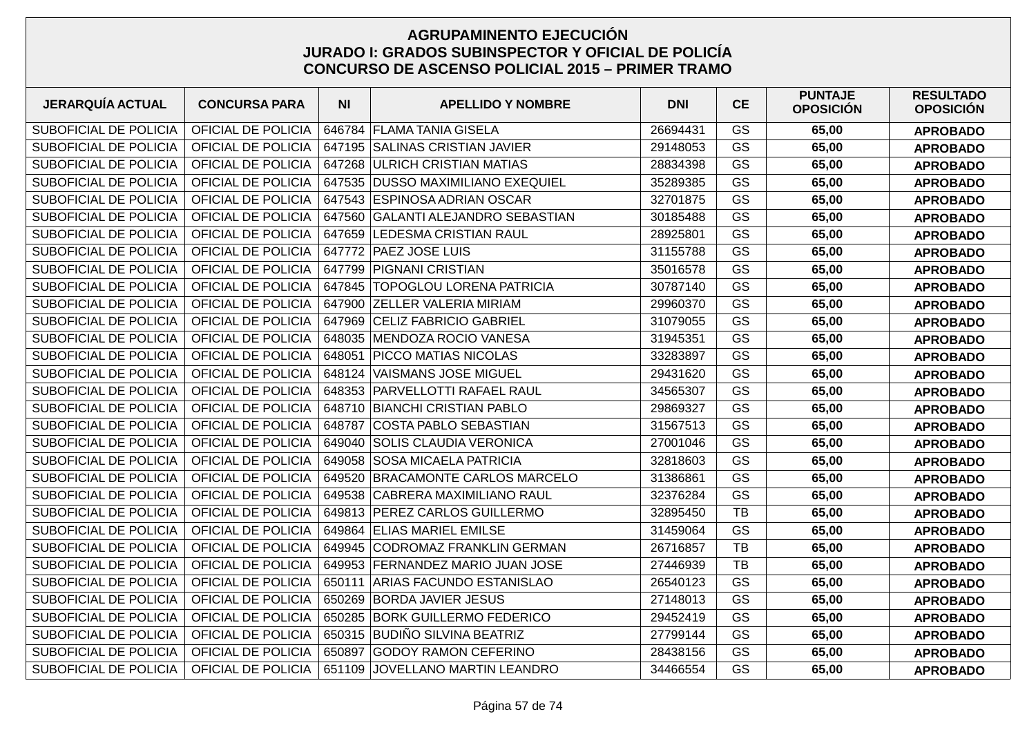| <b>JERARQUÍA ACTUAL</b> | <b>CONCURSA PARA</b> | <b>NI</b> | <b>APELLIDO Y NOMBRE</b>           | <b>DNI</b> | <b>CE</b> | <b>PUNTAJE</b><br><b>OPOSICIÓN</b> | <b>RESULTADO</b><br><b>OPOSICIÓN</b> |
|-------------------------|----------------------|-----------|------------------------------------|------------|-----------|------------------------------------|--------------------------------------|
| SUBOFICIAL DE POLICIA   | OFICIAL DE POLICIA   |           | 646784 FLAMA TANIA GISELA          | 26694431   | GS        | 65,00                              | <b>APROBADO</b>                      |
| SUBOFICIAL DE POLICIA   | OFICIAL DE POLICIA   |           | 647195 SALINAS CRISTIAN JAVIER     | 29148053   | <b>GS</b> | 65,00                              | <b>APROBADO</b>                      |
| SUBOFICIAL DE POLICIA   | OFICIAL DE POLICIA   |           | 647268 ULRICH CRISTIAN MATIAS      | 28834398   | GS        | 65,00                              | <b>APROBADO</b>                      |
| SUBOFICIAL DE POLICIA   | OFICIAL DE POLICIA   |           | 647535 DUSSO MAXIMILIANO EXEQUIEL  | 35289385   | GS        | 65,00                              | <b>APROBADO</b>                      |
| SUBOFICIAL DE POLICIA   | OFICIAL DE POLICIA   |           | 647543 ESPINOSA ADRIAN OSCAR       | 32701875   | <b>GS</b> | 65,00                              | <b>APROBADO</b>                      |
| SUBOFICIAL DE POLICIA   | OFICIAL DE POLICIA   |           | 647560 GALANTI ALEJANDRO SEBASTIAN | 30185488   | GS        | 65,00                              | <b>APROBADO</b>                      |
| SUBOFICIAL DE POLICIA   | OFICIAL DE POLICIA   | 647659    | <b>LEDESMA CRISTIAN RAUL</b>       | 28925801   | GS        | 65,00                              | <b>APROBADO</b>                      |
| SUBOFICIAL DE POLICIA   | OFICIAL DE POLICIA   |           | 647772 PAEZ JOSE LUIS              | 31155788   | GS        | 65,00                              | <b>APROBADO</b>                      |
| SUBOFICIAL DE POLICIA   | OFICIAL DE POLICIA   |           | 647799 PIGNANI CRISTIAN            | 35016578   | GS        | 65,00                              | <b>APROBADO</b>                      |
| SUBOFICIAL DE POLICIA   | OFICIAL DE POLICIA   | 647845    | <b>TOPOGLOU LORENA PATRICIA</b>    | 30787140   | <b>GS</b> | 65,00                              | <b>APROBADO</b>                      |
| SUBOFICIAL DE POLICIA   | OFICIAL DE POLICIA   |           | 647900 ZELLER VALERIA MIRIAM       | 29960370   | GS        | 65,00                              | <b>APROBADO</b>                      |
| SUBOFICIAL DE POLICIA   | OFICIAL DE POLICIA   | 647969    | <b>CELIZ FABRICIO GABRIEL</b>      | 31079055   | GS        | 65,00                              | <b>APROBADO</b>                      |
| SUBOFICIAL DE POLICIA   | OFICIAL DE POLICIA   |           | 648035 MENDOZA ROCIO VANESA        | 31945351   | GS        | 65,00                              | <b>APROBADO</b>                      |
| SUBOFICIAL DE POLICIA   | OFICIAL DE POLICIA   |           | 648051 PICCO MATIAS NICOLAS        | 33283897   | GS        | 65,00                              | <b>APROBADO</b>                      |
| SUBOFICIAL DE POLICIA   | OFICIAL DE POLICIA   | 648124    | VAISMANS JOSE MIGUEL               | 29431620   | <b>GS</b> | 65,00                              | <b>APROBADO</b>                      |
| SUBOFICIAL DE POLICIA   | OFICIAL DE POLICIA   |           | 648353 PARVELLOTTI RAFAEL RAUL     | 34565307   | GS        | 65,00                              | <b>APROBADO</b>                      |
| SUBOFICIAL DE POLICIA   | OFICIAL DE POLICIA   | 648710    | <b>BIANCHI CRISTIAN PABLO</b>      | 29869327   | GS        | 65,00                              | <b>APROBADO</b>                      |
| SUBOFICIAL DE POLICIA   | OFICIAL DE POLICIA   |           | 648787 COSTA PABLO SEBASTIAN       | 31567513   | GS        | 65,00                              | <b>APROBADO</b>                      |
| SUBOFICIAL DE POLICIA   | OFICIAL DE POLICIA   | 649040    | SOLIS CLAUDIA VERONICA             | 27001046   | GS        | 65,00                              | <b>APROBADO</b>                      |
| SUBOFICIAL DE POLICIA   | OFICIAL DE POLICIA   | 649058    | <b>SOSA MICAELA PATRICIA</b>       | 32818603   | <b>GS</b> | 65,00                              | <b>APROBADO</b>                      |
| SUBOFICIAL DE POLICIA   | OFICIAL DE POLICIA   |           | 649520 BRACAMONTE CARLOS MARCELO   | 31386861   | GS        | 65,00                              | <b>APROBADO</b>                      |
| SUBOFICIAL DE POLICIA   | OFICIAL DE POLICIA   | 649538    | CABRERA MAXIMILIANO RAUL           | 32376284   | GS        | 65,00                              | <b>APROBADO</b>                      |
| SUBOFICIAL DE POLICIA   | OFICIAL DE POLICIA   |           | 649813 PEREZ CARLOS GUILLERMO      | 32895450   | TB        | 65,00                              | <b>APROBADO</b>                      |
| SUBOFICIAL DE POLICIA   | OFICIAL DE POLICIA   |           | 649864 ELIAS MARIEL EMILSE         | 31459064   | GS        | 65,00                              | <b>APROBADO</b>                      |
| SUBOFICIAL DE POLICIA   | OFICIAL DE POLICIA   | 649945    | CODROMAZ FRANKLIN GERMAN           | 26716857   | TB        | 65,00                              | <b>APROBADO</b>                      |
| SUBOFICIAL DE POLICIA   | OFICIAL DE POLICIA   |           | 649953 FERNANDEZ MARIO JUAN JOSE   | 27446939   | TB        | 65,00                              | <b>APROBADO</b>                      |
| SUBOFICIAL DE POLICIA   | OFICIAL DE POLICIA   | 650111    | <b>ARIAS FACUNDO ESTANISLAO</b>    | 26540123   | GS        | 65,00                              | <b>APROBADO</b>                      |
| SUBOFICIAL DE POLICIA   | OFICIAL DE POLICIA   |           | 650269 BORDA JAVIER JESUS          | 27148013   | GS        | 65,00                              | <b>APROBADO</b>                      |
| SUBOFICIAL DE POLICIA   | OFICIAL DE POLICIA   |           | 650285 BORK GUILLERMO FEDERICO     | 29452419   | GS        | 65,00                              | <b>APROBADO</b>                      |
| SUBOFICIAL DE POLICIA   | OFICIAL DE POLICIA   |           | 650315 BUDIÑO SILVINA BEATRIZ      | 27799144   | GS        | 65,00                              | <b>APROBADO</b>                      |
| SUBOFICIAL DE POLICIA   | OFICIAL DE POLICIA   | 650897    | <b>GODOY RAMON CEFERINO</b>        | 28438156   | GS        | 65,00                              | <b>APROBADO</b>                      |
| SUBOFICIAL DE POLICIA   | OFICIAL DE POLICIA   |           | 651109 JOVELLANO MARTIN LEANDRO    | 34466554   | GS        | 65,00                              | <b>APROBADO</b>                      |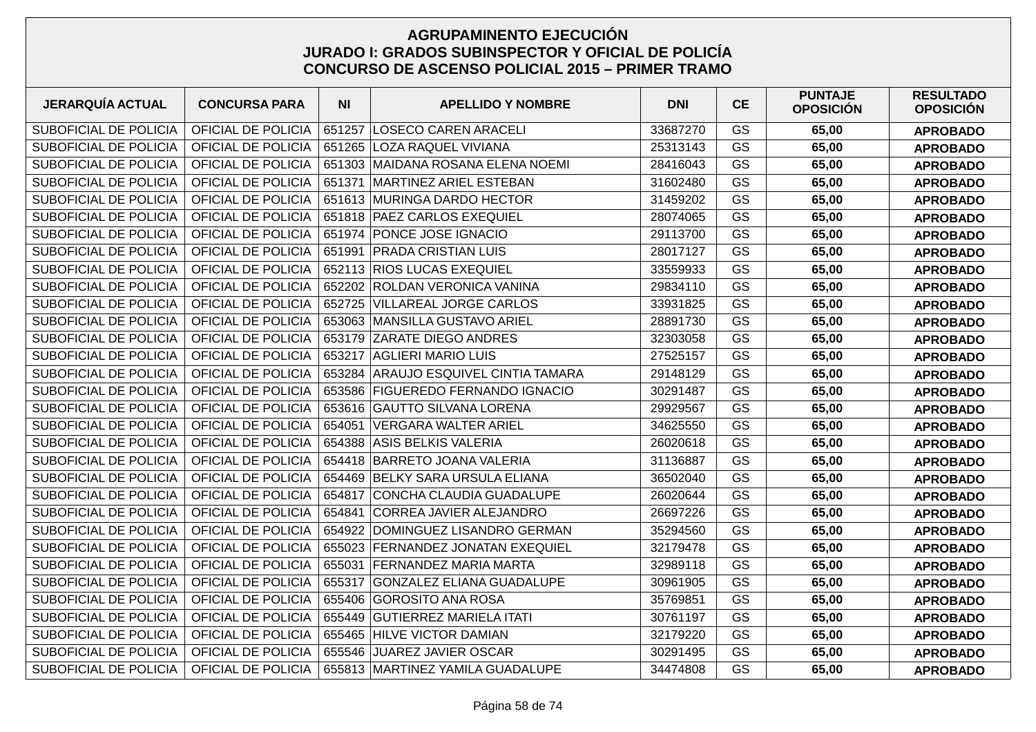| <b>JERARQUÍA ACTUAL</b> | <b>CONCURSA PARA</b> | <b>NI</b> | <b>APELLIDO Y NOMBRE</b>             | <b>DNI</b> | <b>CE</b> | <b>PUNTAJE</b><br><b>OPOSICIÓN</b> | <b>RESULTADO</b><br><b>OPOSICIÓN</b> |
|-------------------------|----------------------|-----------|--------------------------------------|------------|-----------|------------------------------------|--------------------------------------|
| SUBOFICIAL DE POLICIA   | OFICIAL DE POLICIA   |           | 651257 LOSECO CAREN ARACELI          | 33687270   | <b>GS</b> | 65,00                              | <b>APROBADO</b>                      |
| SUBOFICIAL DE POLICIA   | OFICIAL DE POLICIA   |           | 651265 LOZA RAQUEL VIVIANA           | 25313143   | <b>GS</b> | 65,00                              | <b>APROBADO</b>                      |
| SUBOFICIAL DE POLICIA   | OFICIAL DE POLICIA   |           | 651303 MAIDANA ROSANA ELENA NOEMI    | 28416043   | GS        | 65,00                              | <b>APROBADO</b>                      |
| SUBOFICIAL DE POLICIA   | OFICIAL DE POLICIA   |           | 651371 MARTINEZ ARIEL ESTEBAN        | 31602480   | GS        | 65,00                              | <b>APROBADO</b>                      |
| SUBOFICIAL DE POLICIA   | OFICIAL DE POLICIA   |           | 651613 MURINGA DARDO HECTOR          | 31459202   | <b>GS</b> | 65,00                              | <b>APROBADO</b>                      |
| SUBOFICIAL DE POLICIA   | OFICIAL DE POLICIA   |           | 651818 PAEZ CARLOS EXEQUIEL          | 28074065   | GS        | 65,00                              | <b>APROBADO</b>                      |
| SUBOFICIAL DE POLICIA   | OFICIAL DE POLICIA   |           | 651974 PONCE JOSE IGNACIO            | 29113700   | GS        | 65,00                              | <b>APROBADO</b>                      |
| SUBOFICIAL DE POLICIA   | OFICIAL DE POLICIA   |           | 651991 PRADA CRISTIAN LUIS           | 28017127   | <b>GS</b> | 65,00                              | <b>APROBADO</b>                      |
| SUBOFICIAL DE POLICIA   | OFICIAL DE POLICIA   |           | 652113 RIOS LUCAS EXEQUIEL           | 33559933   | GS        | 65,00                              | <b>APROBADO</b>                      |
| SUBOFICIAL DE POLICIA   | OFICIAL DE POLICIA   |           | 652202 ROLDAN VERONICA VANINA        | 29834110   | <b>GS</b> | 65,00                              | <b>APROBADO</b>                      |
| SUBOFICIAL DE POLICIA   | OFICIAL DE POLICIA   |           | 652725 VILLAREAL JORGE CARLOS        | 33931825   | GS        | 65,00                              | <b>APROBADO</b>                      |
| SUBOFICIAL DE POLICIA   | OFICIAL DE POLICIA   |           | 653063 MANSILLA GUSTAVO ARIEL        | 28891730   | GS        | 65,00                              | <b>APROBADO</b>                      |
| SUBOFICIAL DE POLICIA   | OFICIAL DE POLICIA   |           | 653179 ZARATE DIEGO ANDRES           | 32303058   | GS        | 65,00                              | <b>APROBADO</b>                      |
| SUBOFICIAL DE POLICIA   | OFICIAL DE POLICIA   |           | 653217 AGLIERI MARIO LUIS            | 27525157   | GS        | 65,00                              | <b>APROBADO</b>                      |
| SUBOFICIAL DE POLICIA   | OFICIAL DE POLICIA   |           | 653284 ARAUJO ESQUIVEL CINTIA TAMARA | 29148129   | <b>GS</b> | 65,00                              | <b>APROBADO</b>                      |
| SUBOFICIAL DE POLICIA   | OFICIAL DE POLICIA   |           | 653586 FIGUEREDO FERNANDO IGNACIO    | 30291487   | GS        | 65,00                              | <b>APROBADO</b>                      |
| SUBOFICIAL DE POLICIA   | OFICIAL DE POLICIA   | 653616    | <b>GAUTTO SILVANA LORENA</b>         | 29929567   | GS        | 65,00                              | <b>APROBADO</b>                      |
| SUBOFICIAL DE POLICIA   | OFICIAL DE POLICIA   |           | 654051 VERGARA WALTER ARIEL          | 34625550   | GS        | 65,00                              | <b>APROBADO</b>                      |
| SUBOFICIAL DE POLICIA   | OFICIAL DE POLICIA   |           | 654388 ASIS BELKIS VALERIA           | 26020618   | GS        | 65,00                              | <b>APROBADO</b>                      |
| SUBOFICIAL DE POLICIA   | OFICIAL DE POLICIA   |           | 654418 BARRETO JOANA VALERIA         | 31136887   | <b>GS</b> | 65,00                              | <b>APROBADO</b>                      |
| SUBOFICIAL DE POLICIA   | OFICIAL DE POLICIA   |           | 654469 BELKY SARA URSULA ELIANA      | 36502040   | GS        | 65,00                              | <b>APROBADO</b>                      |
| SUBOFICIAL DE POLICIA   | OFICIAL DE POLICIA   | 654817    | CONCHA CLAUDIA GUADALUPE             | 26020644   | GS        | 65,00                              | <b>APROBADO</b>                      |
| SUBOFICIAL DE POLICIA   | OFICIAL DE POLICIA   |           | 654841 CORREA JAVIER ALEJANDRO       | 26697226   | GS        | 65,00                              | <b>APROBADO</b>                      |
| SUBOFICIAL DE POLICIA   | OFICIAL DE POLICIA   |           | 654922 DOMINGUEZ LISANDRO GERMAN     | 35294560   | GS        | 65,00                              | <b>APROBADO</b>                      |
| SUBOFICIAL DE POLICIA   | OFICIAL DE POLICIA   |           | 655023 FERNANDEZ JONATAN EXEQUIEL    | 32179478   | <b>GS</b> | 65,00                              | <b>APROBADO</b>                      |
| SUBOFICIAL DE POLICIA   | OFICIAL DE POLICIA   |           | 655031 FERNANDEZ MARIA MARTA         | 32989118   | GS        | 65,00                              | <b>APROBADO</b>                      |
| SUBOFICIAL DE POLICIA   | OFICIAL DE POLICIA   | 655317    | <b>GONZALEZ ELIANA GUADALUPE</b>     | 30961905   | GS        | 65,00                              | <b>APROBADO</b>                      |
| SUBOFICIAL DE POLICIA   | OFICIAL DE POLICIA   |           | 655406 GOROSITO ANA ROSA             | 35769851   | GS        | 65,00                              | <b>APROBADO</b>                      |
| SUBOFICIAL DE POLICIA   | OFICIAL DE POLICIA   |           | 655449 GUTIERREZ MARIELA ITATI       | 30761197   | GS        | 65,00                              | <b>APROBADO</b>                      |
| SUBOFICIAL DE POLICIA   | OFICIAL DE POLICIA   |           | 655465 HILVE VICTOR DAMIAN           | 32179220   | GS        | 65,00                              | <b>APROBADO</b>                      |
| SUBOFICIAL DE POLICIA   | OFICIAL DE POLICIA   |           | 655546 JUAREZ JAVIER OSCAR           | 30291495   | GS        | 65,00                              | <b>APROBADO</b>                      |
| SUBOFICIAL DE POLICIA   | OFICIAL DE POLICIA   |           | 655813 MARTINEZ YAMILA GUADALUPE     | 34474808   | GS        | 65,00                              | <b>APROBADO</b>                      |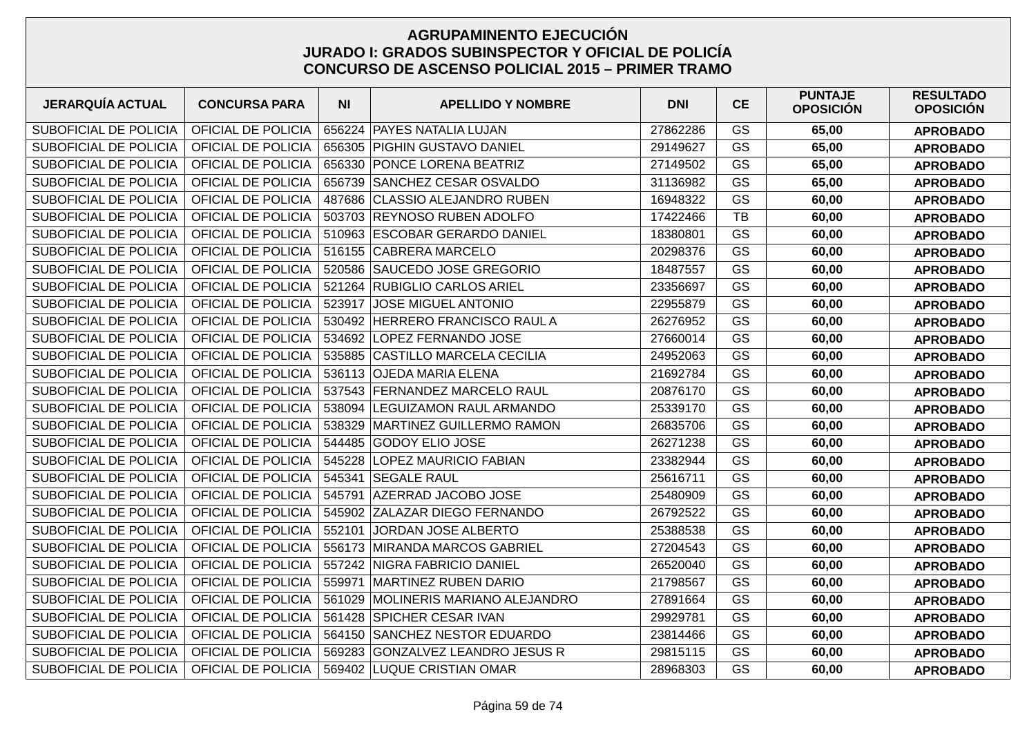| <b>JERARQUÍA ACTUAL</b> | <b>CONCURSA PARA</b> | <b>NI</b> | <b>APELLIDO Y NOMBRE</b>        | <b>DNI</b> | <b>CE</b> | <b>PUNTAJE</b><br><b>OPOSICIÓN</b> | <b>RESULTADO</b><br><b>OPOSICIÓN</b> |
|-------------------------|----------------------|-----------|---------------------------------|------------|-----------|------------------------------------|--------------------------------------|
| SUBOFICIAL DE POLICIA   | OFICIAL DE POLICIA   | 656224    | <b>PAYES NATALIA LUJAN</b>      | 27862286   | GS        | 65,00                              | <b>APROBADO</b>                      |
| SUBOFICIAL DE POLICIA   | OFICIAL DE POLICIA   | 656305    | PIGHIN GUSTAVO DANIEL           | 29149627   | GS        | 65,00                              | <b>APROBADO</b>                      |
| SUBOFICIAL DE POLICIA   | OFICIAL DE POLICIA   | 656330    | <b>PONCE LORENA BEATRIZ</b>     | 27149502   | GS        | 65,00                              | <b>APROBADO</b>                      |
| SUBOFICIAL DE POLICIA   | OFICIAL DE POLICIA   | 656739    | <b>SANCHEZ CESAR OSVALDO</b>    | 31136982   | GS        | 65,00                              | <b>APROBADO</b>                      |
| SUBOFICIAL DE POLICIA   | OFICIAL DE POLICIA   | 487686    | CLASSIO ALEJANDRO RUBEN         | 16948322   | GS        | 60,00                              | <b>APROBADO</b>                      |
| SUBOFICIAL DE POLICIA   | OFICIAL DE POLICIA   |           | 503703 REYNOSO RUBEN ADOLFO     | 17422466   | TB        | 60,00                              | <b>APROBADO</b>                      |
| SUBOFICIAL DE POLICIA   | OFICIAL DE POLICIA   |           | 510963 ESCOBAR GERARDO DANIEL   | 18380801   | GS        | 60,00                              | <b>APROBADO</b>                      |
| SUBOFICIAL DE POLICIA   | OFICIAL DE POLICIA   | 516155    | <b>CABRERA MARCELO</b>          | 20298376   | GS        | 60,00                              | <b>APROBADO</b>                      |
| SUBOFICIAL DE POLICIA   | OFICIAL DE POLICIA   | 520586    | SAUCEDO JOSE GREGORIO           | 18487557   | GS        | 60,00                              | <b>APROBADO</b>                      |
| SUBOFICIAL DE POLICIA   | OFICIAL DE POLICIA   | 521264    | <b>RUBIGLIO CARLOS ARIEL</b>    | 23356697   | GS        | 60,00                              | <b>APROBADO</b>                      |
| SUBOFICIAL DE POLICIA   | OFICIAL DE POLICIA   | 523917    | <b>JOSE MIGUEL ANTONIO</b>      | 22955879   | GS        | 60,00                              | <b>APROBADO</b>                      |
| SUBOFICIAL DE POLICIA   | OFICIAL DE POLICIA   | 530492    | <b>HERRERO FRANCISCO RAUL A</b> | 26276952   | GS        | 60,00                              | <b>APROBADO</b>                      |
| SUBOFICIAL DE POLICIA   | OFICIAL DE POLICIA   | 534692    | LOPEZ FERNANDO JOSE             | 27660014   | GS        | 60,00                              | <b>APROBADO</b>                      |
| SUBOFICIAL DE POLICIA   | OFICIAL DE POLICIA   | 535885    | CASTILLO MARCELA CECILIA        | 24952063   | GS        | 60,00                              | <b>APROBADO</b>                      |
| SUBOFICIAL DE POLICIA   | OFICIAL DE POLICIA   | 536113    | <b>OJEDA MARIA ELENA</b>        | 21692784   | GS        | 60,00                              | <b>APROBADO</b>                      |
| SUBOFICIAL DE POLICIA   | OFICIAL DE POLICIA   | 537543    | <b>FERNANDEZ MARCELO RAUL</b>   | 20876170   | GS        | 60,00                              | <b>APROBADO</b>                      |
| SUBOFICIAL DE POLICIA   | OFICIAL DE POLICIA   | 538094    | LEGUIZAMON RAUL ARMANDO         | 25339170   | GS        | 60,00                              | <b>APROBADO</b>                      |
| SUBOFICIAL DE POLICIA   | OFICIAL DE POLICIA   | 538329    | MARTINEZ GUILLERMO RAMON        | 26835706   | GS        | 60,00                              | <b>APROBADO</b>                      |
| SUBOFICIAL DE POLICIA   | OFICIAL DE POLICIA   | 544485    | GODOY ELIO JOSE                 | 26271238   | GS        | 60,00                              | <b>APROBADO</b>                      |
| SUBOFICIAL DE POLICIA   | OFICIAL DE POLICIA   | 545228    | LOPEZ MAURICIO FABIAN           | 23382944   | GS        | 60,00                              | <b>APROBADO</b>                      |
| SUBOFICIAL DE POLICIA   | OFICIAL DE POLICIA   |           | 545341 SEGALE RAUL              | 25616711   | GS        | 60,00                              | <b>APROBADO</b>                      |
| SUBOFICIAL DE POLICIA   | OFICIAL DE POLICIA   |           | 545791 AZERRAD JACOBO JOSE      | 25480909   | GS        | 60,00                              | <b>APROBADO</b>                      |
| SUBOFICIAL DE POLICIA   | OFICIAL DE POLICIA   |           | 545902 ZALAZAR DIEGO FERNANDO   | 26792522   | GS        | 60,00                              | <b>APROBADO</b>                      |
| SUBOFICIAL DE POLICIA   | OFICIAL DE POLICIA   |           | 552101 JORDAN JOSE ALBERTO      | 25388538   | GS        | 60,00                              | <b>APROBADO</b>                      |
| SUBOFICIAL DE POLICIA   | OFICIAL DE POLICIA   | 556173    | <b>MIRANDA MARCOS GABRIEL</b>   | 27204543   | GS        | 60,00                              | <b>APROBADO</b>                      |
| SUBOFICIAL DE POLICIA   | OFICIAL DE POLICIA   | 557242    | NIGRA FABRICIO DANIEL           | 26520040   | GS        | 60,00                              | <b>APROBADO</b>                      |
| SUBOFICIAL DE POLICIA   | OFICIAL DE POLICIA   | 559971    | <b>MARTINEZ RUBEN DARIO</b>     | 21798567   | GS        | 60,00                              | <b>APROBADO</b>                      |
| SUBOFICIAL DE POLICIA   | OFICIAL DE POLICIA   | 561029    | MOLINERIS MARIANO ALEJANDRO     | 27891664   | GS        | 60,00                              | <b>APROBADO</b>                      |
| SUBOFICIAL DE POLICIA   | OFICIAL DE POLICIA   | 561428    | <b>SPICHER CESAR IVAN</b>       | 29929781   | GS        | 60,00                              | <b>APROBADO</b>                      |
| SUBOFICIAL DE POLICIA   | OFICIAL DE POLICIA   | 564150    | <b>SANCHEZ NESTOR EDUARDO</b>   | 23814466   | GS        | 60,00                              | <b>APROBADO</b>                      |
| SUBOFICIAL DE POLICIA   | OFICIAL DE POLICIA   | 569283    | GONZALVEZ LEANDRO JESUS R       | 29815115   | GS        | 60,00                              | <b>APROBADO</b>                      |
| SUBOFICIAL DE POLICIA   | OFICIAL DE POLICIA   | 569402    | <b>LUQUE CRISTIAN OMAR</b>      | 28968303   | GS        | 60,00                              | <b>APROBADO</b>                      |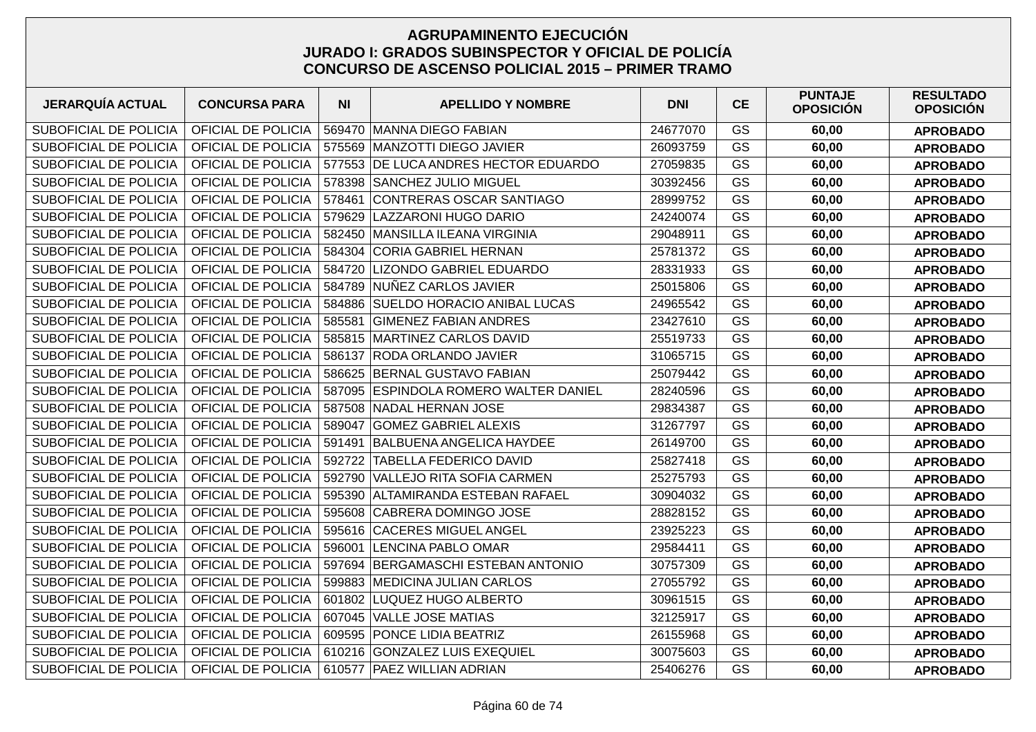| <b>JERARQUÍA ACTUAL</b> | <b>CONCURSA PARA</b> | <b>NI</b> | <b>APELLIDO Y NOMBRE</b>              | <b>DNI</b> | <b>CE</b> | <b>PUNTAJE</b><br><b>OPOSICIÓN</b> | <b>RESULTADO</b><br><b>OPOSICIÓN</b> |
|-------------------------|----------------------|-----------|---------------------------------------|------------|-----------|------------------------------------|--------------------------------------|
| SUBOFICIAL DE POLICIA   | OFICIAL DE POLICIA   | 569470    | MANNA DIEGO FABIAN                    | 24677070   | GS        | 60,00                              | <b>APROBADO</b>                      |
| SUBOFICIAL DE POLICIA   | OFICIAL DE POLICIA   | 575569    | MANZOTTI DIEGO JAVIER                 | 26093759   | GS        | 60,00                              | <b>APROBADO</b>                      |
| SUBOFICIAL DE POLICIA   | OFICIAL DE POLICIA   |           | 577553 DE LUCA ANDRES HECTOR EDUARDO  | 27059835   | GS        | 60,00                              | <b>APROBADO</b>                      |
| SUBOFICIAL DE POLICIA   | OFICIAL DE POLICIA   | 578398    | SANCHEZ JULIO MIGUEL                  | 30392456   | GS        | 60,00                              | <b>APROBADO</b>                      |
| SUBOFICIAL DE POLICIA   | OFICIAL DE POLICIA   | 578461    | CONTRERAS OSCAR SANTIAGO              | 28999752   | GS        | 60,00                              | <b>APROBADO</b>                      |
| SUBOFICIAL DE POLICIA   | OFICIAL DE POLICIA   | 579629    | LAZZARONI HUGO DARIO                  | 24240074   | GS        | 60,00                              | <b>APROBADO</b>                      |
| SUBOFICIAL DE POLICIA   | OFICIAL DE POLICIA   | 582450    | <b>MANSILLA ILEANA VIRGINIA</b>       | 29048911   | GS        | 60,00                              | <b>APROBADO</b>                      |
| SUBOFICIAL DE POLICIA   | OFICIAL DE POLICIA   | 584304    | CORIA GABRIEL HERNAN                  | 25781372   | GS        | 60,00                              | <b>APROBADO</b>                      |
| SUBOFICIAL DE POLICIA   | OFICIAL DE POLICIA   | 584720    | <b>LIZONDO GABRIEL EDUARDO</b>        | 28331933   | GS        | 60,00                              | <b>APROBADO</b>                      |
| SUBOFICIAL DE POLICIA   | OFICIAL DE POLICIA   | 584789    | NUÑEZ CARLOS JAVIER                   | 25015806   | GS        | 60,00                              | <b>APROBADO</b>                      |
| SUBOFICIAL DE POLICIA   | OFICIAL DE POLICIA   | 584886    | <b>SUELDO HORACIO ANIBAL LUCAS</b>    | 24965542   | GS        | 60,00                              | <b>APROBADO</b>                      |
| SUBOFICIAL DE POLICIA   | OFICIAL DE POLICIA   | 585581    | <b>GIMENEZ FABIAN ANDRES</b>          | 23427610   | GS        | 60,00                              | <b>APROBADO</b>                      |
| SUBOFICIAL DE POLICIA   | OFICIAL DE POLICIA   | 585815    | MARTINEZ CARLOS DAVID                 | 25519733   | GS        | 60,00                              | <b>APROBADO</b>                      |
| SUBOFICIAL DE POLICIA   | OFICIAL DE POLICIA   | 586137    | <b>RODA ORLANDO JAVIER</b>            | 31065715   | GS        | 60,00                              | <b>APROBADO</b>                      |
| SUBOFICIAL DE POLICIA   | OFICIAL DE POLICIA   | 586625    | <b>BERNAL GUSTAVO FABIAN</b>          | 25079442   | GS        | 60,00                              | <b>APROBADO</b>                      |
| SUBOFICIAL DE POLICIA   | OFICIAL DE POLICIA   | 587095    | <b>ESPINDOLA ROMERO WALTER DANIEL</b> | 28240596   | GS        | 60,00                              | <b>APROBADO</b>                      |
| SUBOFICIAL DE POLICIA   | OFICIAL DE POLICIA   | 587508    | NADAL HERNAN JOSE                     | 29834387   | GS        | 60,00                              | <b>APROBADO</b>                      |
| SUBOFICIAL DE POLICIA   | OFICIAL DE POLICIA   | 589047    | <b>GOMEZ GABRIEL ALEXIS</b>           | 31267797   | GS        | 60,00                              | <b>APROBADO</b>                      |
| SUBOFICIAL DE POLICIA   | OFICIAL DE POLICIA   |           | 591491 BALBUENA ANGELICA HAYDEE       | 26149700   | GS        | 60,00                              | <b>APROBADO</b>                      |
| SUBOFICIAL DE POLICIA   | OFICIAL DE POLICIA   | 592722    | <b>TABELLA FEDERICO DAVID</b>         | 25827418   | GS        | 60,00                              | <b>APROBADO</b>                      |
| SUBOFICIAL DE POLICIA   | OFICIAL DE POLICIA   | 592790    | VALLEJO RITA SOFIA CARMEN             | 25275793   | GS        | 60,00                              | <b>APROBADO</b>                      |
| SUBOFICIAL DE POLICIA   | OFICIAL DE POLICIA   |           | 595390 ALTAMIRANDA ESTEBAN RAFAEL     | 30904032   | GS        | 60,00                              | <b>APROBADO</b>                      |
| SUBOFICIAL DE POLICIA   | OFICIAL DE POLICIA   | 595608    | CABRERA DOMINGO JOSE                  | 28828152   | GS        | 60,00                              | <b>APROBADO</b>                      |
| SUBOFICIAL DE POLICIA   | OFICIAL DE POLICIA   | 595616    | <b>CACERES MIGUEL ANGEL</b>           | 23925223   | GS        | 60,00                              | <b>APROBADO</b>                      |
| SUBOFICIAL DE POLICIA   | OFICIAL DE POLICIA   | 596001    | <b>LENCINA PABLO OMAR</b>             | 29584411   | GS        | 60,00                              | <b>APROBADO</b>                      |
| SUBOFICIAL DE POLICIA   | OFICIAL DE POLICIA   | 597694    | <b>BERGAMASCHI ESTEBAN ANTONIO</b>    | 30757309   | GS        | 60,00                              | <b>APROBADO</b>                      |
| SUBOFICIAL DE POLICIA   | OFICIAL DE POLICIA   | 599883    | <b>MEDICINA JULIAN CARLOS</b>         | 27055792   | GS        | 60,00                              | <b>APROBADO</b>                      |
| SUBOFICIAL DE POLICIA   | OFICIAL DE POLICIA   | 601802    | LUQUEZ HUGO ALBERTO                   | 30961515   | GS        | 60,00                              | <b>APROBADO</b>                      |
| SUBOFICIAL DE POLICIA   | OFICIAL DE POLICIA   | 607045    | <b>VALLE JOSE MATIAS</b>              | 32125917   | GS        | 60,00                              | <b>APROBADO</b>                      |
| SUBOFICIAL DE POLICIA   | OFICIAL DE POLICIA   | 609595    | PONCE LIDIA BEATRIZ                   | 26155968   | GS        | 60,00                              | <b>APROBADO</b>                      |
| SUBOFICIAL DE POLICIA   | OFICIAL DE POLICIA   | 610216    | <b>GONZALEZ LUIS EXEQUIEL</b>         | 30075603   | GS        | 60,00                              | <b>APROBADO</b>                      |
| SUBOFICIAL DE POLICIA   | OFICIAL DE POLICIA   |           | 610577 PAEZ WILLIAN ADRIAN            | 25406276   | GS        | 60,00                              | <b>APROBADO</b>                      |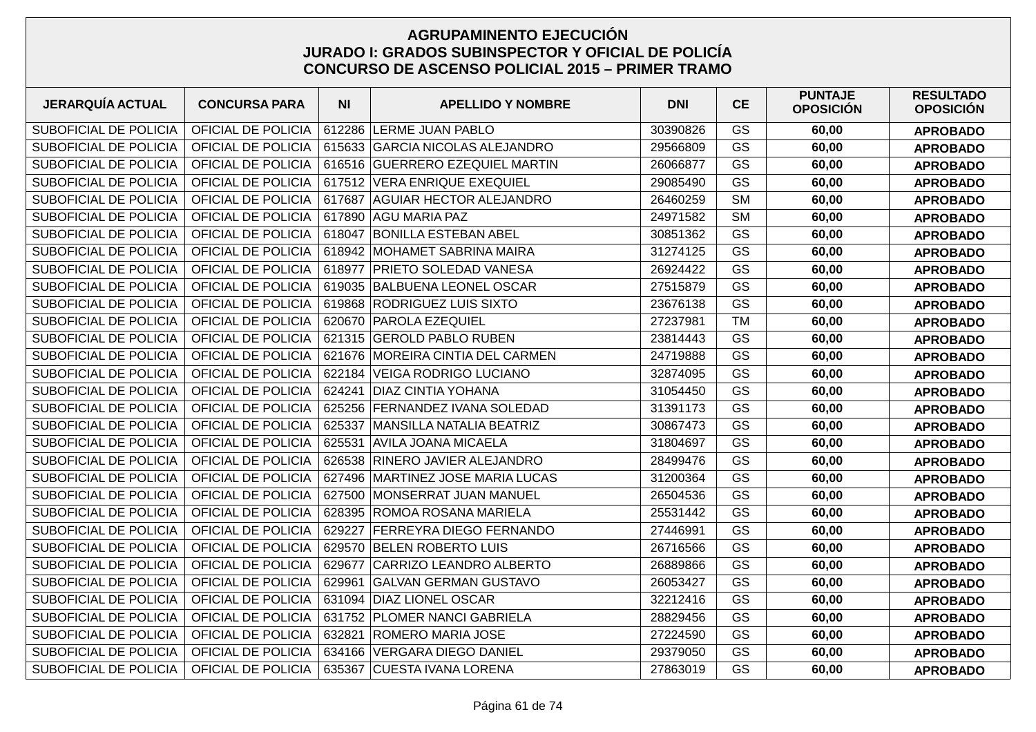| <b>JERARQUÍA ACTUAL</b> | <b>CONCURSA PARA</b> | <b>NI</b> | <b>APELLIDO Y NOMBRE</b>         | <b>DNI</b> | <b>CE</b> | <b>PUNTAJE</b><br><b>OPOSICIÓN</b> | <b>RESULTADO</b><br><b>OPOSICIÓN</b> |
|-------------------------|----------------------|-----------|----------------------------------|------------|-----------|------------------------------------|--------------------------------------|
| SUBOFICIAL DE POLICIA   | OFICIAL DE POLICIA   |           | 612286 LERME JUAN PABLO          | 30390826   | <b>GS</b> | 60,00                              | <b>APROBADO</b>                      |
| SUBOFICIAL DE POLICIA   | OFICIAL DE POLICIA   |           | 615633 GARCIA NICOLAS ALEJANDRO  | 29566809   | <b>GS</b> | 60,00                              | <b>APROBADO</b>                      |
| SUBOFICIAL DE POLICIA   | OFICIAL DE POLICIA   |           | 616516 GUERRERO EZEQUIEL MARTIN  | 26066877   | GS        | 60,00                              | <b>APROBADO</b>                      |
| SUBOFICIAL DE POLICIA   | OFICIAL DE POLICIA   |           | 617512 VERA ENRIQUE EXEQUIEL     | 29085490   | GS        | 60,00                              | <b>APROBADO</b>                      |
| SUBOFICIAL DE POLICIA   | OFICIAL DE POLICIA   |           | 617687 AGUIAR HECTOR ALEJANDRO   | 26460259   | <b>SM</b> | 60,00                              | <b>APROBADO</b>                      |
| SUBOFICIAL DE POLICIA   | OFICIAL DE POLICIA   |           | 617890 AGU MARIA PAZ             | 24971582   | <b>SM</b> | 60,00                              | <b>APROBADO</b>                      |
| SUBOFICIAL DE POLICIA   | OFICIAL DE POLICIA   |           | 618047 BONILLA ESTEBAN ABEL      | 30851362   | GS        | 60,00                              | <b>APROBADO</b>                      |
| SUBOFICIAL DE POLICIA   | OFICIAL DE POLICIA   |           | 618942 MOHAMET SABRINA MAIRA     | 31274125   | GS        | 60,00                              | <b>APROBADO</b>                      |
| SUBOFICIAL DE POLICIA   | OFICIAL DE POLICIA   |           | 618977 PRIETO SOLEDAD VANESA     | 26924422   | GS        | 60,00                              | <b>APROBADO</b>                      |
| SUBOFICIAL DE POLICIA   | OFICIAL DE POLICIA   |           | 619035 BALBUENA LEONEL OSCAR     | 27515879   | <b>GS</b> | 60,00                              | <b>APROBADO</b>                      |
| SUBOFICIAL DE POLICIA   | OFICIAL DE POLICIA   |           | 619868 RODRIGUEZ LUIS SIXTO      | 23676138   | GS        | 60,00                              | <b>APROBADO</b>                      |
| SUBOFICIAL DE POLICIA   | OFICIAL DE POLICIA   |           | 620670 PAROLA EZEQUIEL           | 27237981   | <b>TM</b> | 60,00                              | <b>APROBADO</b>                      |
| SUBOFICIAL DE POLICIA   | OFICIAL DE POLICIA   |           | 621315 GEROLD PABLO RUBEN        | 23814443   | GS        | 60,00                              | <b>APROBADO</b>                      |
| SUBOFICIAL DE POLICIA   | OFICIAL DE POLICIA   |           | 621676 MOREIRA CINTIA DEL CARMEN | 24719888   | GS        | 60,00                              | <b>APROBADO</b>                      |
| SUBOFICIAL DE POLICIA   | OFICIAL DE POLICIA   | 622184    | <b>VEIGA RODRIGO LUCIANO</b>     | 32874095   | <b>GS</b> | 60,00                              | <b>APROBADO</b>                      |
| SUBOFICIAL DE POLICIA   | OFICIAL DE POLICIA   |           | 624241 DIAZ CINTIA YOHANA        | 31054450   | GS        | 60,00                              | <b>APROBADO</b>                      |
| SUBOFICIAL DE POLICIA   | OFICIAL DE POLICIA   |           | 625256 FERNANDEZ IVANA SOLEDAD   | 31391173   | GS        | 60,00                              | <b>APROBADO</b>                      |
| SUBOFICIAL DE POLICIA   | OFICIAL DE POLICIA   |           | 625337 MANSILLA NATALIA BEATRIZ  | 30867473   | GS        | 60,00                              | <b>APROBADO</b>                      |
| SUBOFICIAL DE POLICIA   | OFICIAL DE POLICIA   |           | 625531 AVILA JOANA MICAELA       | 31804697   | GS        | 60,00                              | <b>APROBADO</b>                      |
| SUBOFICIAL DE POLICIA   | OFICIAL DE POLICIA   |           | 626538 RINERO JAVIER ALEJANDRO   | 28499476   | <b>GS</b> | 60,00                              | <b>APROBADO</b>                      |
| SUBOFICIAL DE POLICIA   | OFICIAL DE POLICIA   |           | 627496 MARTINEZ JOSE MARIA LUCAS | 31200364   | GS        | 60,00                              | <b>APROBADO</b>                      |
| SUBOFICIAL DE POLICIA   | OFICIAL DE POLICIA   |           | 627500 MONSERRAT JUAN MANUEL     | 26504536   | GS        | 60,00                              | <b>APROBADO</b>                      |
| SUBOFICIAL DE POLICIA   | OFICIAL DE POLICIA   |           | 628395 ROMOA ROSANA MARIELA      | 25531442   | GS        | 60,00                              | <b>APROBADO</b>                      |
| SUBOFICIAL DE POLICIA   | OFICIAL DE POLICIA   |           | 629227 FERREYRA DIEGO FERNANDO   | 27446991   | GS        | 60,00                              | <b>APROBADO</b>                      |
| SUBOFICIAL DE POLICIA   | OFICIAL DE POLICIA   |           | 629570 BELEN ROBERTO LUIS        | 26716566   | <b>GS</b> | 60,00                              | <b>APROBADO</b>                      |
| SUBOFICIAL DE POLICIA   | OFICIAL DE POLICIA   | 629677    | CARRIZO LEANDRO ALBERTO          | 26889866   | GS        | 60,00                              | <b>APROBADO</b>                      |
| SUBOFICIAL DE POLICIA   | OFICIAL DE POLICIA   | 629961    | <b>GALVAN GERMAN GUSTAVO</b>     | 26053427   | GS        | 60,00                              | <b>APROBADO</b>                      |
| SUBOFICIAL DE POLICIA   | OFICIAL DE POLICIA   |           | 631094 DIAZ LIONEL OSCAR         | 32212416   | GS        | 60,00                              | <b>APROBADO</b>                      |
| SUBOFICIAL DE POLICIA   | OFICIAL DE POLICIA   |           | 631752 PLOMER NANCI GABRIELA     | 28829456   | GS        | 60,00                              | <b>APROBADO</b>                      |
| SUBOFICIAL DE POLICIA   | OFICIAL DE POLICIA   | 632821    | <b>ROMERO MARIA JOSE</b>         | 27224590   | GS        | 60,00                              | <b>APROBADO</b>                      |
| SUBOFICIAL DE POLICIA   | OFICIAL DE POLICIA   |           | 634166 VERGARA DIEGO DANIEL      | 29379050   | GS        | 60,00                              | <b>APROBADO</b>                      |
| SUBOFICIAL DE POLICIA   | OFICIAL DE POLICIA   |           | 635367 CUESTA IVANA LORENA       | 27863019   | GS        | 60,00                              | <b>APROBADO</b>                      |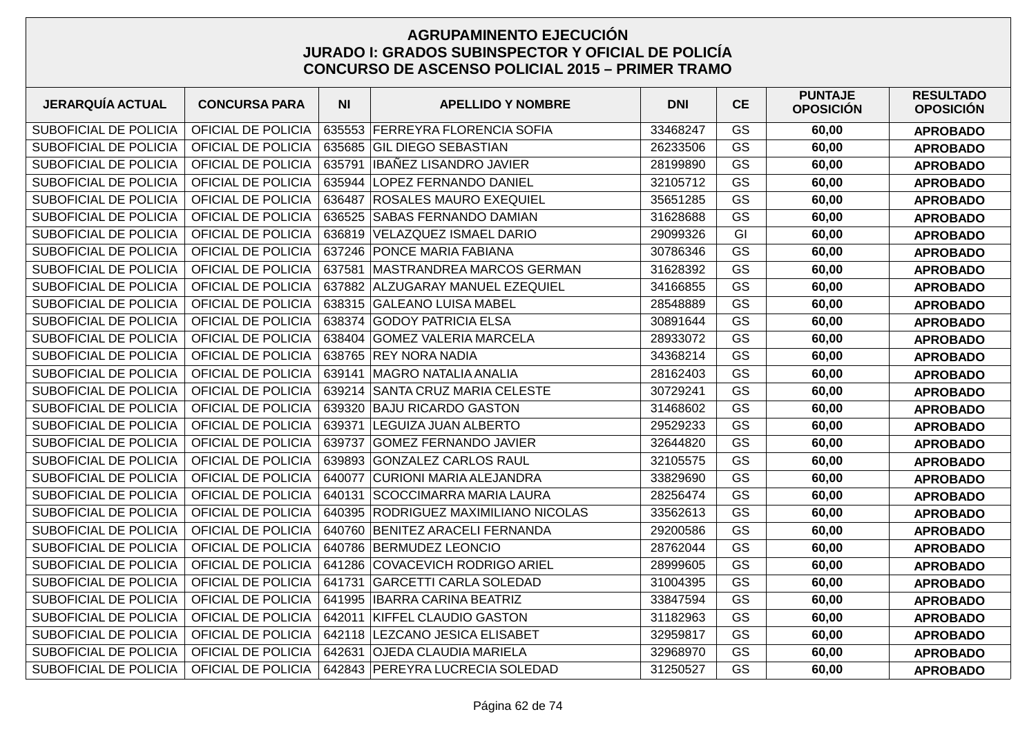| <b>JERARQUÍA ACTUAL</b> | <b>CONCURSA PARA</b> | <b>NI</b> | <b>APELLIDO Y NOMBRE</b>             | <b>DNI</b> | <b>CE</b> | <b>PUNTAJE</b><br><b>OPOSICIÓN</b> | <b>RESULTADO</b><br><b>OPOSICIÓN</b> |
|-------------------------|----------------------|-----------|--------------------------------------|------------|-----------|------------------------------------|--------------------------------------|
| SUBOFICIAL DE POLICIA   | OFICIAL DE POLICIA   |           | 635553 FERREYRA FLORENCIA SOFIA      | 33468247   | <b>GS</b> | 60,00                              | <b>APROBADO</b>                      |
| SUBOFICIAL DE POLICIA   | OFICIAL DE POLICIA   |           | 635685 GIL DIEGO SEBASTIAN           | 26233506   | <b>GS</b> | 60,00                              | <b>APROBADO</b>                      |
| SUBOFICIAL DE POLICIA   | OFICIAL DE POLICIA   |           | 635791 IBAÑEZ LISANDRO JAVIER        | 28199890   | GS        | 60,00                              | <b>APROBADO</b>                      |
| SUBOFICIAL DE POLICIA   | OFICIAL DE POLICIA   | 635944    | <b>LOPEZ FERNANDO DANIEL</b>         | 32105712   | GS        | 60,00                              | <b>APROBADO</b>                      |
| SUBOFICIAL DE POLICIA   | OFICIAL DE POLICIA   |           | 636487 ROSALES MAURO EXEQUIEL        | 35651285   | <b>GS</b> | 60,00                              | <b>APROBADO</b>                      |
| SUBOFICIAL DE POLICIA   | OFICIAL DE POLICIA   |           | 636525 SABAS FERNANDO DAMIAN         | 31628688   | GS        | 60,00                              | <b>APROBADO</b>                      |
| SUBOFICIAL DE POLICIA   | OFICIAL DE POLICIA   | 636819    | VELAZQUEZ ISMAEL DARIO               | 29099326   | GI        | 60,00                              | <b>APROBADO</b>                      |
| SUBOFICIAL DE POLICIA   | OFICIAL DE POLICIA   |           | 637246 PONCE MARIA FABIANA           | 30786346   | GS        | 60,00                              | <b>APROBADO</b>                      |
| SUBOFICIAL DE POLICIA   | OFICIAL DE POLICIA   |           | 637581 MASTRANDREA MARCOS GERMAN     | 31628392   | GS        | 60,00                              | <b>APROBADO</b>                      |
| SUBOFICIAL DE POLICIA   | OFICIAL DE POLICIA   |           | 637882 ALZUGARAY MANUEL EZEQUIEL     | 34166855   | <b>GS</b> | 60,00                              | <b>APROBADO</b>                      |
| SUBOFICIAL DE POLICIA   | OFICIAL DE POLICIA   |           | 638315 GALEANO LUISA MABEL           | 28548889   | GS        | 60,00                              | <b>APROBADO</b>                      |
| SUBOFICIAL DE POLICIA   | OFICIAL DE POLICIA   | 638374    | <b>GODOY PATRICIA ELSA</b>           | 30891644   | GS        | 60,00                              | <b>APROBADO</b>                      |
| SUBOFICIAL DE POLICIA   | OFICIAL DE POLICIA   |           | 638404 GOMEZ VALERIA MARCELA         | 28933072   | GS        | 60,00                              | <b>APROBADO</b>                      |
| SUBOFICIAL DE POLICIA   | OFICIAL DE POLICIA   |           | 638765 REY NORA NADIA                | 34368214   | GS        | 60,00                              | <b>APROBADO</b>                      |
| SUBOFICIAL DE POLICIA   | OFICIAL DE POLICIA   | 639141    | <b>MAGRO NATALIA ANALIA</b>          | 28162403   | <b>GS</b> | 60,00                              | <b>APROBADO</b>                      |
| SUBOFICIAL DE POLICIA   | OFICIAL DE POLICIA   | 639214    | <b>SANTA CRUZ MARIA CELESTE</b>      | 30729241   | GS        | 60,00                              | <b>APROBADO</b>                      |
| SUBOFICIAL DE POLICIA   | OFICIAL DE POLICIA   | 639320    | <b>BAJU RICARDO GASTON</b>           | 31468602   | GS        | 60,00                              | <b>APROBADO</b>                      |
| SUBOFICIAL DE POLICIA   | OFICIAL DE POLICIA   |           | 639371 LEGUIZA JUAN ALBERTO          | 29529233   | GS        | 60,00                              | <b>APROBADO</b>                      |
| SUBOFICIAL DE POLICIA   | OFICIAL DE POLICIA   |           | 639737 GOMEZ FERNANDO JAVIER         | 32644820   | GS        | 60,00                              | <b>APROBADO</b>                      |
| SUBOFICIAL DE POLICIA   | OFICIAL DE POLICIA   |           | 639893 GONZALEZ CARLOS RAUL          | 32105575   | <b>GS</b> | 60,00                              | <b>APROBADO</b>                      |
| SUBOFICIAL DE POLICIA   | OFICIAL DE POLICIA   |           | 640077 CURIONI MARIA ALEJANDRA       | 33829690   | GS        | 60,00                              | <b>APROBADO</b>                      |
| SUBOFICIAL DE POLICIA   | OFICIAL DE POLICIA   | 640131    | <b>SCOCCIMARRA MARIA LAURA</b>       | 28256474   | GS        | 60,00                              | <b>APROBADO</b>                      |
| SUBOFICIAL DE POLICIA   | OFICIAL DE POLICIA   |           | 640395 RODRIGUEZ MAXIMILIANO NICOLAS | 33562613   | GS        | 60,00                              | <b>APROBADO</b>                      |
| SUBOFICIAL DE POLICIA   | OFICIAL DE POLICIA   |           | 640760 BENITEZ ARACELI FERNANDA      | 29200586   | GS        | 60,00                              | <b>APROBADO</b>                      |
| SUBOFICIAL DE POLICIA   | OFICIAL DE POLICIA   |           | 640786 BERMUDEZ LEONCIO              | 28762044   | <b>GS</b> | 60,00                              | <b>APROBADO</b>                      |
| SUBOFICIAL DE POLICIA   | OFICIAL DE POLICIA   |           | 641286 COVACEVICH RODRIGO ARIEL      | 28999605   | GS        | 60,00                              | <b>APROBADO</b>                      |
| SUBOFICIAL DE POLICIA   | OFICIAL DE POLICIA   |           | 641731 GARCETTI CARLA SOLEDAD        | 31004395   | GS        | 60,00                              | <b>APROBADO</b>                      |
| SUBOFICIAL DE POLICIA   | OFICIAL DE POLICIA   |           | 641995   IBARRA CARINA BEATRIZ       | 33847594   | GS        | 60,00                              | <b>APROBADO</b>                      |
| SUBOFICIAL DE POLICIA   | OFICIAL DE POLICIA   |           | 642011 KIFFEL CLAUDIO GASTON         | 31182963   | GS        | 60,00                              | <b>APROBADO</b>                      |
| SUBOFICIAL DE POLICIA   | OFICIAL DE POLICIA   |           | 642118 LEZCANO JESICA ELISABET       | 32959817   | GS        | 60,00                              | <b>APROBADO</b>                      |
| SUBOFICIAL DE POLICIA   | OFICIAL DE POLICIA   |           | 642631 OJEDA CLAUDIA MARIELA         | 32968970   | GS        | 60,00                              | <b>APROBADO</b>                      |
| SUBOFICIAL DE POLICIA   | OFICIAL DE POLICIA   |           | 642843 PEREYRA LUCRECIA SOLEDAD      | 31250527   | GS        | 60,00                              | <b>APROBADO</b>                      |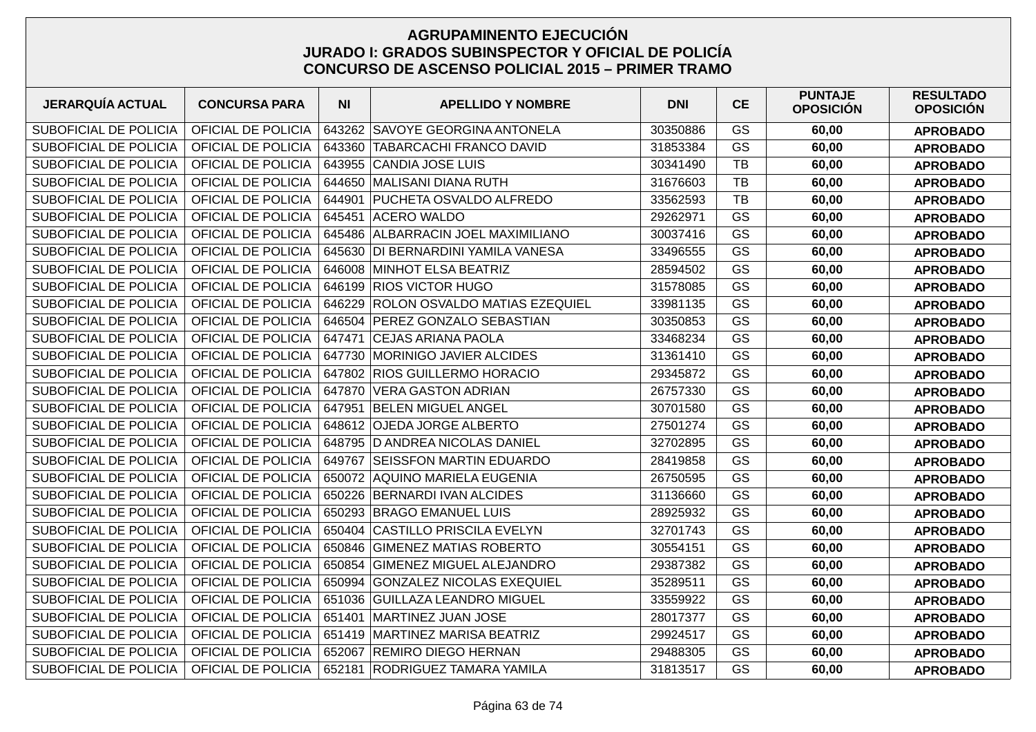| <b>JERARQUÍA ACTUAL</b> | <b>CONCURSA PARA</b> | <b>NI</b> | <b>APELLIDO Y NOMBRE</b>             | <b>DNI</b> | <b>CE</b> | <b>PUNTAJE</b><br><b>OPOSICIÓN</b> | <b>RESULTADO</b><br><b>OPOSICIÓN</b> |
|-------------------------|----------------------|-----------|--------------------------------------|------------|-----------|------------------------------------|--------------------------------------|
| SUBOFICIAL DE POLICIA   | OFICIAL DE POLICIA   | 643262    | SAVOYE GEORGINA ANTONELA             | 30350886   | GS        | 60,00                              | <b>APROBADO</b>                      |
| SUBOFICIAL DE POLICIA   | OFICIAL DE POLICIA   | 643360    | <b>TABARCACHI FRANCO DAVID</b>       | 31853384   | GS        | 60,00                              | <b>APROBADO</b>                      |
| SUBOFICIAL DE POLICIA   | OFICIAL DE POLICIA   | 643955    | CANDIA JOSE LUIS                     | 30341490   | TB        | 60,00                              | <b>APROBADO</b>                      |
| SUBOFICIAL DE POLICIA   | OFICIAL DE POLICIA   | 644650    | MALISANI DIANA RUTH                  | 31676603   | TB        | 60,00                              | <b>APROBADO</b>                      |
| SUBOFICIAL DE POLICIA   | OFICIAL DE POLICIA   | 644901    | <b>PUCHETA OSVALDO ALFREDO</b>       | 33562593   | TB        | 60,00                              | <b>APROBADO</b>                      |
| SUBOFICIAL DE POLICIA   | OFICIAL DE POLICIA   |           | 645451 ACERO WALDO                   | 29262971   | GS        | 60,00                              | <b>APROBADO</b>                      |
| SUBOFICIAL DE POLICIA   | OFICIAL DE POLICIA   | 645486    | ALBARRACIN JOEL MAXIMILIANO          | 30037416   | GS        | 60,00                              | <b>APROBADO</b>                      |
| SUBOFICIAL DE POLICIA   | OFICIAL DE POLICIA   |           | 645630 DI BERNARDINI YAMILA VANESA   | 33496555   | GS        | 60,00                              | <b>APROBADO</b>                      |
| SUBOFICIAL DE POLICIA   | OFICIAL DE POLICIA   | 646008    | MINHOT ELSA BEATRIZ                  | 28594502   | GS        | 60,00                              | <b>APROBADO</b>                      |
| SUBOFICIAL DE POLICIA   | OFICIAL DE POLICIA   |           | 646199 RIOS VICTOR HUGO              | 31578085   | GS        | 60,00                              | <b>APROBADO</b>                      |
| SUBOFICIAL DE POLICIA   | OFICIAL DE POLICIA   | 646229    | <b>ROLON OSVALDO MATIAS EZEQUIEL</b> | 33981135   | GS        | 60,00                              | <b>APROBADO</b>                      |
| SUBOFICIAL DE POLICIA   | OFICIAL DE POLICIA   |           | 646504 PEREZ GONZALO SEBASTIAN       | 30350853   | GS        | 60,00                              | <b>APROBADO</b>                      |
| SUBOFICIAL DE POLICIA   | OFICIAL DE POLICIA   |           | 647471 CEJAS ARIANA PAOLA            | 33468234   | GS        | 60,00                              | <b>APROBADO</b>                      |
| SUBOFICIAL DE POLICIA   | OFICIAL DE POLICIA   | 647730    | MORINIGO JAVIER ALCIDES              | 31361410   | GS        | 60,00                              | <b>APROBADO</b>                      |
| SUBOFICIAL DE POLICIA   | OFICIAL DE POLICIA   | 647802    | <b>RIOS GUILLERMO HORACIO</b>        | 29345872   | GS        | 60,00                              | <b>APROBADO</b>                      |
| SUBOFICIAL DE POLICIA   | OFICIAL DE POLICIA   | 647870    | <b>VERA GASTON ADRIAN</b>            | 26757330   | GS        | 60,00                              | <b>APROBADO</b>                      |
| SUBOFICIAL DE POLICIA   | OFICIAL DE POLICIA   | 647951    | <b>BELEN MIGUEL ANGEL</b>            | 30701580   | GS        | 60,00                              | <b>APROBADO</b>                      |
| SUBOFICIAL DE POLICIA   | OFICIAL DE POLICIA   |           | 648612 OJEDA JORGE ALBERTO           | 27501274   | GS        | 60,00                              | <b>APROBADO</b>                      |
| SUBOFICIAL DE POLICIA   | OFICIAL DE POLICIA   |           | 648795 D ANDREA NICOLAS DANIEL       | 32702895   | GS        | 60,00                              | <b>APROBADO</b>                      |
| SUBOFICIAL DE POLICIA   | OFICIAL DE POLICIA   | 649767    | <b>SEISSFON MARTIN EDUARDO</b>       | 28419858   | GS        | 60,00                              | <b>APROBADO</b>                      |
| SUBOFICIAL DE POLICIA   | OFICIAL DE POLICIA   |           | 650072 AQUINO MARIELA EUGENIA        | 26750595   | GS        | 60,00                              | <b>APROBADO</b>                      |
| SUBOFICIAL DE POLICIA   | OFICIAL DE POLICIA   |           | 650226 BERNARDI IVAN ALCIDES         | 31136660   | GS        | 60,00                              | <b>APROBADO</b>                      |
| SUBOFICIAL DE POLICIA   | OFICIAL DE POLICIA   |           | 650293 BRAGO EMANUEL LUIS            | 28925932   | GS        | 60,00                              | <b>APROBADO</b>                      |
| SUBOFICIAL DE POLICIA   | OFICIAL DE POLICIA   | 650404    | <b>CASTILLO PRISCILA EVELYN</b>      | 32701743   | GS        | 60,00                              | <b>APROBADO</b>                      |
| SUBOFICIAL DE POLICIA   | OFICIAL DE POLICIA   | 650846    | <b>GIMENEZ MATIAS ROBERTO</b>        | 30554151   | GS        | 60,00                              | <b>APROBADO</b>                      |
| SUBOFICIAL DE POLICIA   | OFICIAL DE POLICIA   | 650854    | <b>GIMENEZ MIGUEL ALEJANDRO</b>      | 29387382   | GS        | 60,00                              | <b>APROBADO</b>                      |
| SUBOFICIAL DE POLICIA   | OFICIAL DE POLICIA   | 650994    | <b>GONZALEZ NICOLAS EXEQUIEL</b>     | 35289511   | GS        | 60,00                              | <b>APROBADO</b>                      |
| SUBOFICIAL DE POLICIA   | OFICIAL DE POLICIA   |           | 651036 GUILLAZA LEANDRO MIGUEL       | 33559922   | GS        | 60,00                              | <b>APROBADO</b>                      |
| SUBOFICIAL DE POLICIA   | OFICIAL DE POLICIA   |           | 651401 MARTINEZ JUAN JOSE            | 28017377   | GS        | 60,00                              | <b>APROBADO</b>                      |
| SUBOFICIAL DE POLICIA   | OFICIAL DE POLICIA   | 651419    | MARTINEZ MARISA BEATRIZ              | 29924517   | GS        | 60,00                              | <b>APROBADO</b>                      |
| SUBOFICIAL DE POLICIA   | OFICIAL DE POLICIA   | 652067    | <b>REMIRO DIEGO HERNAN</b>           | 29488305   | GS        | 60,00                              | <b>APROBADO</b>                      |
| SUBOFICIAL DE POLICIA   | OFICIAL DE POLICIA   |           | 652181 RODRIGUEZ TAMARA YAMILA       | 31813517   | GS        | 60,00                              | <b>APROBADO</b>                      |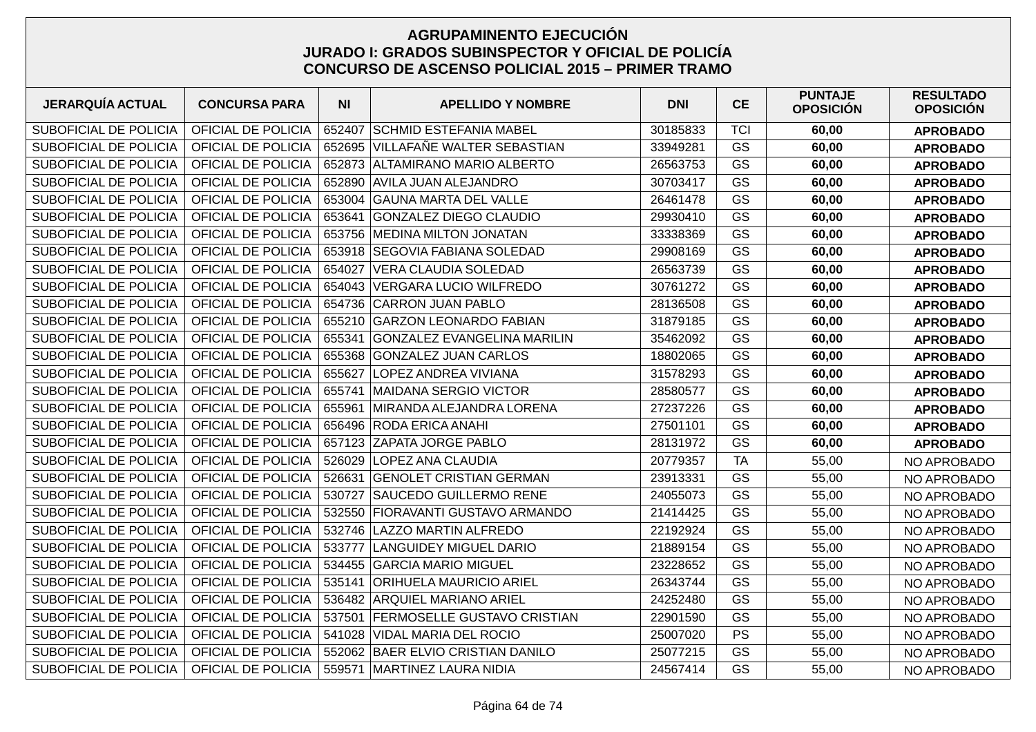| <b>JERARQUÍA ACTUAL</b> | <b>CONCURSA PARA</b> | <b>NI</b> | <b>APELLIDO Y NOMBRE</b>           | <b>DNI</b> | <b>CE</b>  | <b>PUNTAJE</b><br><b>OPOSICIÓN</b> | <b>RESULTADO</b><br><b>OPOSICIÓN</b> |
|-------------------------|----------------------|-----------|------------------------------------|------------|------------|------------------------------------|--------------------------------------|
| SUBOFICIAL DE POLICIA   | OFICIAL DE POLICIA   | 652407    | SCHMID ESTEFANIA MABEL             | 30185833   | <b>TCI</b> | 60,00                              | <b>APROBADO</b>                      |
| SUBOFICIAL DE POLICIA   | OFICIAL DE POLICIA   | 652695    | VILLAFAÑE WALTER SEBASTIAN         | 33949281   | GS         | 60,00                              | <b>APROBADO</b>                      |
| SUBOFICIAL DE POLICIA   | OFICIAL DE POLICIA   | 652873    | ALTAMIRANO MARIO ALBERTO           | 26563753   | GS         | 60,00                              | <b>APROBADO</b>                      |
| SUBOFICIAL DE POLICIA   | OFICIAL DE POLICIA   | 652890    | <b>AVILA JUAN ALEJANDRO</b>        | 30703417   | GS         | 60,00                              | <b>APROBADO</b>                      |
| SUBOFICIAL DE POLICIA   | OFICIAL DE POLICIA   | 653004    | <b>GAUNA MARTA DEL VALLE</b>       | 26461478   | GS         | 60,00                              | <b>APROBADO</b>                      |
| SUBOFICIAL DE POLICIA   | OFICIAL DE POLICIA   | 653641    | <b>GONZALEZ DIEGO CLAUDIO</b>      | 29930410   | GS         | 60,00                              | <b>APROBADO</b>                      |
| SUBOFICIAL DE POLICIA   | OFICIAL DE POLICIA   | 653756    | <b>MEDINA MILTON JONATAN</b>       | 33338369   | GS         | 60,00                              | <b>APROBADO</b>                      |
| SUBOFICIAL DE POLICIA   | OFICIAL DE POLICIA   | 653918    | <b>SEGOVIA FABIANA SOLEDAD</b>     | 29908169   | GS         | 60,00                              | <b>APROBADO</b>                      |
| SUBOFICIAL DE POLICIA   | OFICIAL DE POLICIA   | 654027    | <b>VERA CLAUDIA SOLEDAD</b>        | 26563739   | GS         | 60,00                              | <b>APROBADO</b>                      |
| SUBOFICIAL DE POLICIA   | OFICIAL DE POLICIA   | 654043    | <b>VERGARA LUCIO WILFREDO</b>      | 30761272   | <b>GS</b>  | 60,00                              | <b>APROBADO</b>                      |
| SUBOFICIAL DE POLICIA   | OFICIAL DE POLICIA   | 654736    | CARRON JUAN PABLO                  | 28136508   | GS         | 60,00                              | <b>APROBADO</b>                      |
| SUBOFICIAL DE POLICIA   | OFICIAL DE POLICIA   | 655210    | <b>GARZON LEONARDO FABIAN</b>      | 31879185   | GS         | 60,00                              | <b>APROBADO</b>                      |
| SUBOFICIAL DE POLICIA   | OFICIAL DE POLICIA   | 655341    | <b>GONZALEZ EVANGELINA MARILIN</b> | 35462092   | GS         | 60,00                              | <b>APROBADO</b>                      |
| SUBOFICIAL DE POLICIA   | OFICIAL DE POLICIA   | 655368    | <b>GONZALEZ JUAN CARLOS</b>        | 18802065   | GS         | 60,00                              | <b>APROBADO</b>                      |
| SUBOFICIAL DE POLICIA   | OFICIAL DE POLICIA   | 655627    | LOPEZ ANDREA VIVIANA               | 31578293   | GS         | 60,00                              | <b>APROBADO</b>                      |
| SUBOFICIAL DE POLICIA   | OFICIAL DE POLICIA   | 655741    | MAIDANA SERGIO VICTOR              | 28580577   | GS         | 60,00                              | <b>APROBADO</b>                      |
| SUBOFICIAL DE POLICIA   | OFICIAL DE POLICIA   | 655961    | MIRANDA ALEJANDRA LORENA           | 27237226   | GS         | 60,00                              | <b>APROBADO</b>                      |
| SUBOFICIAL DE POLICIA   | OFICIAL DE POLICIA   | 656496    | <b>RODA ERICA ANAHI</b>            | 27501101   | GS         | 60,00                              | <b>APROBADO</b>                      |
| SUBOFICIAL DE POLICIA   | OFICIAL DE POLICIA   | 657123    | <b>ZAPATA JORGE PABLO</b>          | 28131972   | GS         | 60,00                              | <b>APROBADO</b>                      |
| SUBOFICIAL DE POLICIA   | OFICIAL DE POLICIA   | 526029    | LOPEZ ANA CLAUDIA                  | 20779357   | <b>TA</b>  | 55,00                              | NO APROBADO                          |
| SUBOFICIAL DE POLICIA   | OFICIAL DE POLICIA   |           | 526631 GENOLET CRISTIAN GERMAN     | 23913331   | GS         | 55,00                              | NO APROBADO                          |
| SUBOFICIAL DE POLICIA   | OFICIAL DE POLICIA   | 530727    | SAUCEDO GUILLERMO RENE             | 24055073   | GS         | 55,00                              | NO APROBADO                          |
| SUBOFICIAL DE POLICIA   | OFICIAL DE POLICIA   | 532550    | <b>FIORAVANTI GUSTAVO ARMANDO</b>  | 21414425   | GS         | 55,00                              | NO APROBADO                          |
| SUBOFICIAL DE POLICIA   | OFICIAL DE POLICIA   | 532746    | LAZZO MARTIN ALFREDO               | 22192924   | GS         | 55,00                              | NO APROBADO                          |
| SUBOFICIAL DE POLICIA   | OFICIAL DE POLICIA   | 533777    | <b>LANGUIDEY MIGUEL DARIO</b>      | 21889154   | GS         | 55,00                              | NO APROBADO                          |
| SUBOFICIAL DE POLICIA   | OFICIAL DE POLICIA   | 534455    | <b>GARCIA MARIO MIGUEL</b>         | 23228652   | <b>GS</b>  | 55,00                              | NO APROBADO                          |
| SUBOFICIAL DE POLICIA   | OFICIAL DE POLICIA   | 535141    | <b>ORIHUELA MAURICIO ARIEL</b>     | 26343744   | GS         | 55,00                              | NO APROBADO                          |
| SUBOFICIAL DE POLICIA   | OFICIAL DE POLICIA   |           | 536482 ARQUIEL MARIANO ARIEL       | 24252480   | GS         | 55,00                              | NO APROBADO                          |
| SUBOFICIAL DE POLICIA   | OFICIAL DE POLICIA   |           | 537501 FERMOSELLE GUSTAVO CRISTIAN | 22901590   | GS         | 55,00                              | NO APROBADO                          |
| SUBOFICIAL DE POLICIA   | OFICIAL DE POLICIA   | 541028    | <b>VIDAL MARIA DEL ROCIO</b>       | 25007020   | <b>PS</b>  | 55,00                              | NO APROBADO                          |
| SUBOFICIAL DE POLICIA   | OFICIAL DE POLICIA   |           | 552062 BAER ELVIO CRISTIAN DANILO  | 25077215   | GS         | 55,00                              | NO APROBADO                          |
| SUBOFICIAL DE POLICIA   | OFICIAL DE POLICIA   |           | 559571 MARTINEZ LAURA NIDIA        | 24567414   | GS         | 55,00                              | NO APROBADO                          |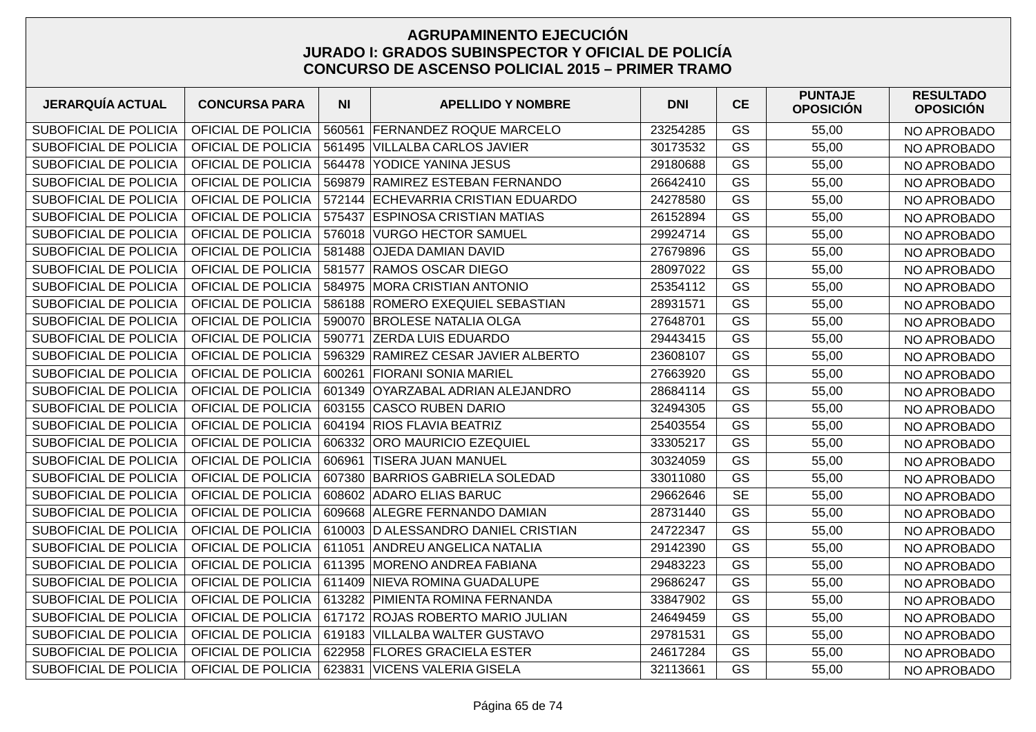| <b>JERARQUÍA ACTUAL</b> | <b>CONCURSA PARA</b> | <b>NI</b> | <b>APELLIDO Y NOMBRE</b>            | <b>DNI</b> | <b>CE</b> | <b>PUNTAJE</b><br><b>OPOSICIÓN</b> | <b>RESULTADO</b><br><b>OPOSICIÓN</b> |
|-------------------------|----------------------|-----------|-------------------------------------|------------|-----------|------------------------------------|--------------------------------------|
| SUBOFICIAL DE POLICIA   | OFICIAL DE POLICIA   |           | 560561 FERNANDEZ ROQUE MARCELO      | 23254285   | GS        | 55,00                              | NO APROBADO                          |
| SUBOFICIAL DE POLICIA   | OFICIAL DE POLICIA   |           | 561495 VILLALBA CARLOS JAVIER       | 30173532   | GS        | 55,00                              | NO APROBADO                          |
| SUBOFICIAL DE POLICIA   | OFICIAL DE POLICIA   |           | 564478 YODICE YANINA JESUS          | 29180688   | GS        | 55,00                              | NO APROBADO                          |
| SUBOFICIAL DE POLICIA   | OFICIAL DE POLICIA   |           | 569879 RAMIREZ ESTEBAN FERNANDO     | 26642410   | GS        | 55,00                              | NO APROBADO                          |
| SUBOFICIAL DE POLICIA   | OFICIAL DE POLICIA   | 572144    | <b>ECHEVARRIA CRISTIAN EDUARDO</b>  | 24278580   | GS        | 55,00                              | NO APROBADO                          |
| SUBOFICIAL DE POLICIA   | OFICIAL DE POLICIA   |           | 575437 ESPINOSA CRISTIAN MATIAS     | 26152894   | GS        | 55,00                              | NO APROBADO                          |
| SUBOFICIAL DE POLICIA   | OFICIAL DE POLICIA   | 576018    | <b>VURGO HECTOR SAMUEL</b>          | 29924714   | GS        | 55,00                              | NO APROBADO                          |
| SUBOFICIAL DE POLICIA   | OFICIAL DE POLICIA   |           | 581488 OJEDA DAMIAN DAVID           | 27679896   | GS        | 55,00                              | NO APROBADO                          |
| SUBOFICIAL DE POLICIA   | OFICIAL DE POLICIA   |           | 581577 RAMOS OSCAR DIEGO            | 28097022   | GS        | 55,00                              | NO APROBADO                          |
| SUBOFICIAL DE POLICIA   | OFICIAL DE POLICIA   |           | 584975 MORA CRISTIAN ANTONIO        | 25354112   | GS        | 55,00                              | NO APROBADO                          |
| SUBOFICIAL DE POLICIA   | OFICIAL DE POLICIA   |           | 586188 ROMERO EXEQUIEL SEBASTIAN    | 28931571   | GS        | 55,00                              | NO APROBADO                          |
| SUBOFICIAL DE POLICIA   | OFICIAL DE POLICIA   |           | 590070 BROLESE NATALIA OLGA         | 27648701   | GS        | 55,00                              | NO APROBADO                          |
| SUBOFICIAL DE POLICIA   | OFICIAL DE POLICIA   |           | 590771 ZERDA LUIS EDUARDO           | 29443415   | GS        | 55,00                              | NO APROBADO                          |
| SUBOFICIAL DE POLICIA   | OFICIAL DE POLICIA   |           | 596329 RAMIREZ CESAR JAVIER ALBERTO | 23608107   | GS        | 55,00                              | NO APROBADO                          |
| SUBOFICIAL DE POLICIA   | OFICIAL DE POLICIA   |           | 600261 FIORANI SONIA MARIEL         | 27663920   | GS        | 55,00                              | NO APROBADO                          |
| SUBOFICIAL DE POLICIA   | OFICIAL DE POLICIA   | 601349    | OYARZABAL ADRIAN ALEJANDRO          | 28684114   | GS        | 55,00                              | NO APROBADO                          |
| SUBOFICIAL DE POLICIA   | OFICIAL DE POLICIA   | 603155    | <b>CASCO RUBEN DARIO</b>            | 32494305   | GS        | 55,00                              | NO APROBADO                          |
| SUBOFICIAL DE POLICIA   | OFICIAL DE POLICIA   |           | 604194 RIOS FLAVIA BEATRIZ          | 25403554   | GS        | 55,00                              | NO APROBADO                          |
| SUBOFICIAL DE POLICIA   | OFICIAL DE POLICIA   |           | 606332 ORO MAURICIO EZEQUIEL        | 33305217   | <b>GS</b> | 55,00                              | NO APROBADO                          |
| SUBOFICIAL DE POLICIA   | OFICIAL DE POLICIA   | 606961    | TISERA JUAN MANUEL                  | 30324059   | GS        | 55,00                              | NO APROBADO                          |
| SUBOFICIAL DE POLICIA   | OFICIAL DE POLICIA   |           | 607380 BARRIOS GABRIELA SOLEDAD     | 33011080   | GS        | 55,00                              | NO APROBADO                          |
| SUBOFICIAL DE POLICIA   | OFICIAL DE POLICIA   |           | 608602 ADARO ELIAS BARUC            | 29662646   | <b>SE</b> | 55,00                              | NO APROBADO                          |
| SUBOFICIAL DE POLICIA   | OFICIAL DE POLICIA   |           | 609668 ALEGRE FERNANDO DAMIAN       | 28731440   | GS        | 55,00                              | NO APROBADO                          |
| SUBOFICIAL DE POLICIA   | OFICIAL DE POLICIA   |           | 610003 D ALESSANDRO DANIEL CRISTIAN | 24722347   | GS        | 55,00                              | NO APROBADO                          |
| SUBOFICIAL DE POLICIA   | OFICIAL DE POLICIA   |           | 611051 ANDREU ANGELICA NATALIA      | 29142390   | GS        | 55,00                              | NO APROBADO                          |
| SUBOFICIAL DE POLICIA   | OFICIAL DE POLICIA   |           | 611395   MORENO ANDREA FABIANA      | 29483223   | GS        | 55,00                              | NO APROBADO                          |
| SUBOFICIAL DE POLICIA   | OFICIAL DE POLICIA   | 611409    | NIEVA ROMINA GUADALUPE              | 29686247   | GS        | 55,00                              | NO APROBADO                          |
| SUBOFICIAL DE POLICIA   | OFICIAL DE POLICIA   |           | 613282 PIMIENTA ROMINA FERNANDA     | 33847902   | GS        | 55,00                              | NO APROBADO                          |
| SUBOFICIAL DE POLICIA   | OFICIAL DE POLICIA   |           | 617172 ROJAS ROBERTO MARIO JULIAN   | 24649459   | GS        | 55,00                              | NO APROBADO                          |
| SUBOFICIAL DE POLICIA   | OFICIAL DE POLICIA   | 619183    | <b>VILLALBA WALTER GUSTAVO</b>      | 29781531   | GS        | 55,00                              | NO APROBADO                          |
| SUBOFICIAL DE POLICIA   | OFICIAL DE POLICIA   |           | 622958 FLORES GRACIELA ESTER        | 24617284   | GS        | 55,00                              | NO APROBADO                          |
| SUBOFICIAL DE POLICIA   | OFICIAL DE POLICIA   |           | 623831 VICENS VALERIA GISELA        | 32113661   | GS        | 55,00                              | NO APROBADO                          |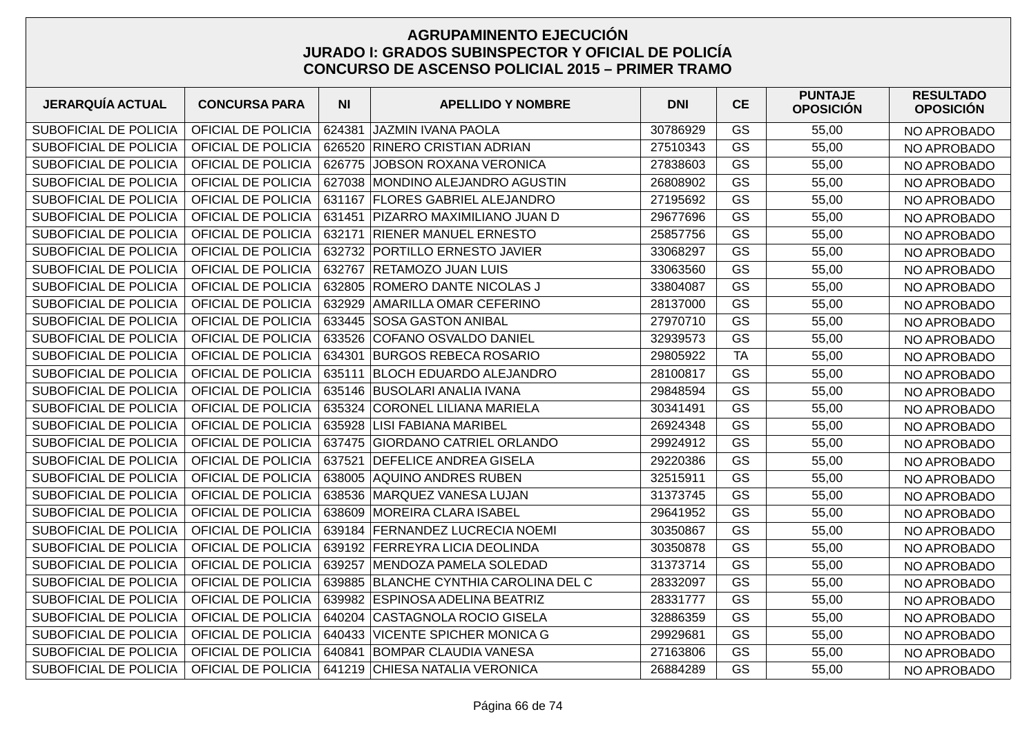| <b>JERARQUÍA ACTUAL</b> | <b>CONCURSA PARA</b> | <b>NI</b> | <b>APELLIDO Y NOMBRE</b>              | <b>DNI</b> | <b>CE</b> | <b>PUNTAJE</b><br><b>OPOSICIÓN</b> | <b>RESULTADO</b><br><b>OPOSICIÓN</b> |
|-------------------------|----------------------|-----------|---------------------------------------|------------|-----------|------------------------------------|--------------------------------------|
| SUBOFICIAL DE POLICIA   | OFICIAL DE POLICIA   | 624381    | <b>JAZMIN IVANA PAOLA</b>             | 30786929   | GS        | 55,00                              | NO APROBADO                          |
| SUBOFICIAL DE POLICIA   | OFICIAL DE POLICIA   | 626520    | <b>RINERO CRISTIAN ADRIAN</b>         | 27510343   | GS        | 55,00                              | NO APROBADO                          |
| SUBOFICIAL DE POLICIA   | OFICIAL DE POLICIA   | 626775    | JOBSON ROXANA VERONICA                | 27838603   | GS        | 55,00                              | NO APROBADO                          |
| SUBOFICIAL DE POLICIA   | OFICIAL DE POLICIA   | 627038    | MONDINO ALEJANDRO AGUSTIN             | 26808902   | GS        | 55,00                              | NO APROBADO                          |
| SUBOFICIAL DE POLICIA   | OFICIAL DE POLICIA   |           | 631167 FLORES GABRIEL ALEJANDRO       | 27195692   | GS        | 55,00                              | NO APROBADO                          |
| SUBOFICIAL DE POLICIA   | OFICIAL DE POLICIA   |           | 631451 PIZARRO MAXIMILIANO JUAN D     | 29677696   | GS        | 55,00                              | NO APROBADO                          |
| SUBOFICIAL DE POLICIA   | OFICIAL DE POLICIA   |           | 632171 RIENER MANUEL ERNESTO          | 25857756   | GS        | 55,00                              | NO APROBADO                          |
| SUBOFICIAL DE POLICIA   | OFICIAL DE POLICIA   |           | 632732 PORTILLO ERNESTO JAVIER        | 33068297   | GS        | 55,00                              | NO APROBADO                          |
| SUBOFICIAL DE POLICIA   | OFICIAL DE POLICIA   |           | 632767 RETAMOZO JUAN LUIS             | 33063560   | GS        | 55,00                              | NO APROBADO                          |
| SUBOFICIAL DE POLICIA   | OFICIAL DE POLICIA   | 632805    | <b>ROMERO DANTE NICOLAS J</b>         | 33804087   | GS        | 55,00                              | NO APROBADO                          |
| SUBOFICIAL DE POLICIA   | OFICIAL DE POLICIA   | 632929    | AMARILLA OMAR CEFERINO                | 28137000   | GS        | 55,00                              | NO APROBADO                          |
| SUBOFICIAL DE POLICIA   | OFICIAL DE POLICIA   | 633445    | <b>SOSA GASTON ANIBAL</b>             | 27970710   | GS        | 55,00                              | NO APROBADO                          |
| SUBOFICIAL DE POLICIA   | OFICIAL DE POLICIA   |           | 633526 COFANO OSVALDO DANIEL          | 32939573   | GS        | 55,00                              | NO APROBADO                          |
| SUBOFICIAL DE POLICIA   | OFICIAL DE POLICIA   |           | 634301 BURGOS REBECA ROSARIO          | 29805922   | <b>TA</b> | 55,00                              | NO APROBADO                          |
| SUBOFICIAL DE POLICIA   | OFICIAL DE POLICIA   |           | 635111 BLOCH EDUARDO ALEJANDRO        | 28100817   | GS        | 55,00                              | NO APROBADO                          |
| SUBOFICIAL DE POLICIA   | OFICIAL DE POLICIA   |           | 635146 BUSOLARI ANALIA IVANA          | 29848594   | GS        | 55,00                              | NO APROBADO                          |
| SUBOFICIAL DE POLICIA   | OFICIAL DE POLICIA   | 635324    | CORONEL LILIANA MARIELA               | 30341491   | GS        | 55,00                              | NO APROBADO                          |
| SUBOFICIAL DE POLICIA   | OFICIAL DE POLICIA   |           | 635928 LISI FABIANA MARIBEL           | 26924348   | GS        | 55,00                              | NO APROBADO                          |
| SUBOFICIAL DE POLICIA   | OFICIAL DE POLICIA   |           | 637475 GIORDANO CATRIEL ORLANDO       | 29924912   | GS        | 55,00                              | NO APROBADO                          |
| SUBOFICIAL DE POLICIA   | OFICIAL DE POLICIA   | 637521    | <b>DEFELICE ANDREA GISELA</b>         | 29220386   | GS        | 55,00                              | NO APROBADO                          |
| SUBOFICIAL DE POLICIA   | OFICIAL DE POLICIA   |           | 638005 AQUINO ANDRES RUBEN            | 32515911   | GS        | 55,00                              | NO APROBADO                          |
| SUBOFICIAL DE POLICIA   | OFICIAL DE POLICIA   |           | 638536 MARQUEZ VANESA LUJAN           | 31373745   | GS        | 55,00                              | NO APROBADO                          |
| SUBOFICIAL DE POLICIA   | OFICIAL DE POLICIA   |           | 638609 MOREIRA CLARA ISABEL           | 29641952   | GS        | 55,00                              | NO APROBADO                          |
| SUBOFICIAL DE POLICIA   | OFICIAL DE POLICIA   |           | 639184 FERNANDEZ LUCRECIA NOEMI       | 30350867   | GS        | 55,00                              | NO APROBADO                          |
| SUBOFICIAL DE POLICIA   | OFICIAL DE POLICIA   |           | 639192 FERREYRA LICIA DEOLINDA        | 30350878   | GS        | 55,00                              | NO APROBADO                          |
| SUBOFICIAL DE POLICIA   | OFICIAL DE POLICIA   | 639257    | MENDOZA PAMELA SOLEDAD                | 31373714   | GS        | 55,00                              | NO APROBADO                          |
| SUBOFICIAL DE POLICIA   | OFICIAL DE POLICIA   |           | 639885 BLANCHE CYNTHIA CAROLINA DEL C | 28332097   | GS        | 55,00                              | NO APROBADO                          |
| SUBOFICIAL DE POLICIA   | OFICIAL DE POLICIA   |           | 639982 ESPINOSA ADELINA BEATRIZ       | 28331777   | GS        | 55,00                              | NO APROBADO                          |
| SUBOFICIAL DE POLICIA   | OFICIAL DE POLICIA   | 640204    | CASTAGNOLA ROCIO GISELA               | 32886359   | GS        | 55,00                              | NO APROBADO                          |
| SUBOFICIAL DE POLICIA   | OFICIAL DE POLICIA   | 640433    | <b>VICENTE SPICHER MONICA G</b>       | 29929681   | GS        | 55,00                              | NO APROBADO                          |
| SUBOFICIAL DE POLICIA   | OFICIAL DE POLICIA   |           | 640841 BOMPAR CLAUDIA VANESA          | 27163806   | GS        | 55,00                              | NO APROBADO                          |
| SUBOFICIAL DE POLICIA   | OFICIAL DE POLICIA   |           | 641219 CHIESA NATALIA VERONICA        | 26884289   | GS        | 55,00                              | NO APROBADO                          |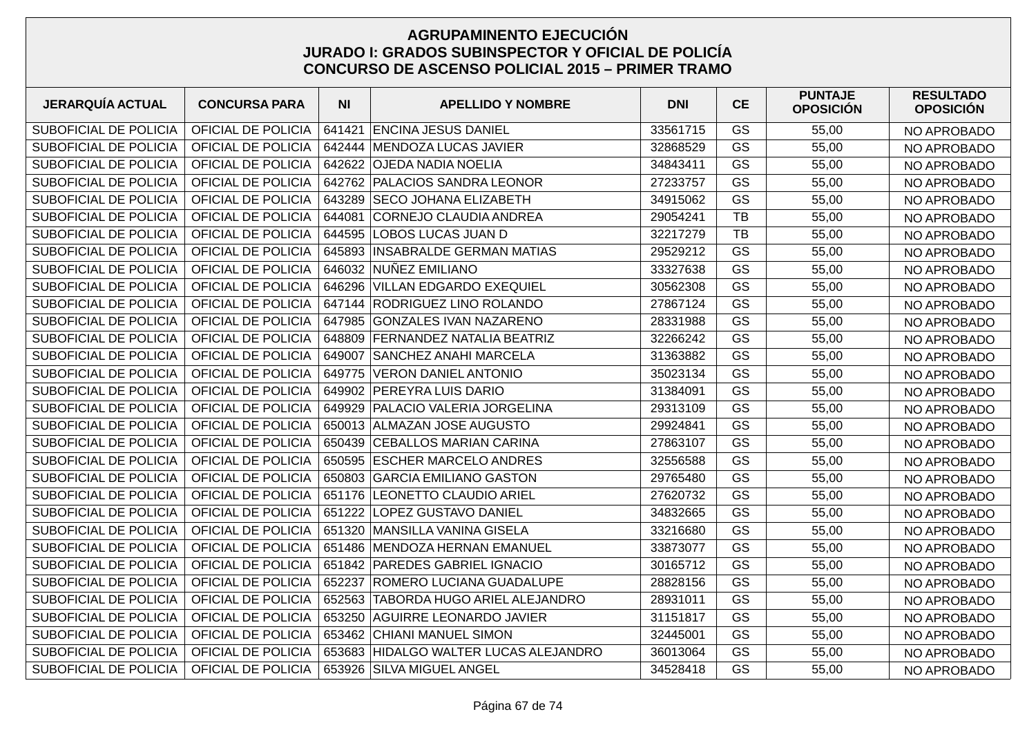| <b>JERARQUÍA ACTUAL</b> | <b>CONCURSA PARA</b> | <b>NI</b> | <b>APELLIDO Y NOMBRE</b>              | <b>DNI</b> | <b>CE</b> | <b>PUNTAJE</b><br><b>OPOSICIÓN</b> | <b>RESULTADO</b><br><b>OPOSICIÓN</b> |
|-------------------------|----------------------|-----------|---------------------------------------|------------|-----------|------------------------------------|--------------------------------------|
| SUBOFICIAL DE POLICIA   | OFICIAL DE POLICIA   | 641421    | <b>ENCINA JESUS DANIEL</b>            | 33561715   | GS        | 55,00                              | NO APROBADO                          |
| SUBOFICIAL DE POLICIA   | OFICIAL DE POLICIA   | 642444    | MENDOZA LUCAS JAVIER                  | 32868529   | GS        | 55,00                              | NO APROBADO                          |
| SUBOFICIAL DE POLICIA   | OFICIAL DE POLICIA   |           | 642622 OJEDA NADIA NOELIA             | 34843411   | GS        | 55,00                              | NO APROBADO                          |
| SUBOFICIAL DE POLICIA   | OFICIAL DE POLICIA   | 642762    | <b>PALACIOS SANDRA LEONOR</b>         | 27233757   | GS        | 55,00                              | NO APROBADO                          |
| SUBOFICIAL DE POLICIA   | OFICIAL DE POLICIA   | 643289    | SECO JOHANA ELIZABETH                 | 34915062   | GS        | 55,00                              | NO APROBADO                          |
| SUBOFICIAL DE POLICIA   | OFICIAL DE POLICIA   | 644081    | CORNEJO CLAUDIA ANDREA                | 29054241   | <b>TB</b> | 55,00                              | NO APROBADO                          |
| SUBOFICIAL DE POLICIA   | OFICIAL DE POLICIA   | 644595    | LOBOS LUCAS JUAN D                    | 32217279   | TB        | 55,00                              | NO APROBADO                          |
| SUBOFICIAL DE POLICIA   | OFICIAL DE POLICIA   |           | 645893 INSABRALDE GERMAN MATIAS       | 29529212   | GS        | 55,00                              | NO APROBADO                          |
| SUBOFICIAL DE POLICIA   | OFICIAL DE POLICIA   | 646032    | NUÑEZ EMILIANO                        | 33327638   | GS        | 55,00                              | NO APROBADO                          |
| SUBOFICIAL DE POLICIA   | OFICIAL DE POLICIA   | 646296    | <b>VILLAN EDGARDO EXEQUIEL</b>        | 30562308   | GS        | 55,00                              | NO APROBADO                          |
| SUBOFICIAL DE POLICIA   | OFICIAL DE POLICIA   | 647144    | <b>RODRIGUEZ LINO ROLANDO</b>         | 27867124   | GS        | 55,00                              | NO APROBADO                          |
| SUBOFICIAL DE POLICIA   | OFICIAL DE POLICIA   | 647985    | <b>GONZALES IVAN NAZARENO</b>         | 28331988   | GS        | 55,00                              | NO APROBADO                          |
| SUBOFICIAL DE POLICIA   | OFICIAL DE POLICIA   |           | 648809 FERNANDEZ NATALIA BEATRIZ      | 32266242   | GS        | 55,00                              | NO APROBADO                          |
| SUBOFICIAL DE POLICIA   | OFICIAL DE POLICIA   | 649007    | <b>SANCHEZ ANAHI MARCELA</b>          | 31363882   | GS        | 55,00                              | NO APROBADO                          |
| SUBOFICIAL DE POLICIA   | OFICIAL DE POLICIA   | 649775    | <b>VERON DANIEL ANTONIO</b>           | 35023134   | GS        | 55,00                              | NO APROBADO                          |
| SUBOFICIAL DE POLICIA   | OFICIAL DE POLICIA   |           | 649902 PEREYRA LUIS DARIO             | 31384091   | GS        | 55,00                              | NO APROBADO                          |
| SUBOFICIAL DE POLICIA   | OFICIAL DE POLICIA   | 649929    | <b>PALACIO VALERIA JORGELINA</b>      | 29313109   | GS        | 55,00                              | NO APROBADO                          |
| SUBOFICIAL DE POLICIA   | OFICIAL DE POLICIA   |           | 650013 ALMAZAN JOSE AUGUSTO           | 29924841   | GS        | 55,00                              | NO APROBADO                          |
| SUBOFICIAL DE POLICIA   | OFICIAL DE POLICIA   |           | 650439 CEBALLOS MARIAN CARINA         | 27863107   | GS        | 55,00                              | NO APROBADO                          |
| SUBOFICIAL DE POLICIA   | OFICIAL DE POLICIA   |           | 650595 ESCHER MARCELO ANDRES          | 32556588   | GS        | 55,00                              | NO APROBADO                          |
| SUBOFICIAL DE POLICIA   | OFICIAL DE POLICIA   |           | 650803 GARCIA EMILIANO GASTON         | 29765480   | GS        | 55,00                              | NO APROBADO                          |
| SUBOFICIAL DE POLICIA   | OFICIAL DE POLICIA   |           | 651176 LEONETTO CLAUDIO ARIEL         | 27620732   | GS        | 55,00                              | NO APROBADO                          |
| SUBOFICIAL DE POLICIA   | OFICIAL DE POLICIA   |           | 651222 LOPEZ GUSTAVO DANIEL           | 34832665   | GS        | 55,00                              | NO APROBADO                          |
| SUBOFICIAL DE POLICIA   | OFICIAL DE POLICIA   | 651320    | MANSILLA VANINA GISELA                | 33216680   | GS        | 55,00                              | NO APROBADO                          |
| SUBOFICIAL DE POLICIA   | OFICIAL DE POLICIA   | 651486    | MENDOZA HERNAN EMANUEL                | 33873077   | GS        | 55,00                              | NO APROBADO                          |
| SUBOFICIAL DE POLICIA   | OFICIAL DE POLICIA   |           | 651842 PAREDES GABRIEL IGNACIO        | 30165712   | GS        | 55,00                              | NO APROBADO                          |
| SUBOFICIAL DE POLICIA   | OFICIAL DE POLICIA   | 652237    | ROMERO LUCIANA GUADALUPE              | 28828156   | GS        | 55,00                              | NO APROBADO                          |
| SUBOFICIAL DE POLICIA   | OFICIAL DE POLICIA   | 652563    | TABORDA HUGO ARIEL ALEJANDRO          | 28931011   | GS        | 55,00                              | NO APROBADO                          |
| SUBOFICIAL DE POLICIA   | OFICIAL DE POLICIA   | 653250    | <b>AGUIRRE LEONARDO JAVIER</b>        | 31151817   | GS        | 55,00                              | NO APROBADO                          |
| SUBOFICIAL DE POLICIA   | OFICIAL DE POLICIA   | 653462    | <b>CHIANI MANUEL SIMON</b>            | 32445001   | GS        | 55,00                              | NO APROBADO                          |
| SUBOFICIAL DE POLICIA   | OFICIAL DE POLICIA   |           | 653683 HIDALGO WALTER LUCAS ALEJANDRO | 36013064   | GS        | 55,00                              | NO APROBADO                          |
| SUBOFICIAL DE POLICIA   | OFICIAL DE POLICIA   |           | 653926 SILVA MIGUEL ANGEL             | 34528418   | GS        | 55,00                              | NO APROBADO                          |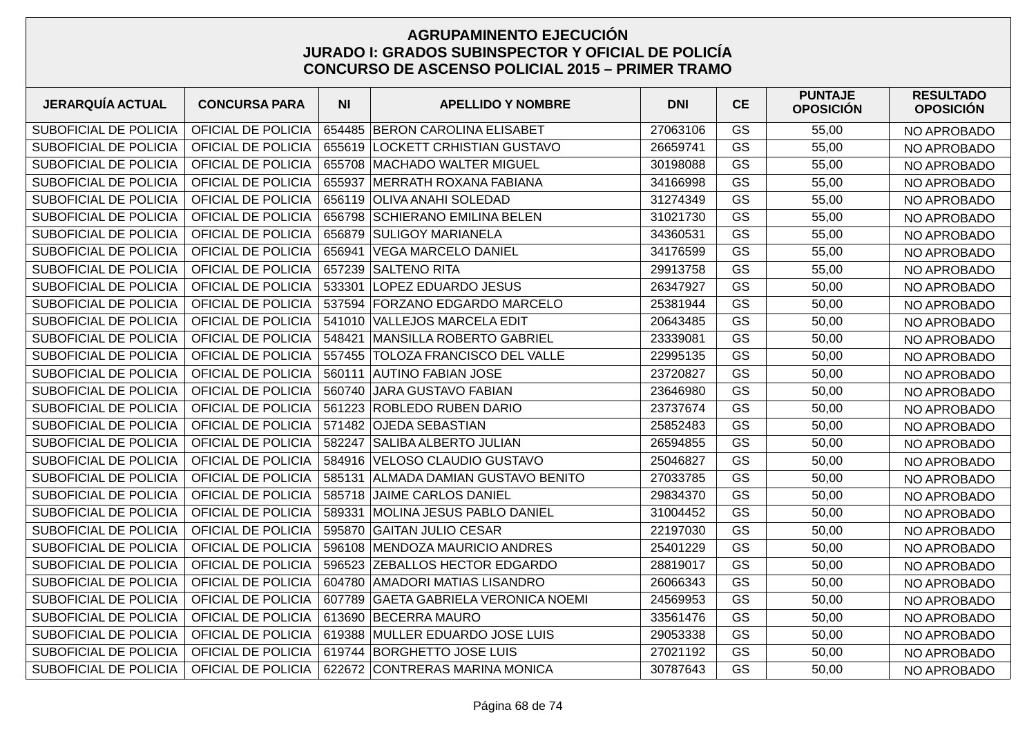| <b>JERARQUÍA ACTUAL</b> | <b>CONCURSA PARA</b> | <b>NI</b> | <b>APELLIDO Y NOMBRE</b>             | <b>DNI</b> | <b>CE</b> | <b>PUNTAJE</b><br><b>OPOSICIÓN</b> | <b>RESULTADO</b><br><b>OPOSICIÓN</b> |
|-------------------------|----------------------|-----------|--------------------------------------|------------|-----------|------------------------------------|--------------------------------------|
| SUBOFICIAL DE POLICIA   | OFICIAL DE POLICIA   |           | 654485 BERON CAROLINA ELISABET       | 27063106   | <b>GS</b> | 55,00                              | NO APROBADO                          |
| SUBOFICIAL DE POLICIA   | OFICIAL DE POLICIA   | 655619    | <b>LOCKETT CRHISTIAN GUSTAVO</b>     | 26659741   | <b>GS</b> | 55,00                              | NO APROBADO                          |
| SUBOFICIAL DE POLICIA   | OFICIAL DE POLICIA   |           | 655708 MACHADO WALTER MIGUEL         | 30198088   | GS        | 55,00                              | NO APROBADO                          |
| SUBOFICIAL DE POLICIA   | OFICIAL DE POLICIA   |           | 655937 MERRATH ROXANA FABIANA        | 34166998   | GS        | 55,00                              | NO APROBADO                          |
| SUBOFICIAL DE POLICIA   | OFICIAL DE POLICIA   | 656119    | OLIVA ANAHI SOLEDAD                  | 31274349   | <b>GS</b> | 55,00                              | NO APROBADO                          |
| SUBOFICIAL DE POLICIA   | OFICIAL DE POLICIA   |           | 656798 SCHIERANO EMILINA BELEN       | 31021730   | GS        | 55,00                              | NO APROBADO                          |
| SUBOFICIAL DE POLICIA   | OFICIAL DE POLICIA   |           | 656879 SULIGOY MARIANELA             | 34360531   | GS        | 55,00                              | NO APROBADO                          |
| SUBOFICIAL DE POLICIA   | OFICIAL DE POLICIA   |           | 656941 VEGA MARCELO DANIEL           | 34176599   | GS        | 55,00                              | NO APROBADO                          |
| SUBOFICIAL DE POLICIA   | OFICIAL DE POLICIA   | 657239    | <b>SALTENO RITA</b>                  | 29913758   | GS        | 55,00                              | NO APROBADO                          |
| SUBOFICIAL DE POLICIA   | OFICIAL DE POLICIA   | 533301    | LOPEZ EDUARDO JESUS                  | 26347927   | <b>GS</b> | 50,00                              | NO APROBADO                          |
| SUBOFICIAL DE POLICIA   | OFICIAL DE POLICIA   |           | 537594 FORZANO EDGARDO MARCELO       | 25381944   | GS        | 50,00                              | NO APROBADO                          |
| SUBOFICIAL DE POLICIA   | OFICIAL DE POLICIA   | 541010    | <b>VALLEJOS MARCELA EDIT</b>         | 20643485   | <b>GS</b> | 50,00                              | NO APROBADO                          |
| SUBOFICIAL DE POLICIA   | OFICIAL DE POLICIA   |           | 548421 MANSILLA ROBERTO GABRIEL      | 23339081   | GS        | 50,00                              | NO APROBADO                          |
| SUBOFICIAL DE POLICIA   | OFICIAL DE POLICIA   | 557455    | TOLOZA FRANCISCO DEL VALLE           | 22995135   | GS        | 50,00                              | NO APROBADO                          |
| SUBOFICIAL DE POLICIA   | OFICIAL DE POLICIA   |           | 560111 AUTINO FABIAN JOSE            | 23720827   | <b>GS</b> | 50,00                              | NO APROBADO                          |
| SUBOFICIAL DE POLICIA   | OFICIAL DE POLICIA   | 560740    | JARA GUSTAVO FABIAN                  | 23646980   | GS        | 50,00                              | NO APROBADO                          |
| SUBOFICIAL DE POLICIA   | OFICIAL DE POLICIA   |           | 561223 ROBLEDO RUBEN DARIO           | 23737674   | GS        | 50,00                              | NO APROBADO                          |
| SUBOFICIAL DE POLICIA   | OFICIAL DE POLICIA   |           | 571482 OJEDA SEBASTIAN               | 25852483   | GS        | 50,00                              | NO APROBADO                          |
| SUBOFICIAL DE POLICIA   | OFICIAL DE POLICIA   | 582247    | SALIBA ALBERTO JULIAN                | 26594855   | GS        | 50,00                              | NO APROBADO                          |
| SUBOFICIAL DE POLICIA   | OFICIAL DE POLICIA   | 584916    | <b>VELOSO CLAUDIO GUSTAVO</b>        | 25046827   | <b>GS</b> | 50,00                              | NO APROBADO                          |
| SUBOFICIAL DE POLICIA   | OFICIAL DE POLICIA   |           | 585131 ALMADA DAMIAN GUSTAVO BENITO  | 27033785   | GS        | 50,00                              | NO APROBADO                          |
| SUBOFICIAL DE POLICIA   | OFICIAL DE POLICIA   | 585718    | <b>JAIME CARLOS DANIEL</b>           | 29834370   | GS        | 50,00                              | NO APROBADO                          |
| SUBOFICIAL DE POLICIA   | OFICIAL DE POLICIA   |           | 589331 MOLINA JESUS PABLO DANIEL     | 31004452   | GS        | 50,00                              | NO APROBADO                          |
| SUBOFICIAL DE POLICIA   | OFICIAL DE POLICIA   |           | 595870 GAITAN JULIO CESAR            | 22197030   | GS        | 50,00                              | NO APROBADO                          |
| SUBOFICIAL DE POLICIA   | OFICIAL DE POLICIA   | 596108    | <b>MENDOZA MAURICIO ANDRES</b>       | 25401229   | <b>GS</b> | 50,00                              | NO APROBADO                          |
| SUBOFICIAL DE POLICIA   | OFICIAL DE POLICIA   |           | 596523 ZEBALLOS HECTOR EDGARDO       | 28819017   | GS        | 50,00                              | NO APROBADO                          |
| SUBOFICIAL DE POLICIA   | OFICIAL DE POLICIA   |           | 604780 AMADORI MATIAS LISANDRO       | 26066343   | GS        | 50,00                              | NO APROBADO                          |
| SUBOFICIAL DE POLICIA   | OFICIAL DE POLICIA   |           | 607789 GAETA GABRIELA VERONICA NOEMI | 24569953   | GS        | 50,00                              | NO APROBADO                          |
| SUBOFICIAL DE POLICIA   | OFICIAL DE POLICIA   |           | 613690 BECERRA MAURO                 | 33561476   | GS        | 50,00                              | NO APROBADO                          |
| SUBOFICIAL DE POLICIA   | OFICIAL DE POLICIA   | 619388    | MULLER EDUARDO JOSE LUIS             | 29053338   | GS        | 50,00                              | NO APROBADO                          |
| SUBOFICIAL DE POLICIA   | OFICIAL DE POLICIA   |           | 619744 BORGHETTO JOSE LUIS           | 27021192   | GS        | 50,00                              | NO APROBADO                          |
| SUBOFICIAL DE POLICIA   | OFICIAL DE POLICIA   |           | 622672 CONTRERAS MARINA MONICA       | 30787643   | GS        | 50,00                              | NO APROBADO                          |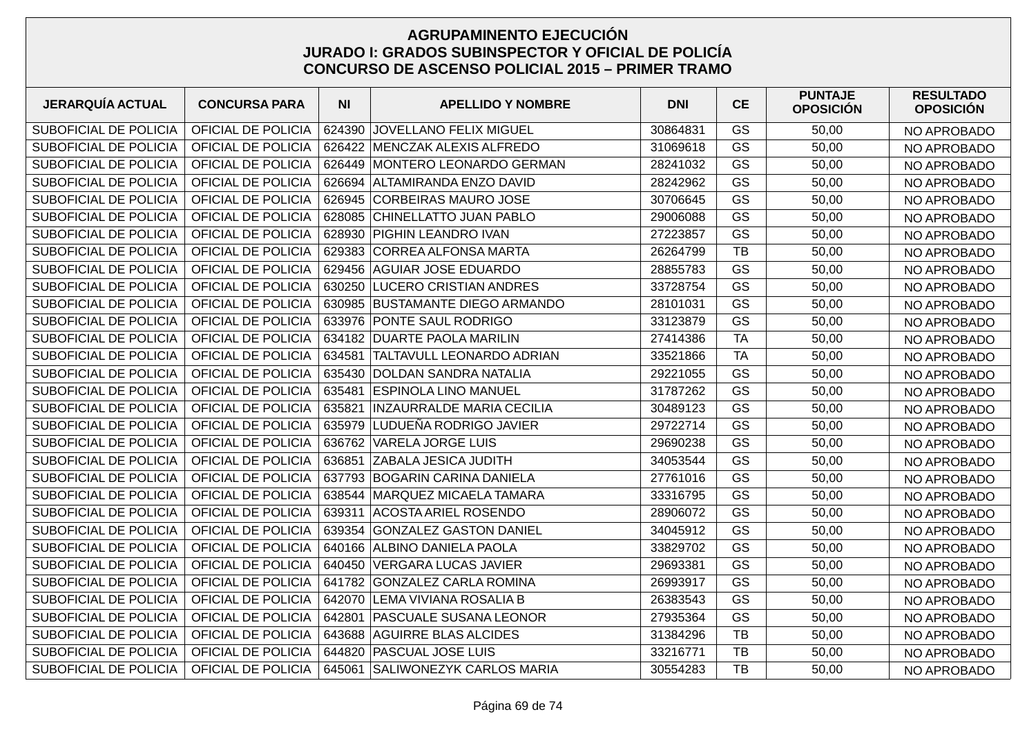| <b>JERARQUÍA ACTUAL</b> | <b>CONCURSA PARA</b> | <b>NI</b> | <b>APELLIDO Y NOMBRE</b>           | <b>DNI</b> | <b>CE</b> | <b>PUNTAJE</b><br><b>OPOSICIÓN</b> | <b>RESULTADO</b><br><b>OPOSICIÓN</b> |
|-------------------------|----------------------|-----------|------------------------------------|------------|-----------|------------------------------------|--------------------------------------|
| SUBOFICIAL DE POLICIA   | OFICIAL DE POLICIA   | 624390    | <b>JOVELLANO FELIX MIGUEL</b>      | 30864831   | GS        | 50,00                              | NO APROBADO                          |
| SUBOFICIAL DE POLICIA   | OFICIAL DE POLICIA   |           | 626422 MENCZAK ALEXIS ALFREDO      | 31069618   | GS        | 50,00                              | NO APROBADO                          |
| SUBOFICIAL DE POLICIA   | OFICIAL DE POLICIA   |           | 626449 MONTERO LEONARDO GERMAN     | 28241032   | <b>GS</b> | 50,00                              | NO APROBADO                          |
| SUBOFICIAL DE POLICIA   | OFICIAL DE POLICIA   |           | 626694 ALTAMIRANDA ENZO DAVID      | 28242962   | GS        | 50,00                              | NO APROBADO                          |
| SUBOFICIAL DE POLICIA   | OFICIAL DE POLICIA   | 626945    | <b>CORBEIRAS MAURO JOSE</b>        | 30706645   | GS        | 50,00                              | NO APROBADO                          |
| SUBOFICIAL DE POLICIA   | OFICIAL DE POLICIA   | 628085    | CHINELLATTO JUAN PABLO             | 29006088   | GS        | 50,00                              | NO APROBADO                          |
| SUBOFICIAL DE POLICIA   | OFICIAL DE POLICIA   | 628930    | <b>PIGHIN LEANDRO IVAN</b>         | 27223857   | GS        | 50,00                              | NO APROBADO                          |
| SUBOFICIAL DE POLICIA   | OFICIAL DE POLICIA   |           | 629383 CORREA ALFONSA MARTA        | 26264799   | TB        | 50,00                              | NO APROBADO                          |
| SUBOFICIAL DE POLICIA   | OFICIAL DE POLICIA   | 629456    | <b>AGUIAR JOSE EDUARDO</b>         | 28855783   | GS        | 50,00                              | NO APROBADO                          |
| SUBOFICIAL DE POLICIA   | OFICIAL DE POLICIA   | 630250    | <b>LUCERO CRISTIAN ANDRES</b>      | 33728754   | GS        | 50,00                              | NO APROBADO                          |
| SUBOFICIAL DE POLICIA   | OFICIAL DE POLICIA   |           | 630985 BUSTAMANTE DIEGO ARMANDO    | 28101031   | GS        | 50,00                              | NO APROBADO                          |
| SUBOFICIAL DE POLICIA   | OFICIAL DE POLICIA   |           | 633976 PONTE SAUL RODRIGO          | 33123879   | GS        | 50,00                              | NO APROBADO                          |
| SUBOFICIAL DE POLICIA   | OFICIAL DE POLICIA   |           | 634182 DUARTE PAOLA MARILIN        | 27414386   | <b>TA</b> | 50,00                              | NO APROBADO                          |
| SUBOFICIAL DE POLICIA   | OFICIAL DE POLICIA   | 634581    | TALTAVULL LEONARDO ADRIAN          | 33521866   | <b>TA</b> | 50,00                              | NO APROBADO                          |
| SUBOFICIAL DE POLICIA   | OFICIAL DE POLICIA   | 635430    | DOLDAN SANDRA NATALIA              | 29221055   | <b>GS</b> | 50,00                              | NO APROBADO                          |
| SUBOFICIAL DE POLICIA   | OFICIAL DE POLICIA   |           | 635481 ESPINOLA LINO MANUEL        | 31787262   | GS        | 50,00                              | NO APROBADO                          |
| SUBOFICIAL DE POLICIA   | OFICIAL DE POLICIA   |           | 635821   INZAURRALDE MARIA CECILIA | 30489123   | GS        | 50,00                              | NO APROBADO                          |
| SUBOFICIAL DE POLICIA   | OFICIAL DE POLICIA   |           | 635979 LUDUEÑA RODRIGO JAVIER      | 29722714   | GS        | 50,00                              | NO APROBADO                          |
| SUBOFICIAL DE POLICIA   | OFICIAL DE POLICIA   | 636762    | <b>VARELA JORGE LUIS</b>           | 29690238   | GS        | 50,00                              | NO APROBADO                          |
| SUBOFICIAL DE POLICIA   | OFICIAL DE POLICIA   |           | 636851 ZABALA JESICA JUDITH        | 34053544   | GS        | 50,00                              | NO APROBADO                          |
| SUBOFICIAL DE POLICIA   | OFICIAL DE POLICIA   |           | 637793 BOGARIN CARINA DANIELA      | 27761016   | <b>GS</b> | 50,00                              | NO APROBADO                          |
| SUBOFICIAL DE POLICIA   | OFICIAL DE POLICIA   |           | 638544 MARQUEZ MICAELA TAMARA      | 33316795   | GS        | 50,00                              | NO APROBADO                          |
| SUBOFICIAL DE POLICIA   | OFICIAL DE POLICIA   |           | 639311 ACOSTA ARIEL ROSENDO        | 28906072   | GS        | 50,00                              | NO APROBADO                          |
| SUBOFICIAL DE POLICIA   | OFICIAL DE POLICIA   | 639354    | <b>GONZALEZ GASTON DANIEL</b>      | 34045912   | GS        | 50,00                              | NO APROBADO                          |
| SUBOFICIAL DE POLICIA   | OFICIAL DE POLICIA   |           | 640166 ALBINO DANIELA PAOLA        | 33829702   | GS        | 50,00                              | NO APROBADO                          |
| SUBOFICIAL DE POLICIA   | OFICIAL DE POLICIA   |           | 640450 VERGARA LUCAS JAVIER        | 29693381   | GS        | 50,00                              | NO APROBADO                          |
| SUBOFICIAL DE POLICIA   | OFICIAL DE POLICIA   | 641782    | <b>GONZALEZ CARLA ROMINA</b>       | 26993917   | GS        | 50,00                              | NO APROBADO                          |
| SUBOFICIAL DE POLICIA   | OFICIAL DE POLICIA   |           | 642070 LEMA VIVIANA ROSALIA B      | 26383543   | GS        | 50,00                              | NO APROBADO                          |
| SUBOFICIAL DE POLICIA   | OFICIAL DE POLICIA   |           | 642801 PASCUALE SUSANA LEONOR      | 27935364   | GS        | 50,00                              | NO APROBADO                          |
| SUBOFICIAL DE POLICIA   | OFICIAL DE POLICIA   | 643688    | <b>AGUIRRE BLAS ALCIDES</b>        | 31384296   | TB        | 50,00                              | NO APROBADO                          |
| SUBOFICIAL DE POLICIA   | OFICIAL DE POLICIA   |           | 644820 PASCUAL JOSE LUIS           | 33216771   | TB        | 50,00                              | NO APROBADO                          |
| SUBOFICIAL DE POLICIA   | OFICIAL DE POLICIA   | 645061    | SALIWONEZYK CARLOS MARIA           | 30554283   | TB        | 50,00                              | NO APROBADO                          |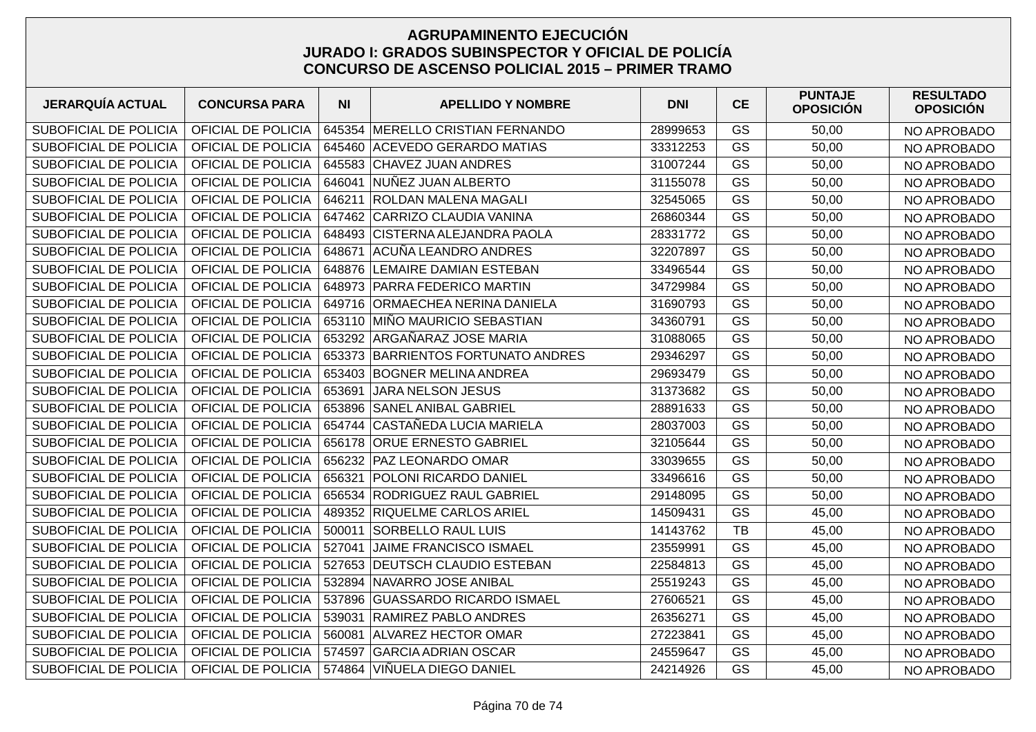| <b>JERARQUÍA ACTUAL</b> | <b>CONCURSA PARA</b> | <b>NI</b> | <b>APELLIDO Y NOMBRE</b>           | <b>DNI</b> | <b>CE</b> | <b>PUNTAJE</b><br><b>OPOSICIÓN</b> | <b>RESULTADO</b><br><b>OPOSICIÓN</b> |
|-------------------------|----------------------|-----------|------------------------------------|------------|-----------|------------------------------------|--------------------------------------|
| SUBOFICIAL DE POLICIA   | OFICIAL DE POLICIA   | 645354    | MERELLO CRISTIAN FERNANDO          | 28999653   | <b>GS</b> | 50,00                              | NO APROBADO                          |
| SUBOFICIAL DE POLICIA   | OFICIAL DE POLICIA   |           | 645460 ACEVEDO GERARDO MATIAS      | 33312253   | GS        | 50,00                              | NO APROBADO                          |
| SUBOFICIAL DE POLICIA   | OFICIAL DE POLICIA   |           | 645583 CHAVEZ JUAN ANDRES          | 31007244   | GS        | 50,00                              | NO APROBADO                          |
| SUBOFICIAL DE POLICIA   | OFICIAL DE POLICIA   |           | 646041 NUÑEZ JUAN ALBERTO          | 31155078   | GS        | 50,00                              | NO APROBADO                          |
| SUBOFICIAL DE POLICIA   | OFICIAL DE POLICIA   | 646211    | <b>ROLDAN MALENA MAGALI</b>        | 32545065   | <b>GS</b> | 50,00                              | NO APROBADO                          |
| SUBOFICIAL DE POLICIA   | OFICIAL DE POLICIA   |           | 647462 CARRIZO CLAUDIA VANINA      | 26860344   | GS        | 50,00                              | NO APROBADO                          |
| SUBOFICIAL DE POLICIA   | OFICIAL DE POLICIA   |           | 648493 CISTERNA ALEJANDRA PAOLA    | 28331772   | GS        | 50,00                              | NO APROBADO                          |
| SUBOFICIAL DE POLICIA   | OFICIAL DE POLICIA   |           | 648671 ACUÑA LEANDRO ANDRES        | 32207897   | GS        | 50,00                              | NO APROBADO                          |
| SUBOFICIAL DE POLICIA   | OFICIAL DE POLICIA   | 648876    | <b>LEMAIRE DAMIAN ESTEBAN</b>      | 33496544   | GS        | 50,00                              | NO APROBADO                          |
| SUBOFICIAL DE POLICIA   | OFICIAL DE POLICIA   |           | 648973 PARRA FEDERICO MARTIN       | 34729984   | <b>GS</b> | 50,00                              | NO APROBADO                          |
| SUBOFICIAL DE POLICIA   | OFICIAL DE POLICIA   |           | 649716 ORMAECHEA NERINA DANIELA    | 31690793   | GS        | 50,00                              | NO APROBADO                          |
| SUBOFICIAL DE POLICIA   | OFICIAL DE POLICIA   | 653110    | MIÑO MAURICIO SEBASTIAN            | 34360791   | GS        | 50,00                              | NO APROBADO                          |
| SUBOFICIAL DE POLICIA   | OFICIAL DE POLICIA   |           | 653292 ARGAÑARAZ JOSE MARIA        | 31088065   | GS        | 50,00                              | NO APROBADO                          |
| SUBOFICIAL DE POLICIA   | OFICIAL DE POLICIA   |           | 653373 BARRIENTOS FORTUNATO ANDRES | 29346297   | GS        | 50,00                              | NO APROBADO                          |
| SUBOFICIAL DE POLICIA   | OFICIAL DE POLICIA   | 653403    | <b>BOGNER MELINA ANDREA</b>        | 29693479   | GS        | 50,00                              | NO APROBADO                          |
| SUBOFICIAL DE POLICIA   | OFICIAL DE POLICIA   | 653691    | <b>JARA NELSON JESUS</b>           | 31373682   | GS        | 50,00                              | NO APROBADO                          |
| SUBOFICIAL DE POLICIA   | OFICIAL DE POLICIA   | 653896    | <b>SANEL ANIBAL GABRIEL</b>        | 28891633   | GS        | 50,00                              | NO APROBADO                          |
| SUBOFICIAL DE POLICIA   | OFICIAL DE POLICIA   |           | 654744 CASTAÑEDA LUCIA MARIELA     | 28037003   | GS        | 50,00                              | NO APROBADO                          |
| SUBOFICIAL DE POLICIA   | OFICIAL DE POLICIA   |           | 656178 ORUE ERNESTO GABRIEL        | 32105644   | GS        | 50,00                              | NO APROBADO                          |
| SUBOFICIAL DE POLICIA   | OFICIAL DE POLICIA   | 656232    | PAZ LEONARDO OMAR                  | 33039655   | <b>GS</b> | 50,00                              | NO APROBADO                          |
| SUBOFICIAL DE POLICIA   | OFICIAL DE POLICIA   |           | 656321 POLONI RICARDO DANIEL       | 33496616   | GS        | 50,00                              | NO APROBADO                          |
| SUBOFICIAL DE POLICIA   | OFICIAL DE POLICIA   |           | 656534 RODRIGUEZ RAUL GABRIEL      | 29148095   | GS        | 50,00                              | NO APROBADO                          |
| SUBOFICIAL DE POLICIA   | OFICIAL DE POLICIA   |           | 489352 RIQUELME CARLOS ARIEL       | 14509431   | GS        | 45,00                              | NO APROBADO                          |
| SUBOFICIAL DE POLICIA   | OFICIAL DE POLICIA   |           | 500011 SORBELLO RAUL LUIS          | 14143762   | TB        | 45,00                              | NO APROBADO                          |
| SUBOFICIAL DE POLICIA   | OFICIAL DE POLICIA   | 527041    | JAIME FRANCISCO ISMAEL             | 23559991   | <b>GS</b> | 45,00                              | NO APROBADO                          |
| SUBOFICIAL DE POLICIA   | OFICIAL DE POLICIA   | 527653    | <b>DEUTSCH CLAUDIO ESTEBAN</b>     | 22584813   | GS        | 45,00                              | NO APROBADO                          |
| SUBOFICIAL DE POLICIA   | OFICIAL DE POLICIA   | 532894    | NAVARRO JOSE ANIBAL                | 25519243   | GS        | 45,00                              | NO APROBADO                          |
| SUBOFICIAL DE POLICIA   | OFICIAL DE POLICIA   |           | 537896 GUASSARDO RICARDO ISMAEL    | 27606521   | GS        | 45,00                              | NO APROBADO                          |
| SUBOFICIAL DE POLICIA   | OFICIAL DE POLICIA   |           | 539031 RAMIREZ PABLO ANDRES        | 26356271   | GS        | 45,00                              | NO APROBADO                          |
| SUBOFICIAL DE POLICIA   | OFICIAL DE POLICIA   |           | 560081 ALVAREZ HECTOR OMAR         | 27223841   | GS        | 45,00                              | NO APROBADO                          |
| SUBOFICIAL DE POLICIA   | OFICIAL DE POLICIA   | 574597    | GARCIA ADRIAN OSCAR                | 24559647   | GS        | 45,00                              | NO APROBADO                          |
| SUBOFICIAL DE POLICIA   | OFICIAL DE POLICIA   | 574864    | VIÑUELA DIEGO DANIEL               | 24214926   | GS        | 45,00                              | NO APROBADO                          |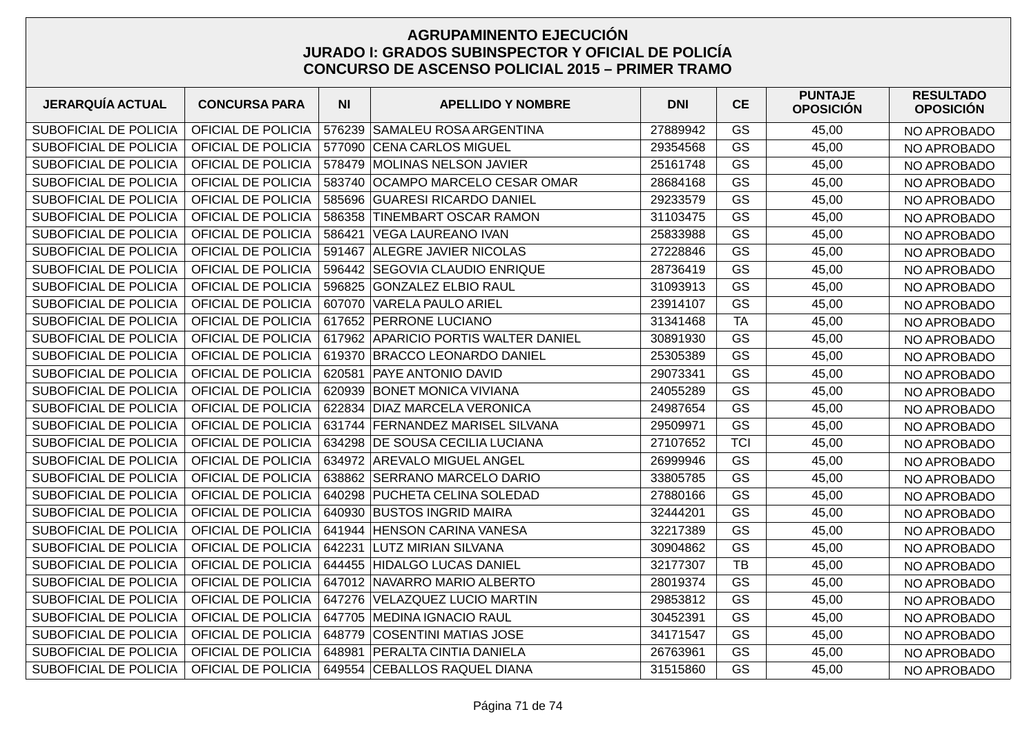| <b>JERARQUÍA ACTUAL</b> | <b>CONCURSA PARA</b> | <b>NI</b> | <b>APELLIDO Y NOMBRE</b>             | <b>DNI</b> | <b>CE</b>  | <b>PUNTAJE</b><br><b>OPOSICIÓN</b> | <b>RESULTADO</b><br><b>OPOSICIÓN</b> |
|-------------------------|----------------------|-----------|--------------------------------------|------------|------------|------------------------------------|--------------------------------------|
| SUBOFICIAL DE POLICIA   | OFICIAL DE POLICIA   | 576239    | SAMALEU ROSA ARGENTINA               | 27889942   | GS         | 45,00                              | NO APROBADO                          |
| SUBOFICIAL DE POLICIA   | OFICIAL DE POLICIA   |           | 577090 CENA CARLOS MIGUEL            | 29354568   | GS         | 45,00                              | NO APROBADO                          |
| SUBOFICIAL DE POLICIA   | OFICIAL DE POLICIA   |           | 578479 MOLINAS NELSON JAVIER         | 25161748   | GS         | 45,00                              | NO APROBADO                          |
| SUBOFICIAL DE POLICIA   | OFICIAL DE POLICIA   | 583740    | OCAMPO MARCELO CESAR OMAR            | 28684168   | GS         | 45,00                              | NO APROBADO                          |
| SUBOFICIAL DE POLICIA   | OFICIAL DE POLICIA   |           | 585696 GUARESI RICARDO DANIEL        | 29233579   | GS         | 45,00                              | NO APROBADO                          |
| SUBOFICIAL DE POLICIA   | OFICIAL DE POLICIA   | 586358    | TINEMBART OSCAR RAMON                | 31103475   | GS         | 45,00                              | NO APROBADO                          |
| SUBOFICIAL DE POLICIA   | OFICIAL DE POLICIA   | 586421    | <b>VEGA LAUREANO IVAN</b>            | 25833988   | GS         | 45,00                              | NO APROBADO                          |
| SUBOFICIAL DE POLICIA   | OFICIAL DE POLICIA   |           | 591467 ALEGRE JAVIER NICOLAS         | 27228846   | GS         | 45,00                              | NO APROBADO                          |
| SUBOFICIAL DE POLICIA   | OFICIAL DE POLICIA   |           | 596442 SEGOVIA CLAUDIO ENRIQUE       | 28736419   | GS         | 45,00                              | NO APROBADO                          |
| SUBOFICIAL DE POLICIA   | OFICIAL DE POLICIA   |           | 596825 GONZALEZ ELBIO RAUL           | 31093913   | GS         | 45,00                              | NO APROBADO                          |
| SUBOFICIAL DE POLICIA   | OFICIAL DE POLICIA   |           | 607070 VARELA PAULO ARIEL            | 23914107   | GS         | 45,00                              | NO APROBADO                          |
| SUBOFICIAL DE POLICIA   | OFICIAL DE POLICIA   |           | 617652 PERRONE LUCIANO               | 31341468   | <b>TA</b>  | 45,00                              | NO APROBADO                          |
| SUBOFICIAL DE POLICIA   | OFICIAL DE POLICIA   |           | 617962 APARICIO PORTIS WALTER DANIEL | 30891930   | GS         | 45,00                              | NO APROBADO                          |
| SUBOFICIAL DE POLICIA   | OFICIAL DE POLICIA   |           | 619370 BRACCO LEONARDO DANIEL        | 25305389   | GS         | 45,00                              | NO APROBADO                          |
| SUBOFICIAL DE POLICIA   | OFICIAL DE POLICIA   |           | 620581 PAYE ANTONIO DAVID            | 29073341   | GS         | 45,00                              | NO APROBADO                          |
| SUBOFICIAL DE POLICIA   | OFICIAL DE POLICIA   |           | 620939 BONET MONICA VIVIANA          | 24055289   | GS         | 45,00                              | NO APROBADO                          |
| SUBOFICIAL DE POLICIA   | OFICIAL DE POLICIA   |           | 622834 DIAZ MARCELA VERONICA         | 24987654   | GS         | 45,00                              | NO APROBADO                          |
| SUBOFICIAL DE POLICIA   | OFICIAL DE POLICIA   |           | 631744 FERNANDEZ MARISEL SILVANA     | 29509971   | GS         | 45,00                              | NO APROBADO                          |
| SUBOFICIAL DE POLICIA   | OFICIAL DE POLICIA   |           | 634298 DE SOUSA CECILIA LUCIANA      | 27107652   | <b>TCI</b> | 45,00                              | NO APROBADO                          |
| SUBOFICIAL DE POLICIA   | OFICIAL DE POLICIA   |           | 634972 AREVALO MIGUEL ANGEL          | 26999946   | GS         | 45,00                              | NO APROBADO                          |
| SUBOFICIAL DE POLICIA   | OFICIAL DE POLICIA   |           | 638862 SERRANO MARCELO DARIO         | 33805785   | GS         | 45,00                              | NO APROBADO                          |
| SUBOFICIAL DE POLICIA   | OFICIAL DE POLICIA   |           | 640298 PUCHETA CELINA SOLEDAD        | 27880166   | GS         | 45,00                              | NO APROBADO                          |
| SUBOFICIAL DE POLICIA   | OFICIAL DE POLICIA   |           | 640930 BUSTOS INGRID MAIRA           | 32444201   | GS         | 45,00                              | NO APROBADO                          |
| SUBOFICIAL DE POLICIA   | OFICIAL DE POLICIA   |           | 641944 HENSON CARINA VANESA          | 32217389   | GS         | 45,00                              | NO APROBADO                          |
| SUBOFICIAL DE POLICIA   | OFICIAL DE POLICIA   | 642231    | <b>LUTZ MIRIAN SILVANA</b>           | 30904862   | GS         | 45,00                              | NO APROBADO                          |
| SUBOFICIAL DE POLICIA   | OFICIAL DE POLICIA   |           | 644455 HIDALGO LUCAS DANIEL          | 32177307   | TB         | 45,00                              | NO APROBADO                          |
| SUBOFICIAL DE POLICIA   | OFICIAL DE POLICIA   |           | 647012 NAVARRO MARIO ALBERTO         | 28019374   | GS         | 45,00                              | NO APROBADO                          |
| SUBOFICIAL DE POLICIA   | OFICIAL DE POLICIA   |           | 647276 VELAZQUEZ LUCIO MARTIN        | 29853812   | GS         | 45,00                              | NO APROBADO                          |
| SUBOFICIAL DE POLICIA   | OFICIAL DE POLICIA   |           | 647705 MEDINA IGNACIO RAUL           | 30452391   | GS         | 45,00                              | NO APROBADO                          |
| SUBOFICIAL DE POLICIA   | OFICIAL DE POLICIA   | 648779    | <b>COSENTINI MATIAS JOSE</b>         | 34171547   | GS         | 45,00                              | NO APROBADO                          |
| SUBOFICIAL DE POLICIA   | OFICIAL DE POLICIA   |           | 648981 PERALTA CINTIA DANIELA        | 26763961   | GS         | 45,00                              | NO APROBADO                          |
| SUBOFICIAL DE POLICIA   | OFICIAL DE POLICIA   |           | 649554 CEBALLOS RAQUEL DIANA         | 31515860   | GS         | 45,00                              | NO APROBADO                          |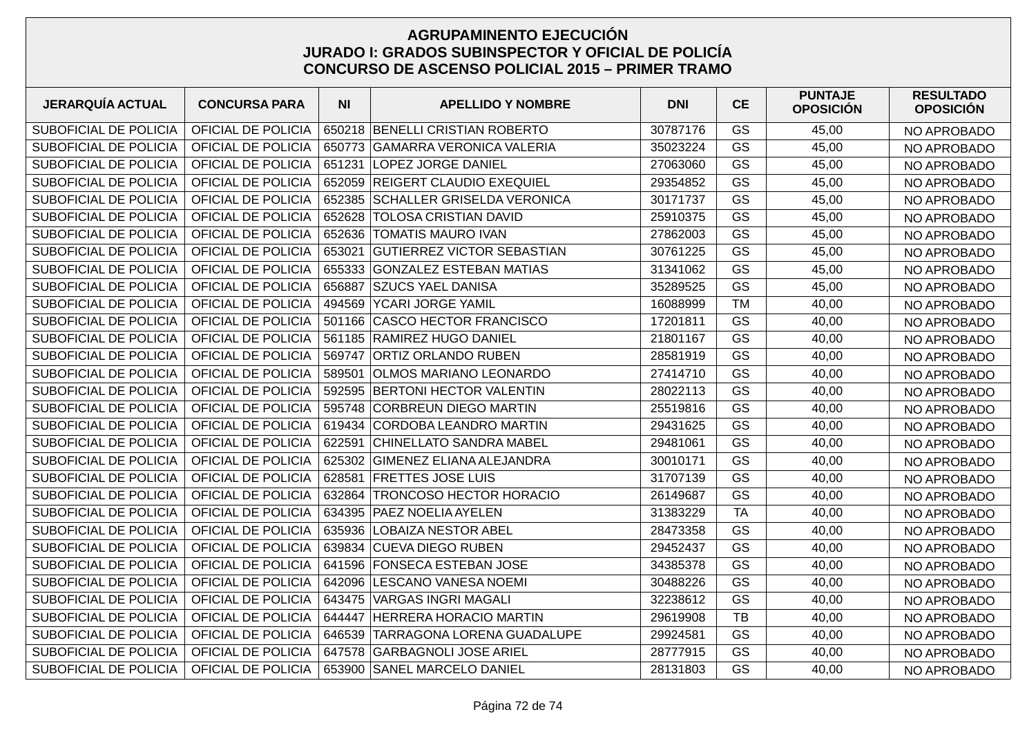| <b>JERARQUÍA ACTUAL</b> | <b>CONCURSA PARA</b> | <b>NI</b> | <b>APELLIDO Y NOMBRE</b>          | <b>DNI</b> | <b>CE</b> | <b>PUNTAJE</b><br><b>OPOSICIÓN</b> | <b>RESULTADO</b><br><b>OPOSICIÓN</b> |
|-------------------------|----------------------|-----------|-----------------------------------|------------|-----------|------------------------------------|--------------------------------------|
| SUBOFICIAL DE POLICIA   | OFICIAL DE POLICIA   |           | 650218 BENELLI CRISTIAN ROBERTO   | 30787176   | GS        | 45,00                              | NO APROBADO                          |
| SUBOFICIAL DE POLICIA   | OFICIAL DE POLICIA   |           | 650773 GAMARRA VERONICA VALERIA   | 35023224   | GS        | 45,00                              | NO APROBADO                          |
| SUBOFICIAL DE POLICIA   | OFICIAL DE POLICIA   |           | 651231 LOPEZ JORGE DANIEL         | 27063060   | GS        | 45,00                              | NO APROBADO                          |
| SUBOFICIAL DE POLICIA   | OFICIAL DE POLICIA   | 652059    | <b>REIGERT CLAUDIO EXEQUIEL</b>   | 29354852   | GS        | 45,00                              | NO APROBADO                          |
| SUBOFICIAL DE POLICIA   | OFICIAL DE POLICIA   | 652385    | <b>SCHALLER GRISELDA VERONICA</b> | 30171737   | GS        | 45,00                              | NO APROBADO                          |
| SUBOFICIAL DE POLICIA   | OFICIAL DE POLICIA   | 652628    | <b>TOLOSA CRISTIAN DAVID</b>      | 25910375   | GS        | 45,00                              | NO APROBADO                          |
| SUBOFICIAL DE POLICIA   | OFICIAL DE POLICIA   | 652636    | <b>TOMATIS MAURO IVAN</b>         | 27862003   | GS        | 45,00                              | NO APROBADO                          |
| SUBOFICIAL DE POLICIA   | OFICIAL DE POLICIA   |           | 653021 GUTIERREZ VICTOR SEBASTIAN | 30761225   | GS        | 45,00                              | NO APROBADO                          |
| SUBOFICIAL DE POLICIA   | OFICIAL DE POLICIA   | 655333    | <b>GONZALEZ ESTEBAN MATIAS</b>    | 31341062   | GS        | 45,00                              | NO APROBADO                          |
| SUBOFICIAL DE POLICIA   | OFICIAL DE POLICIA   | 656887    | <b>SZUCS YAEL DANISA</b>          | 35289525   | GS        | 45,00                              | NO APROBADO                          |
| SUBOFICIAL DE POLICIA   | OFICIAL DE POLICIA   | 494569    | YCARI JORGE YAMIL                 | 16088999   | <b>TM</b> | 40,00                              | NO APROBADO                          |
| SUBOFICIAL DE POLICIA   | OFICIAL DE POLICIA   | 501166    | <b>CASCO HECTOR FRANCISCO</b>     | 17201811   | GS        | 40,00                              | NO APROBADO                          |
| SUBOFICIAL DE POLICIA   | OFICIAL DE POLICIA   |           | 561185 RAMIREZ HUGO DANIEL        | 21801167   | GS        | 40,00                              | NO APROBADO                          |
| SUBOFICIAL DE POLICIA   | OFICIAL DE POLICIA   | 569747    | <b>ORTIZ ORLANDO RUBEN</b>        | 28581919   | GS        | 40,00                              | NO APROBADO                          |
| SUBOFICIAL DE POLICIA   | OFICIAL DE POLICIA   | 589501    | OLMOS MARIANO LEONARDO            | 27414710   | GS        | 40,00                              | NO APROBADO                          |
| SUBOFICIAL DE POLICIA   | OFICIAL DE POLICIA   | 592595    | <b>BERTONI HECTOR VALENTIN</b>    | 28022113   | GS        | 40,00                              | NO APROBADO                          |
| SUBOFICIAL DE POLICIA   | OFICIAL DE POLICIA   | 595748    | <b>CORBREUN DIEGO MARTIN</b>      | 25519816   | GS        | 40,00                              | NO APROBADO                          |
| SUBOFICIAL DE POLICIA   | OFICIAL DE POLICIA   | 619434    | CORDOBA LEANDRO MARTIN            | 29431625   | GS        | 40,00                              | NO APROBADO                          |
| SUBOFICIAL DE POLICIA   | OFICIAL DE POLICIA   |           | 622591 CHINELLATO SANDRA MABEL    | 29481061   | GS        | 40,00                              | NO APROBADO                          |
| SUBOFICIAL DE POLICIA   | OFICIAL DE POLICIA   | 625302    | GIMENEZ ELIANA ALEJANDRA          | 30010171   | GS        | 40,00                              | NO APROBADO                          |
| SUBOFICIAL DE POLICIA   | OFICIAL DE POLICIA   |           | 628581 FRETTES JOSE LUIS          | 31707139   | GS        | 40,00                              | NO APROBADO                          |
| SUBOFICIAL DE POLICIA   | OFICIAL DE POLICIA   | 632864    | TRONCOSO HECTOR HORACIO           | 26149687   | GS        | 40,00                              | NO APROBADO                          |
| SUBOFICIAL DE POLICIA   | OFICIAL DE POLICIA   |           | 634395 PAEZ NOELIA AYELEN         | 31383229   | <b>TA</b> | 40,00                              | NO APROBADO                          |
| SUBOFICIAL DE POLICIA   | OFICIAL DE POLICIA   | 635936    | <b>LOBAIZA NESTOR ABEL</b>        | 28473358   | GS        | 40,00                              | NO APROBADO                          |
| SUBOFICIAL DE POLICIA   | OFICIAL DE POLICIA   | 639834    | <b>CUEVA DIEGO RUBEN</b>          | 29452437   | GS        | 40,00                              | NO APROBADO                          |
| SUBOFICIAL DE POLICIA   | OFICIAL DE POLICIA   | 641596    | <b>FONSECA ESTEBAN JOSE</b>       | 34385378   | GS        | 40,00                              | NO APROBADO                          |
| SUBOFICIAL DE POLICIA   | OFICIAL DE POLICIA   | 642096    | <b>LESCANO VANESA NOEMI</b>       | 30488226   | GS        | 40,00                              | NO APROBADO                          |
| SUBOFICIAL DE POLICIA   | OFICIAL DE POLICIA   | 643475    | VARGAS INGRI MAGALI               | 32238612   | GS        | 40,00                              | NO APROBADO                          |
| SUBOFICIAL DE POLICIA   | OFICIAL DE POLICIA   | 644447    | HERRERA HORACIO MARTIN            | 29619908   | TB        | 40,00                              | NO APROBADO                          |
| SUBOFICIAL DE POLICIA   | OFICIAL DE POLICIA   | 646539    | TARRAGONA LORENA GUADALUPE        | 29924581   | GS        | 40,00                              | NO APROBADO                          |
| SUBOFICIAL DE POLICIA   | OFICIAL DE POLICIA   |           | 647578 GARBAGNOLI JOSE ARIEL      | 28777915   | GS        | 40,00                              | NO APROBADO                          |
| SUBOFICIAL DE POLICIA   | OFICIAL DE POLICIA   | 653900    | <b>SANEL MARCELO DANIEL</b>       | 28131803   | GS        | 40,00                              | NO APROBADO                          |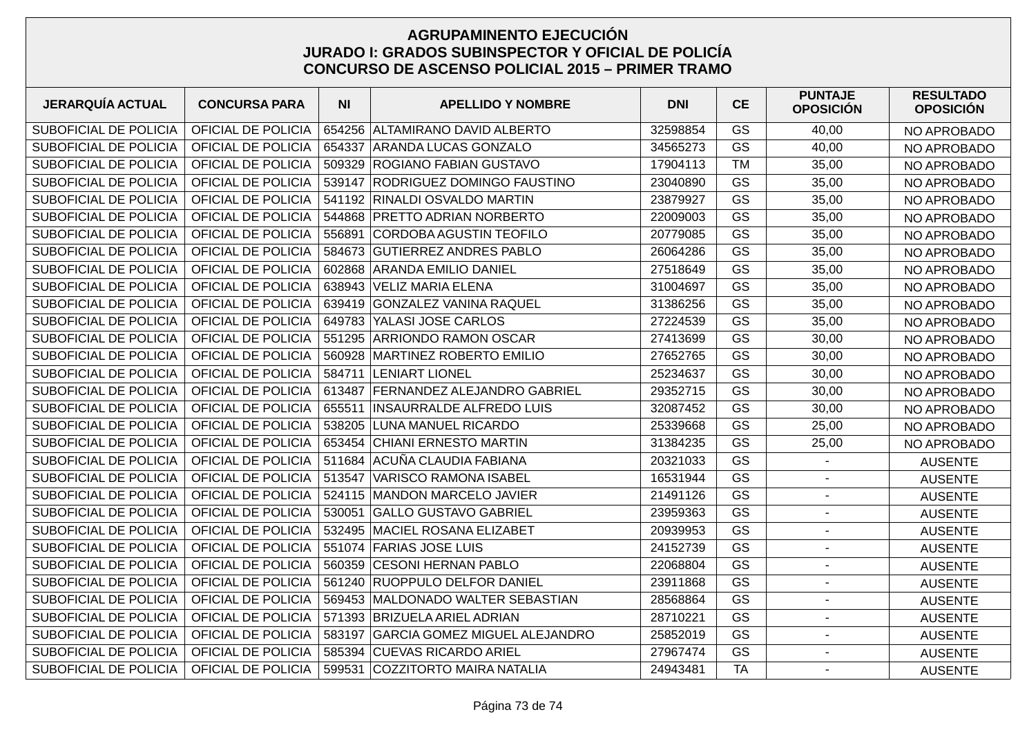## **AGRUPAMINENTO EJECUCIÓN JURADO I: GRADOS SUBINSPECTOR Y OFICIAL DE POLICÍA CONCURSO DE ASCENSO POLICIAL 2015 – PRIMER TRAMO**

| <b>JERARQUÍA ACTUAL</b> | <b>CONCURSA PARA</b> | <b>NI</b> | <b>APELLIDO Y NOMBRE</b>             | <b>DNI</b> | <b>CE</b> | <b>PUNTAJE</b><br><b>OPOSICIÓN</b> | <b>RESULTADO</b><br><b>OPOSICIÓN</b> |
|-------------------------|----------------------|-----------|--------------------------------------|------------|-----------|------------------------------------|--------------------------------------|
| SUBOFICIAL DE POLICIA   | OFICIAL DE POLICIA   |           | 654256 ALTAMIRANO DAVID ALBERTO      | 32598854   | GS        | 40,00                              | NO APROBADO                          |
| SUBOFICIAL DE POLICIA   | OFICIAL DE POLICIA   |           | 654337 ARANDA LUCAS GONZALO          | 34565273   | <b>GS</b> | 40,00                              | NO APROBADO                          |
| SUBOFICIAL DE POLICIA   | OFICIAL DE POLICIA   |           | 509329 ROGIANO FABIAN GUSTAVO        | 17904113   | <b>TM</b> | 35,00                              | NO APROBADO                          |
| SUBOFICIAL DE POLICIA   | OFICIAL DE POLICIA   |           | 539147 RODRIGUEZ DOMINGO FAUSTINO    | 23040890   | GS        | 35,00                              | NO APROBADO                          |
| SUBOFICIAL DE POLICIA   | OFICIAL DE POLICIA   |           | 541192 RINALDI OSVALDO MARTIN        | 23879927   | GS        | 35,00                              | NO APROBADO                          |
| SUBOFICIAL DE POLICIA   | OFICIAL DE POLICIA   |           | 544868 PRETTO ADRIAN NORBERTO        | 22009003   | GS        | 35,00                              | NO APROBADO                          |
| SUBOFICIAL DE POLICIA   | OFICIAL DE POLICIA   |           | 556891 CORDOBA AGUSTIN TEOFILO       | 20779085   | GS        | 35,00                              | NO APROBADO                          |
| SUBOFICIAL DE POLICIA   | OFICIAL DE POLICIA   |           | 584673 GUTIERREZ ANDRES PABLO        | 26064286   | GS        | 35,00                              | NO APROBADO                          |
| SUBOFICIAL DE POLICIA   | OFICIAL DE POLICIA   |           | 602868 ARANDA EMILIO DANIEL          | 27518649   | GS        | 35,00                              | NO APROBADO                          |
| SUBOFICIAL DE POLICIA   | OFICIAL DE POLICIA   |           | 638943 VELIZ MARIA ELENA             | 31004697   | GS        | 35,00                              | NO APROBADO                          |
| SUBOFICIAL DE POLICIA   | OFICIAL DE POLICIA   |           | 639419 GONZALEZ VANINA RAQUEL        | 31386256   | GS        | 35,00                              | NO APROBADO                          |
| SUBOFICIAL DE POLICIA   | OFICIAL DE POLICIA   |           | 649783 YALASI JOSE CARLOS            | 27224539   | GS        | 35,00                              | NO APROBADO                          |
| SUBOFICIAL DE POLICIA   | OFICIAL DE POLICIA   |           | 551295 ARRIONDO RAMON OSCAR          | 27413699   | GS        | 30,00                              | NO APROBADO                          |
| SUBOFICIAL DE POLICIA   | OFICIAL DE POLICIA   |           | 560928 MARTINEZ ROBERTO EMILIO       | 27652765   | GS        | 30,00                              | NO APROBADO                          |
| SUBOFICIAL DE POLICIA   | OFICIAL DE POLICIA   |           | 584711 LENIART LIONEL                | 25234637   | <b>GS</b> | 30,00                              | NO APROBADO                          |
| SUBOFICIAL DE POLICIA   | OFICIAL DE POLICIA   |           | 613487 FERNANDEZ ALEJANDRO GABRIEL   | 29352715   | GS        | 30,00                              | NO APROBADO                          |
| SUBOFICIAL DE POLICIA   | OFICIAL DE POLICIA   | 655511    | <b>INSAURRALDE ALFREDO LUIS</b>      | 32087452   | GS        | 30,00                              | NO APROBADO                          |
| SUBOFICIAL DE POLICIA   | OFICIAL DE POLICIA   |           | 538205 LUNA MANUEL RICARDO           | 25339668   | GS        | 25,00                              | NO APROBADO                          |
| SUBOFICIAL DE POLICIA   | OFICIAL DE POLICIA   |           | 653454 CHIANI ERNESTO MARTIN         | 31384235   | GS        | 25,00                              | NO APROBADO                          |
| SUBOFICIAL DE POLICIA   | OFICIAL DE POLICIA   |           | 511684 ACUÑA CLAUDIA FABIANA         | 20321033   | <b>GS</b> |                                    | <b>AUSENTE</b>                       |
| SUBOFICIAL DE POLICIA   | OFICIAL DE POLICIA   |           | 513547 VARISCO RAMONA ISABEL         | 16531944   | GS        | $\overline{\phantom{a}}$           | <b>AUSENTE</b>                       |
| SUBOFICIAL DE POLICIA   | OFICIAL DE POLICIA   |           | 524115 MANDON MARCELO JAVIER         | 21491126   | GS        |                                    | <b>AUSENTE</b>                       |
| SUBOFICIAL DE POLICIA   | OFICIAL DE POLICIA   |           | 530051 GALLO GUSTAVO GABRIEL         | 23959363   | GS        |                                    | <b>AUSENTE</b>                       |
| SUBOFICIAL DE POLICIA   | OFICIAL DE POLICIA   |           | 532495 MACIEL ROSANA ELIZABET        | 20939953   | GS        |                                    | <b>AUSENTE</b>                       |
| SUBOFICIAL DE POLICIA   | OFICIAL DE POLICIA   |           | 551074 FARIAS JOSE LUIS              | 24152739   | <b>GS</b> |                                    | <b>AUSENTE</b>                       |
| SUBOFICIAL DE POLICIA   | OFICIAL DE POLICIA   |           | 560359 CESONI HERNAN PABLO           | 22068804   | GS        |                                    | <b>AUSENTE</b>                       |
| SUBOFICIAL DE POLICIA   | OFICIAL DE POLICIA   |           | 561240 RUOPPULO DELFOR DANIEL        | 23911868   | GS        |                                    | <b>AUSENTE</b>                       |
| SUBOFICIAL DE POLICIA   | OFICIAL DE POLICIA   |           | 569453 MALDONADO WALTER SEBASTIAN    | 28568864   | GS        |                                    | <b>AUSENTE</b>                       |
| SUBOFICIAL DE POLICIA   | OFICIAL DE POLICIA   |           | 571393 BRIZUELA ARIEL ADRIAN         | 28710221   | GS        |                                    | <b>AUSENTE</b>                       |
| SUBOFICIAL DE POLICIA   | OFICIAL DE POLICIA   |           | 583197 GARCIA GOMEZ MIGUEL ALEJANDRO | 25852019   | GS        |                                    | <b>AUSENTE</b>                       |
| SUBOFICIAL DE POLICIA   | OFICIAL DE POLICIA   |           | 585394 CUEVAS RICARDO ARIEL          | 27967474   | GS        |                                    | <b>AUSENTE</b>                       |
| SUBOFICIAL DE POLICIA   | OFICIAL DE POLICIA   |           | 599531 COZZITORTO MAIRA NATALIA      | 24943481   | <b>TA</b> |                                    | <b>AUSENTE</b>                       |